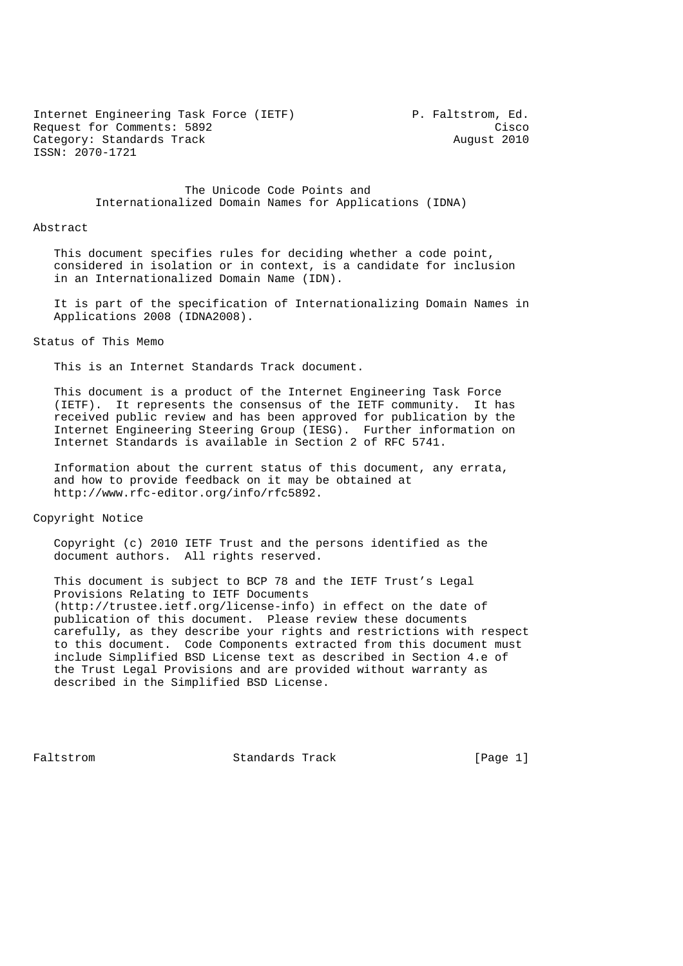Internet Engineering Task Force (IETF) P. Faltstrom, Ed. Request for Comments: 5892 Cisco Category: Standards Track August 2010 ISSN: 2070-1721

 The Unicode Code Points and Internationalized Domain Names for Applications (IDNA)

#### Abstract

 This document specifies rules for deciding whether a code point, considered in isolation or in context, is a candidate for inclusion in an Internationalized Domain Name (IDN).

 It is part of the specification of Internationalizing Domain Names in Applications 2008 (IDNA2008).

#### Status of This Memo

This is an Internet Standards Track document.

 This document is a product of the Internet Engineering Task Force (IETF). It represents the consensus of the IETF community. It has received public review and has been approved for publication by the Internet Engineering Steering Group (IESG). Further information on Internet Standards is available in Section 2 of RFC 5741.

 Information about the current status of this document, any errata, and how to provide feedback on it may be obtained at http://www.rfc-editor.org/info/rfc5892.

Copyright Notice

 Copyright (c) 2010 IETF Trust and the persons identified as the document authors. All rights reserved.

 This document is subject to BCP 78 and the IETF Trust's Legal Provisions Relating to IETF Documents (http://trustee.ietf.org/license-info) in effect on the date of publication of this document. Please review these documents carefully, as they describe your rights and restrictions with respect to this document. Code Components extracted from this document must include Simplified BSD License text as described in Section 4.e of the Trust Legal Provisions and are provided without warranty as described in the Simplified BSD License.

Faltstrom Standards Track [Page 1]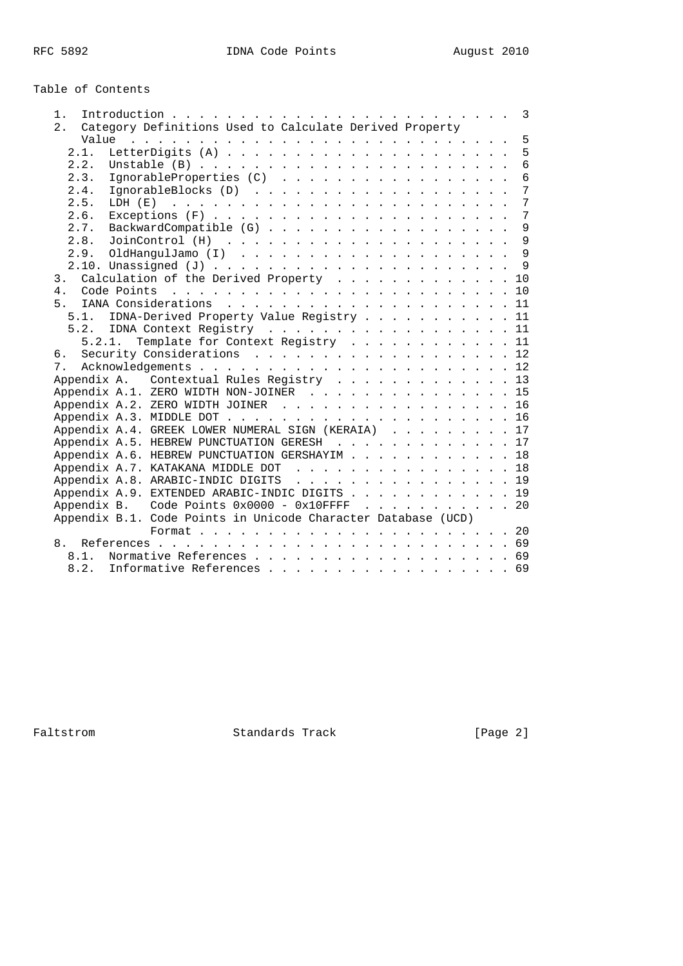# Table of Contents

| 1.                                                            |  |                |
|---------------------------------------------------------------|--|----------------|
| Category Definitions Used to Calculate Derived Property<br>2. |  |                |
|                                                               |  | 5              |
| 2.1.                                                          |  | 5              |
| 2.2.                                                          |  | 6              |
| IgnorableProperties (C) 6<br>2.3.                             |  |                |
| 2.4.                                                          |  |                |
| 2.5.                                                          |  | $\overline{7}$ |
| 2.6.                                                          |  |                |
| BackwardCompatible (G) 9<br>2.7.                              |  |                |
| 2.8.                                                          |  |                |
|                                                               |  |                |
|                                                               |  |                |
| Calculation of the Derived Property 10<br>3.                  |  |                |
| 4 <sup>1</sup>                                                |  |                |
| 5 <sup>1</sup>                                                |  |                |
| 5.1. IDNA-Derived Property Value Registry 11                  |  |                |
| 5.2. IDNA Context Registry 11                                 |  |                |
| 5.2.1. Template for Context Registry 11                       |  |                |
| Security Considerations 12<br>б.                              |  |                |
| 7.                                                            |  |                |
| Appendix A. Contextual Rules Registry 13                      |  |                |
|                                                               |  |                |
| Appendix A.1. ZERO WIDTH NON-JOINER 15                        |  |                |
| Appendix A.2. ZERO WIDTH JOINER 16                            |  |                |
|                                                               |  |                |
| Appendix A.4. GREEK LOWER NUMERAL SIGN (KERAIA) 17            |  |                |
| Appendix A.5. HEBREW PUNCTUATION GERESH 17                    |  |                |
| Appendix A.6. HEBREW PUNCTUATION GERSHAYIM 18                 |  |                |
| Appendix A.7. KATAKANA MIDDLE DOT 18                          |  |                |
| Appendix A.8. ARABIC-INDIC DIGITS 19                          |  |                |
| Appendix A.9. EXTENDED ARABIC-INDIC DIGITS 19                 |  |                |
| Appendix B. Code Points $0x0000 - 0x10$ FFFF 20               |  |                |
| Appendix B.1. Code Points in Unicode Character Database (UCD) |  |                |
|                                                               |  |                |
| 8.                                                            |  |                |
| Normative References 69<br>8.1.                               |  |                |
| Informative References 69<br>8.2.                             |  |                |
|                                                               |  |                |

Faltstrom Standards Track [Page 2]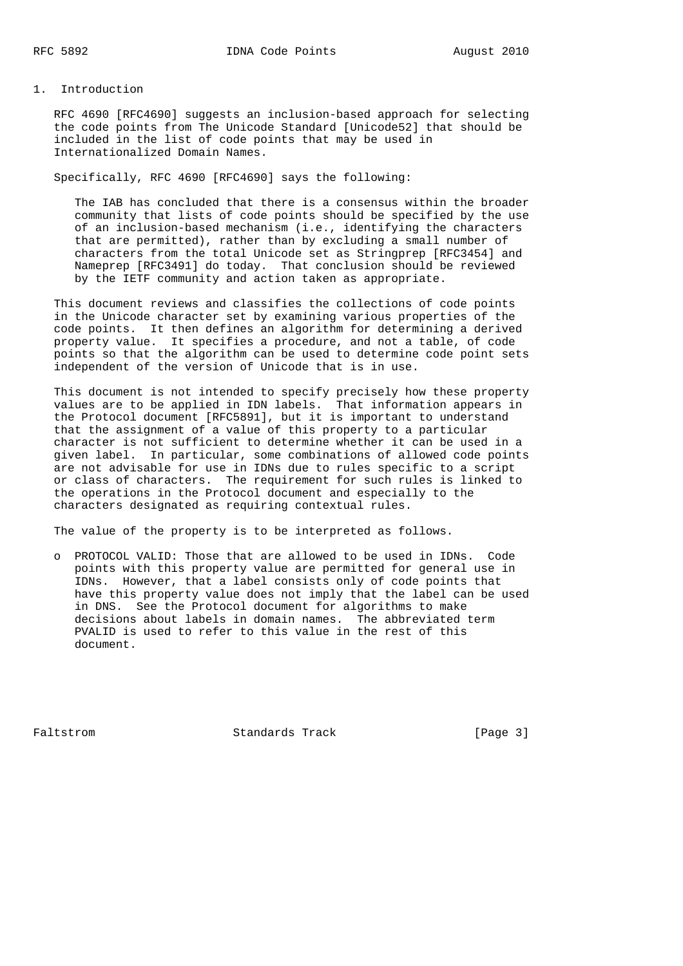#### 1. Introduction

 RFC 4690 [RFC4690] suggests an inclusion-based approach for selecting the code points from The Unicode Standard [Unicode52] that should be included in the list of code points that may be used in Internationalized Domain Names.

#### Specifically, RFC 4690 [RFC4690] says the following:

 The IAB has concluded that there is a consensus within the broader community that lists of code points should be specified by the use of an inclusion-based mechanism (i.e., identifying the characters that are permitted), rather than by excluding a small number of characters from the total Unicode set as Stringprep [RFC3454] and Nameprep [RFC3491] do today. That conclusion should be reviewed by the IETF community and action taken as appropriate.

 This document reviews and classifies the collections of code points in the Unicode character set by examining various properties of the code points. It then defines an algorithm for determining a derived property value. It specifies a procedure, and not a table, of code points so that the algorithm can be used to determine code point sets independent of the version of Unicode that is in use.

 This document is not intended to specify precisely how these property values are to be applied in IDN labels. That information appears in the Protocol document [RFC5891], but it is important to understand that the assignment of a value of this property to a particular character is not sufficient to determine whether it can be used in a given label. In particular, some combinations of allowed code points are not advisable for use in IDNs due to rules specific to a script or class of characters. The requirement for such rules is linked to the operations in the Protocol document and especially to the characters designated as requiring contextual rules.

The value of the property is to be interpreted as follows.

 o PROTOCOL VALID: Those that are allowed to be used in IDNs. Code points with this property value are permitted for general use in IDNs. However, that a label consists only of code points that have this property value does not imply that the label can be used in DNS. See the Protocol document for algorithms to make decisions about labels in domain names. The abbreviated term PVALID is used to refer to this value in the rest of this document.

Faltstrom Standards Track [Page 3]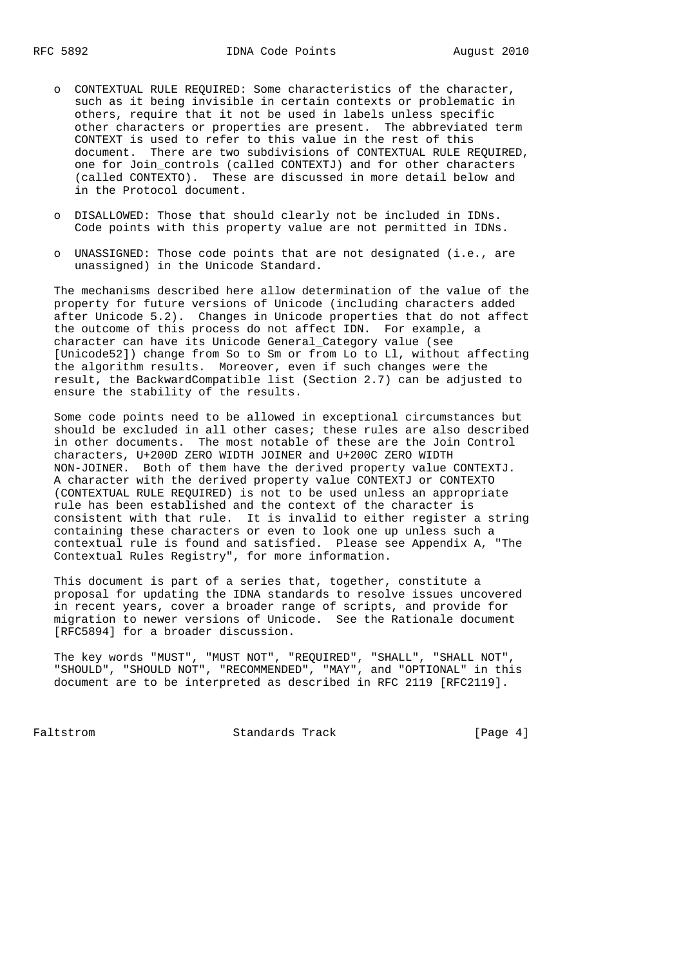- o CONTEXTUAL RULE REQUIRED: Some characteristics of the character, such as it being invisible in certain contexts or problematic in others, require that it not be used in labels unless specific other characters or properties are present. The abbreviated term CONTEXT is used to refer to this value in the rest of this document. There are two subdivisions of CONTEXTUAL RULE REQUIRED, one for Join\_controls (called CONTEXTJ) and for other characters (called CONTEXTO). These are discussed in more detail below and in the Protocol document.
- o DISALLOWED: Those that should clearly not be included in IDNs. Code points with this property value are not permitted in IDNs.
- o UNASSIGNED: Those code points that are not designated (i.e., are unassigned) in the Unicode Standard.

 The mechanisms described here allow determination of the value of the property for future versions of Unicode (including characters added after Unicode 5.2). Changes in Unicode properties that do not affect the outcome of this process do not affect IDN. For example, a character can have its Unicode General\_Category value (see [Unicode52]) change from So to Sm or from Lo to Ll, without affecting the algorithm results. Moreover, even if such changes were the result, the BackwardCompatible list (Section 2.7) can be adjusted to ensure the stability of the results.

 Some code points need to be allowed in exceptional circumstances but should be excluded in all other cases; these rules are also described in other documents. The most notable of these are the Join Control characters, U+200D ZERO WIDTH JOINER and U+200C ZERO WIDTH NON-JOINER. Both of them have the derived property value CONTEXTJ. A character with the derived property value CONTEXTJ or CONTEXTO (CONTEXTUAL RULE REQUIRED) is not to be used unless an appropriate rule has been established and the context of the character is consistent with that rule. It is invalid to either register a string containing these characters or even to look one up unless such a contextual rule is found and satisfied. Please see Appendix A, "The Contextual Rules Registry", for more information.

 This document is part of a series that, together, constitute a proposal for updating the IDNA standards to resolve issues uncovered in recent years, cover a broader range of scripts, and provide for migration to newer versions of Unicode. See the Rationale document [RFC5894] for a broader discussion.

 The key words "MUST", "MUST NOT", "REQUIRED", "SHALL", "SHALL NOT", "SHOULD", "SHOULD NOT", "RECOMMENDED", "MAY", and "OPTIONAL" in this document are to be interpreted as described in RFC 2119 [RFC2119].

Faltstrom **Standards Track** [Page 4]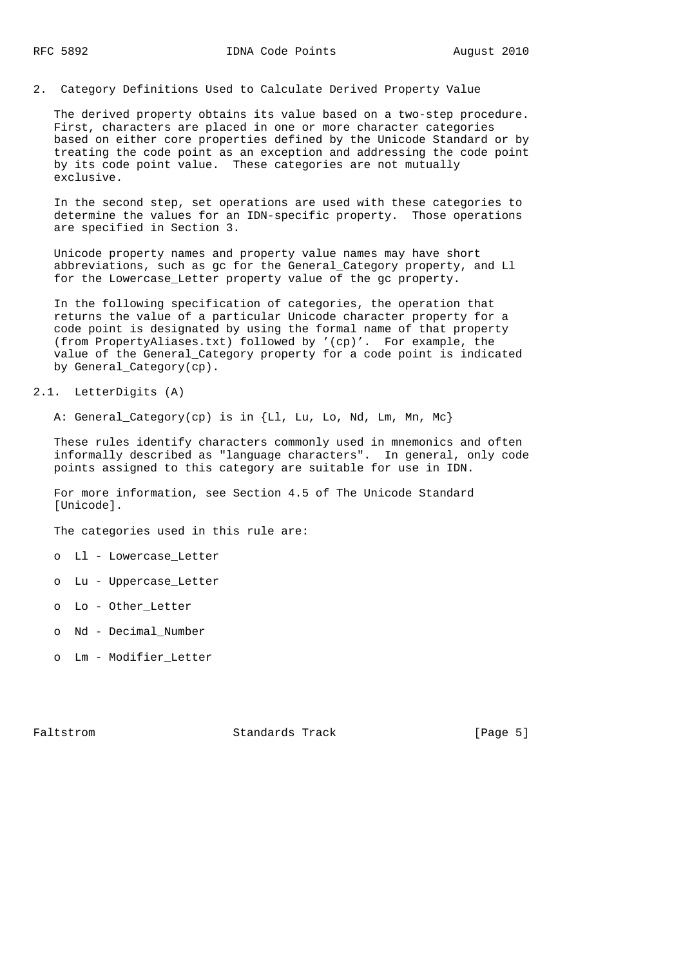2. Category Definitions Used to Calculate Derived Property Value

 The derived property obtains its value based on a two-step procedure. First, characters are placed in one or more character categories based on either core properties defined by the Unicode Standard or by treating the code point as an exception and addressing the code point by its code point value. These categories are not mutually exclusive.

 In the second step, set operations are used with these categories to determine the values for an IDN-specific property. Those operations are specified in Section 3.

 Unicode property names and property value names may have short abbreviations, such as gc for the General\_Category property, and Ll for the Lowercase\_Letter property value of the gc property.

 In the following specification of categories, the operation that returns the value of a particular Unicode character property for a code point is designated by using the formal name of that property (from PropertyAliases.txt) followed by '(cp)'. For example, the value of the General\_Category property for a code point is indicated by General\_Category(cp).

2.1. LetterDigits (A)

A: General Category(cp) is in {Ll, Lu, Lo, Nd, Lm, Mn, Mc}

These rules identify characters commonly used in mnemonics and often informally described as "language characters". In general, only code points assigned to this category are suitable for use in IDN.

 For more information, see Section 4.5 of The Unicode Standard [Unicode].

The categories used in this rule are:

- o Ll Lowercase\_Letter
- o Lu Uppercase\_Letter
- o Lo Other\_Letter
- o Nd Decimal\_Number
- o Lm Modifier\_Letter

Faltstrom **Standards Track** [Page 5]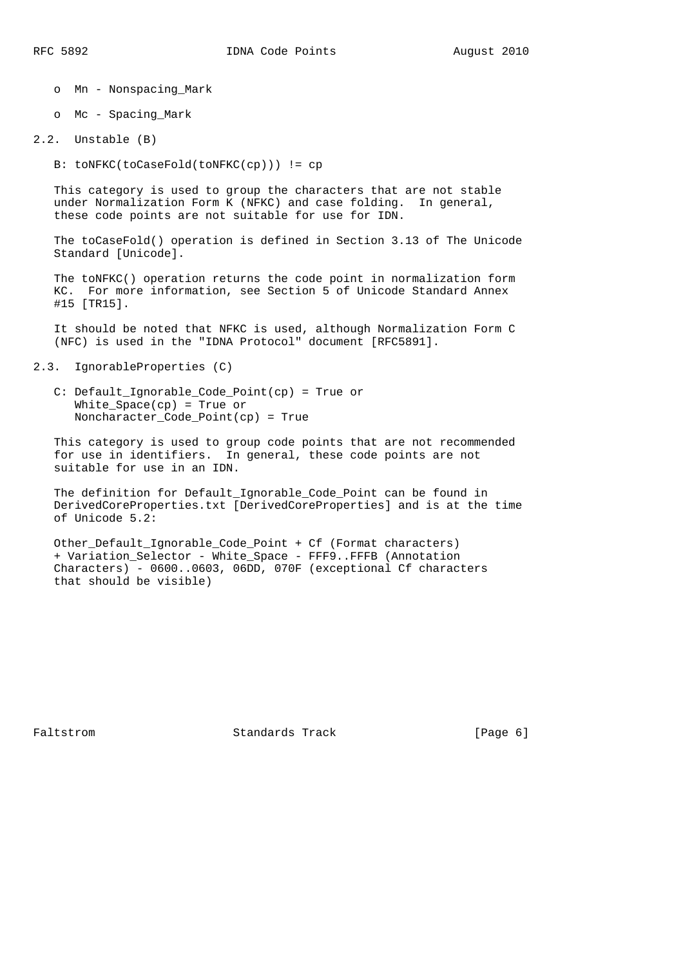- o Mn Nonspacing\_Mark
- o Mc Spacing\_Mark
- 2.2. Unstable (B)
	- B: toNFKC(toCaseFold(toNFKC(cp))) != cp

 This category is used to group the characters that are not stable under Normalization Form K (NFKC) and case folding. In general, these code points are not suitable for use for IDN.

 The toCaseFold() operation is defined in Section 3.13 of The Unicode Standard [Unicode].

 The toNFKC() operation returns the code point in normalization form KC. For more information, see Section 5 of Unicode Standard Annex #15 [TR15].

 It should be noted that NFKC is used, although Normalization Form C (NFC) is used in the "IDNA Protocol" document [RFC5891].

```
2.3. IgnorableProperties (C)
```
 C: Default\_Ignorable\_Code\_Point(cp) = True or White\_Space(cp) = True or Noncharacter\_Code\_Point(cp) = True

 This category is used to group code points that are not recommended for use in identifiers. In general, these code points are not suitable for use in an IDN.

 The definition for Default\_Ignorable\_Code\_Point can be found in DerivedCoreProperties.txt [DerivedCoreProperties] and is at the time of Unicode 5.2:

 Other\_Default\_Ignorable\_Code\_Point + Cf (Format characters) + Variation\_Selector - White\_Space - FFF9..FFFB (Annotation Characters) - 0600..0603, 06DD, 070F (exceptional Cf characters that should be visible)

Faltstrom Standards Track [Page 6]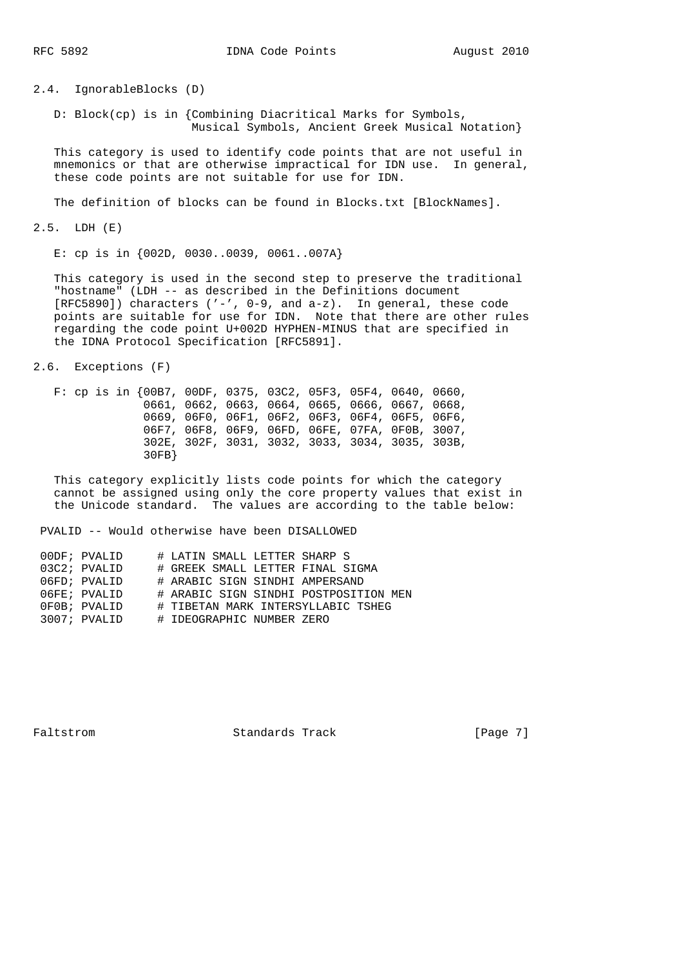2.4. IgnorableBlocks (D)

 D: Block(cp) is in {Combining Diacritical Marks for Symbols, Musical Symbols, Ancient Greek Musical Notation}

 This category is used to identify code points that are not useful in mnemonics or that are otherwise impractical for IDN use. In general, these code points are not suitable for use for IDN.

The definition of blocks can be found in Blocks.txt [BlockNames].

2.5. LDH (E)

E: cp is in {002D, 0030..0039, 0061..007A}

 This category is used in the second step to preserve the traditional "hostname" (LDH -- as described in the Definitions document [RFC5890]) characters ('-', 0-9, and a-z). In general, these code points are suitable for use for IDN. Note that there are other rules regarding the code point U+002D HYPHEN-MINUS that are specified in the IDNA Protocol Specification [RFC5891].

2.6. Exceptions (F)

 F: cp is in {00B7, 00DF, 0375, 03C2, 05F3, 05F4, 0640, 0660, 0661, 0662, 0663, 0664, 0665, 0666, 0667, 0668, 0669, 06F0, 06F1, 06F2, 06F3, 06F4, 06F5, 06F6, 06F7, 06F8, 06F9, 06FD, 06FE, 07FA, 0F0B, 3007, 302E, 302F, 3031, 3032, 3033, 3034, 3035, 303B, 30FB}

 This category explicitly lists code points for which the category cannot be assigned using only the core property values that exist in the Unicode standard. The values are according to the table below:

PVALID -- Would otherwise have been DISALLOWED

|  | 00DF; PVALID   | # LATIN SMALL LETTER SHARP S          |
|--|----------------|---------------------------------------|
|  | $03C2;$ PVALID | # GREEK SMALL LETTER FINAL SIGMA      |
|  | 06FD; PVALID   | # ARABIC SIGN SINDHI AMPERSAND        |
|  | 06FE; PVALID   | # ARABIC SIGN SINDHI POSTPOSITION MEN |
|  | OFOB; PVALID   | # TIBETAN MARK INTERSYLLABIC TSHEG    |
|  | 3007; PVALID   | # IDEOGRAPHIC NUMBER ZERO             |
|  |                |                                       |

Faltstrom **Standards Track** [Page 7]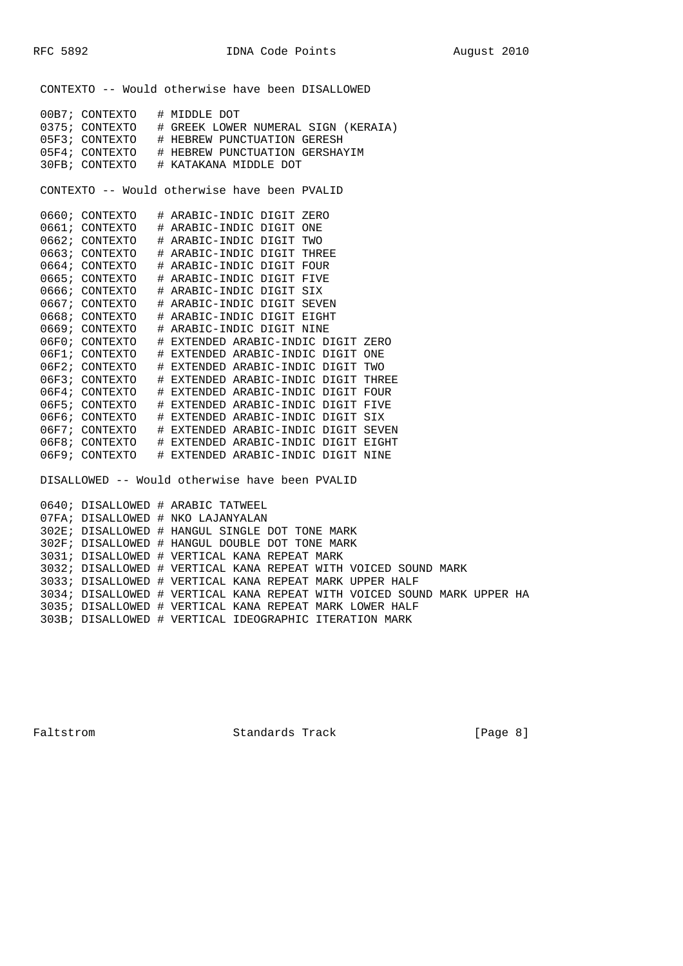CONTEXTO -- Would otherwise have been DISALLOWED

| 00B7; CONTEXTO<br># MIDDLE DOT                              |
|-------------------------------------------------------------|
| 0375; CONTEXTO<br># GREEK LOWER NUMERAL SIGN (KERAIA)       |
| 05F3; CONTEXTO<br># HEBREW PUNCTUATION GERESH               |
| 05F4; CONTEXTO<br># HEBREW PUNCTUATION GERSHAYIM            |
| 30FB;<br>CONTEXTO<br># KATAKANA MIDDLE DOT                  |
|                                                             |
| CONTEXTO -- Would otherwise have been PVALID                |
|                                                             |
| 0660; CONTEXTO<br># ARABIC-INDIC DIGIT ZERO                 |
| 0661; CONTEXTO<br># ARABIC-INDIC DIGIT ONE                  |
| 0662; CONTEXTO<br># ARABIC-INDIC DIGIT TWO                  |
| 0663; CONTEXTO<br># ARABIC-INDIC DIGIT THREE                |
| 0664; CONTEXTO<br># ARABIC-INDIC DIGIT FOUR                 |
| 0665; CONTEXTO<br># ARABIC-INDIC DIGIT FIVE                 |
| 0666; CONTEXTO<br># ARABIC-INDIC DIGIT SIX                  |
| 0667; CONTEXTO<br># ARABIC-INDIC DIGIT SEVEN                |
| 0668; CONTEXTO<br># ARABIC-INDIC DIGIT EIGHT                |
| 0669; CONTEXTO<br># ARABIC-INDIC DIGIT NINE                 |
| 06F0; CONTEXTO<br># EXTENDED ARABIC-INDIC DIGIT ZERO        |
| 06F1; CONTEXTO<br># EXTENDED ARABIC-INDIC DIGIT ONE         |
| 06F2; CONTEXTO<br># EXTENDED ARABIC-INDIC DIGIT TWO         |
| 06F3; CONTEXTO<br># EXTENDED ARABIC-INDIC DIGIT THREE       |
| 06F4; CONTEXTO<br>EXTENDED ARABIC-INDIC DIGIT<br>FOUR<br>♯. |
| 06F5; CONTEXTO<br># EXTENDED ARABIC-INDIC DIGIT FIVE        |
| 06F6; CONTEXTO<br># EXTENDED ARABIC-INDIC DIGIT SIX         |
| 06F7; CONTEXTO<br># EXTENDED ARABIC-INDIC DIGIT SEVEN       |
| 06F8; CONTEXTO<br># EXTENDED ARABIC-INDIC DIGIT EIGHT       |
| CONTEXTO<br>EXTENDED ARABIC-INDIC DIGIT NINE<br>06F9;<br>#  |
|                                                             |
| DISALLOWED -- Would otherwise have been PVALID              |
|                                                             |
| 0640; DISALLOWED # ARABIC TATWEEL                           |

 07FA; DISALLOWED # NKO LAJANYALAN 302E; DISALLOWED # HANGUL SINGLE DOT TONE MARK 302F; DISALLOWED # HANGUL DOUBLE DOT TONE MARK 3031; DISALLOWED # VERTICAL KANA REPEAT MARK 3032; DISALLOWED # VERTICAL KANA REPEAT WITH VOICED SOUND MARK 3033; DISALLOWED # VERTICAL KANA REPEAT MARK UPPER HALF 3034; DISALLOWED # VERTICAL KANA REPEAT WITH VOICED SOUND MARK UPPER HA 3035; DISALLOWED # VERTICAL KANA REPEAT MARK LOWER HALF 303B; DISALLOWED # VERTICAL IDEOGRAPHIC ITERATION MARK

Faltstrom Standards Track [Page 8]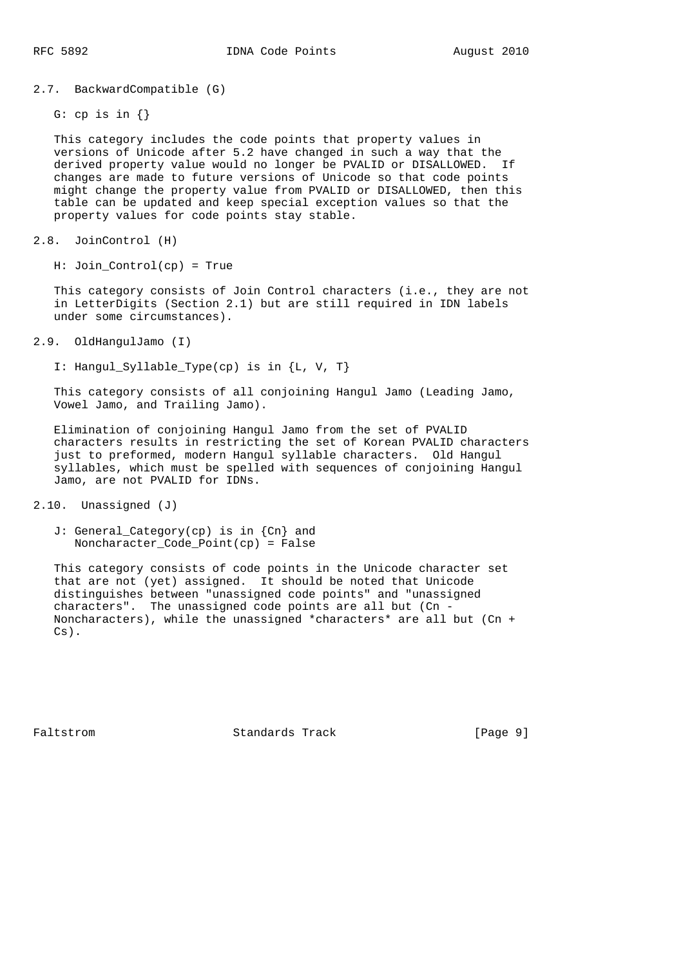2.7. BackwardCompatible (G)

G: cp is in  $\{\}$ 

 This category includes the code points that property values in versions of Unicode after 5.2 have changed in such a way that the derived property value would no longer be PVALID or DISALLOWED. If changes are made to future versions of Unicode so that code points might change the property value from PVALID or DISALLOWED, then this table can be updated and keep special exception values so that the property values for code points stay stable.

```
2.8. JoinControl (H)
```
H: Join\_Control(cp) = True

 This category consists of Join Control characters (i.e., they are not in LetterDigits (Section 2.1) but are still required in IDN labels under some circumstances).

2.9. OldHangulJamo (I)

I: Hangul\_Syllable\_Type(cp) is in {L, V, T}

 This category consists of all conjoining Hangul Jamo (Leading Jamo, Vowel Jamo, and Trailing Jamo).

 Elimination of conjoining Hangul Jamo from the set of PVALID characters results in restricting the set of Korean PVALID characters just to preformed, modern Hangul syllable characters. Old Hangul syllables, which must be spelled with sequences of conjoining Hangul Jamo, are not PVALID for IDNs.

2.10. Unassigned (J)

 J: General\_Category(cp) is in {Cn} and Noncharacter\_Code\_Point(cp) = False

 This category consists of code points in the Unicode character set that are not (yet) assigned. It should be noted that Unicode distinguishes between "unassigned code points" and "unassigned characters". The unassigned code points are all but (Cn - Noncharacters), while the unassigned \*characters\* are all but (Cn + Cs).

Faltstrom Standards Track [Page 9]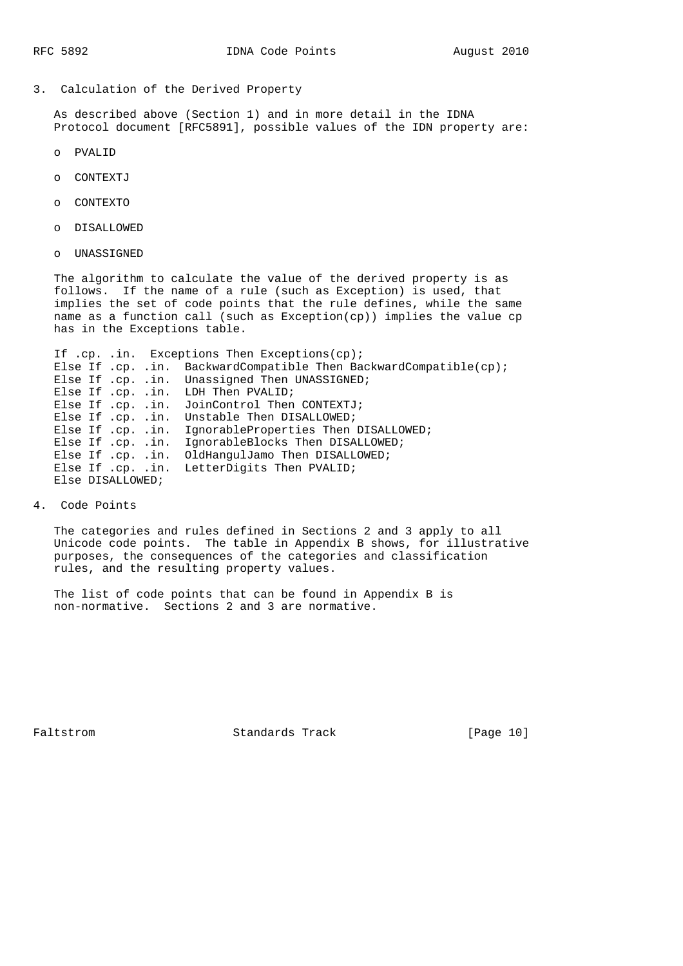3. Calculation of the Derived Property

 As described above (Section 1) and in more detail in the IDNA Protocol document [RFC5891], possible values of the IDN property are:

- o PVALID
- o CONTEXTJ
- o CONTEXTO
- o DISALLOWED
- o UNASSIGNED

 The algorithm to calculate the value of the derived property is as follows. If the name of a rule (such as Exception) is used, that implies the set of code points that the rule defines, while the same name as a function call (such as Exception(cp)) implies the value cp has in the Exceptions table.

If .cp. .in. Exceptions Then Exceptions(cp); Else If .cp. .in. BackwardCompatible Then BackwardCompatible(cp); Else If .cp. .in. Unassigned Then UNASSIGNED; Else If .cp. .in. LDH Then PVALID; Else If .cp. .in. JoinControl Then CONTEXTJ; Else If .cp. .in. Unstable Then DISALLOWED; Else If .cp. .in. IgnorableProperties Then DISALLOWED; Else If .cp. .in. IgnorableBlocks Then DISALLOWED; Else If .cp. .in. OldHangulJamo Then DISALLOWED; Else If .cp. .in. LetterDigits Then PVALID; Else DISALLOWED;

4. Code Points

 The categories and rules defined in Sections 2 and 3 apply to all Unicode code points. The table in Appendix B shows, for illustrative purposes, the consequences of the categories and classification rules, and the resulting property values.

 The list of code points that can be found in Appendix B is non-normative. Sections 2 and 3 are normative.

Faltstrom Standards Track [Page 10]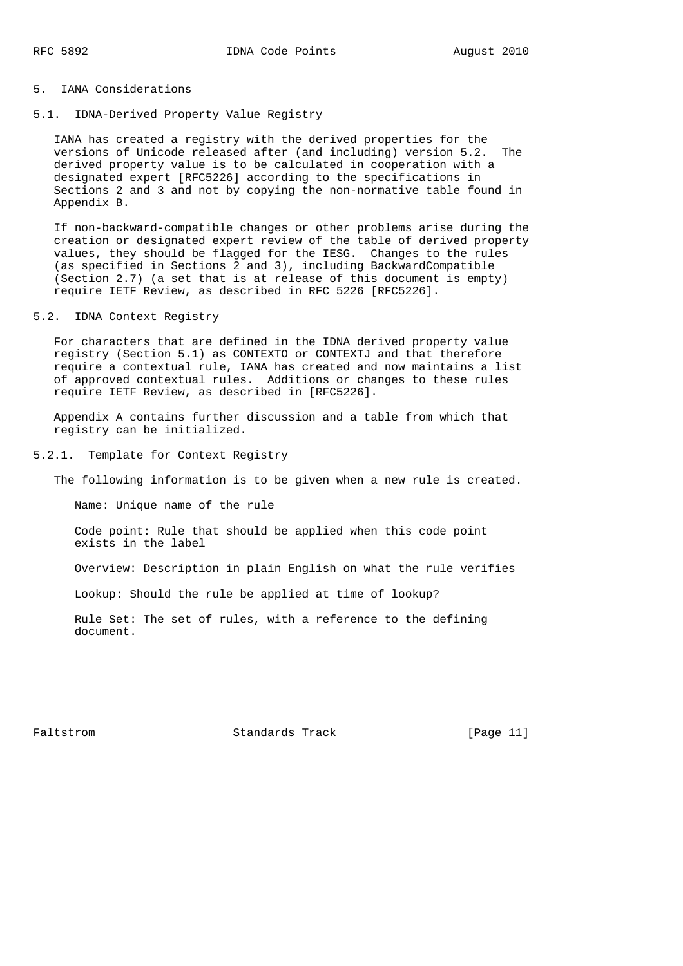### 5. IANA Considerations

# 5.1. IDNA-Derived Property Value Registry

 IANA has created a registry with the derived properties for the versions of Unicode released after (and including) version 5.2. The derived property value is to be calculated in cooperation with a designated expert [RFC5226] according to the specifications in Sections 2 and 3 and not by copying the non-normative table found in Appendix B.

 If non-backward-compatible changes or other problems arise during the creation or designated expert review of the table of derived property values, they should be flagged for the IESG. Changes to the rules (as specified in Sections 2 and 3), including BackwardCompatible (Section 2.7) (a set that is at release of this document is empty) require IETF Review, as described in RFC 5226 [RFC5226].

### 5.2. IDNA Context Registry

 For characters that are defined in the IDNA derived property value registry (Section 5.1) as CONTEXTO or CONTEXTJ and that therefore require a contextual rule, IANA has created and now maintains a list of approved contextual rules. Additions or changes to these rules require IETF Review, as described in [RFC5226].

 Appendix A contains further discussion and a table from which that registry can be initialized.

#### 5.2.1. Template for Context Registry

The following information is to be given when a new rule is created.

Name: Unique name of the rule

 Code point: Rule that should be applied when this code point exists in the label

Overview: Description in plain English on what the rule verifies

Lookup: Should the rule be applied at time of lookup?

 Rule Set: The set of rules, with a reference to the defining document.

Faltstrom **Standards Track** [Page 11]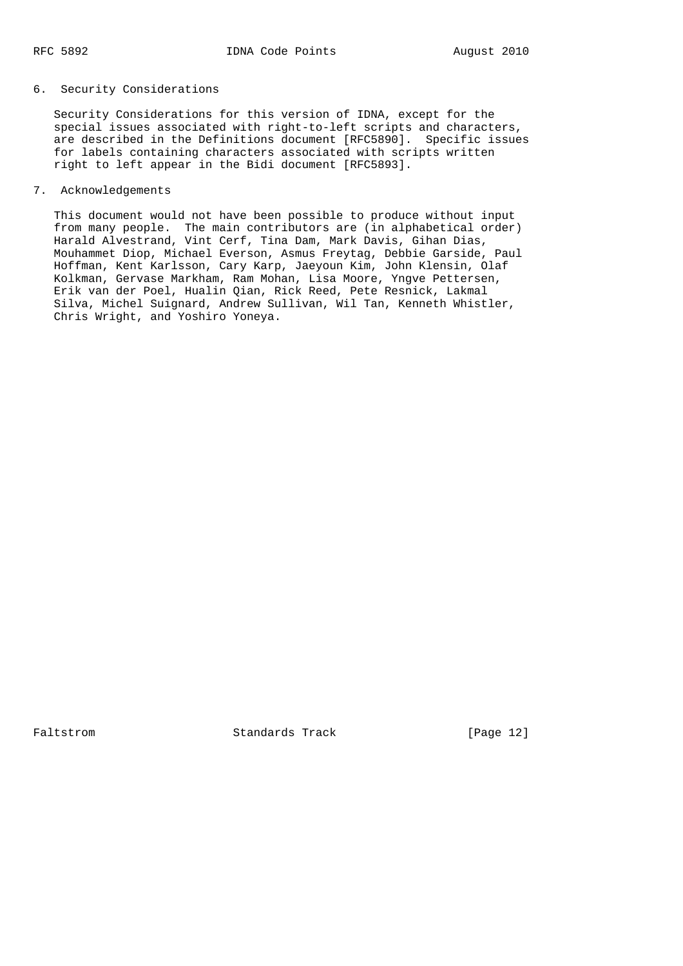## 6. Security Considerations

 Security Considerations for this version of IDNA, except for the special issues associated with right-to-left scripts and characters, are described in the Definitions document [RFC5890]. Specific issues for labels containing characters associated with scripts written right to left appear in the Bidi document [RFC5893].

## 7. Acknowledgements

 This document would not have been possible to produce without input from many people. The main contributors are (in alphabetical order) Harald Alvestrand, Vint Cerf, Tina Dam, Mark Davis, Gihan Dias, Mouhammet Diop, Michael Everson, Asmus Freytag, Debbie Garside, Paul Hoffman, Kent Karlsson, Cary Karp, Jaeyoun Kim, John Klensin, Olaf Kolkman, Gervase Markham, Ram Mohan, Lisa Moore, Yngve Pettersen, Erik van der Poel, Hualin Qian, Rick Reed, Pete Resnick, Lakmal Silva, Michel Suignard, Andrew Sullivan, Wil Tan, Kenneth Whistler, Chris Wright, and Yoshiro Yoneya.

Faltstrom **Standards Track** [Page 12]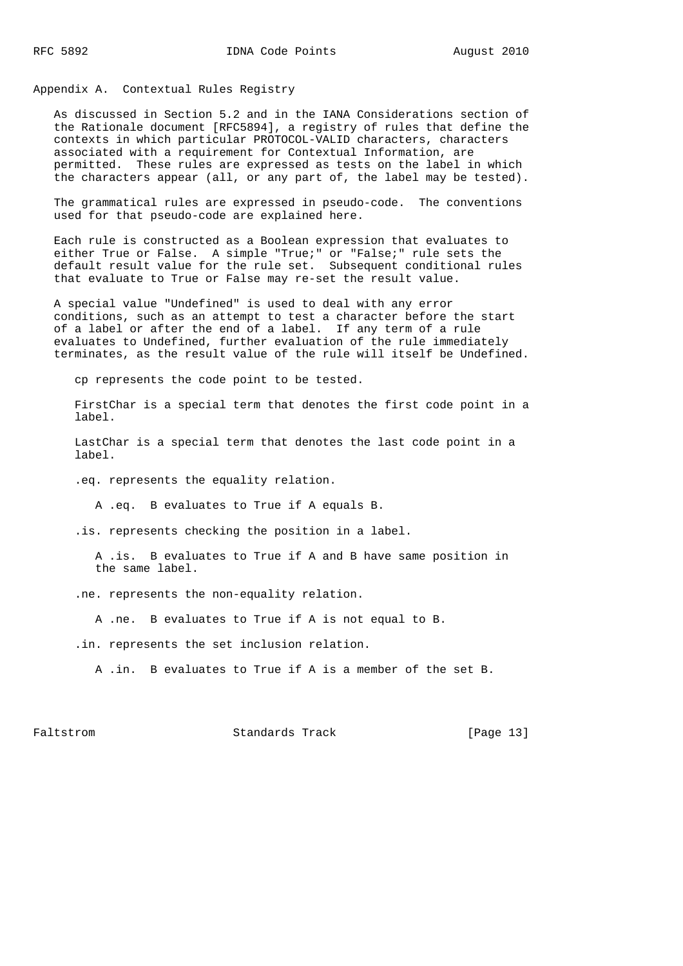### Appendix A. Contextual Rules Registry

 As discussed in Section 5.2 and in the IANA Considerations section of the Rationale document [RFC5894], a registry of rules that define the contexts in which particular PROTOCOL-VALID characters, characters associated with a requirement for Contextual Information, are permitted. These rules are expressed as tests on the label in which the characters appear (all, or any part of, the label may be tested).

 The grammatical rules are expressed in pseudo-code. The conventions used for that pseudo-code are explained here.

 Each rule is constructed as a Boolean expression that evaluates to either True or False. A simple "True;" or "False;" rule sets the default result value for the rule set. Subsequent conditional rules that evaluate to True or False may re-set the result value.

 A special value "Undefined" is used to deal with any error conditions, such as an attempt to test a character before the start of a label or after the end of a label. If any term of a rule evaluates to Undefined, further evaluation of the rule immediately terminates, as the result value of the rule will itself be Undefined.

cp represents the code point to be tested.

 FirstChar is a special term that denotes the first code point in a label.

 LastChar is a special term that denotes the last code point in a label.

.eq. represents the equality relation.

A .eq. B evaluates to True if A equals B.

.is. represents checking the position in a label.

 A .is. B evaluates to True if A and B have same position in the same label.

.ne. represents the non-equality relation.

A .ne. B evaluates to True if A is not equal to B.

.in. represents the set inclusion relation.

A .in. B evaluates to True if A is a member of the set B.

Faltstrom Standards Track [Page 13]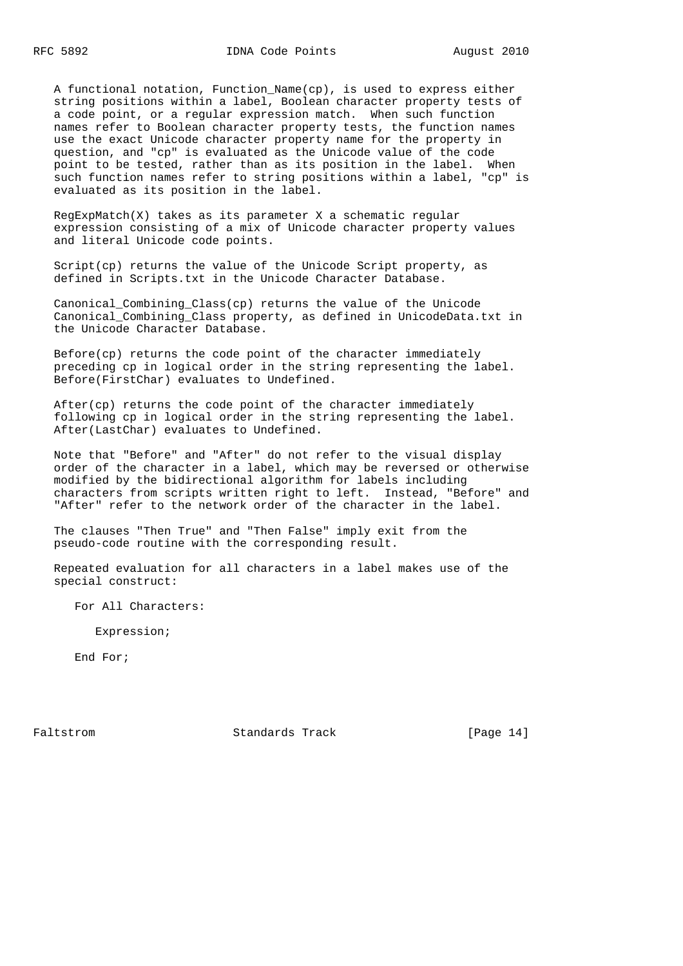A functional notation, Function\_Name(cp), is used to express either string positions within a label, Boolean character property tests of a code point, or a regular expression match. When such function names refer to Boolean character property tests, the function names use the exact Unicode character property name for the property in question, and "cp" is evaluated as the Unicode value of the code point to be tested, rather than as its position in the label. When such function names refer to string positions within a label, "cp" is evaluated as its position in the label.

 RegExpMatch(X) takes as its parameter X a schematic regular expression consisting of a mix of Unicode character property values and literal Unicode code points.

Script(cp) returns the value of the Unicode Script property, as defined in Scripts.txt in the Unicode Character Database.

 Canonical\_Combining\_Class(cp) returns the value of the Unicode Canonical\_Combining\_Class property, as defined in UnicodeData.txt in the Unicode Character Database.

 Before(cp) returns the code point of the character immediately preceding cp in logical order in the string representing the label. Before(FirstChar) evaluates to Undefined.

 After(cp) returns the code point of the character immediately following cp in logical order in the string representing the label. After(LastChar) evaluates to Undefined.

 Note that "Before" and "After" do not refer to the visual display order of the character in a label, which may be reversed or otherwise modified by the bidirectional algorithm for labels including characters from scripts written right to left. Instead, "Before" and "After" refer to the network order of the character in the label.

 The clauses "Then True" and "Then False" imply exit from the pseudo-code routine with the corresponding result.

 Repeated evaluation for all characters in a label makes use of the special construct:

For All Characters:

Expression;

End For;

Faltstrom **Standards Track** [Page 14]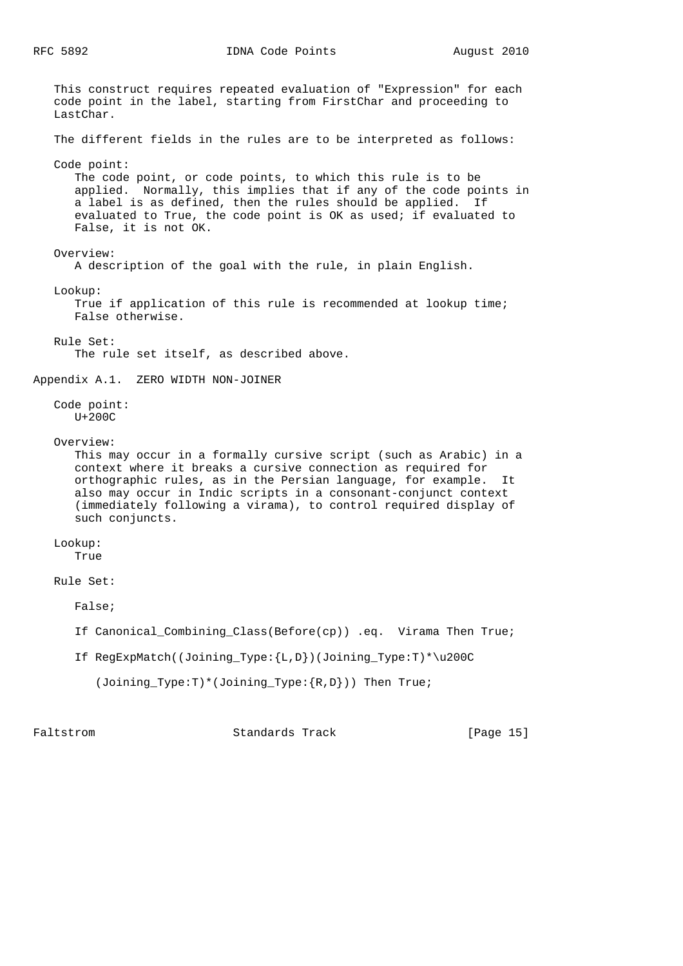RFC 5892 IDNA Code Points August 2010

 This construct requires repeated evaluation of "Expression" for each code point in the label, starting from FirstChar and proceeding to LastChar. The different fields in the rules are to be interpreted as follows: Code point: The code point, or code points, to which this rule is to be applied. Normally, this implies that if any of the code points in a label is as defined, then the rules should be applied. If evaluated to True, the code point is OK as used; if evaluated to False, it is not OK. Overview: A description of the goal with the rule, in plain English. Lookup: True if application of this rule is recommended at lookup time; False otherwise. Rule Set: The rule set itself, as described above. Appendix A.1. ZERO WIDTH NON-JOINER Code point: U+200C Overview: This may occur in a formally cursive script (such as Arabic) in a context where it breaks a cursive connection as required for orthographic rules, as in the Persian language, for example. It also may occur in Indic scripts in a consonant-conjunct context (immediately following a virama), to control required display of such conjuncts. Lookup: True Rule Set: False; If Canonical\_Combining\_Class(Before(cp)) .eq. Virama Then True; If RegExpMatch((Joining\_Type:{L,D})(Joining\_Type:T)\*\u200C (Joining\_Type:T)\*(Joining\_Type:{R,D})) Then True;

Faltstrom **Standards Track** [Page 15]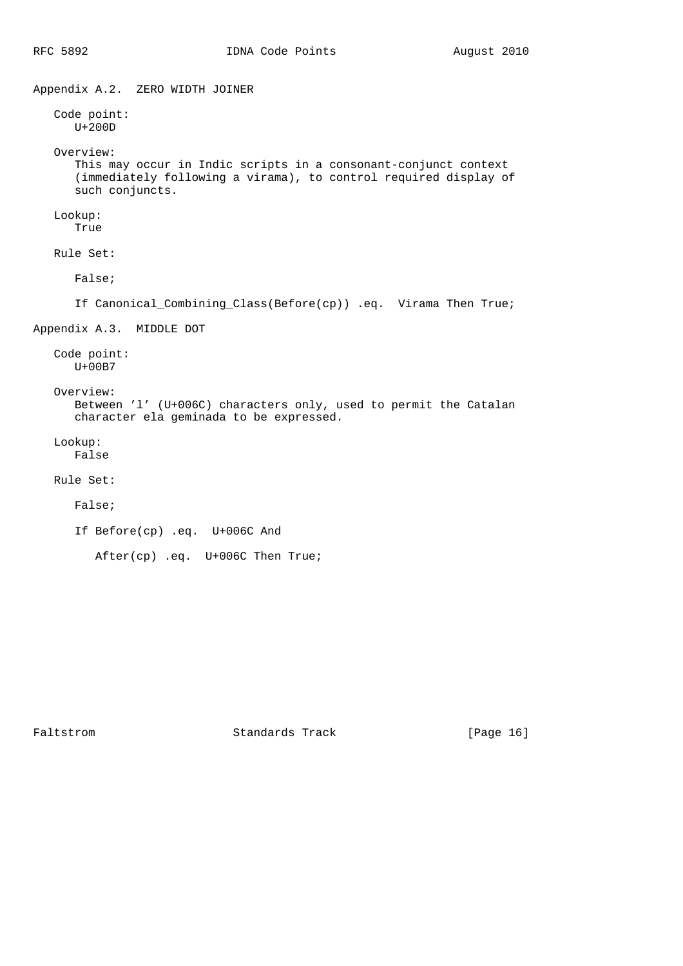Appendix A.2. ZERO WIDTH JOINER Code point: U+200D Overview: This may occur in Indic scripts in a consonant-conjunct context (immediately following a virama), to control required display of such conjuncts. Lookup: True Rule Set: False; If Canonical\_Combining\_Class(Before(cp)) .eq. Virama Then True; Appendix A.3. MIDDLE DOT Code point: U+00B7 Overview: Between 'l' (U+006C) characters only, used to permit the Catalan character ela geminada to be expressed. Lookup: False Rule Set: False; If Before(cp) .eq. U+006C And After(cp) .eq. U+006C Then True;

Faltstrom Standards Track [Page 16]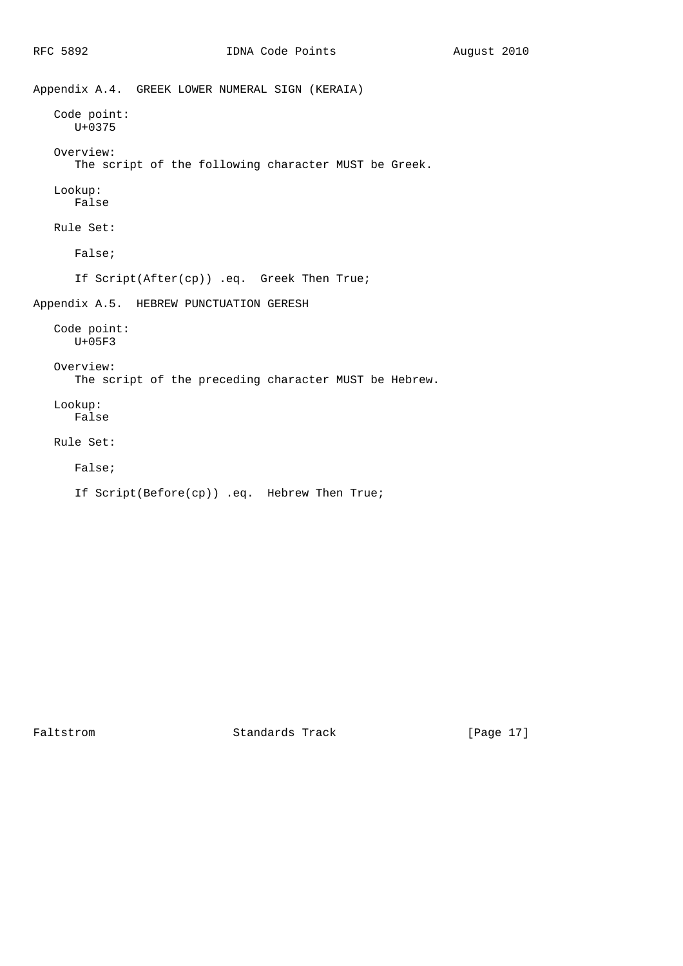```
Appendix A.4. GREEK LOWER NUMERAL SIGN (KERAIA)
   Code point:
      U+0375
    Overview:
       The script of the following character MUST be Greek.
    Lookup:
      False
    Rule Set:
       False;
       If Script(After(cp)) .eq. Greek Then True;
Appendix A.5. HEBREW PUNCTUATION GERESH
    Code point:
      U+05F3
    Overview:
       The script of the preceding character MUST be Hebrew.
    Lookup:
       False
    Rule Set:
       False;
       If Script(Before(cp)) .eq. Hebrew Then True;
```
Faltstrom Standards Track [Page 17]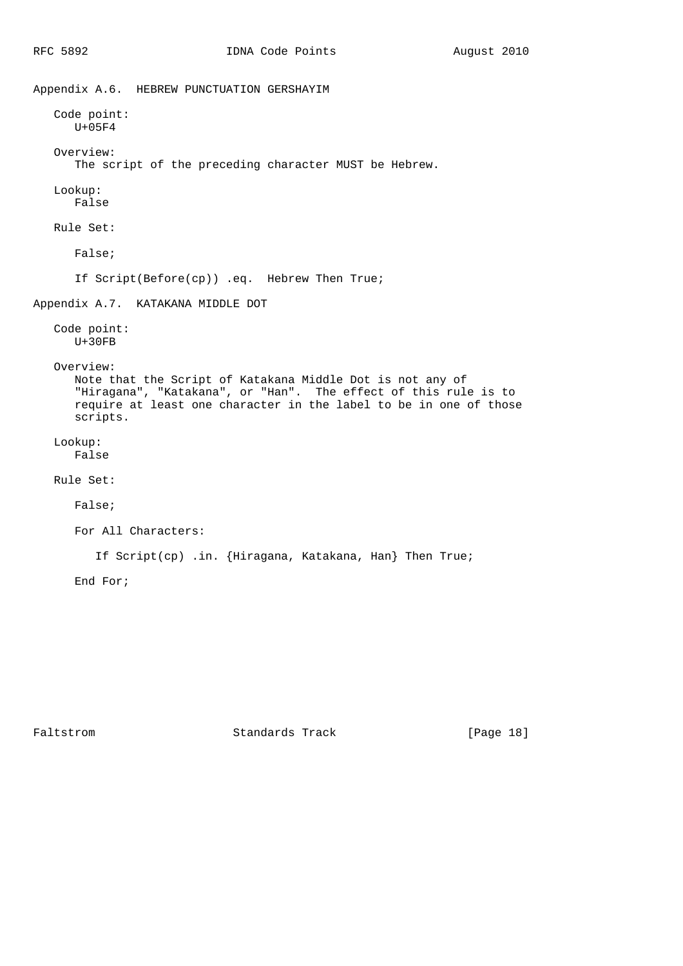```
Appendix A.6. HEBREW PUNCTUATION GERSHAYIM
   Code point:
      U+05F4
    Overview:
       The script of the preceding character MUST be Hebrew.
   Lookup:
       False
   Rule Set:
       False;
       If Script(Before(cp)) .eq. Hebrew Then True;
Appendix A.7. KATAKANA MIDDLE DOT
    Code point:
      U+30FB
    Overview:
       Note that the Script of Katakana Middle Dot is not any of
 "Hiragana", "Katakana", or "Han". The effect of this rule is to
 require at least one character in the label to be in one of those
       scripts.
    Lookup:
       False
    Rule Set:
       False;
       For All Characters:
          If Script(cp) .in. {Hiragana, Katakana, Han} Then True;
       End For;
```
Faltstrom Standards Track [Page 18]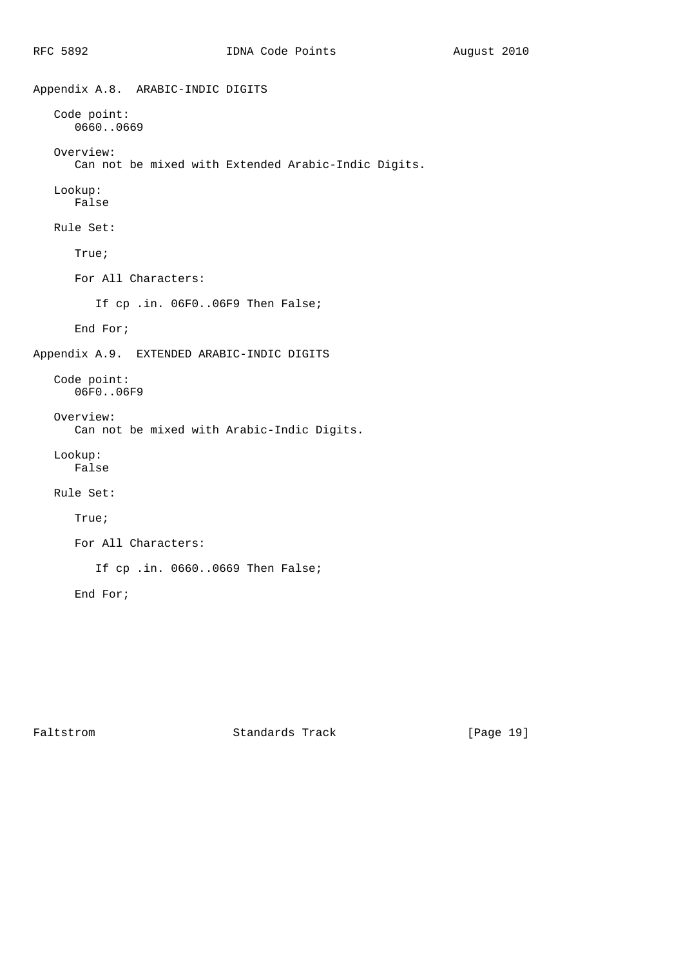```
Appendix A.8. ARABIC-INDIC DIGITS
   Code point:
      0660..0669
    Overview:
       Can not be mixed with Extended Arabic-Indic Digits.
    Lookup:
      False
    Rule Set:
       True;
       For All Characters:
          If cp .in. 06F0..06F9 Then False;
       End For;
Appendix A.9. EXTENDED ARABIC-INDIC DIGITS
    Code point:
      06F0..06F9
    Overview:
       Can not be mixed with Arabic-Indic Digits.
    Lookup:
      False
    Rule Set:
       True;
       For All Characters:
          If cp .in. 0660..0669 Then False;
       End For;
```
Faltstrom Standards Track [Page 19]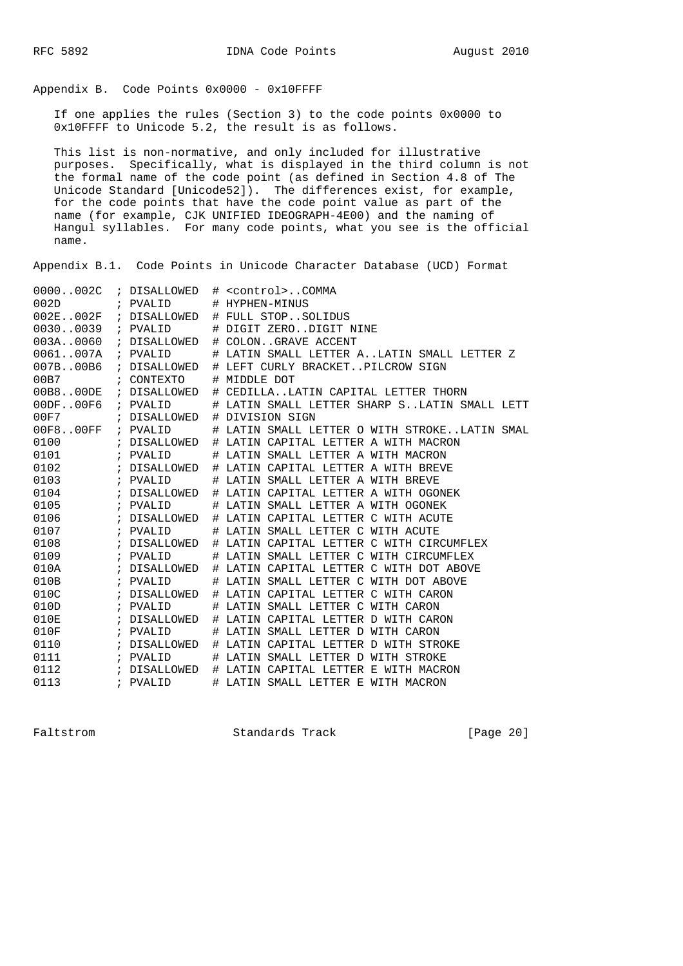Appendix B. Code Points 0x0000 - 0x10FFFF

 If one applies the rules (Section 3) to the code points 0x0000 to 0x10FFFF to Unicode 5.2, the result is as follows.

 This list is non-normative, and only included for illustrative purposes. Specifically, what is displayed in the third column is not the formal name of the code point (as defined in Section 4.8 of The Unicode Standard [Unicode52]). The differences exist, for example, for the code points that have the code point value as part of the name (for example, CJK UNIFIED IDEOGRAPH-4E00) and the naming of Hangul syllables. For many code points, what you see is the official name.

Appendix B.1. Code Points in Unicode Character Database (UCD) Format

| 0000002C             | ; DISALLOWED          |   | # <control>COMMA</control>                   |
|----------------------|-----------------------|---|----------------------------------------------|
| 002D                 | ; PVALID              |   | # HYPHEN-MINUS                               |
|                      |                       |   | 002E002F ; DISALLOWED # FULL STOPSOLIDUS     |
| 00300039 ; PVALID    |                       |   | # DIGIT ZERODIGIT NINE                       |
| 003A.0060            | ; DISALLOWED          |   | # COLONGRAVE ACCENT                          |
| 0061007A             | ; PVALID              |   | # LATIN SMALL LETTER ALATIN SMALL LETTER Z   |
| 007B.00B6            | ; DISALLOWED          |   | # LEFT CURLY BRACKETPILCROW SIGN             |
| 00B7                 | ; CONTEXTO            |   | # MIDDLE DOT                                 |
|                      | 00B800DE ; DISALLOWED |   | # CEDILLALATIN CAPITAL LETTER THORN          |
| $00DF.00F6$ ; PVALID |                       |   | # LATIN SMALL LETTER SHARP SLATIN SMALL LETT |
| 00F7                 | ; DISALLOWED          |   | # DIVISION SIGN                              |
| 00F8.00FF            | ; PVALID              |   | # LATIN SMALL LETTER O WITH STROKELATIN SMAL |
| 0100                 | ; DISALLOWED          |   | # LATIN CAPITAL LETTER A WITH MACRON         |
| 0101                 | ; PVALID              |   | # LATIN SMALL LETTER A WITH MACRON           |
| 0102                 | ; DISALLOWED          |   | # LATIN CAPITAL LETTER A WITH BREVE          |
| 0103                 | ; PVALID              |   | # LATIN SMALL LETTER A WITH BREVE            |
| 0104                 | ; DISALLOWED          |   | # LATIN CAPITAL LETTER A WITH OGONEK         |
| 0105                 | ; PVALID              |   | # LATIN SMALL LETTER A WITH OGONEK           |
| 0106                 | ; DISALLOWED          |   | # LATIN CAPITAL LETTER C WITH ACUTE          |
| 0107                 | ; PVALID              |   | # LATIN SMALL LETTER C WITH ACUTE            |
| 0108                 | ; DISALLOWED          |   | # LATIN CAPITAL LETTER C WITH CIRCUMFLEX     |
| 0109                 | ; PVALID              |   | # LATIN SMALL LETTER C WITH CIRCUMFLEX       |
| 010A                 | ; DISALLOWED          |   | # LATIN CAPITAL LETTER C WITH DOT ABOVE      |
| 010B                 | ; PVALID              |   | # LATIN SMALL LETTER C WITH DOT ABOVE        |
| 010C                 | ; DISALLOWED          |   | # LATIN CAPITAL LETTER C WITH CARON          |
| 010D                 | ; PVALID              | # | LATIN SMALL LETTER C WITH CARON              |
| 010E                 | ; DISALLOWED          |   | # LATIN CAPITAL LETTER D WITH CARON          |
| 010F                 | ; PVALID              |   | # LATIN SMALL LETTER D WITH CARON            |
| 0110                 | ; DISALLOWED          |   | # LATIN CAPITAL LETTER D WITH STROKE         |
| 0111                 | ; PVALID              |   | # LATIN SMALL LETTER D WITH STROKE           |
| 0112                 | ; DISALLOWED          |   | # LATIN CAPITAL LETTER E WITH MACRON         |
| 0113                 | ; PVALID              |   | # LATIN SMALL LETTER E WITH MACRON           |

Faltstrom Standards Track [Page 20]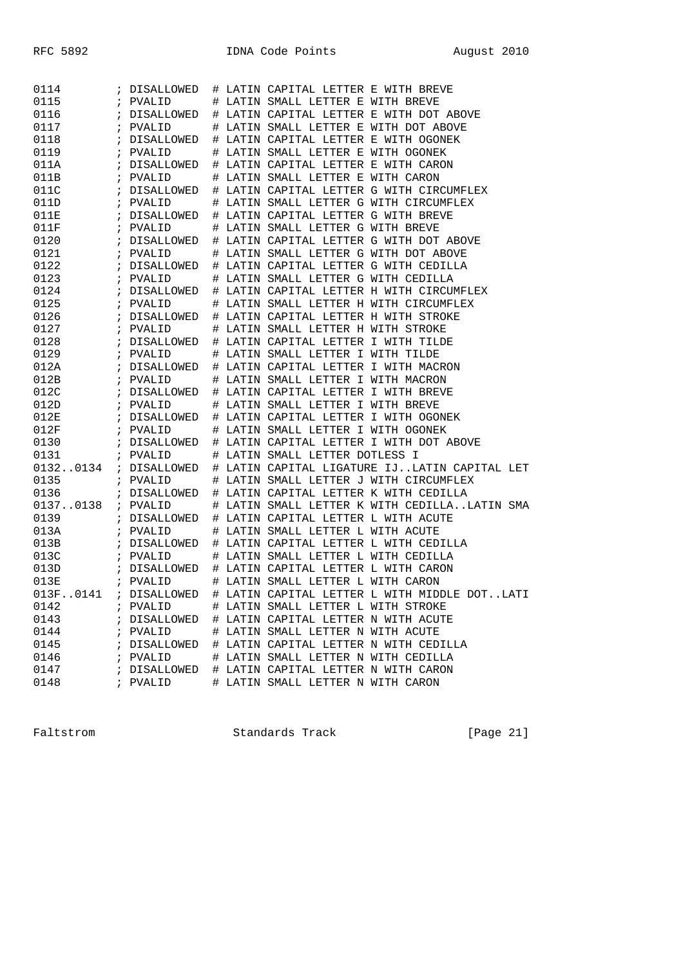| 0114     |            | DISALLOWED   |  | # LATIN CAPITAL LETTER E WITH BREVE                                      |
|----------|------------|--------------|--|--------------------------------------------------------------------------|
| 0115     |            | PVALID       |  | # LATIN SMALL LETTER E WITH BREVE                                        |
| 0116     | $\ddot{i}$ | DISALLOWED   |  | # LATIN CAPITAL LETTER E WITH DOT ABOVE                                  |
| 0117     |            | ; PVALID     |  | # LATIN SMALL LETTER E WITH DOT ABOVE                                    |
| 0118     |            | ; DISALLOWED |  | # LATIN CAPITAL LETTER E WITH OGONEK                                     |
| 0119     | $\ddot{i}$ | PVALID       |  | # LATIN SMALL LETTER E WITH OGONEK                                       |
| 011A     |            | ; DISALLOWED |  | # LATIN CAPITAL LETTER E WITH CARON                                      |
| 011B     |            | ; PVALID     |  | # LATIN SMALL LETTER E WITH CARON                                        |
| 011C     |            | ; DISALLOWED |  | # LATIN CAPITAL LETTER G WITH CIRCUMFLEX                                 |
| 011D     |            | ; PVALID     |  | # LATIN SMALL LETTER G WITH CIRCUMFLEX                                   |
| 011E     |            | ; DISALLOWED |  | # LATIN CAPITAL LETTER G WITH BREVE                                      |
| 011F     | $\ddot{i}$ | PVALID       |  | # LATIN SMALL LETTER G WITH BREVE                                        |
| 0120     | ÷          | DISALLOWED   |  | # LATIN CAPITAL LETTER G WITH DOT ABOVE                                  |
| 0121     | $\ddot{i}$ | PVALID       |  | # LATIN SMALL LETTER G WITH DOT ABOVE                                    |
| 0122     | $\ddot{i}$ | DISALLOWED   |  | # LATIN CAPITAL LETTER G WITH CEDILLA                                    |
| 0123     |            | ; PVALID     |  | # LATIN SMALL LETTER G WITH CEDILLA                                      |
| 0124     |            | ; DISALLOWED |  | # LATIN CAPITAL LETTER H WITH CIRCUMFLEX                                 |
| 0125     | $\ddot{i}$ | PVALID       |  | # LATIN SMALL LETTER H WITH CIRCUMFLEX                                   |
| 0126     |            | ; DISALLOWED |  | # LATIN CAPITAL LETTER H WITH STROKE                                     |
| 0127     |            | ; PVALID     |  | # LATIN SMALL LETTER H WITH STROKE                                       |
| 0128     |            | ; DISALLOWED |  | # LATIN CAPITAL LETTER I WITH TILDE                                      |
| 0129     |            | ; PVALID     |  | # LATIN SMALL LETTER I WITH TILDE                                        |
| 012A     |            | ; DISALLOWED |  | # LATIN CAPITAL LETTER I WITH MACRON                                     |
| 012B     | $\ddot{i}$ | PVALID       |  | # LATIN SMALL LETTER I WITH MACRON                                       |
| 012C     |            | ; DISALLOWED |  | # LATIN CAPITAL LETTER I WITH BREVE                                      |
| 012D     |            | ; PVALID     |  | # LATIN SMALL LETTER I WITH BREVE                                        |
| 012E     |            | ; DISALLOWED |  | # LATIN CAPITAL LETTER I WITH OGONEK                                     |
| 012F     |            | ; PVALID     |  | # LATIN SMALL LETTER I WITH OGONEK                                       |
| 0130     |            | ; DISALLOWED |  | # LATIN CAPITAL LETTER I WITH DOT ABOVE                                  |
| 0131     |            | ; PVALID     |  | # LATIN SMALL LETTER DOTLESS I                                           |
| 01320134 |            | ; DISALLOWED |  | # LATIN CAPITAL LIGATURE IJLATIN CAPITAL LET                             |
| 0135     |            | ; PVALID     |  | # LATIN SMALL LETTER J WITH CIRCUMFLEX                                   |
| 0136     |            | ; DISALLOWED |  | # LATIN CAPITAL LETTER K WITH CEDILLA                                    |
| 01370138 |            | ; PVALID     |  | # LATIN SMALL LETTER K WITH CEDILLALATIN SMA                             |
| 0139     |            | ; DISALLOWED |  | # LATIN CAPITAL LETTER L WITH ACUTE                                      |
| 013A     |            | ; PVALID     |  | # LATIN SMALL LETTER L WITH ACUTE                                        |
| 013B     |            | ; DISALLOWED |  | # LATIN CAPITAL LETTER L WITH CEDILLA                                    |
| 013C     |            | ; PVALID     |  | # LATIN SMALL LETTER L WITH CEDILLA                                      |
| 013D     |            | ; DISALLOWED |  | # LATIN CAPITAL LETTER L WITH CARON                                      |
| 013E     |            | ; PVALID     |  | # LATIN SMALL LETTER L WITH CARON                                        |
|          |            |              |  | 013F0141 ; DISALLOWED # LATIN CAPITAL LETTER L WITH MIDDLE DOT.<br>T ATT |
| 0142     |            | ; PVALID     |  | # LATIN SMALL LETTER L WITH STROKE                                       |
| 0143     |            |              |  | ; DISALLOWED # LATIN CAPITAL LETTER N WITH ACUTE                         |
| 0144     |            | ; PVALID     |  | # LATIN SMALL LETTER N WITH ACUTE                                        |
| 0145     |            |              |  | ; DISALLOWED # LATIN CAPITAL LETTER N WITH CEDILLA                       |
| 0146     |            | ; PVALID     |  | # LATIN SMALL LETTER N WITH CEDILLA                                      |
| 0147     |            |              |  | ; DISALLOWED # LATIN CAPITAL LETTER N WITH CARON                         |
| 0148     |            | ; PVALID     |  | # LATIN SMALL LETTER N WITH CARON                                        |

Faltstrom Standards Track [Page 21]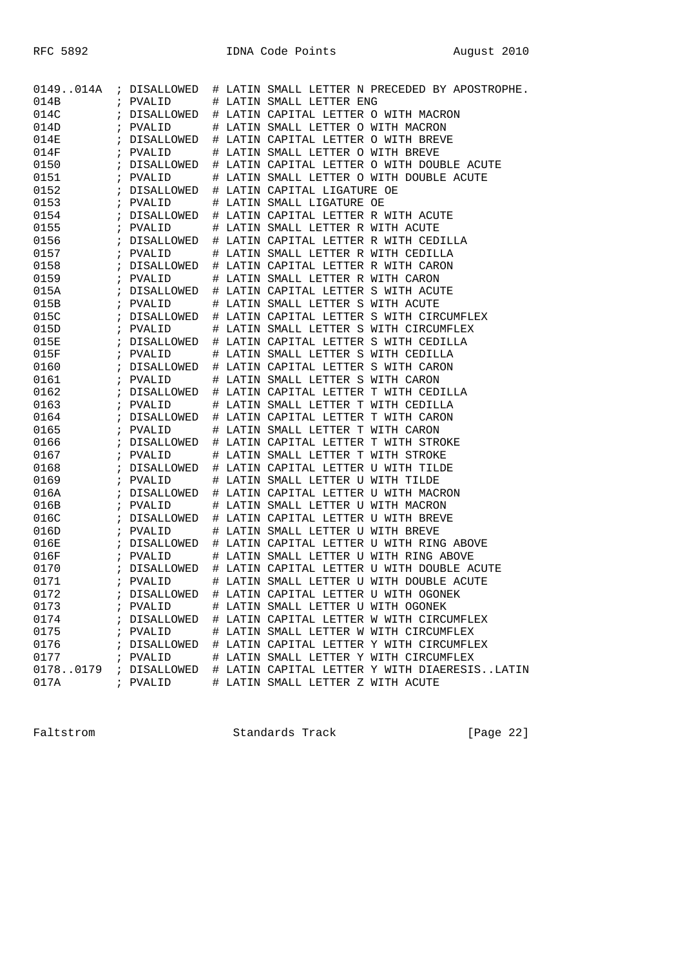| 0149014A |               | ; DISALLOWED |    | # LATIN SMALL LETTER N PRECEDED BY APOSTROPHE. |
|----------|---------------|--------------|----|------------------------------------------------|
| 014B     |               | ; PVALID     |    | # LATIN SMALL LETTER ENG                       |
| 014C     |               | ; DISALLOWED |    | # LATIN CAPITAL LETTER O WITH MACRON           |
| 014D     |               | ; PVALID     | Ħ. | LATIN SMALL LETTER O WITH MACRON               |
| 014E     |               | ; DISALLOWED | #  | LATIN CAPITAL LETTER O WITH BREVE              |
| 014F     |               | ; PVALID     | #  | LATIN SMALL LETTER O WITH BREVE                |
| 0150     |               | ; DISALLOWED |    | # LATIN CAPITAL LETTER O WITH DOUBLE ACUTE     |
| 0151     | $\ddot{ }$    | PVALID       |    | # LATIN SMALL LETTER O WITH DOUBLE ACUTE       |
| 0152     |               | ; DISALLOWED |    | # LATIN CAPITAL LIGATURE OE                    |
| 0153     |               | ; PVALID     | Ħ. | LATIN SMALL LIGATURE OE                        |
| 0154     |               | ; DISALLOWED |    | # LATIN CAPITAL LETTER R WITH ACUTE            |
| 0155     |               | ; PVALID     | #  | LATIN SMALL LETTER R WITH ACUTE                |
| 0156     |               | ; DISALLOWED |    | # LATIN CAPITAL LETTER R WITH CEDILLA          |
| 0157     | $\mathcal{V}$ | PVALID       | #  | LATIN SMALL LETTER R WITH CEDILLA              |
| 0158     |               | ; DISALLOWED |    | # LATIN CAPITAL LETTER R WITH CARON            |
| 0159     |               | ; PVALID     |    | LATIN SMALL LETTER R WITH CARON                |
| 015A     |               |              | Ħ. | LATIN CAPITAL LETTER S WITH ACUTE              |
| 015B     |               | ; DISALLOWED | #  |                                                |
|          |               | ; PVALID     | #  | LATIN SMALL LETTER S WITH ACUTE                |
| 015C     |               | ; DISALLOWED |    | # LATIN CAPITAL LETTER S WITH CIRCUMFLEX       |
| 015D     |               | ; PVALID     | #  | LATIN SMALL LETTER S WITH CIRCUMFLEX           |
| 015E     |               | ; DISALLOWED |    | # LATIN CAPITAL LETTER S WITH CEDILLA          |
| 015F     |               | ; PVALID     | Ħ. | LATIN SMALL LETTER S WITH CEDILLA              |
| 0160     |               | ; DISALLOWED | #  | LATIN CAPITAL LETTER S WITH CARON              |
| 0161     |               | ; PVALID     | #  | LATIN SMALL LETTER S WITH CARON                |
| 0162     |               | ; DISALLOWED |    | # LATIN CAPITAL LETTER T WITH CEDILLA          |
| 0163     | $\mathcal{V}$ | PVALID       | #  | LATIN SMALL LETTER T WITH CEDILLA              |
| 0164     |               | ; DISALLOWED |    | # LATIN CAPITAL LETTER T WITH CARON            |
| 0165     |               | ; PVALID     | Ħ. | LATIN SMALL LETTER T WITH CARON                |
| 0166     |               | ; DISALLOWED | #  | LATIN CAPITAL LETTER T WITH STROKE             |
| 0167     |               | ; PVALID     | #  | LATIN SMALL LETTER T WITH STROKE               |
| 0168     |               | ; DISALLOWED |    | # LATIN CAPITAL LETTER U WITH TILDE            |
| 0169     | $\mathbf{r}$  | PVALID       | #  | LATIN SMALL LETTER U WITH TILDE                |
| 016A     |               | ; DISALLOWED |    | # LATIN CAPITAL LETTER U WITH MACRON           |
| 016B     |               | ; PVALID     | Ħ. | LATIN SMALL LETTER U WITH MACRON               |
| 016C     |               | ; DISALLOWED | #  | LATIN CAPITAL LETTER U WITH BREVE              |
| 016D     |               | ; PVALID     | #  | LATIN SMALL LETTER U WITH BREVE                |
| 016E     |               | ; DISALLOWED |    | # LATIN CAPITAL LETTER U WITH RING ABOVE       |
| 016F     | $\ddot{i}$    | PVALID       | #  | LATIN SMALL LETTER U WITH RING ABOVE           |
| 0170     |               | ; DISALLOWED |    | # LATIN CAPITAL LETTER U WITH DOUBLE ACUTE     |
| 0171     |               | ; PVALID     | #  | LATIN SMALL LETTER U WITH DOUBLE ACUTE         |
| 0172     |               | ; DISALLOWED | #  | LATIN CAPITAL LETTER U WITH OGONEK             |
| 0173     |               | ; PVALID     |    | # LATIN SMALL LETTER U WITH OGONEK             |
| 0174     |               | ; DISALLOWED |    | # LATIN CAPITAL LETTER W WITH CIRCUMFLEX       |
| 0175     |               | ; PVALID     |    | # LATIN SMALL LETTER W WITH CIRCUMFLEX         |
| 0176     |               | ; DISALLOWED |    | # LATIN CAPITAL LETTER Y WITH CIRCUMFLEX       |
| 0177     |               | ; PVALID     |    | # LATIN SMALL LETTER Y WITH CIRCUMFLEX         |
| 01780179 |               | ; DISALLOWED |    | # LATIN CAPITAL LETTER Y WITH DIAERESISLATIN   |
| 017A     |               | ; PVALID     |    | # LATIN SMALL LETTER Z WITH ACUTE              |
|          |               |              |    |                                                |

Faltstrom Standards Track [Page 22]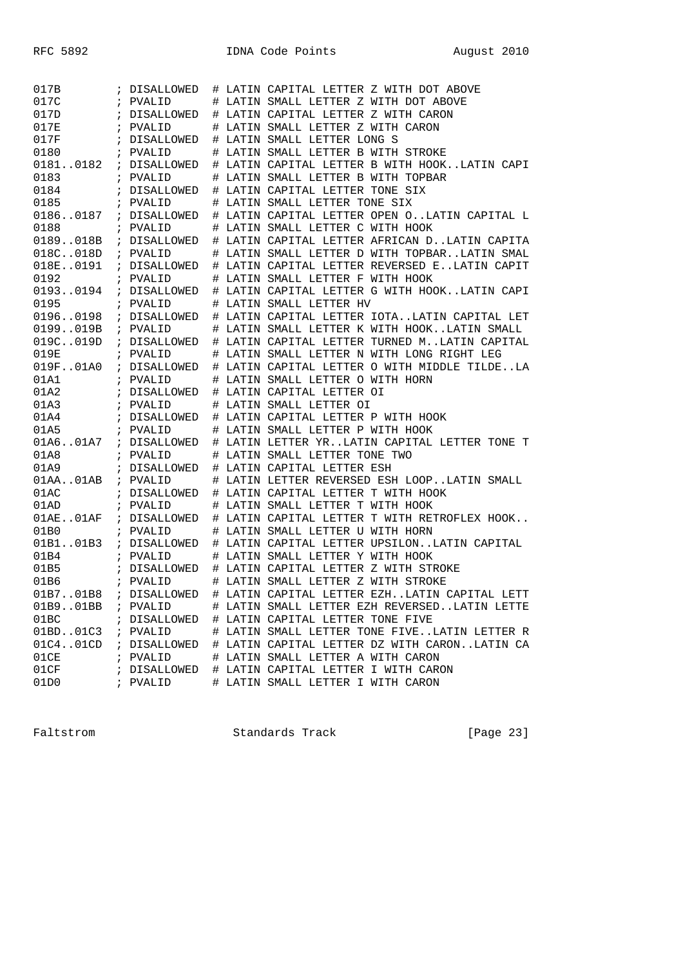| 017B         |            | ; DISALLOWED           |  | # LATIN CAPITAL LETTER Z WITH DOT ABOVE                                  |
|--------------|------------|------------------------|--|--------------------------------------------------------------------------|
| 017C         |            | ; PVALID               |  | # LATIN SMALL LETTER Z WITH DOT ABOVE                                    |
| 017D         |            | ; DISALLOWED           |  | # LATIN CAPITAL LETTER Z WITH CARON                                      |
| 017E         | $\ddot{i}$ | PVALID                 |  | # LATIN SMALL LETTER Z WITH CARON                                        |
| 017F         |            | DISALLOWED             |  | # LATIN SMALL LETTER LONG S                                              |
| 0180         |            | ; PVALID               |  | # LATIN SMALL LETTER B WITH STROKE                                       |
| 01810182     |            | ; DISALLOWED           |  | # LATIN CAPITAL LETTER B WITH HOOKLATIN CAPI                             |
| 0183         |            | ; PVALID               |  | # LATIN SMALL LETTER B WITH TOPBAR                                       |
| 0184         |            | ; DISALLOWED           |  | # LATIN CAPITAL LETTER TONE SIX                                          |
| 0185         |            | ; PVALID               |  | # LATIN SMALL LETTER TONE SIX                                            |
| 01860187     |            | ; DISALLOWED           |  | # LATIN CAPITAL LETTER OPEN OLATIN CAPITAL L                             |
| 0188         |            | ; PVALID               |  | # LATIN SMALL LETTER C WITH HOOK                                         |
| 0189018B     |            | ; DISALLOWED           |  | # LATIN CAPITAL LETTER AFRICAN DLATIN CAPITA                             |
| 018C018D     |            | ; PVALID               |  | # LATIN SMALL LETTER D WITH TOPBARLATIN SMAL                             |
| 018E0191     |            | ; DISALLOWED           |  | # LATIN CAPITAL LETTER REVERSED ELATIN CAPIT                             |
| 0192         |            | ; PVALID               |  | # LATIN SMALL LETTER F WITH HOOK                                         |
| 01930194     |            | ; DISALLOWED           |  | # LATIN CAPITAL LETTER G WITH HOOKLATIN CAPI                             |
| 0195         |            | ; PVALID               |  | # LATIN SMALL LETTER HV                                                  |
| 01960198     |            | ; DISALLOWED           |  | # LATIN CAPITAL LETTER IOTALATIN CAPITAL LET                             |
| 0199019B     |            | ; PVALID               |  | # LATIN SMALL LETTER K WITH HOOKLATIN SMALL                              |
| 019C019D     |            | ; DISALLOWED           |  | # LATIN CAPITAL LETTER TURNED MLATIN CAPITAL                             |
| 019E         |            | ; PVALID               |  | # LATIN SMALL LETTER N WITH LONG RIGHT LEG                               |
| 019F01A0     |            | ; DISALLOWED           |  | # LATIN CAPITAL LETTER O WITH MIDDLE TILDELA                             |
| 01A1         |            | ; PVALID               |  | # LATIN SMALL LETTER O WITH HORN                                         |
| 01A2         |            | ; DISALLOWED           |  | # LATIN CAPITAL LETTER OI                                                |
|              |            |                        |  |                                                                          |
| 01A3         |            | ; PVALID               |  | # LATIN SMALL LETTER OI                                                  |
| 01A4         |            | ; DISALLOWED           |  | # LATIN CAPITAL LETTER P WITH HOOK                                       |
| 01A5         | $\ddot{i}$ | PVALID                 |  | # LATIN SMALL LETTER P WITH HOOK                                         |
| 01A6.01A7    |            | ; DISALLOWED           |  | # LATIN LETTER YRLATIN CAPITAL LETTER TONE T                             |
| 01A8         |            | ; PVALID               |  | # LATIN SMALL LETTER TONE TWO                                            |
| 01A9         |            | ; DISALLOWED           |  | # LATIN CAPITAL LETTER ESH                                               |
| 01AA. .01AB  |            | ; PVALID               |  | # LATIN LETTER REVERSED ESH LOOPLATIN SMALL                              |
| 01AC         |            | ; DISALLOWED           |  | # LATIN CAPITAL LETTER T WITH HOOK                                       |
| 01AD         |            | ; PVALID               |  | # LATIN SMALL LETTER T WITH HOOK                                         |
| $01AE$ 01AF  |            | ; DISALLOWED           |  | # LATIN CAPITAL LETTER T WITH RETROFLEX HOOK                             |
| 01B0         |            | ; PVALID               |  | # LATIN SMALL LETTER U WITH HORN                                         |
| 01B101B3     |            | ; DISALLOWED           |  | # LATIN CAPITAL LETTER UPSILONLATIN CAPITAL                              |
| 01B4         |            | ; PVALID               |  | # LATIN SMALL LETTER Y WITH HOOK                                         |
| 01B5         |            | ; DISALLOWED           |  | # LATIN CAPITAL LETTER Z WITH STROKE                                     |
| 01B6         | $\ddot{i}$ | PVALID                 |  | # LATIN SMALL LETTER Z WITH STROKE                                       |
| 01B701B8     |            | ; DISALLOWED           |  | # LATIN CAPITAL LETTER EZHLATIN CAPITAL LETT                             |
| 01B901BB     |            | ; PVALID               |  | # LATIN SMALL LETTER EZH REVERSEDLATIN LETTE                             |
| 01BC         |            | ; DISALLOWED           |  | # LATIN CAPITAL LETTER TONE FIVE                                         |
| 01BD01C3     |            | ; PVALID               |  | # LATIN SMALL LETTER TONE FIVELATIN LETTER R                             |
| 01C4.01CD    |            | ; DISALLOWED           |  | # LATIN CAPITAL LETTER DZ WITH CARONLATIN CA                             |
| 01CE         |            | ; PVALID               |  | # LATIN SMALL LETTER A WITH CARON                                        |
| 01CF<br>01D0 |            | ; DISALLOWED<br>PVALID |  | # LATIN CAPITAL LETTER I WITH CARON<br># LATIN SMALL LETTER I WITH CARON |

Faltstrom Standards Track [Page 23]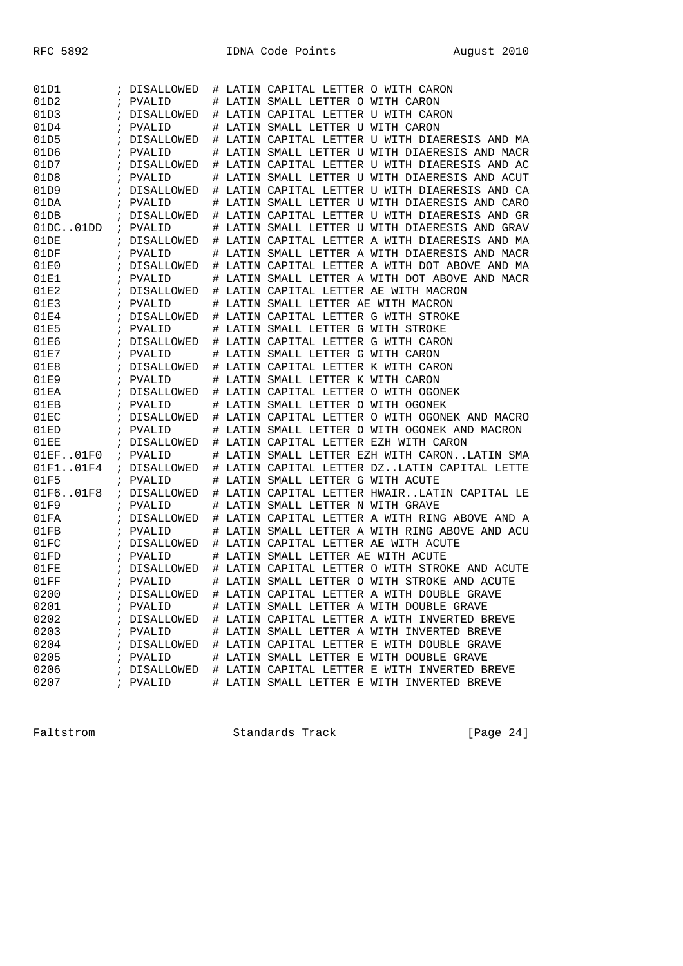| 01D1      | ï            | DISALLOWED        |   | # LATIN CAPITAL LETTER O WITH CARON          |
|-----------|--------------|-------------------|---|----------------------------------------------|
| 01D2      | $\ddot{ }$   | PVALID            | # | LATIN SMALL LETTER O WITH CARON              |
| 01D3      | $\ddot{i}$   | DISALLOWED        | # | LATIN CAPITAL LETTER U WITH CARON            |
| 01D4      | ï            | PVALID            | # | LATIN SMALL LETTER U WITH CARON              |
| 01D5      | $\ddot{ }$   | DISALLOWED        | # | LATIN CAPITAL LETTER U WITH DIAERESIS AND MA |
| 01D6      | i            | PVALID            |   | LATIN SMALL LETTER U WITH DIAERESIS AND MACR |
| 01D7      | i            | DISALLOWED        | # | LATIN CAPITAL LETTER U WITH DIAERESIS AND AC |
| 01D8      | $\ddot{i}$   | PVALID            | # | LATIN SMALL LETTER U WITH DIAERESIS AND ACUT |
| 01D9      | $\ddot{i}$   | DISALLOWED        | # | LATIN CAPITAL LETTER U WITH DIAERESIS AND CA |
| 01DA      | ÷            | PVALID            | # | LATIN SMALL LETTER U WITH DIAERESIS AND CARO |
| 01DB      | $\ddot{ }$   | DISALLOWED        | # | LATIN CAPITAL LETTER U WITH DIAERESIS AND GR |
| 01DC.01DD | $\ddot{i}$   | PVALID            |   | LATIN SMALL LETTER U WITH DIAERESIS AND GRAV |
| 01DE      | $\ddot{i}$   | DISALLOWED        | # | LATIN CAPITAL LETTER A WITH DIAERESIS AND MA |
| 01DF      | $\ddot{i}$   | PVALID            | # | LATIN SMALL LETTER A WITH DIAERESIS AND MACR |
| 01E0      | i.           | DISALLOWED        | # | LATIN CAPITAL LETTER A WITH DOT ABOVE AND MA |
| 01E1      | ï            | PVALID            | # | LATIN SMALL LETTER A WITH DOT ABOVE AND MACR |
| 01E2      | i            | DISALLOWED        | # | LATIN CAPITAL LETTER AE WITH MACRON          |
| 01E3      | ï            | PVALID            |   | LATIN SMALL LETTER AE WITH MACRON            |
| 01E4      | i            | <b>DISALLOWED</b> | # | LATIN CAPITAL LETTER G WITH STROKE           |
| 01E5      | $\ddot{i}$   | PVALID            | # | LATIN SMALL LETTER G WITH STROKE             |
| 01E6      | $\ddot{i}$   | DISALLOWED        | # | LATIN CAPITAL LETTER G WITH CARON            |
| 01E7      | i            | PVALID            | # | LATIN SMALL LETTER G WITH CARON              |
| 01E8      | i            | <b>DISALLOWED</b> | # | LATIN CAPITAL LETTER K WITH CARON            |
| 01E9      | ï            | PVALID            | # | LATIN SMALL LETTER K WITH CARON              |
| 01EA      | ÷            | DISALLOWED        | # | LATIN CAPITAL LETTER O WITH OGONEK           |
| 01EB      | $\ddot{i}$   | PVALID            | # | LATIN SMALL LETTER O WITH OGONEK             |
| 01EC      | i.           | DISALLOWED        | # | LATIN CAPITAL LETTER O WITH OGONEK AND MACRO |
| 01ED      | ï            | PVALID            | # | LATIN SMALL LETTER O WITH OGONEK AND MACRON  |
| 01EE      | i            | DISALLOWED        | # | LATIN CAPITAL LETTER EZH WITH CARON          |
| 01EF01F0  | $\ddot{ }$   | PVALID            |   | LATIN SMALL LETTER EZH WITH CARONLATIN SMA   |
| 01F1.01F4 | $\ddot{ }$   | DISALLOWED        | # | LATIN CAPITAL LETTER DZLATIN CAPITAL LETTE   |
| 01F5      | $\ddot{i}$   | PVALID            | # | LATIN SMALL LETTER G WITH ACUTE              |
| 01F601F8  | $\mathbf{r}$ | DISALLOWED        | # | LATIN CAPITAL LETTER HWAIRLATIN CAPITAL LE   |
| 01F9      | i            | PVALID            | # | LATIN SMALL LETTER N WITH GRAVE              |
| 01FA      | i            | DISALLOWED        | # | LATIN CAPITAL LETTER A WITH RING ABOVE AND A |
| 01FB      | ï            | PVALID            | # | LATIN SMALL LETTER A WITH RING ABOVE AND ACU |
| 01FC      | ÷            | DISALLOWED        | # | LATIN CAPITAL LETTER AE WITH ACUTE           |
| 01FD      | $\ddot{i}$   | PVALID            | # | LATIN SMALL LETTER AE WITH ACUTE             |
| 01FE      | $\ddot{i}$   | DISALLOWED        | # | LATIN CAPITAL LETTER O WITH STROKE AND ACUTE |
| 01FF      | i            | PVALID            | # | LATIN SMALL LETTER O WITH STROKE AND ACUTE   |
| 0200      | ï            | DISALLOWED        |   | # LATIN CAPITAL LETTER A WITH DOUBLE GRAVE   |
| 0201      |              | ; PVALID          |   | # LATIN SMALL LETTER A WITH DOUBLE GRAVE     |
| 0202      | i            | DISALLOWED        |   | # LATIN CAPITAL LETTER A WITH INVERTED BREVE |
| 0203      |              | ; PVALID          |   | # LATIN SMALL LETTER A WITH INVERTED BREVE   |
| 0204      |              | ; DISALLOWED      |   | # LATIN CAPITAL LETTER E WITH DOUBLE GRAVE   |
| 0205      | i.           | PVALID            |   | # LATIN SMALL LETTER E WITH DOUBLE GRAVE     |
| 0206      |              | DISALLOWED        |   | # LATIN CAPITAL LETTER E WITH INVERTED BREVE |
| 0207      |              | ; PVALID          |   | # LATIN SMALL LETTER E WITH INVERTED BREVE   |

Faltstrom Standards Track [Page 24]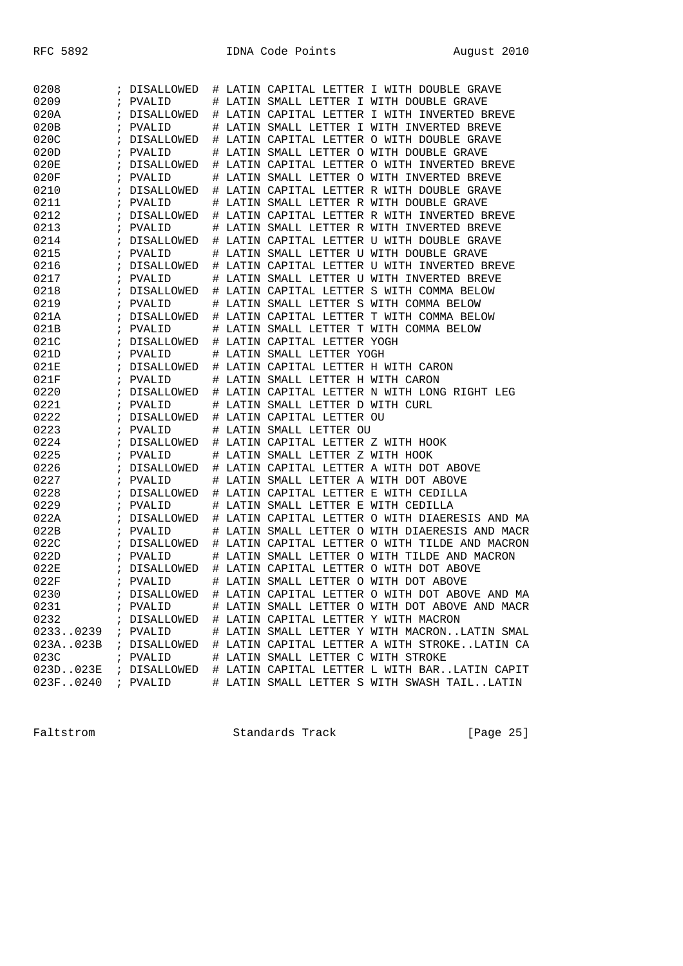| 0208              |            | DISALLOWED        |   | # LATIN CAPITAL LETTER I WITH DOUBLE GRAVE                |
|-------------------|------------|-------------------|---|-----------------------------------------------------------|
| 0209              | $\ddot{ }$ | PVALID            | # | LATIN SMALL LETTER I WITH DOUBLE GRAVE                    |
| 020A              |            | DISALLOWED        | # | LATIN CAPITAL LETTER I WITH INVERTED BREVE                |
| 020B              | $\ddot{i}$ | PVALID            | # | LATIN SMALL LETTER I WITH INVERTED BREVE                  |
| 020C              | $\ddot{ }$ | DISALLOWED        | # | LATIN CAPITAL LETTER O WITH DOUBLE GRAVE                  |
| 020D              | $\cdot$    | PVALID            | # | LATIN SMALL LETTER O WITH DOUBLE GRAVE                    |
| 020E              | ï          | <b>DISALLOWED</b> | # | LATIN CAPITAL LETTER O WITH INVERTED BREVE                |
| 020F              | i          | PVALID            | # | LATIN SMALL LETTER O WITH INVERTED BREVE                  |
| 0210              | i          | DISALLOWED        | # | LATIN CAPITAL LETTER R WITH DOUBLE GRAVE                  |
| 0211              | $\ddot{i}$ | PVALID            | # | LATIN SMALL LETTER R WITH DOUBLE GRAVE                    |
| 0212              | $\ddot{i}$ | DISALLOWED        | # | LATIN CAPITAL LETTER R WITH INVERTED BREVE                |
| 0213              | i          | PVALID            | # | LATIN SMALL LETTER R WITH INVERTED BREVE                  |
| 0214              | $\cdot$    | DISALLOWED        | # | LATIN CAPITAL LETTER U WITH DOUBLE GRAVE                  |
| 0215              |            | PVALID            | # | LATIN SMALL LETTER U WITH DOUBLE GRAVE                    |
| 0216              | i          | DISALLOWED        | # | LATIN CAPITAL LETTER U WITH INVERTED BREVE                |
| 0217              | $\ddot{i}$ | PVALID            | # | LATIN SMALL LETTER U WITH INVERTED BREVE                  |
| 0218              | i          | DISALLOWED        | # | LATIN CAPITAL LETTER S WITH COMMA BELOW                   |
| 0219              | $\cdot$    | PVALID            | # | LATIN SMALL LETTER S WITH COMMA BELOW                     |
| 021A              | ï          | DISALLOWED        | # | LATIN CAPITAL LETTER T WITH COMMA BELOW                   |
| 021B              | i          | PVALID            | # | LATIN SMALL LETTER T WITH COMMA BELOW                     |
| 021C              | i          | DISALLOWED        | # | LATIN CAPITAL LETTER YOGH                                 |
| 021D              | $\cdot$    | PVALID            | # | LATIN SMALL LETTER YOGH                                   |
| 021E              | $\ddot{ }$ | <b>DISALLOWED</b> | # | LATIN CAPITAL LETTER H WITH CARON                         |
| 021F              | $\cdot$    | PVALID            | # | LATIN SMALL LETTER H WITH CARON                           |
| 0220              | ï          | DISALLOWED        | # | LATIN CAPITAL LETTER N WITH LONG RIGHT LEG                |
| 0221              |            | PVALID            | # | LATIN SMALL LETTER D WITH CURL                            |
| 0222              | i          | DISALLOWED        | # | LATIN CAPITAL LETTER OU                                   |
| 0223              | $\ddot{i}$ | PVALID            | # | LATIN SMALL LETTER OU                                     |
| 0224              | $\ddot{ }$ | DISALLOWED        | # | LATIN CAPITAL LETTER Z WITH HOOK                          |
| 0225              | $\cdot$    | PVALID            | # | LATIN SMALL LETTER Z WITH HOOK                            |
| 0226              | ï          | DISALLOWED        | # | LATIN CAPITAL LETTER A WITH DOT ABOVE                     |
| 0227              |            | PVALID            |   | LATIN SMALL LETTER A WITH DOT ABOVE                       |
| 0228              | i          |                   | # | LATIN CAPITAL LETTER E WITH CEDILLA                       |
| 0229              | i          | DISALLOWED        | # |                                                           |
|                   | $\cdot$    | PVALID            | # | LATIN SMALL LETTER E WITH CEDILLA                         |
| 022A              | $\ddot{ }$ | DISALLOWED        | # | LATIN CAPITAL LETTER O WITH DIAERESIS AND MA              |
| 022B              | $\cdot$    | PVALID            | # | LATIN SMALL LETTER O WITH DIAERESIS AND MACR              |
| 022C              | ï          | DISALLOWED        | # | LATIN CAPITAL LETTER O WITH TILDE AND MACRON              |
| 022D              |            | PVALID            | # | LATIN SMALL LETTER O WITH TILDE AND MACRON                |
| 022E              | i          | DISALLOWED        | # | LATIN CAPITAL LETTER O WITH DOT ABOVE                     |
| 022F              | $\cdot$    | PVALID            | # | LATIN SMALL LETTER O WITH DOT ABOVE                       |
| 0230              |            | ; DISALLOWED      |   | # LATIN CAPITAL LETTER O WITH DOT ABOVE AND MA            |
| 0231              |            | ; PVALID          |   | # LATIN SMALL LETTER O WITH DOT ABOVE AND MACR            |
| 0232              |            |                   |   | ; DISALLOWED # LATIN CAPITAL LETTER Y WITH MACRON         |
| 02330239          |            | ; PVALID          |   | # LATIN SMALL LETTER Y WITH MACRONLATIN SMAL              |
| 023A023B          |            | ; DISALLOWED      |   | # LATIN CAPITAL LETTER A WITH STROKELATIN CA              |
| 023C              |            | ; PVALID          |   | # LATIN SMALL LETTER C WITH STROKE                        |
| 023D023E          |            |                   |   | ; DISALLOWED # LATIN CAPITAL LETTER L WITH BARLATIN CAPIT |
| 023F0240 ; PVALID |            |                   |   | # LATIN SMALL LETTER S WITH SWASH TAILLATIN               |

Faltstrom Standards Track [Page 25]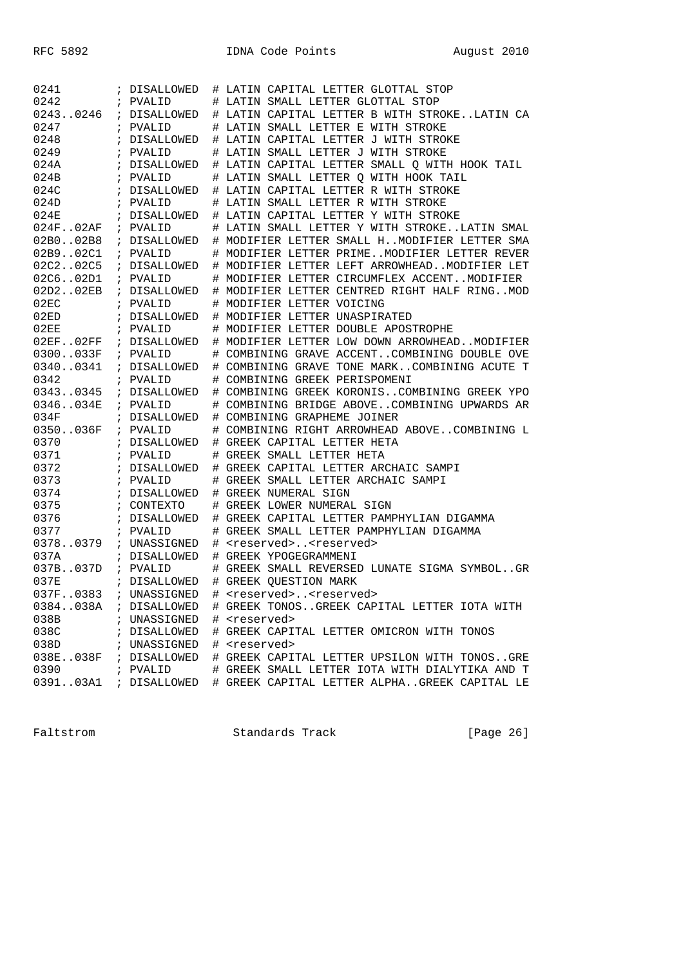| 0241        | ; DISALLOWED | # LATIN CAPITAL LETTER GLOTTAL STOP            |
|-------------|--------------|------------------------------------------------|
| 0242        | ; PVALID     | # LATIN SMALL LETTER GLOTTAL STOP              |
| 02430246    | ; DISALLOWED | # LATIN CAPITAL LETTER B WITH STROKELATIN CA   |
| 0247        | ; PVALID     | # LATIN SMALL LETTER E WITH STROKE             |
| 0248        | ; DISALLOWED | # LATIN CAPITAL LETTER J WITH STROKE           |
| 0249        | ; PVALID     | # LATIN SMALL LETTER J WITH STROKE             |
| 024A        | ; DISALLOWED | # LATIN CAPITAL LETTER SMALL Q WITH HOOK TAIL  |
| 024B        | ; PVALID     | # LATIN SMALL LETTER Q WITH HOOK TAIL          |
| 024C        | ; DISALLOWED | # LATIN CAPITAL LETTER R WITH STROKE           |
| 024D        | ; PVALID     | # LATIN SMALL LETTER R WITH STROKE             |
| 024E        | ; DISALLOWED | # LATIN CAPITAL LETTER Y WITH STROKE           |
| 024F.02AF   | ; PVALID     | # LATIN SMALL LETTER Y WITH STROKELATIN SMAL   |
| 02B002B8    | ; DISALLOWED | # MODIFIER LETTER SMALL HMODIFIER LETTER SMA   |
| 02B902C1    | ; PVALID     | # MODIFIER LETTER PRIMEMODIFIER LETTER REVER   |
| 02C202C5    | ; DISALLOWED | # MODIFIER LETTER LEFT ARROWHEADMODIFIER LET   |
| 02C6.02D1   | ; PVALID     | # MODIFIER LETTER CIRCUMFLEX ACCENTMODIFIER    |
| 02D202EB    | ; DISALLOWED | # MODIFIER LETTER CENTRED RIGHT HALF RINGMOD   |
| 02EC        | ; PVALID     | # MODIFIER LETTER VOICING                      |
| 02ED        | ; DISALLOWED | # MODIFIER LETTER UNASPIRATED                  |
| 02EE        | ; PVALID     | # MODIFIER LETTER DOUBLE APOSTROPHE            |
| $02EF$ 02FF | ; DISALLOWED | # MODIFIER LETTER LOW DOWN ARROWHEADMODIFIER   |
| 0300033F    | ; PVALID     | # COMBINING GRAVE ACCENTCOMBINING DOUBLE OVE   |
| 03400341    | ; DISALLOWED | # COMBINING GRAVE TONE MARKCOMBINING ACUTE T   |
| 0342        | ; PVALID     | # COMBINING GREEK PERISPOMENI                  |
| 03430345    | ; DISALLOWED | # COMBINING GREEK KORONISCOMBINING GREEK YPO   |
| 0346034E    | ; PVALID     | # COMBINING BRIDGE ABOVECOMBINING UPWARDS AR   |
| 034F        | ; DISALLOWED | # COMBINING GRAPHEME JOINER                    |
| 0350036F    | ; PVALID     | # COMBINING RIGHT ARROWHEAD ABOVECOMBINING L   |
| 0370        | ; DISALLOWED | # GREEK CAPITAL LETTER HETA                    |
| 0371        | ; PVALID     | # GREEK SMALL LETTER HETA                      |
| 0372        | ; DISALLOWED | # GREEK CAPITAL LETTER ARCHAIC SAMPI           |
| 0373        | ; PVALID     | # GREEK SMALL LETTER ARCHAIC SAMPI             |
| 0374        | ; DISALLOWED | # GREEK NUMERAL SIGN                           |
| 0375        | ; CONTEXTO   | # GREEK LOWER NUMERAL SIGN                     |
| 0376        | ; DISALLOWED | # GREEK CAPITAL LETTER PAMPHYLIAN DIGAMMA      |
| 0377        | ; PVALID     | # GREEK SMALL LETTER PAMPHYLIAN DIGAMMA        |
| 03780379    | ; UNASSIGNED | # <reserved><reserved></reserved></reserved>   |
| 037A        | ; DISALLOWED | # GREEK YPOGEGRAMMENI                          |
| 037B037D    | ; PVALID     | # GREEK SMALL REVERSED LUNATE SIGMA SYMBOLGR   |
| 037E        | ; DISALLOWED | # GREEK OUESTION MARK                          |
| 037F0383    | ; UNASSIGNED | # <reserved><reserved></reserved></reserved>   |
| 0384038A    | ; DISALLOWED | # GREEK TONOSGREEK CAPITAL LETTER IOTA WITH    |
| 038B        | ; UNASSIGNED | # <reserved></reserved>                        |
| 038C        | ; DISALLOWED | # GREEK CAPITAL LETTER OMICRON WITH TONOS      |
| 038D        | ; UNASSIGNED | # <reserved></reserved>                        |
| 038E038F    | ; DISALLOWED | # GREEK CAPITAL LETTER UPSILON WITH TONOSGRE   |
| 0390        | ; PVALID     | # GREEK SMALL LETTER IOTA WITH DIALYTIKA AND T |
| 039103A1    | ; DISALLOWED | # GREEK CAPITAL LETTER ALPHAGREEK CAPITAL LE   |

Faltstrom Standards Track [Page 26]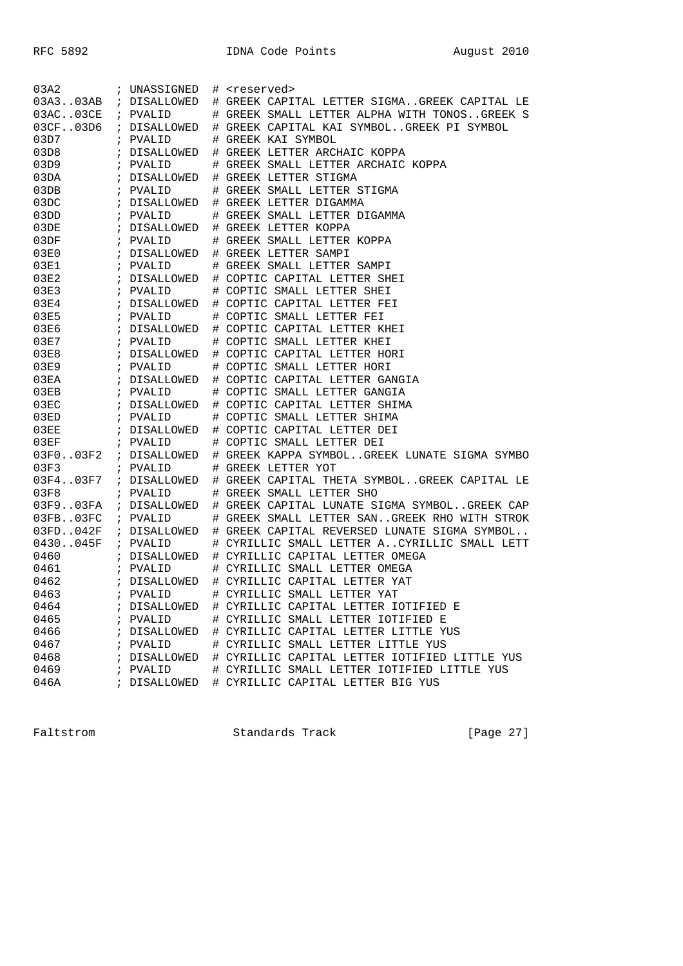| 03A2          | ; UNASSIGNED            | # <reserved></reserved>                       |
|---------------|-------------------------|-----------------------------------------------|
| 03A303AB      | ; DISALLOWED            | # GREEK CAPITAL LETTER SIGMAGREEK CAPITAL LE  |
| 03AC.03CE     | ; PVALID                | # GREEK SMALL LETTER ALPHA WITH TONOSGREEK S  |
| 03CF.03D6     | ; DISALLOWED            | # GREEK CAPITAL KAI SYMBOLGREEK PI SYMBOL     |
| 03D7          | ; PVALID                | # GREEK KAI SYMBOL                            |
| 03D8          | ; DISALLOWED            | # GREEK LETTER ARCHAIC KOPPA                  |
| 03D9          | ; PVALID                | # GREEK SMALL LETTER ARCHAIC KOPPA            |
| 03DA          | ; DISALLOWED            | # GREEK LETTER STIGMA                         |
| 03DB          | ; PVALID                | # GREEK SMALL LETTER STIGMA                   |
| 03DC          | ; DISALLOWED            | # GREEK LETTER DIGAMMA                        |
| 03DD          | ; PVALID                | # GREEK SMALL LETTER DIGAMMA                  |
| 03DE          | ; DISALLOWED            | # GREEK LETTER KOPPA                          |
| 03DF          | ; PVALID                | # GREEK SMALL LETTER KOPPA                    |
| 03E0          | ; DISALLOWED            | # GREEK LETTER SAMPI                          |
| 03E1          | ; PVALID                | # GREEK SMALL LETTER SAMPI                    |
| 03E2          | ; DISALLOWED            | # COPTIC CAPITAL LETTER SHEI                  |
| 03E3          | ; PVALID                | # COPTIC SMALL LETTER SHEI                    |
| 03E4          | ; DISALLOWED            | # COPTIC CAPITAL LETTER FEI                   |
| 03E5          | ; PVALID                | # COPTIC SMALL LETTER FEI                     |
| 03E6          | ; DISALLOWED            | # COPTIC CAPITAL LETTER KHEI                  |
| 03E7          | ; PVALID                | # COPTIC SMALL LETTER KHEI                    |
| 03E8          | ; DISALLOWED            | # COPTIC CAPITAL LETTER HORI                  |
| 03E9          | ; PVALID                | # COPTIC SMALL LETTER HORI                    |
| 03EA          | ; DISALLOWED            | # COPTIC CAPITAL LETTER GANGIA                |
| 03EB          | ; PVALID                | # COPTIC SMALL LETTER GANGIA                  |
| 03EC          | ; DISALLOWED            | # COPTIC CAPITAL LETTER SHIMA                 |
| 03ED          | ; PVALID                | # COPTIC SMALL LETTER SHIMA                   |
| 03EE          | ; DISALLOWED            | # COPTIC CAPITAL LETTER DEI                   |
| 03EF          | ; PVALID                | # COPTIC SMALL LETTER DEI                     |
| $03F0$ $03F2$ | ; DISALLOWED            | # GREEK KAPPA SYMBOLGREEK LUNATE SIGMA SYMBO  |
| 03F3          | ; PVALID                | # GREEK LETTER YOT                            |
| 03F403F7      | ; DISALLOWED            | # GREEK CAPITAL THETA SYMBOLGREEK CAPITAL LE  |
| 03F8          | ; PVALID                | # GREEK SMALL LETTER SHO                      |
|               | 03F903FA ; DISALLOWED   | # GREEK CAPITAL LUNATE SIGMA SYMBOLGREEK CAP  |
| 03FB. .03FC   | ; PVALID                | # GREEK SMALL LETTER SANGREEK RHO WITH STROK  |
| 03FD042F      | ; DISALLOWED            | # GREEK CAPITAL REVERSED LUNATE SIGMA SYMBOL  |
| 0430045F      | ; PVALID                | # CYRILLIC SMALL LETTER ACYRILLIC SMALL LETT  |
| 0460          | ; DISALLOWED            | # CYRILLIC CAPITAL LETTER OMEGA               |
| 0461          | ; PVALID                | # CYRILLIC SMALL LETTER OMEGA                 |
| 0462          | ; DISALLOWED            | # CYRILLIC CAPITAL LETTER YAT                 |
| 0463          | ; PVALID                | # CYRILLIC SMALL LETTER YAT                   |
| 0464          | ; DISALLOWED            | # CYRILLIC CAPITAL LETTER IOTIFIED E          |
| 0465          | ; PVALID                | # CYRILLIC SMALL LETTER IOTIFIED E            |
| 0466          | ; DISALLOWED            | # CYRILLIC CAPITAL LETTER LITTLE YUS          |
| 0467          | ; PVALID                | # CYRILLIC SMALL LETTER LITTLE YUS            |
| 0468          | ; DISALLOWED            | # CYRILLIC CAPITAL LETTER IOTIFIED LITTLE YUS |
| 0469          | PVALID<br>$\mathcal{L}$ | # CYRILLIC SMALL LETTER IOTIFIED LITTLE YUS   |
| 046A          | ; DISALLOWED            | # CYRILLIC CAPITAL LETTER BIG YUS             |

Faltstrom Standards Track [Page 27]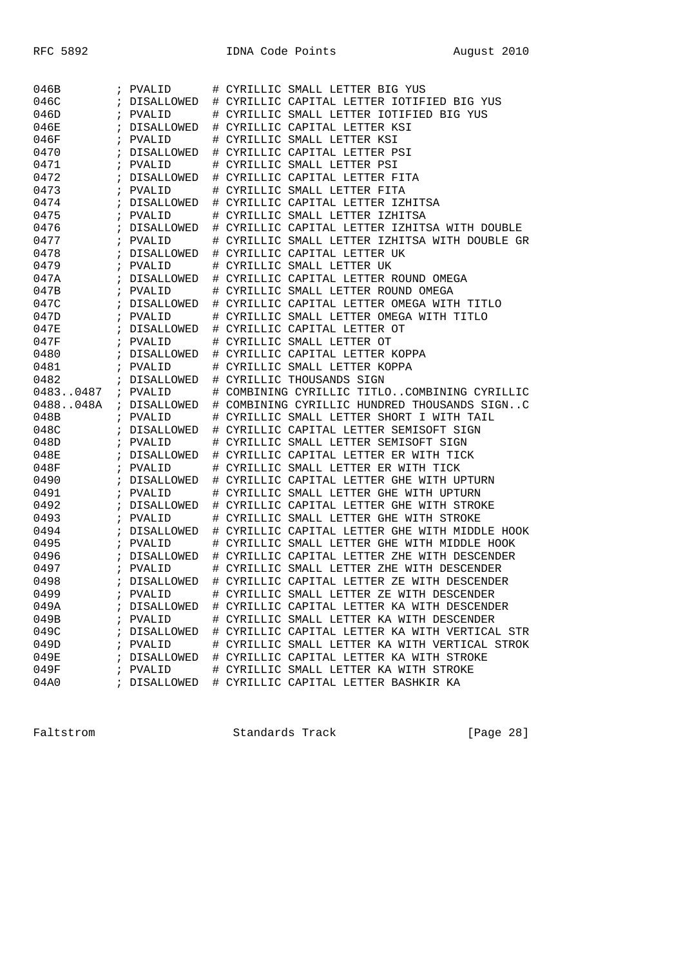| 046B         |            | ; PVALID                 |        | # CYRILLIC SMALL LETTER BIG YUS                                                            |
|--------------|------------|--------------------------|--------|--------------------------------------------------------------------------------------------|
| 046C         | $\ddot{i}$ | DISALLOWED               |        | # CYRILLIC CAPITAL LETTER IOTIFIED BIG YUS                                                 |
| 046D         |            | ; PVALID                 |        | # CYRILLIC SMALL LETTER IOTIFIED BIG YUS                                                   |
| 046E         | $\ddot{i}$ | DISALLOWED               | #      | CYRILLIC CAPITAL LETTER KSI                                                                |
| 046F         | $\ddot{i}$ | PVALID                   | #      | CYRILLIC SMALL LETTER KSI                                                                  |
| 0470         | $\ddot{i}$ | DISALLOWED               | #      | CYRILLIC CAPITAL LETTER PSI                                                                |
| 0471         | $\ddot{i}$ | PVALID                   | #      | CYRILLIC SMALL LETTER PSI                                                                  |
| 0472         | $\ddot{i}$ | DISALLOWED               | #      | CYRILLIC CAPITAL LETTER FITA                                                               |
| 0473         |            | ; PVALID                 | #      | CYRILLIC SMALL LETTER FITA                                                                 |
| 0474         | $\ddot{i}$ | DISALLOWED               | #      | CYRILLIC CAPITAL LETTER IZHITSA                                                            |
| 0475         | $\ddot{i}$ | PVALID                   | #      | CYRILLIC SMALL LETTER IZHITSA                                                              |
| 0476         | $\ddot{i}$ | DISALLOWED               | #      | CYRILLIC CAPITAL LETTER IZHITSA WITH DOUBLE                                                |
| 0477         | $\ddot{i}$ | PVALID                   | #      | CYRILLIC SMALL LETTER IZHITSA WITH DOUBLE GR                                               |
| 0478         | $\ddot{i}$ | DISALLOWED               | #      | CYRILLIC CAPITAL LETTER UK                                                                 |
| 0479         |            | ; PVALID                 | #      | CYRILLIC SMALL LETTER UK                                                                   |
| 047A         | $\ddot{ }$ | DISALLOWED               |        | # CYRILLIC CAPITAL LETTER ROUND OMEGA                                                      |
| 047B         | $\ddot{i}$ | PVALID                   | #      | CYRILLIC SMALL LETTER ROUND OMEGA                                                          |
| 047C         | $\ddot{i}$ | DISALLOWED               | #      | CYRILLIC CAPITAL LETTER OMEGA WITH TITLO                                                   |
| 047D         | $\ddot{i}$ | PVALID                   | #      | CYRILLIC SMALL LETTER OMEGA WITH TITLO                                                     |
| 047E         | $\ddot{ }$ | DISALLOWED               | #      | CYRILLIC CAPITAL LETTER OT                                                                 |
| 047F         |            | ; PVALID                 | #      | CYRILLIC SMALL LETTER OT                                                                   |
| 0480         | $\ddot{i}$ | DISALLOWED               | #      | CYRILLIC CAPITAL LETTER KOPPA                                                              |
| 0481         |            | ; PVALID                 | #      | CYRILLIC SMALL LETTER KOPPA                                                                |
| 0482         |            | ; DISALLOWED             | #      | CYRILLIC THOUSANDS SIGN                                                                    |
| 04830487     |            | ; PVALID                 | #      | COMBINING CYRILLIC TITLOCOMBINING CYRILLIC                                                 |
| 0488048A     |            | ; DISALLOWED             | #      | COMBINING CYRILLIC HUNDRED THOUSANDS SIGNC                                                 |
| 048B         |            | ; PVALID                 | #      | CYRILLIC SMALL LETTER SHORT I WITH TAIL                                                    |
|              |            |                          |        | CYRILLIC CAPITAL LETTER SEMISOFT SIGN                                                      |
| 048C         | $\ddot{i}$ | DISALLOWED               | #      |                                                                                            |
| 048D         | $\ddot{i}$ | PVALID                   | #      | CYRILLIC SMALL LETTER SEMISOFT SIGN                                                        |
| 048E         | $\ddot{i}$ | DISALLOWED               | #      | CYRILLIC CAPITAL LETTER ER WITH TICK                                                       |
| 048F         | $\ddot{i}$ | PVALID                   |        | CYRILLIC SMALL LETTER ER WITH TICK                                                         |
|              | $\ddot{i}$ |                          | #      |                                                                                            |
| 0490         |            | DISALLOWED               | #      | CYRILLIC CAPITAL LETTER GHE WITH UPTURN                                                    |
| 0491<br>0492 | $\ddot{ }$ | ; PVALID<br>DISALLOWED   | #<br># | CYRILLIC SMALL LETTER GHE WITH UPTURN                                                      |
|              | $\ddot{ }$ |                          |        | CYRILLIC CAPITAL LETTER GHE WITH STROKE                                                    |
| 0493<br>0494 | $\ddot{i}$ | PVALID<br>DISALLOWED     | #<br># | CYRILLIC SMALL LETTER GHE WITH STROKE<br>CYRILLIC CAPITAL LETTER GHE WITH MIDDLE HOOK      |
| 0495         | $\ddot{i}$ | PVALID                   |        |                                                                                            |
| 0496         | $\ddot{i}$ | DISALLOWED               | #      | CYRILLIC SMALL LETTER GHE WITH MIDDLE HOOK<br>CYRILLIC CAPITAL LETTER ZHE WITH DESCENDER   |
| 0497         |            | ; PVALID                 | #      | # CYRILLIC SMALL LETTER ZHE WITH DESCENDER                                                 |
| 0498         | $\ddot{i}$ | DISALLOWED               |        | # CYRILLIC CAPITAL LETTER ZE WITH DESCENDER                                                |
|              |            |                          |        |                                                                                            |
| 0499         | $\ddot{i}$ | PVALID                   |        | # CYRILLIC SMALL LETTER ZE WITH DESCENDER                                                  |
| 049A<br>049B |            | ; DISALLOWED             |        | # CYRILLIC CAPITAL LETTER KA WITH DESCENDER<br># CYRILLIC SMALL LETTER KA WITH DESCENDER   |
|              |            | ; PVALID                 |        | # CYRILLIC CAPITAL LETTER KA WITH VERTICAL STR                                             |
| 049C         |            | ; DISALLOWED             |        |                                                                                            |
| 049D         |            | ; PVALID<br>; DISALLOWED |        | # CYRILLIC SMALL LETTER KA WITH VERTICAL STROK<br># CYRILLIC CAPITAL LETTER KA WITH STROKE |
| 049E<br>049F |            | ; PVALID                 |        | # CYRILLIC SMALL LETTER KA WITH STROKE                                                     |

Faltstrom Standards Track [Page 28]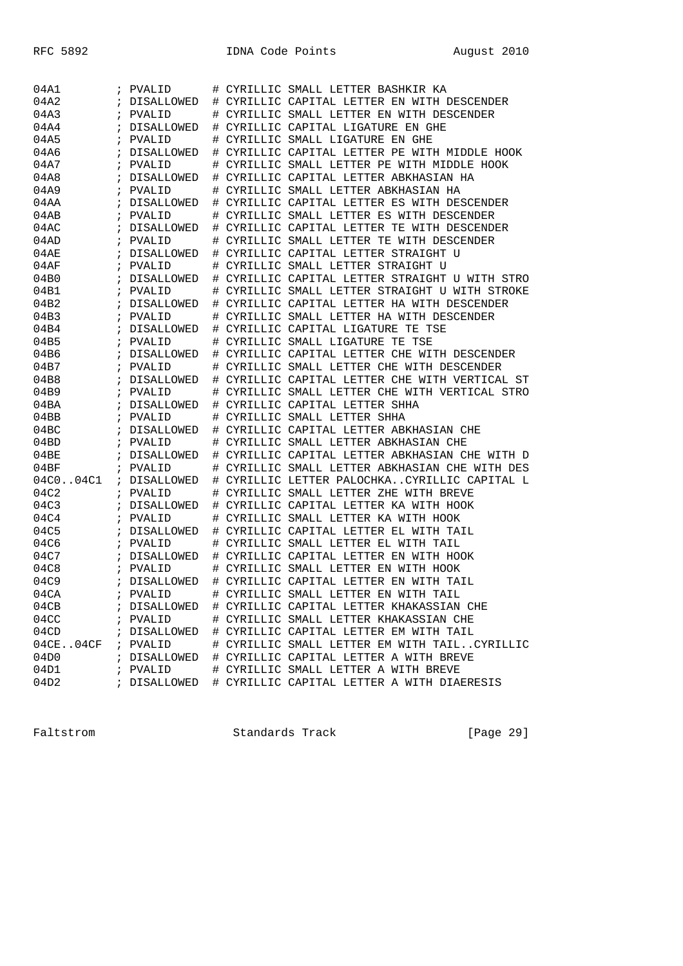| 04A1        |            | ; PVALID          | #    | CYRILLIC SMALL LETTER BASHKIR KA             |
|-------------|------------|-------------------|------|----------------------------------------------|
| 04A2        |            | DISALLOWED        | $\#$ | CYRILLIC CAPITAL LETTER EN WITH DESCENDER    |
| 04A3        | $\cdot$    | PVALID            | #    | CYRILLIC SMALL LETTER EN WITH DESCENDER      |
| 04A4        | $\ddot{ }$ | DISALLOWED        | #    | CYRILLIC CAPITAL LIGATURE EN GHE             |
| 04A5        | i          | PVALID            | #    | CYRILLIC SMALL LIGATURE EN GHE               |
| 04A6        | ï          | <b>DISALLOWED</b> | #    | CYRILLIC CAPITAL LETTER PE WITH MIDDLE HOOK  |
| 04A7        | i          | PVALID            | #    | CYRILLIC SMALL LETTER PE WITH MIDDLE HOOK    |
| 04A8        |            | DISALLOWED        | #    | CYRILLIC CAPITAL LETTER ABKHASIAN HA         |
| 04A9        | $\cdot$    | PVALID            | #    | CYRILLIC SMALL LETTER ABKHASIAN HA           |
| 04AA        | $\ddot{i}$ | DISALLOWED        | #    | CYRILLIC CAPITAL LETTER ES WITH DESCENDER    |
| 04AB        | i          | PVALID            | #    | CYRILLIC SMALL LETTER ES WITH DESCENDER      |
| 04AC        | ï          | DISALLOWED        | #    | CYRILLIC CAPITAL LETTER TE WITH DESCENDER    |
| 04AD        | i          | PVALID            | #    | CYRILLIC SMALL LETTER TE WITH DESCENDER      |
| 04AE        | i          | DISALLOWED        | #    | CYRILLIC CAPITAL LETTER STRAIGHT U           |
| 04AF        | $\cdot$    | PVALID            | #    | CYRILLIC SMALL LETTER STRAIGHT U             |
| 04B0        | $\ddot{i}$ | DISALLOWED        | #    | CYRILLIC CAPITAL LETTER STRAIGHT U WITH STRO |
| 04B1        | $\ddot{i}$ | PVALID            | #    | CYRILLIC SMALL LETTER STRAIGHT U WITH STROKE |
| 04B2        | ï          | DISALLOWED        | #    | CYRILLIC CAPITAL LETTER HA WITH DESCENDER    |
| 04B3        | i          | PVALID            | #    | CYRILLIC SMALL LETTER HA WITH DESCENDER      |
| 04B4        | $\ddot{ }$ | DISALLOWED        | #    | CYRILLIC CAPITAL LIGATURE TE TSE             |
| 04B5        | $\ddot{i}$ | PVALID            | #    | CYRILLIC SMALL LIGATURE TE TSE               |
| 04B6        | $\ddot{i}$ | DISALLOWED        | #    | CYRILLIC CAPITAL LETTER CHE WITH DESCENDER   |
| 04B7        | $\ddot{i}$ | PVALID            | #    | CYRILLIC SMALL LETTER CHE WITH DESCENDER     |
| 04B8        | ï          | <b>DISALLOWED</b> | #    | CYRILLIC CAPITAL LETTER CHE WITH VERTICAL ST |
| 04B9        | i          | PVALID            | #    | CYRILLIC SMALL LETTER CHE WITH VERTICAL STRO |
| 04BA        | $\ddot{ }$ | DISALLOWED        | #    | CYRILLIC CAPITAL LETTER SHHA                 |
| 04BB        | $\cdot$    | PVALID            | #    | CYRILLIC SMALL LETTER SHHA                   |
| 04BC        | $\ddot{ }$ | DISALLOWED        | #    | CYRILLIC CAPITAL LETTER ABKHASIAN CHE        |
| 04BD        | $\ddot{i}$ | PVALID            | #    | CYRILLIC SMALL LETTER ABKHASIAN CHE          |
| 04BE        | i          | DISALLOWED        | #    | CYRILLIC CAPITAL LETTER ABKHASIAN CHE WITH D |
| 04BF        | ;          | PVALID            | #    | CYRILLIC SMALL LETTER ABKHASIAN CHE WITH DES |
| 04C004C1    | $\ddot{i}$ | DISALLOWED        | #    | CYRILLIC LETTER PALOCHKACYRILLIC CAPITAL L   |
| 04C2        | $\ddot{i}$ | PVALID            | #    | CYRILLIC SMALL LETTER ZHE WITH BREVE         |
| 04C3        | $\ddot{i}$ | DISALLOWED        | #    | CYRILLIC CAPITAL LETTER KA WITH HOOK         |
| 04C4        | $\ddot{i}$ | PVALID            | #    | CYRILLIC SMALL LETTER KA WITH HOOK           |
| 04C5        | ï          | DISALLOWED        | #    | CYRILLIC CAPITAL LETTER EL WITH TAIL         |
| 04C6        | i          | PVALID            | #    | CYRILLIC SMALL LETTER EL WITH TAIL           |
| 04C7        | $\ddot{i}$ | DISALLOWED        | #    | CYRILLIC CAPITAL LETTER EN WITH HOOK         |
| 04C8        | $\ddot{i}$ | PVALID            | #    | CYRILLIC SMALL LETTER EN WITH HOOK           |
| 04C9        | ÷,         | <b>DISALLOWED</b> | #    | CYRILLIC CAPITAL LETTER EN WITH TAIL         |
| 04CA        | $\ddot{i}$ | PVALID            | #    | CYRILLIC SMALL LETTER EN WITH TAIL           |
| 04CB        |            | ; DISALLOWED      |      | # CYRILLIC CAPITAL LETTER KHAKASSIAN CHE     |
| 04CC        |            | ; PVALID          |      | # CYRILLIC SMALL LETTER KHAKASSIAN CHE       |
| 04CD        |            | ; DISALLOWED      |      | # CYRILLIC CAPITAL LETTER EM WITH TAIL       |
| 04CE. .04CF |            | ; PVALID          |      | # CYRILLIC SMALL LETTER EM WITH TAILCYRILLIC |
| 04D0        |            | ; DISALLOWED      |      | # CYRILLIC CAPITAL LETTER A WITH BREVE       |
| 04D1        |            | ; PVALID          |      | # CYRILLIC SMALL LETTER A WITH BREVE         |
| 04D2        |            | ; DISALLOWED      |      | # CYRILLIC CAPITAL LETTER A WITH DIAERESIS   |

Faltstrom Standards Track [Page 29]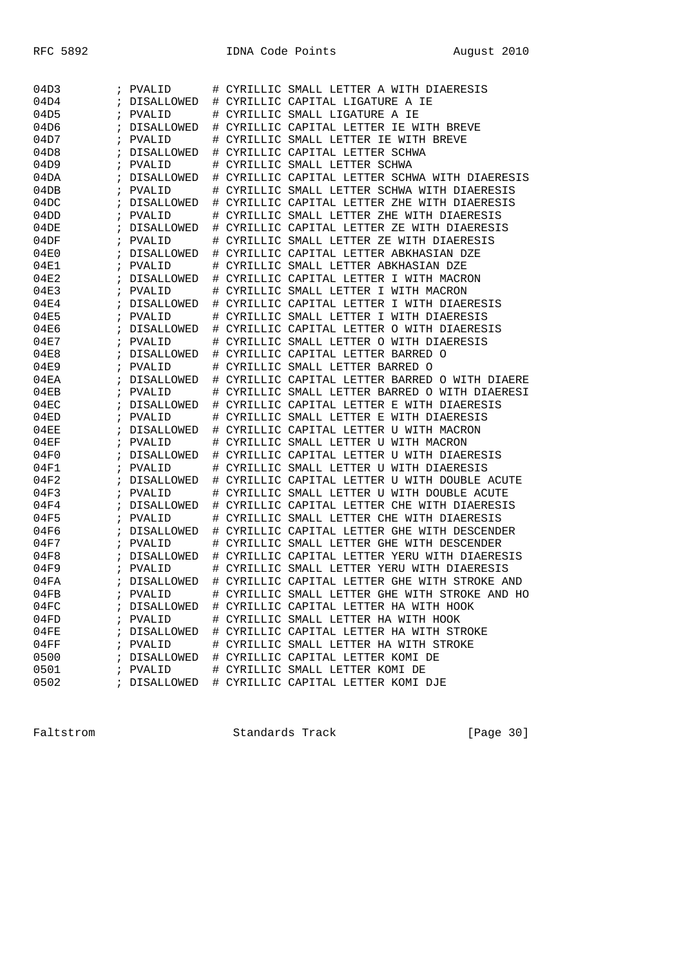| 04D3 | ÷          | PVALID       | #      | CYRILLIC SMALL LETTER A WITH DIAERESIS       |
|------|------------|--------------|--------|----------------------------------------------|
| 04D4 | $\ddot{ }$ | DISALLOWED   | #      | CYRILLIC CAPITAL LIGATURE A IE               |
| 04D5 | i          | PVALID       | #      | CYRILLIC SMALL LIGATURE A IE                 |
| 04D6 | i          | DISALLOWED   | #      | CYRILLIC CAPITAL LETTER IE WITH BREVE        |
| 04D7 | i          | PVALID       | #      | CYRILLIC SMALL LETTER IE WITH BREVE          |
| 04D8 | i          | DISALLOWED   | #      | CYRILLIC CAPITAL LETTER SCHWA                |
| 04D9 | $\ddot{i}$ | PVALID       | #      | CYRILLIC SMALL LETTER SCHWA                  |
| 04DA | $\ddot{ }$ | DISALLOWED   | #      | CYRILLIC CAPITAL LETTER SCHWA WITH DIAERESIS |
| 04DB | i          | PVALID       | #      | CYRILLIC SMALL LETTER SCHWA WITH DIAERESIS   |
| 04DC | i          | DISALLOWED   | #      | CYRILLIC CAPITAL LETTER ZHE WITH DIAERESIS   |
| 04DD | i          | PVALID       | #      | CYRILLIC SMALL LETTER ZHE WITH DIAERESIS     |
| 04DE | i          | DISALLOWED   | #      | CYRILLIC CAPITAL LETTER ZE WITH DIAERESIS    |
| 04DF | $\ddot{i}$ | PVALID       | #      | CYRILLIC SMALL LETTER ZE WITH DIAERESIS      |
| 04E0 | $\ddot{ }$ | DISALLOWED   | #      | CYRILLIC CAPITAL LETTER ABKHASIAN DZE        |
| 04E1 | ï          | PVALID       | #      | CYRILLIC SMALL LETTER ABKHASIAN DZE          |
| 04E2 | i          | DISALLOWED   | #      | CYRILLIC CAPITAL LETTER I WITH MACRON        |
| 04E3 |            | PVALID       |        | CYRILLIC SMALL LETTER I WITH MACRON          |
| 04E4 | ÷          | DISALLOWED   | #<br># | CYRILLIC CAPITAL LETTER I WITH DIAERESIS     |
| 04E5 | i          |              |        | CYRILLIC SMALL LETTER I WITH DIAERESIS       |
| 04E6 | $\ddot{i}$ | PVALID       | #      |                                              |
|      | $\ddot{ }$ | DISALLOWED   | #      | CYRILLIC CAPITAL LETTER O WITH DIAERESIS     |
| 04E7 | i          | PVALID       | #      | CYRILLIC SMALL LETTER O WITH DIAERESIS       |
| 04E8 | i          | DISALLOWED   | #      | CYRILLIC CAPITAL LETTER BARRED O             |
| 04E9 | ï          | PVALID       | #      | CYRILLIC SMALL LETTER BARRED O               |
| 04EA | i          | DISALLOWED   | #      | CYRILLIC CAPITAL LETTER BARRED O WITH DIAERE |
| 04EB | $\ddot{i}$ | PVALID       | #      | CYRILLIC SMALL LETTER BARRED O WITH DIAERESI |
| 04EC | $\ddot{ }$ | DISALLOWED   | #      | CYRILLIC CAPITAL LETTER E WITH DIAERESIS     |
| 04ED | ï          | PVALID       | #      | CYRILLIC SMALL LETTER E WITH DIAERESIS       |
| 04EE | i          | DISALLOWED   | #      | CYRILLIC CAPITAL LETTER U WITH MACRON        |
| 04EF | i          | PVALID       | #      | CYRILLIC SMALL LETTER U WITH MACRON          |
| 04F0 | i          | DISALLOWED   | #      | CYRILLIC CAPITAL LETTER U WITH DIAERESIS     |
| 04F1 | $\ddot{i}$ | PVALID       | #      | CYRILLIC SMALL LETTER U WITH DIAERESIS       |
| 04F2 | $\ddot{ }$ | DISALLOWED   | #      | CYRILLIC CAPITAL LETTER U WITH DOUBLE ACUTE  |
| 04F3 | i          | PVALID       | #      | CYRILLIC SMALL LETTER U WITH DOUBLE ACUTE    |
| 04F4 | i          | DISALLOWED   | #      | CYRILLIC CAPITAL LETTER CHE WITH DIAERESIS   |
| 04F5 | ï          | PVALID       | #      | CYRILLIC<br>SMALL LETTER CHE WITH DIAERESIS  |
| 04F6 | i          | DISALLOWED   | #      | CYRILLIC CAPITAL LETTER GHE WITH DESCENDER   |
| 04F7 | $\ddot{i}$ | PVALID       | #      | CYRILLIC<br>SMALL LETTER GHE WITH DESCENDER  |
| 04F8 | $\ddot{ }$ | DISALLOWED   | #      | CYRILLIC CAPITAL LETTER YERU WITH DIAERESIS  |
| 04F9 | i          | PVALID       | #      | CYRILLIC SMALL LETTER YERU WITH DIAERESIS    |
| 04FA | i          | DISALLOWED   | #      | CYRILLIC CAPITAL LETTER GHE WITH STROKE AND  |
| 04FB | $\ddot{i}$ | PVALID       | #      | CYRILLIC SMALL LETTER GHE WITH STROKE AND HO |
| 04FC |            | ; DISALLOWED |        | # CYRILLIC CAPITAL LETTER HA WITH HOOK       |
| 04FD |            | ; PVALID     |        | # CYRILLIC SMALL LETTER HA WITH HOOK         |
| 04FE |            | ; DISALLOWED |        | # CYRILLIC CAPITAL LETTER HA WITH STROKE     |
| 04FF |            | ; PVALID     |        | # CYRILLIC SMALL LETTER HA WITH STROKE       |
| 0500 |            | ; DISALLOWED |        | # CYRILLIC CAPITAL LETTER KOMI DE            |
| 0501 |            | ; PVALID     |        | # CYRILLIC SMALL LETTER KOMI DE              |
| 0502 |            | ; DISALLOWED |        | # CYRILLIC CAPITAL LETTER KOMI DJE           |
|      |            |              |        |                                              |

Faltstrom Standards Track [Page 30]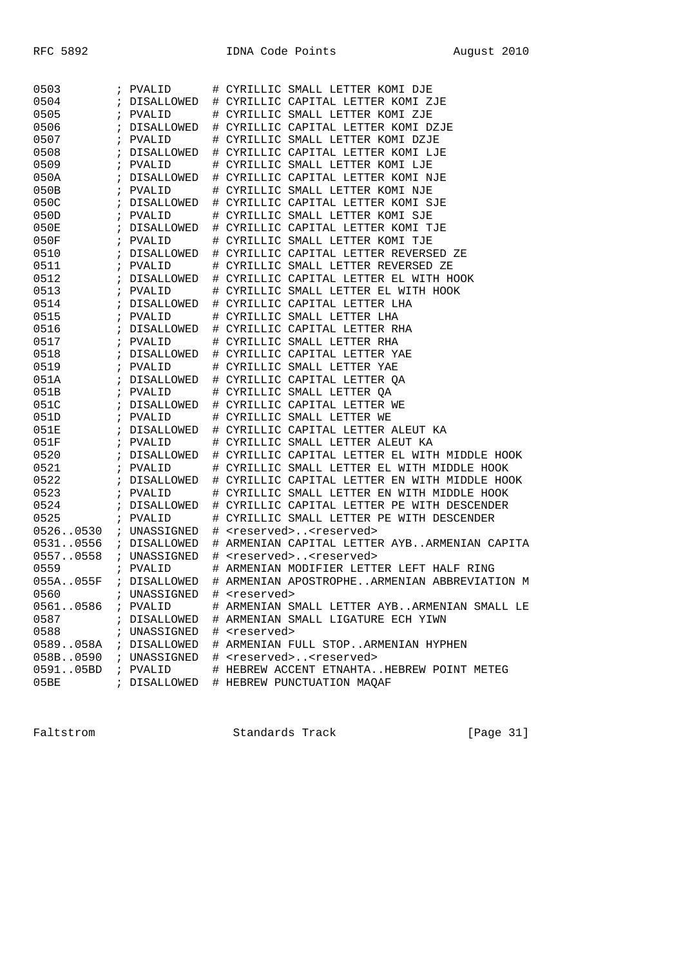| 0503     | ; PVALID     |    | # CYRILLIC SMALL LETTER KOMI DJE              |
|----------|--------------|----|-----------------------------------------------|
| 0504     | ; DISALLOWED |    | # CYRILLIC CAPITAL LETTER KOMI ZJE            |
| 0505     | ; PVALID     |    | # CYRILLIC SMALL LETTER KOMI ZJE              |
| 0506     | ; DISALLOWED |    | # CYRILLIC CAPITAL LETTER KOMI DZJE           |
| 0507     | ; PVALID     |    | # CYRILLIC SMALL LETTER KOMI DZJE             |
| 0508     | ; DISALLOWED |    | # CYRILLIC CAPITAL LETTER KOMI LJE            |
| 0509     | ; PVALID     |    | # CYRILLIC SMALL LETTER KOMI LJE              |
| 050A     | ; DISALLOWED |    | # CYRILLIC CAPITAL LETTER KOMI NJE            |
| 050B     | ; PVALID     |    | # CYRILLIC SMALL LETTER KOMI NJE              |
| 050C     | ; DISALLOWED |    | # CYRILLIC CAPITAL LETTER KOMI SJE            |
| 050D     | ; PVALID     |    | # CYRILLIC SMALL LETTER KOMI SJE              |
| 050E     | ; DISALLOWED |    | # CYRILLIC CAPITAL LETTER KOMI TJE            |
| 050F     | ; PVALID     |    | # CYRILLIC SMALL LETTER KOMI TJE              |
| 0510     | ; DISALLOWED |    | # CYRILLIC CAPITAL LETTER REVERSED ZE         |
| 0511     | ; PVALID     |    | # CYRILLIC SMALL LETTER REVERSED ZE           |
| 0512     | ; DISALLOWED |    | # CYRILLIC CAPITAL LETTER EL WITH HOOK        |
| 0513     | ; PVALID     |    | # CYRILLIC SMALL LETTER EL WITH HOOK          |
| 0514     | ; DISALLOWED |    | # CYRILLIC CAPITAL LETTER LHA                 |
| 0515     | ; PVALID     |    | # CYRILLIC SMALL LETTER LHA                   |
| 0516     | ; DISALLOWED |    | # CYRILLIC CAPITAL LETTER RHA                 |
| 0517     | ; PVALID     |    | # CYRILLIC SMALL LETTER RHA                   |
| 0518     | ; DISALLOWED |    | # CYRILLIC CAPITAL LETTER YAE                 |
| 0519     | ; PVALID     |    | # CYRILLIC SMALL LETTER YAE                   |
| 051A     | ; DISALLOWED |    | # CYRILLIC CAPITAL LETTER QA                  |
| 051B     | ; PVALID     |    | # CYRILLIC SMALL LETTER QA                    |
| 051C     | ; DISALLOWED |    | # CYRILLIC CAPITAL LETTER WE                  |
| 051D     | ; PVALID     |    | # CYRILLIC SMALL LETTER WE                    |
| 051E     | ; DISALLOWED |    | # CYRILLIC CAPITAL LETTER ALEUT KA            |
| 051F     | ; PVALID     | ⋕. | CYRILLIC SMALL LETTER ALEUT KA                |
| 0520     | ; DISALLOWED |    | # CYRILLIC CAPITAL LETTER EL WITH MIDDLE HOOK |
| 0521     | ; PVALID     |    | # CYRILLIC SMALL LETTER EL WITH MIDDLE HOOK   |
| 0522     | ; DISALLOWED |    | # CYRILLIC CAPITAL LETTER EN WITH MIDDLE HOOK |
| 0523     | ; PVALID     |    | # CYRILLIC SMALL LETTER EN WITH MIDDLE HOOK   |
| 0524     | ; DISALLOWED |    | # CYRILLIC CAPITAL LETTER PE WITH DESCENDER   |
| 0525     | ; PVALID     |    | # CYRILLIC SMALL LETTER PE WITH DESCENDER     |
| 05260530 | ; UNASSIGNED |    | # <reserved><reserved></reserved></reserved>  |
| 05310556 | ; DISALLOWED |    | # ARMENIAN CAPITAL LETTER AYBARMENIAN CAPITA  |
| 05570558 | ; UNASSIGNED |    | # <reserved><reserved></reserved></reserved>  |
| 0559     | ; PVALID     |    | # ARMENIAN MODIFIER LETTER LEFT HALF RING     |
| 055A055F | ; DISALLOWED |    | # ARMENIAN APOSTROPHEARMENIAN ABBREVIATION M  |
| 0560     | ; UNASSIGNED | #  | <reserved></reserved>                         |
| 05610586 | ; PVALID     |    | # ARMENIAN SMALL LETTER AYBARMENIAN SMALL LE  |
| 0587     | ; DISALLOWED |    | # ARMENIAN SMALL LIGATURE ECH YIWN            |
| 0588     | ; UNASSIGNED |    | # <reserved></reserved>                       |
| 0589058A | ; DISALLOWED |    | # ARMENIAN FULL STOPARMENIAN HYPHEN           |
| 058B0590 | ; UNASSIGNED |    | # <reserved><reserved></reserved></reserved>  |
| 059105BD | ; PVALID     |    | # HEBREW ACCENT ETNAHTAHEBREW POINT METEG     |
| 05BE     | ; DISALLOWED |    | # HEBREW PUNCTUATION MAQAF                    |

Faltstrom Standards Track [Page 31]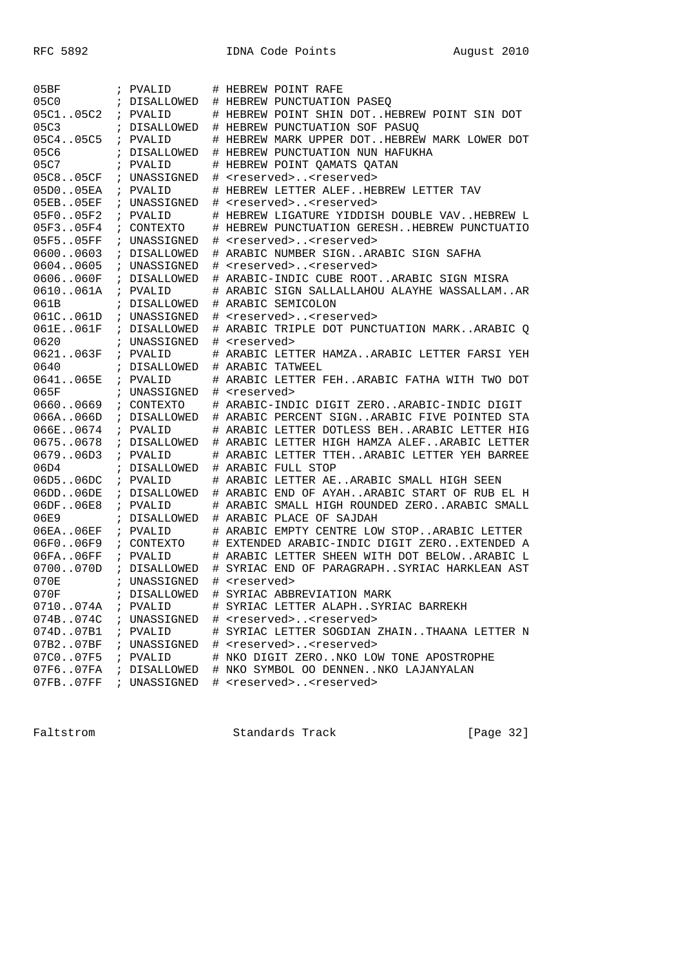| 05BF      |               | ; PVALID                   | #  | HEBREW POINT RAFE                            |
|-----------|---------------|----------------------------|----|----------------------------------------------|
| 05C0      |               | ; DISALLOWED               |    | # HEBREW PUNCTUATION PASEQ                   |
| 05C105C2  | $\mathbf{r}$  | PVALID                     |    | HEBREW POINT SHIN DOTHEBREW POINT SIN DOT    |
| 05C3      |               | ; DISALLOWED               |    | # HEBREW PUNCTUATION SOF PASUQ               |
| 05C405C5  |               | ; PVALID                   | #  | HEBREW MARK UPPER DOTHEBREW MARK LOWER DOT   |
| 05C6      |               | ; DISALLOWED               | #  | HEBREW PUNCTUATION NUN HAFUKHA               |
| 05C7      |               | ; PVALID                   | #  | HEBREW POINT QAMATS QATAN                    |
| 05C805CF  |               | ; UNASSIGNED               | #  | <reserved><reserved></reserved></reserved>   |
| 05D005EA  |               | ; PVALID                   | #  | HEBREW LETTER ALEFHEBREW LETTER TAV          |
| 05EB05EF  |               | ; UNASSIGNED               | #  | <reserved><reserved></reserved></reserved>   |
| 05F005F2  |               | ; PVALID                   |    | # HEBREW LIGATURE YIDDISH DOUBLE VAVHEBREW L |
| 05F305F4  |               | ; CONTEXTO                 | #  | HEBREW PUNCTUATION GERESHHEBREW PUNCTUATIO   |
| 05F505FF  |               | ; UNASSIGNED               | #  | <reserved><reserved></reserved></reserved>   |
| 06000603  |               | ; DISALLOWED               | #  | ARABIC NUMBER SIGNARABIC SIGN SAFHA          |
| 06040605  | $\mathcal{L}$ | UNASSIGNED                 | #  | <reserved><reserved></reserved></reserved>   |
| 0606060F  |               | ; DISALLOWED               |    | # ARABIC-INDIC CUBE ROOTARABIC SIGN MISRA    |
| 0610061A  |               | ; PVALID                   |    | ARABIC SIGN SALLALLAHOU ALAYHE WASSALLAMAR   |
| 061B      |               | ; DISALLOWED               | #  | ARABIC SEMICOLON                             |
| 061C061D  |               |                            | #  | <reserved><reserved></reserved></reserved>   |
|           |               | ; UNASSIGNED               | #  |                                              |
| 061E061F  |               | ; DISALLOWED<br>UNASSIGNED | ♯. | ARABIC TRIPLE DOT PUNCTUATION MARKARABIC O   |
| 0620      | $\mathbf{r}$  |                            | #  | <reserved></reserved>                        |
| 0621063F  |               | ; PVALID                   |    | # ARABIC LETTER HAMZAARABIC LETTER FARSI YEH |
| 0640      |               | ; DISALLOWED               |    | # ARABIC TATWEEL                             |
| 0641065E  |               | ; PVALID                   | #  | ARABIC LETTER FEHARABIC FATHA WITH TWO DOT   |
| 065F      |               | ; UNASSIGNED               | #  | <reserved></reserved>                        |
| 06600669  | $\mathcal{L}$ | CONTEXTO                   | ♯. | ARABIC-INDIC DIGIT ZEROARABIC-INDIC DIGIT    |
| 066A066D  |               | ; DISALLOWED               |    | ARABIC PERCENT SIGNARABIC FIVE POINTED STA   |
| 066E0674  |               | ; PVALID                   |    | ARABIC LETTER DOTLESS BEHARABIC LETTER HIG   |
| 06750678  |               | ; DISALLOWED               | #  | ARABIC LETTER HIGH HAMZA ALEF ARABIC LETTER  |
| 067906D3  |               | ; PVALID                   |    | ARABIC LETTER TTEHARABIC LETTER YEH BARREE   |
| 06D4      |               | ; DISALLOWED               |    | # ARABIC FULL STOP                           |
| 06D5.06DC | $\mathcal{L}$ | PVALID                     |    | # ARABIC LETTER AEARABIC SMALL HIGH SEEN     |
| 06DD.06DE |               | ; DISALLOWED               |    | ARABIC END OF AYAHARABIC START OF RUB EL H   |
| 06DF.06E8 |               | ; PVALID                   | #  | ARABIC SMALL HIGH ROUNDED ZEROARABIC SMALL   |
| 06E9      |               | ; DISALLOWED               |    | # ARABIC PLACE OF SAJDAH                     |
| 06EA06EF  |               | ; PVALID                   | #  | ARABIC EMPTY CENTRE LOW STOPARABIC LETTER    |
| 06F006F9  |               | ; CONTEXTO                 |    | # EXTENDED ARABIC-INDIC DIGIT ZEROEXTENDED A |
| 06FA06FF  | $\mathcal{L}$ | PVALID                     | #  | ARABIC LETTER SHEEN WITH DOT BELOWARABIC L   |
| 0700070D  |               | ; DISALLOWED               | #  | SYRIAC END OF PARAGRAPHSYRIAC HARKLEAN AST   |
| 070E      |               | ; UNASSIGNED               | #  | <reserved></reserved>                        |
| 070F      |               | ; DISALLOWED               | #  | SYRIAC ABBREVIATION MARK                     |
| 0710074A  |               | ; PVALID                   |    | # SYRIAC LETTER ALAPHSYRIAC BARREKH          |
| 074B074C  |               | ; UNASSIGNED               |    | # <reserved><reserved></reserved></reserved> |
| 074D07B1  |               | ; PVALID                   |    | # SYRIAC LETTER SOGDIAN ZHAINTHAANA LETTER N |
| 07B207BF  |               | ; UNASSIGNED               |    | # <reserved><reserved></reserved></reserved> |
| 07C007F5  |               | ; PVALID                   |    | # NKO DIGIT ZERONKO LOW TONE APOSTROPHE      |
| 07F607FA  |               | ; DISALLOWED               |    | # NKO SYMBOL OO DENNENNKO LAJANYALAN         |
| 07FB07FF  |               | UNASSIGNED                 |    | # <reserved><reserved></reserved></reserved> |

Faltstrom Standards Track [Page 32]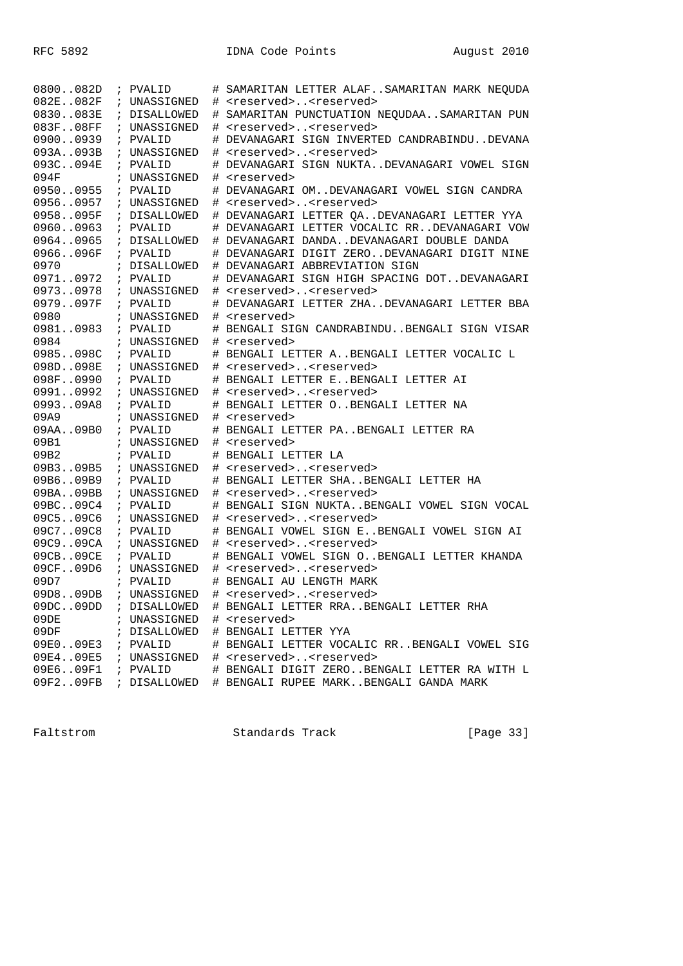| 0800082D  | ; PVALID     | # | SAMARITAN LETTER ALAFSAMARITAN MARK NEQUDA   |
|-----------|--------------|---|----------------------------------------------|
| 082E082F  | ; UNASSIGNED |   | # <reserved><reserved></reserved></reserved> |
| 0830083E  | ; DISALLOWED |   | # SAMARITAN PUNCTUATION NEQUDAASAMARITAN PUN |
| 083F08FF  | ; UNASSIGNED |   | # <reserved><reserved></reserved></reserved> |
| 09000939  | ; PVALID     | # | DEVANAGARI SIGN INVERTED CANDRABINDUDEVANA   |
| 093A093B  | ; UNASSIGNED | # | <reserved><reserved></reserved></reserved>   |
| 093C094E  | ; PVALID     |   | DEVANAGARI SIGN NUKTADEVANAGARI VOWEL SIGN   |
| 094F      | ; UNASSIGNED |   | # <reserved></reserved>                      |
| 09500955  | ; PVALID     |   | # DEVANAGARI OMDEVANAGARI VOWEL SIGN CANDRA  |
| 09560957  | ; UNASSIGNED |   | # <reserved><reserved></reserved></reserved> |
| 0958095F  | ; DISALLOWED |   | # DEVANAGARI LETTER QADEVANAGARI LETTER YYA  |
| 09600963  | ; PVALID     |   | # DEVANAGARI LETTER VOCALIC RRDEVANAGARI VOW |
| 09640965  | ; DISALLOWED |   | # DEVANAGARI DANDADEVANAGARI DOUBLE DANDA    |
| 0966096F  | ; PVALID     |   | # DEVANAGARI DIGIT ZERODEVANAGARI DIGIT NINE |
| 0970      | ; DISALLOWED |   | # DEVANAGARI ABBREVIATION SIGN               |
| 09710972  | ; PVALID     |   | # DEVANAGARI SIGN HIGH SPACING DOTDEVANAGARI |
| 09730978  | ; UNASSIGNED |   | # <reserved><reserved></reserved></reserved> |
| 0979097F  | ; PVALID     |   | DEVANAGARI LETTER ZHADEVANAGARI LETTER BBA   |
| 0980      | ; UNASSIGNED |   | # <reserved></reserved>                      |
| 09810983  | ; PVALID     |   | # BENGALI SIGN CANDRABINDUBENGALI SIGN VISAR |
| 0984      | ; UNASSIGNED |   | # <reserved></reserved>                      |
| 0985098C  | ; PVALID     |   | # BENGALI LETTER ABENGALI LETTER VOCALIC L   |
| 098D098E  | ; UNASSIGNED |   | # <reserved><reserved></reserved></reserved> |
| 098F0990  | ; PVALID     |   | # BENGALI LETTER EBENGALI LETTER AI          |
| 09910992  | ; UNASSIGNED |   | # <reserved><reserved></reserved></reserved> |
| 099309A8  | ; PVALID     |   | # BENGALI LETTER OBENGALI LETTER NA          |
| 09A9      | ; UNASSIGNED |   | # <reserved></reserved>                      |
| 09AA09B0  | ; PVALID     |   | # BENGALI LETTER PABENGALI LETTER RA         |
| 09B1      | ; UNASSIGNED |   | # <reserved></reserved>                      |
| 09B2      | ; PVALID     | # | BENGALI LETTER LA                            |
| 09B309B5  | ; UNASSIGNED |   | # <reserved><reserved></reserved></reserved> |
| 09B609B9  | ; PVALID     | # | BENGALI LETTER SHABENGALI LETTER HA          |
| 09BA09BB  | ; UNASSIGNED |   | # <reserved><reserved></reserved></reserved> |
| 09BC09C4  | ; PVALID     |   | # BENGALI SIGN NUKTABENGALI VOWEL SIGN VOCAL |
| 09C509C6  | ; UNASSIGNED |   | # <reserved><reserved></reserved></reserved> |
| 09C709C8  | ; PVALID     |   | # BENGALI VOWEL SIGN EBENGALI VOWEL SIGN AI  |
| 09C909CA  | ; UNASSIGNED |   | # <reserved><reserved></reserved></reserved> |
| 09CB09CE  | ; PVALID     |   | # BENGALI VOWEL SIGN OBENGALI LETTER KHANDA  |
| 09CF09D6  | ; UNASSIGNED |   | # <reserved><reserved></reserved></reserved> |
| 09D7      | ; PVALID     |   | # BENGALI AU LENGTH MARK                     |
| 09D809DB  | ; UNASSIGNED |   | # <reserved><reserved></reserved></reserved> |
| 09DC.09DD | ; DISALLOWED |   | # BENGALI LETTER RRABENGALI LETTER RHA       |
| 09DE      | ; UNASSIGNED |   | # <reserved></reserved>                      |
| 09DF      | ; DISALLOWED |   | # BENGALI LETTER YYA                         |
| 09E009E3  | ; PVALID     |   | # BENGALI LETTER VOCALIC RRBENGALI VOWEL SIG |
| 09E409E5  | ; UNASSIGNED |   | # <reserved><reserved></reserved></reserved> |
| 09E609F1  | ; PVALID     |   | # BENGALI DIGIT ZEROBENGALI LETTER RA WITH L |
| 09F209FB  | ; DISALLOWED |   | # BENGALI RUPEE MARKBENGALI GANDA MARK       |
|           |              |   |                                              |

Faltstrom Standards Track [Page 33]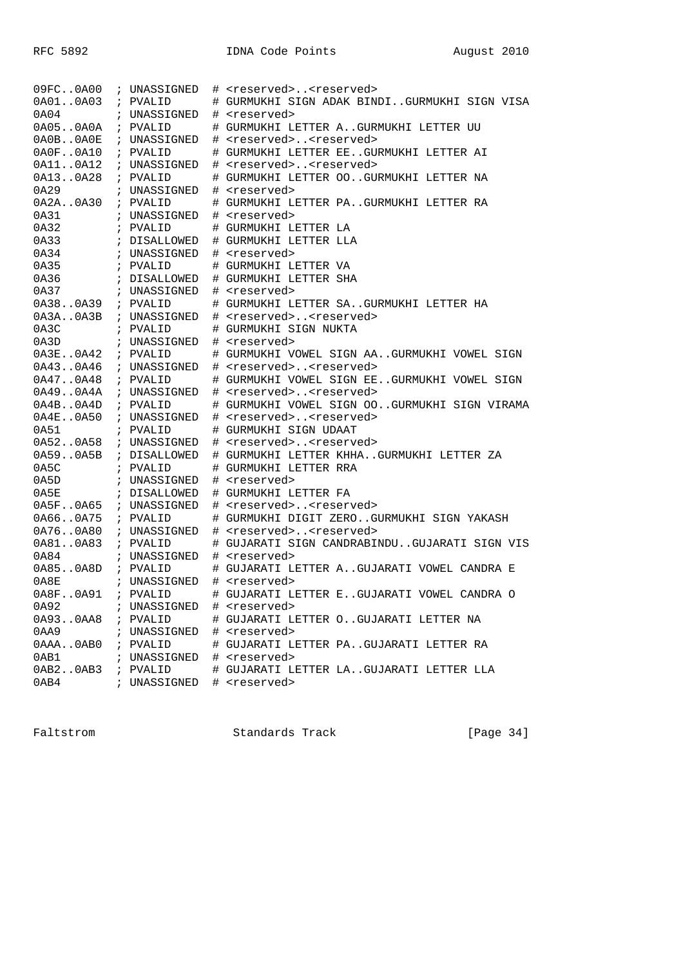| 09FC0A00      | ; UNASSIGNED | # <reserved><reserved></reserved></reserved> |
|---------------|--------------|----------------------------------------------|
| 0A010A03      | ; PVALID     | # GURMUKHI SIGN ADAK BINDIGURMUKHI SIGN VISA |
| 0A04          | ; UNASSIGNED | # <reserved></reserved>                      |
| 0A050A0A      | ; PVALID     | # GURMUKHI LETTER AGURMUKHI LETTER UU        |
| 0A0B. .0A0E   | ; UNASSIGNED | # <reserved><reserved></reserved></reserved> |
| 0A0F0A10      | ; PVALID     | # GURMUKHI LETTER EEGURMUKHI LETTER AI       |
| 0A110A12      | ; UNASSIGNED | # <reserved><reserved></reserved></reserved> |
| 0A130A28      | ; PVALID     | # GURMUKHI LETTER OOGURMUKHI LETTER NA       |
| 0A29          | ; UNASSIGNED | # <reserved></reserved>                      |
| 0A2A0A30      | ; PVALID     | # GURMUKHI LETTER PAGURMUKHI LETTER RA       |
| 0A31          | ; UNASSIGNED | # <reserved></reserved>                      |
| 0A32          | ; PVALID     | # GURMUKHI LETTER LA                         |
| 0A33          | ; DISALLOWED | # GURMUKHI LETTER LLA                        |
| 0A34          | ; UNASSIGNED | # <reserved></reserved>                      |
| 0A35          | ; PVALID     | # GURMUKHI LETTER VA                         |
| 0A36          | ; DISALLOWED | # GURMUKHI LETTER SHA                        |
| 0A37          | ; UNASSIGNED | # <reserved></reserved>                      |
| 0A380A39      | ; PVALID     | # GURMUKHI LETTER SAGURMUKHI LETTER HA       |
| 0A3A.0A3B     | ; UNASSIGNED | # <reserved><reserved></reserved></reserved> |
| 0A3C          | ; PVALID     | # GURMUKHI SIGN NUKTA                        |
| 0A3D          | ; UNASSIGNED | # <reserved></reserved>                      |
| $0A3E$ $0A42$ | ; PVALID     | # GURMUKHI VOWEL SIGN AAGURMUKHI VOWEL SIGN  |
| 0A430A46      | ; UNASSIGNED | # <reserved><reserved></reserved></reserved> |
| 0A470A48      | ; PVALID     | # GURMUKHI VOWEL SIGN EEGURMUKHI VOWEL SIGN  |
| 0A490A4A      | ; UNASSIGNED | # <reserved><reserved></reserved></reserved> |
| 0A4B. .0A4D   | ; PVALID     | # GURMUKHI VOWEL SIGN OOGURMUKHI SIGN VIRAMA |
| 0A4E0A50      | ; UNASSIGNED | # <reserved><reserved></reserved></reserved> |
| 0A51          | ; PVALID     | # GURMUKHI SIGN UDAAT                        |
| 0A520A58      | ; UNASSIGNED | # <reserved><reserved></reserved></reserved> |
| 0A59.0A5B     | ; DISALLOWED | # GURMUKHI LETTER KHHAGURMUKHI LETTER ZA     |
| 0A5C          | ; PVALID     | # GURMUKHI LETTER RRA                        |
| 0A5D          | ; UNASSIGNED | # <reserved></reserved>                      |
| 0A5E          | ; DISALLOWED | # GURMUKHI LETTER FA                         |
| 0A5F.0A65     | ; UNASSIGNED | # <reserved><reserved></reserved></reserved> |
| 0A660A75      | ; PVALID     | # GURMUKHI DIGIT ZEROGURMUKHI SIGN YAKASH    |
| 0A760A80      | ; UNASSIGNED | # <reserved><reserved></reserved></reserved> |
| 0A810A83      | ; PVALID     | # GUJARATI SIGN CANDRABINDUGUJARATI SIGN VIS |
| 0A84          | ; UNASSIGNED | # <reserved></reserved>                      |
| 0A850A8D      | ; PVALID     | # GUJARATI LETTER AGUJARATI VOWEL CANDRA E   |
| 0A8E          | ; UNASSIGNED | # <reserved></reserved>                      |
| 0A8F0A91      | ; PVALID     | # GUJARATI LETTER EGUJARATI VOWEL CANDRA O   |
| 0A92          | ; UNASSIGNED | # <reserved></reserved>                      |
| 0A930AA8      | ; PVALID     | # GUJARATI LETTER OGUJARATI LETTER NA        |
| 0AA9          | ; UNASSIGNED | # <reserved></reserved>                      |
| 0AAA0AB0      | ; PVALID     | # GUJARATI LETTER PAGUJARATI LETTER RA       |
| 0AB1          | ; UNASSIGNED | # <reserved></reserved>                      |
| 0AB2.0AB3     | ; PVALID     | # GUJARATI LETTER LAGUJARATI LETTER LLA      |
| 0AB4          | ; UNASSIGNED | # <reserved></reserved>                      |

Faltstrom Standards Track [Page 34]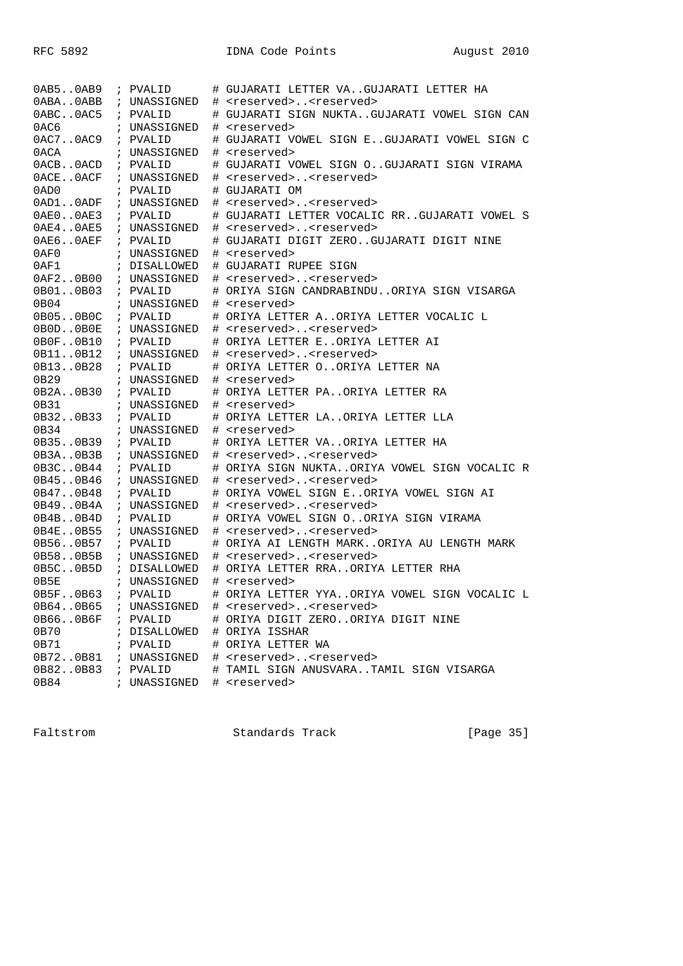| 0AB50AB9    | ; PVALID     | # GUJARATI LETTER VAGUJARATI LETTER HA       |
|-------------|--------------|----------------------------------------------|
| 0ABA0ABB    | ; UNASSIGNED | # <reserved><reserved></reserved></reserved> |
| 0ABC0AC5    | ; PVALID     | # GUJARATI SIGN NUKTAGUJARATI VOWEL SIGN CAN |
| 0AC6        | ; UNASSIGNED | # <reserved></reserved>                      |
| 0AC7.0AC9   | ; PVALID     | # GUJARATI VOWEL SIGN EGUJARATI VOWEL SIGN C |
| 0 ACA       | ; UNASSIGNED | # <reserved></reserved>                      |
| 0ACB0ACD    | ; PVALID     | # GUJARATI VOWEL SIGN OGUJARATI SIGN VIRAMA  |
| OACEOACF    | ; UNASSIGNED | # <reserved><reserved></reserved></reserved> |
| 0AD0        | ; PVALID     | # GUJARATI OM                                |
| 0AD1.0ADF   | ; UNASSIGNED | # <reserved><reserved></reserved></reserved> |
| 0AE00AE3    | ; PVALID     | # GUJARATI LETTER VOCALIC RRGUJARATI VOWEL S |
| 0AE4.0AE5   | ; UNASSIGNED | # <reserved><reserved></reserved></reserved> |
| OAE6OAEF    | ; PVALID     | # GUJARATI DIGIT ZEROGUJARATI DIGIT NINE     |
| 0AF0        | ; UNASSIGNED | # <reserved></reserved>                      |
| 0AF1        | ; DISALLOWED | # GUJARATI RUPEE SIGN                        |
| 0AF20B00    | ; UNASSIGNED | # <reserved><reserved></reserved></reserved> |
| 0B010B03    | ; PVALID     | # ORIYA SIGN CANDRABINDUORIYA SIGN VISARGA   |
| 0B04        | ; UNASSIGNED | # <reserved></reserved>                      |
| 0B050B0C    | ; PVALID     | # ORIYA LETTER AORIYA LETTER VOCALIC L       |
| OBODOBOE    | ; UNASSIGNED | # <reserved><reserved></reserved></reserved> |
| 0B0F.0B10   | ; PVALID     | # ORIYA LETTER EORIYA LETTER AI              |
| 0B110B12    | ; UNASSIGNED | # <reserved><reserved></reserved></reserved> |
| 0B130B28    | ; PVALID     | # ORIYA LETTER OORIYA LETTER NA              |
| 0B29        | ; UNASSIGNED | # <reserved></reserved>                      |
| 0B2A0B30    | ; PVALID     | # ORIYA LETTER PAORIYA LETTER RA             |
| 0B31        | ; UNASSIGNED | # <reserved></reserved>                      |
| 0B320B33    | ; PVALID     | # ORIYA LETTER LAORIYA LETTER LLA            |
| 0B34        | ; UNASSIGNED | # <reserved></reserved>                      |
| 0B350B39    | ; PVALID     | # ORIYA LETTER VAORIYA LETTER HA             |
| 0B3A.0B3B   | ; UNASSIGNED | # <reserved><reserved></reserved></reserved> |
| 0B3C0B44    | ; PVALID     | # ORIYA SIGN NUKTAORIYA VOWEL SIGN VOCALIC R |
| 0B450B46    | ; UNASSIGNED | # <reserved><reserved></reserved></reserved> |
| 0B470B48    | ; PVALID     | # ORIYA VOWEL SIGN EORIYA VOWEL SIGN AI      |
| 0B49.0B4A   | ; UNASSIGNED | # <reserved><reserved></reserved></reserved> |
| 0B4B. .0B4D | ; PVALID     | # ORIYA VOWEL SIGN OORIYA SIGN VIRAMA        |
| 0B4E0B55    | ; UNASSIGNED | # <reserved><reserved></reserved></reserved> |
| 0B560B57    | ; PVALID     | # ORIYA AI LENGTH MARKORIYA AU LENGTH MARK   |
| 0B580B5B    | ; UNASSIGNED | # <reserved><reserved></reserved></reserved> |
| 0B5C. .0B5D | ; DISALLOWED | # ORIYA LETTER RRAORIYA LETTER RHA           |
| 0B5E        | ; UNASSIGNED | # <reserved></reserved>                      |
| 0B5F0B63    | ; PVALID     | # ORIYA LETTER YYAORIYA VOWEL SIGN VOCALIC L |
| 0B640B65    | ; UNASSIGNED | # <reserved><reserved></reserved></reserved> |
| 0B660B6F    | ; PVALID     | # ORIYA DIGIT ZEROORIYA DIGIT NINE           |
| 0B70        | ; DISALLOWED | # ORIYA ISSHAR                               |
| 0B71        | ; PVALID     | # ORIYA LETTER WA                            |
| 0B720B81    | ; UNASSIGNED | # <reserved><reserved></reserved></reserved> |
| 0B820B83    | ; PVALID     | # TAMIL SIGN ANUSVARATAMIL SIGN VISARGA      |
| 0B84        | ; UNASSIGNED | # <reserved></reserved>                      |

Faltstrom Standards Track [Page 35]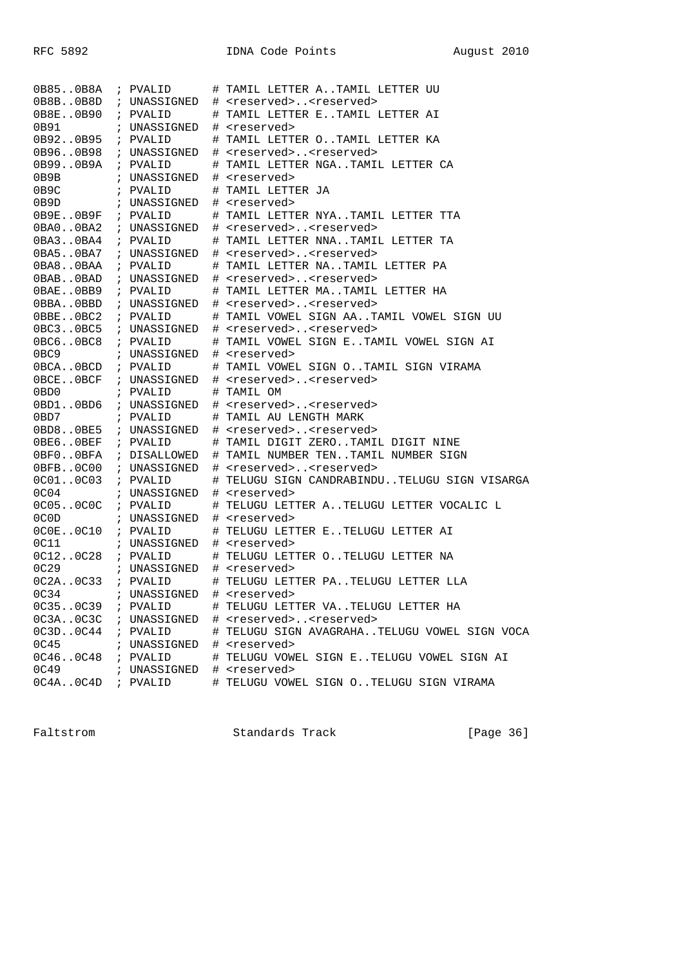| 0B850B8A                           | ; PVALID                             | # TAMIL LETTER ATAMIL LETTER UU              |
|------------------------------------|--------------------------------------|----------------------------------------------|
| 0B8B. .0B8D                        | ; UNASSIGNED                         | # <reserved><reserved></reserved></reserved> |
| 0B8E0B90                           | ; PVALID                             | # TAMIL LETTER ETAMIL LETTER AI              |
| 0B91                               | ; UNASSIGNED                         | # <reserved></reserved>                      |
| 0B920B95                           | ; PVALID                             | # TAMIL LETTER OTAMIL LETTER KA              |
| 0B960B98                           | ; UNASSIGNED                         | # <reserved><reserved></reserved></reserved> |
| 0B990B9A                           | ; PVALID                             | # TAMIL LETTER NGATAMIL LETTER CA            |
| 0B9B                               | ; UNASSIGNED                         | # <reserved></reserved>                      |
| 0B9C                               | ; PVALID                             | # TAMIL LETTER JA                            |
| 0B9D                               | ; UNASSIGNED                         | # <reserved></reserved>                      |
| 0B9E. .0B9F                        | ; PVALID                             | # TAMIL LETTER NYATAMIL LETTER TTA           |
| 0BA0.0BA2                          | ; UNASSIGNED                         | # <reserved><reserved></reserved></reserved> |
| 0BA3.0BA4                          | ; PVALID                             | # TAMIL LETTER NNATAMIL LETTER TA            |
| 0B <sub>A</sub> 50B <sub>A</sub> 7 | ; UNASSIGNED                         | # <reserved><reserved></reserved></reserved> |
| OBA8OBAA                           | ; PVALID                             | # TAMIL LETTER NATAMIL LETTER PA             |
| 0BAB0BAD                           | ; UNASSIGNED                         | # <reserved><reserved></reserved></reserved> |
| $0$ BAE $0$ BB9                    | ; PVALID                             | # TAMIL LETTER MATAMIL LETTER HA             |
| OBBAOBBD                           | ; UNASSIGNED                         | # <reserved><reserved></reserved></reserved> |
| OBBEOBC2                           | ; PVALID                             | # TAMIL VOWEL SIGN AATAMIL VOWEL SIGN UU     |
| 0BC3.0BC5                          | ; UNASSIGNED                         | # <reserved><reserved></reserved></reserved> |
| 0BC6.0BC8                          | ; PVALID                             | # TAMIL VOWEL SIGN ETAMIL VOWEL SIGN AI      |
| 0BC9                               | ; UNASSIGNED # <reserved></reserved> |                                              |
| $0BCA.$ . $0BCD$                   | ; PVALID                             | # TAMIL VOWEL SIGN OTAMIL SIGN VIRAMA        |
| OBCEOBCF                           | ; UNASSIGNED                         | # <reserved><reserved></reserved></reserved> |
| 0BD0                               | ; PVALID                             | # TAMIL OM                                   |
| 0BD10BD6                           | ; UNASSIGNED                         | # <reserved><reserved></reserved></reserved> |
| 0BD7                               | ; PVALID                             | # TAMIL AU LENGTH MARK                       |
| 0BD8.0BE5                          | ; UNASSIGNED                         | # <reserved><reserved></reserved></reserved> |
| OBE6OBEF                           | ; PVALID                             | # TAMIL DIGIT ZEROTAMIL DIGIT NINE           |
| OBFOOBFA                           | ; DISALLOWED                         | # TAMIL NUMBER TENTAMIL NUMBER SIGN          |
| 0BFB. .0C00                        | ; UNASSIGNED                         | # <reserved><reserved></reserved></reserved> |
| 0C010C03                           | ; PVALID                             | # TELUGU SIGN CANDRABINDUTELUGU SIGN VISARGA |
| 0C04                               | ; UNASSIGNED                         | # <reserved></reserved>                      |
| 0C05.0C0C                          | ; PVALID                             | # TELUGU LETTER ATELUGU LETTER VOCALIC L     |
| 0C0D                               | ; UNASSIGNED                         | # <reserved></reserved>                      |
| $0C0E$ $0C10$                      | ; PVALID                             | # TELUGU LETTER ETELUGU LETTER AI            |
| 0C11                               | ; UNASSIGNED                         | # <reserved></reserved>                      |
| 0C12.0C28                          | ; PVALID                             | # TELUGU LETTER OTELUGU LETTER NA            |
| 0C29                               | ; UNASSIGNED                         | # <reserved></reserved>                      |
| OC2A.0C33                          | ; PVALID                             | # TELUGU LETTER PATELUGU LETTER LLA          |
| 0C34                               | ; UNASSIGNED                         | # <reserved></reserved>                      |
| 0C350C39                           | ; PVALID                             | # TELUGU LETTER VATELUGU LETTER HA           |
| OC3A. . 0C3C                       | ; UNASSIGNED                         | # <reserved><reserved></reserved></reserved> |
| 0C3D0C44                           | ; PVALID                             | # TELUGU SIGN AVAGRAHATELUGU VOWEL SIGN VOCA |
| 0C45                               | ; UNASSIGNED                         | # <reserved></reserved>                      |
| 0C460C48                           | ; PVALID                             | # TELUGU VOWEL SIGN ETELUGU VOWEL SIGN AI    |
| 0C49                               | ; UNASSIGNED                         | # <reserved></reserved>                      |
| 0C4A. .0C4D                        |                                      | # TELUGU VOWEL SIGN OTELUGU SIGN VIRAMA      |
|                                    | ; PVALID                             |                                              |

Faltstrom Standards Track [Page 36]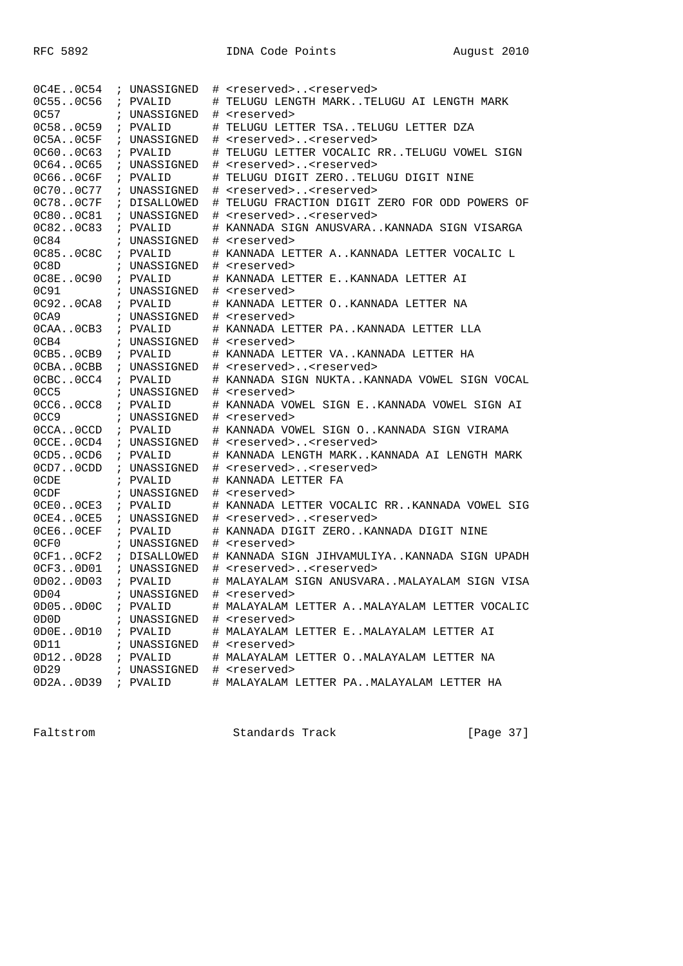| $0C4E$ $0C54$    | ; UNASSIGNED |   | # <reserved><reserved></reserved></reserved> |
|------------------|--------------|---|----------------------------------------------|
| 0C550C56         | ; PVALID     |   | # TELUGU LENGTH MARKTELUGU AI LENGTH MARK    |
| 0C57             | UNASSIGNED   | # | <reserved></reserved>                        |
| 0C580C59         | ; PVALID     |   | TELUGU LETTER TSATELUGU LETTER DZA           |
| 0C5A. . 0C5F     | ; UNASSIGNED | # | <reserved><reserved></reserved></reserved>   |
| 0C600C63         | ; PVALID     | # | TELUGU LETTER VOCALIC RRTELUGU VOWEL SIGN    |
| 0C640C65         | ; UNASSIGNED |   | # <reserved><reserved></reserved></reserved> |
| 0C660C6F         | ; PVALID     | # | TELUGU DIGIT ZEROTELUGU DIGIT NINE           |
| 0C700C77         | ; UNASSIGNED | # | <reserved><reserved></reserved></reserved>   |
| 0C780C7F         | ; DISALLOWED | # | TELUGU FRACTION DIGIT ZERO FOR ODD POWERS OF |
| 0C800C81         | ; UNASSIGNED |   | # <reserved><reserved></reserved></reserved> |
| 0C820C83         | ; PVALID     |   | # KANNADA SIGN ANUSVARAKANNADA SIGN VISARGA  |
| 0C84             | ; UNASSIGNED |   | # <reserved></reserved>                      |
| 0C850C8C         | ; PVALID     |   | # KANNADA LETTER AKANNADA LETTER VOCALIC L   |
| 0C8D             | ; UNASSIGNED |   | # <reserved></reserved>                      |
| 0C8E0C90         | ; PVALID     |   | # KANNADA LETTER EKANNADA LETTER AI          |
| 0C91             | ; UNASSIGNED |   | # <reserved></reserved>                      |
| 0C920CA8         | ; PVALID     |   | # KANNADA LETTER OKANNADA LETTER NA          |
| 0CA9             | ; UNASSIGNED |   | # <reserved></reserved>                      |
| OCAAOCB3         | ; PVALID     |   | # KANNADA LETTER PAKANNADA LETTER LLA        |
| 0CB4             | ; UNASSIGNED |   | # <reserved></reserved>                      |
| OCB5OCB9         | ; PVALID     |   | # KANNADA LETTER VAKANNADA LETTER HA         |
| OCBAOCBB         | ; UNASSIGNED |   | # <reserved><reserved></reserved></reserved> |
| OCBCOCC4         | ; PVALID     |   | # KANNADA SIGN NUKTAKANNADA VOWEL SIGN VOCAL |
| 0CC5             | ; UNASSIGNED |   | # <reserved></reserved>                      |
| 0CC6.0CC8        | ; PVALID     |   | # KANNADA VOWEL SIGN EKANNADA VOWEL SIGN AI  |
| 0CC <sub>9</sub> | ; UNASSIGNED |   | # <reserved></reserved>                      |
| OCCAOCCD         | ; PVALID     |   | # KANNADA VOWEL SIGN OKANNADA SIGN VIRAMA    |
| OCCEOCD4         | ; UNASSIGNED |   | # <reserved><reserved></reserved></reserved> |
| OCD50CD6         | ; PVALID     |   | # KANNADA LENGTH MARKKANNADA AI LENGTH MARK  |
| OCD7OCDD         | ; UNASSIGNED |   | # <reserved><reserved></reserved></reserved> |
| 0CDE             | ; PVALID     |   | # KANNADA LETTER FA                          |
| 0CDF             | ; UNASSIGNED |   | # <reserved></reserved>                      |
| OCEOOCE3         | ; PVALID     |   | # KANNADA LETTER VOCALIC RRKANNADA VOWEL SIG |
| OCE4OCE5         | ; UNASSIGNED |   | # <reserved><reserved></reserved></reserved> |
| OCE6OCEF         | ; PVALID     |   | # KANNADA DIGIT ZEROKANNADA DIGIT NINE       |
| 0CF0             | ; UNASSIGNED |   | # <reserved></reserved>                      |
| OCF1.0CF2        | ; DISALLOWED |   | # KANNADA SIGN JIHVAMULIYAKANNADA SIGN UPADH |
| OCF30D01         | ; UNASSIGNED |   | # <reserved><reserved></reserved></reserved> |
| 0D020D03         | ; PVALID     | # | MALAYALAM SIGN ANUSVARAMALAYALAM SIGN VISA   |
| 0D04             | ; UNASSIGNED | # | <reserved></reserved>                        |
| 0D050D0C         | ; PVALID     |   | # MALAYALAM LETTER AMALAYALAM LETTER VOCALIC |
| 0D0D             | ; UNASSIGNED |   | # <reserved></reserved>                      |
| 0D0E0D10         | ; PVALID     |   | # MALAYALAM LETTER EMALAYALAM LETTER AI      |
| 0D11             | ; UNASSIGNED |   | # <reserved></reserved>                      |
| 0D120D28         | ; PVALID     |   | # MALAYALAM LETTER OMALAYALAM LETTER NA      |
| 0D29             | ; UNASSIGNED |   | # <reserved></reserved>                      |
| 0D2A0D39         | ; PVALID     |   | # MALAYALAM LETTER PAMALAYALAM LETTER HA     |

Faltstrom Standards Track [Page 37]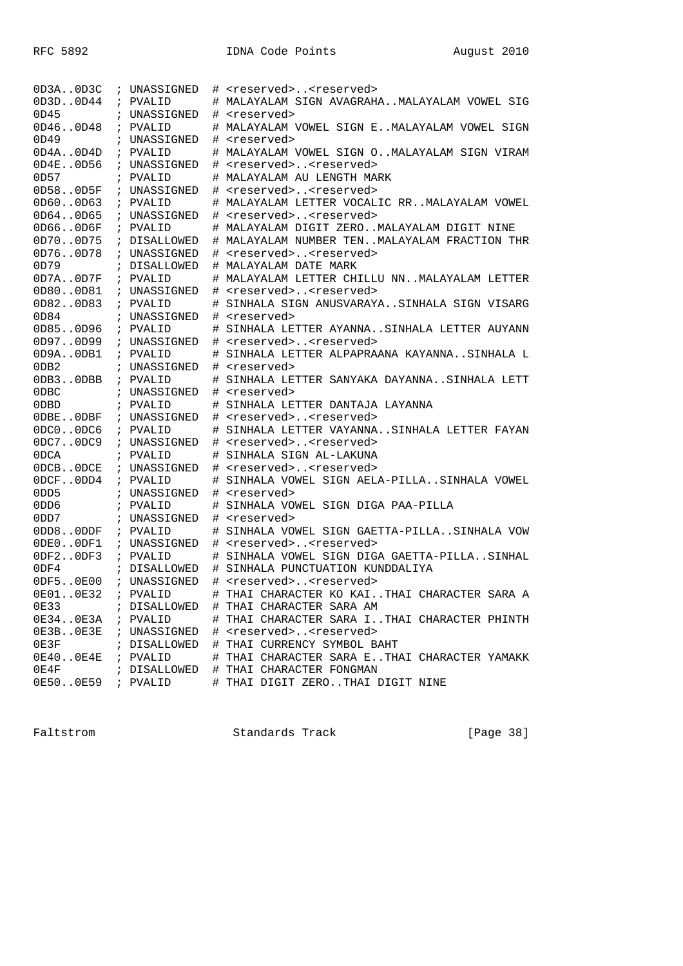| OD3A.0D3C     | ; UNASSIGNED |      | # <reserved><reserved></reserved></reserved> |
|---------------|--------------|------|----------------------------------------------|
| 0D3D0D44      | ; PVALID     |      | # MALAYALAM SIGN AVAGRAHAMALAYALAM VOWEL SIG |
| 0D45          | ; UNASSIGNED |      | # <reserved></reserved>                      |
| 0D460D48      | ; PVALID     | #    | MALAYALAM VOWEL SIGN EMALAYALAM VOWEL SIGN   |
| 0D49          | ; UNASSIGNED | #    | <reserved></reserved>                        |
| 0D4A. .0D4D   | ; PVALID     |      | # MALAYALAM VOWEL SIGN OMALAYALAM SIGN VIRAM |
| $0D4E.$ .0D56 | ; UNASSIGNED | $\#$ | <reserved><reserved></reserved></reserved>   |
| 0D57          | ; PVALID     |      | # MALAYALAM AU LENGTH MARK                   |
| 0D580D5F      | ; UNASSIGNED |      | # <reserved><reserved></reserved></reserved> |
| 0D600D63      | ; PVALID     |      | # MALAYALAM LETTER VOCALIC RRMALAYALAM VOWEL |
| 0D64.0D65     | ; UNASSIGNED |      | # <reserved><reserved></reserved></reserved> |
| 0D660D6F      | ; PVALID     |      | # MALAYALAM DIGIT ZEROMALAYALAM DIGIT NINE   |
| 0D700D75      | ; DISALLOWED |      | # MALAYALAM NUMBER TENMALAYALAM FRACTION THR |
| 0D760D78      | ; UNASSIGNED |      | # <reserved><reserved></reserved></reserved> |
| 0D79          | ; DISALLOWED |      | # MALAYALAM DATE MARK                        |
| 0D7A.0D7F     | ; PVALID     | #    | MALAYALAM LETTER CHILLU NNMALAYALAM LETTER   |
| 0D800D81      | ; UNASSIGNED | #    | <reserved><reserved></reserved></reserved>   |
| 0D820D83      | ; PVALID     | #    | SINHALA SIGN ANUSVARAYASINHALA SIGN VISARG   |
| 0D84          | ; UNASSIGNED | $\#$ | <reserved></reserved>                        |
| 0D850D96      | ; PVALID     | #    | SINHALA LETTER AYANNASINHALA LETTER AUYANN   |
| 0D970D99      | ; UNASSIGNED |      | # <reserved><reserved></reserved></reserved> |
| OD9AODB1      | ; PVALID     | $\#$ | SINHALA LETTER ALPAPRAANA KAYANNASINHALA L   |
| 0DB2          | ; UNASSIGNED | #    | <reserved></reserved>                        |
| ODB3ODBB      | ; PVALID     | #    | SINHALA LETTER SANYAKA DAYANNASINHALA LETT   |
| 0DBC          | ; UNASSIGNED |      | # <reserved></reserved>                      |
| 0DBD          | ; PVALID     | #    | SINHALA LETTER DANTAJA LAYANNA               |
| ODBEODBF      | ; UNASSIGNED |      | # <reserved><reserved></reserved></reserved> |
| 0DC0.0DC6     | ; PVALID     | #    | SINHALA LETTER VAYANNASINHALA LETTER FAYAN   |
| 0DC7.0DC9     | ; UNASSIGNED | #    | <reserved><reserved></reserved></reserved>   |
| 0DCA          | ; PVALID     | #    | SINHALA SIGN AL-LAKUNA                       |
| ODCBODCE      | ; UNASSIGNED | $\#$ | <reserved><reserved></reserved></reserved>   |
| ODCFODD4      | ; PVALID     | #    | SINHALA VOWEL SIGN AELA-PILLASINHALA VOWEL   |
| 0DD5          | ; UNASSIGNED |      | # <reserved></reserved>                      |
| 0DD6          | ; PVALID     | $\#$ | SINHALA VOWEL SIGN DIGA PAA-PILLA            |
| 0DD7          | ; UNASSIGNED | #    | <reserved></reserved>                        |
| 0DD80DDF      | ; PVALID     | #    | SINHALA VOWEL SIGN GAETTA-PILLASINHALA VOW   |
| ODEOODF1      | ; UNASSIGNED | $\#$ | <reserved><reserved></reserved></reserved>   |
| ODF20DF3      | ; PVALID     | #    | SINHALA VOWEL SIGN DIGA GAETTA-PILLASINHAL   |
| 0DF4          | ; DISALLOWED |      | # SINHALA PUNCTUATION KUNDDALIYA             |
| 0DF50E00      | ; UNASSIGNED |      | # <reserved><reserved></reserved></reserved> |
| 0E010E32      | ; PVALID     | #    | THAI CHARACTER KO KAITHAI CHARACTER SARA A   |
| 0E33          | ; DISALLOWED |      | # THAI CHARACTER SARA AM                     |
| 0E340E3A      | ; PVALID     |      | # THAI CHARACTER SARA ITHAI CHARACTER PHINTH |
| 0E3B0E3E      | ; UNASSIGNED |      | # <reserved><reserved></reserved></reserved> |
| 0E3F          | ; DISALLOWED |      | # THAI CURRENCY SYMBOL BAHT                  |
| 0E400E4E      | ; PVALID     |      | # THAI CHARACTER SARA ETHAI CHARACTER YAMAKK |
| 0E4F          | ; DISALLOWED |      | # THAI CHARACTER FONGMAN                     |
| 0E500E59      | ; PVALID     |      | # THAI DIGIT ZEROTHAI DIGIT NINE             |

Faltstrom Standards Track [Page 38]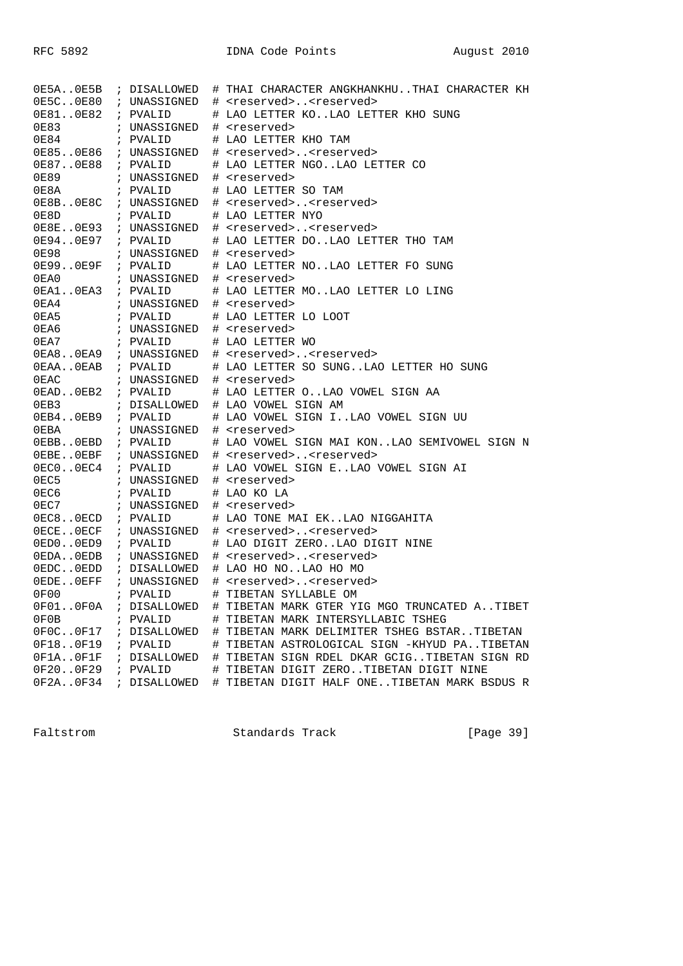| 0E5C0E80 ; UNASSIGNED<br># <reserved><reserved><br/>OE810E82 ; PVALID<br/># LAO LETTER KOLAO LETTER KHO SUNG<br/>0E83<br/>; UNASSIGNED # <reserved><br/>0E84 ; PVALID<br/># LAO LETTER KHO TAM<br/>0E850E86 ; UNASSIGNED<br/># <reserved><reserved><br/>0E870E88 ; PVALID<br/># LAO LETTER NGOLAO LETTER CO<br/>; UNASSIGNED<br/>0E89<br/># <reserved><br/>; PVALID<br/># LAO LETTER SO TAM<br/>0E8A<br/>OE8BOE8C ; UNASSIGNED # <reserved><reserved><br/>; PVALID<br/>0E8D<br/># LAO LETTER NYO<br/>OE8E0E93 ; UNASSIGNED # <reserved><reserved><br/>0E940E97 ; PVALID<br/># LAO LETTER DOLAO LETTER THO TAM<br/>0E98<br/>; UNASSIGNED # <reserved><br/>OE990E9F ; PVALID<br/># LAO LETTER NOLAO LETTER FO SUNG<br/>; UNASSIGNED # <reserved><br/>0EA0<br/>OEA10EA3 ; PVALID<br/># LAO LETTER MOLAO LETTER LO LING<br/>0EA4 ; UNASSIGNED<br/># <reserved><br/>0EA7 : PVALID # LAO LETTER WO<br/>0EA80EA9 ; UNASSIGNED # <reserved><reserved><br/># LAO LETTER SO SUNGLAO LETTER HO SUNG<br/>OEAAOEAB ; PVALID<br/><math>0</math>EAC<br/>; UNASSIGNED # <reserved><br/>OEADOEB2 ; PVALID<br/># LAO LETTER OLAO VOWEL SIGN AA<br/>; DISALLOWED # LAO VOWEL SIGN AM<br/>0EB3<br/>OEB40EB9 ; PVALID<br/># LAO VOWEL SIGN ILAO VOWEL SIGN UU<br/>0EBA : UNASSIGNED # <reserved><br/>OEBBOEBD ; PVALID<br/># LAO VOWEL SIGN MAI KONLAO SEMIVOWEL SIGN N<br/>OEBEOEBF ; UNASSIGNED<br/># <reserved><reserved><br/>OECOOEC4 ; PVALID<br/># LAO VOWEL SIGN ELAO VOWEL SIGN AI<br/>0EC5 : UNASSIGNED # <reserved><br/>0EC6 : PVALID # LAO KO LA<br/>0EC7 : UNASSIGNED # <reserved><br/># LAO TONE MAI EKLAO NIGGAHITA<br/>OEC80ECD ; PVALID<br/>OECEOECF ; UNASSIGNED<br/># <reserved><reserved><br/>OEDOOED9 ; PVALID<br/># LAO DIGIT ZEROLAO DIGIT NINE<br/>OEDCOEDD ; DISALLOWED<br/># LAO HO NOLAO HO MO<br/>OEDEOEFF ; UNASSIGNED<br/># <reserved><reserved><br/>0F00<br/>; PVALID<br/># TIBETAN SYLLABLE OM<br/>0F01.0F0A<br/># TIBETAN MARK GTER YIG MGO TRUNCATED ATIBET<br/>; DISALLOWED<br/>0F0B<br/># TIBETAN MARK INTERSYLLABIC TSHEG<br/>; PVALID<br/>0F0C0F17<br/># TIBETAN MARK DELIMITER TSHEG BSTARTIBETAN<br/>; DISALLOWED<br/>0F180F19<br/>PVALID<br/>TIBETAN ASTROLOGICAL SIGN -KHYUD PATIBETAN<br/><math display="block">\#</math><br/><math>\ddot{i}</math><br/>0F1A.0F1F<br/># TIBETAN SIGN RDEL DKAR GCIGTIBETAN SIGN RD<br/>DISALLOWED<br/><math>\ddot{i}</math><br/>0F200F29<br/># TIBETAN DIGIT ZEROTIBETAN DIGIT NINE<br/>PVALID<br/><math>\mathcal{L}</math><br/>0F2A0F34<br/># TIBETAN DIGIT HALF ONETIBETAN MARK BSDUS R<br/>DISALLOWED</reserved></reserved></reserved></reserved></reserved></reserved></reserved></reserved></reserved></reserved></reserved></reserved></reserved></reserved></reserved></reserved></reserved></reserved></reserved></reserved></reserved></reserved></reserved></reserved></reserved> |  |  | 0E5A0E5B ; DISALLOWED # THAI CHARACTER ANGKHANKHUTHAI CHARACTER KH |
|--------------------------------------------------------------------------------------------------------------------------------------------------------------------------------------------------------------------------------------------------------------------------------------------------------------------------------------------------------------------------------------------------------------------------------------------------------------------------------------------------------------------------------------------------------------------------------------------------------------------------------------------------------------------------------------------------------------------------------------------------------------------------------------------------------------------------------------------------------------------------------------------------------------------------------------------------------------------------------------------------------------------------------------------------------------------------------------------------------------------------------------------------------------------------------------------------------------------------------------------------------------------------------------------------------------------------------------------------------------------------------------------------------------------------------------------------------------------------------------------------------------------------------------------------------------------------------------------------------------------------------------------------------------------------------------------------------------------------------------------------------------------------------------------------------------------------------------------------------------------------------------------------------------------------------------------------------------------------------------------------------------------------------------------------------------------------------------------------------------------------------------------------------------------------------------------------------------------------------------------------------------------------------------------------------------------------------------------------------------------------------------------------------------------------------------------------------------------------------------------------------------------------------------------------------------------------------------------------------------------------------------------------------------------------------------------------------------------------------------------------------------------------------------------------------------------------------------------------|--|--|--------------------------------------------------------------------|
|                                                                                                                                                                                                                                                                                                                                                                                                                                                                                                                                                                                                                                                                                                                                                                                                                                                                                                                                                                                                                                                                                                                                                                                                                                                                                                                                                                                                                                                                                                                                                                                                                                                                                                                                                                                                                                                                                                                                                                                                                                                                                                                                                                                                                                                                                                                                                                                                                                                                                                                                                                                                                                                                                                                                                                                                                                                  |  |  |                                                                    |
|                                                                                                                                                                                                                                                                                                                                                                                                                                                                                                                                                                                                                                                                                                                                                                                                                                                                                                                                                                                                                                                                                                                                                                                                                                                                                                                                                                                                                                                                                                                                                                                                                                                                                                                                                                                                                                                                                                                                                                                                                                                                                                                                                                                                                                                                                                                                                                                                                                                                                                                                                                                                                                                                                                                                                                                                                                                  |  |  |                                                                    |
|                                                                                                                                                                                                                                                                                                                                                                                                                                                                                                                                                                                                                                                                                                                                                                                                                                                                                                                                                                                                                                                                                                                                                                                                                                                                                                                                                                                                                                                                                                                                                                                                                                                                                                                                                                                                                                                                                                                                                                                                                                                                                                                                                                                                                                                                                                                                                                                                                                                                                                                                                                                                                                                                                                                                                                                                                                                  |  |  |                                                                    |
|                                                                                                                                                                                                                                                                                                                                                                                                                                                                                                                                                                                                                                                                                                                                                                                                                                                                                                                                                                                                                                                                                                                                                                                                                                                                                                                                                                                                                                                                                                                                                                                                                                                                                                                                                                                                                                                                                                                                                                                                                                                                                                                                                                                                                                                                                                                                                                                                                                                                                                                                                                                                                                                                                                                                                                                                                                                  |  |  |                                                                    |
|                                                                                                                                                                                                                                                                                                                                                                                                                                                                                                                                                                                                                                                                                                                                                                                                                                                                                                                                                                                                                                                                                                                                                                                                                                                                                                                                                                                                                                                                                                                                                                                                                                                                                                                                                                                                                                                                                                                                                                                                                                                                                                                                                                                                                                                                                                                                                                                                                                                                                                                                                                                                                                                                                                                                                                                                                                                  |  |  |                                                                    |
|                                                                                                                                                                                                                                                                                                                                                                                                                                                                                                                                                                                                                                                                                                                                                                                                                                                                                                                                                                                                                                                                                                                                                                                                                                                                                                                                                                                                                                                                                                                                                                                                                                                                                                                                                                                                                                                                                                                                                                                                                                                                                                                                                                                                                                                                                                                                                                                                                                                                                                                                                                                                                                                                                                                                                                                                                                                  |  |  |                                                                    |
|                                                                                                                                                                                                                                                                                                                                                                                                                                                                                                                                                                                                                                                                                                                                                                                                                                                                                                                                                                                                                                                                                                                                                                                                                                                                                                                                                                                                                                                                                                                                                                                                                                                                                                                                                                                                                                                                                                                                                                                                                                                                                                                                                                                                                                                                                                                                                                                                                                                                                                                                                                                                                                                                                                                                                                                                                                                  |  |  |                                                                    |
|                                                                                                                                                                                                                                                                                                                                                                                                                                                                                                                                                                                                                                                                                                                                                                                                                                                                                                                                                                                                                                                                                                                                                                                                                                                                                                                                                                                                                                                                                                                                                                                                                                                                                                                                                                                                                                                                                                                                                                                                                                                                                                                                                                                                                                                                                                                                                                                                                                                                                                                                                                                                                                                                                                                                                                                                                                                  |  |  |                                                                    |
|                                                                                                                                                                                                                                                                                                                                                                                                                                                                                                                                                                                                                                                                                                                                                                                                                                                                                                                                                                                                                                                                                                                                                                                                                                                                                                                                                                                                                                                                                                                                                                                                                                                                                                                                                                                                                                                                                                                                                                                                                                                                                                                                                                                                                                                                                                                                                                                                                                                                                                                                                                                                                                                                                                                                                                                                                                                  |  |  |                                                                    |
|                                                                                                                                                                                                                                                                                                                                                                                                                                                                                                                                                                                                                                                                                                                                                                                                                                                                                                                                                                                                                                                                                                                                                                                                                                                                                                                                                                                                                                                                                                                                                                                                                                                                                                                                                                                                                                                                                                                                                                                                                                                                                                                                                                                                                                                                                                                                                                                                                                                                                                                                                                                                                                                                                                                                                                                                                                                  |  |  |                                                                    |
|                                                                                                                                                                                                                                                                                                                                                                                                                                                                                                                                                                                                                                                                                                                                                                                                                                                                                                                                                                                                                                                                                                                                                                                                                                                                                                                                                                                                                                                                                                                                                                                                                                                                                                                                                                                                                                                                                                                                                                                                                                                                                                                                                                                                                                                                                                                                                                                                                                                                                                                                                                                                                                                                                                                                                                                                                                                  |  |  |                                                                    |
|                                                                                                                                                                                                                                                                                                                                                                                                                                                                                                                                                                                                                                                                                                                                                                                                                                                                                                                                                                                                                                                                                                                                                                                                                                                                                                                                                                                                                                                                                                                                                                                                                                                                                                                                                                                                                                                                                                                                                                                                                                                                                                                                                                                                                                                                                                                                                                                                                                                                                                                                                                                                                                                                                                                                                                                                                                                  |  |  |                                                                    |
|                                                                                                                                                                                                                                                                                                                                                                                                                                                                                                                                                                                                                                                                                                                                                                                                                                                                                                                                                                                                                                                                                                                                                                                                                                                                                                                                                                                                                                                                                                                                                                                                                                                                                                                                                                                                                                                                                                                                                                                                                                                                                                                                                                                                                                                                                                                                                                                                                                                                                                                                                                                                                                                                                                                                                                                                                                                  |  |  |                                                                    |
|                                                                                                                                                                                                                                                                                                                                                                                                                                                                                                                                                                                                                                                                                                                                                                                                                                                                                                                                                                                                                                                                                                                                                                                                                                                                                                                                                                                                                                                                                                                                                                                                                                                                                                                                                                                                                                                                                                                                                                                                                                                                                                                                                                                                                                                                                                                                                                                                                                                                                                                                                                                                                                                                                                                                                                                                                                                  |  |  |                                                                    |
|                                                                                                                                                                                                                                                                                                                                                                                                                                                                                                                                                                                                                                                                                                                                                                                                                                                                                                                                                                                                                                                                                                                                                                                                                                                                                                                                                                                                                                                                                                                                                                                                                                                                                                                                                                                                                                                                                                                                                                                                                                                                                                                                                                                                                                                                                                                                                                                                                                                                                                                                                                                                                                                                                                                                                                                                                                                  |  |  |                                                                    |
|                                                                                                                                                                                                                                                                                                                                                                                                                                                                                                                                                                                                                                                                                                                                                                                                                                                                                                                                                                                                                                                                                                                                                                                                                                                                                                                                                                                                                                                                                                                                                                                                                                                                                                                                                                                                                                                                                                                                                                                                                                                                                                                                                                                                                                                                                                                                                                                                                                                                                                                                                                                                                                                                                                                                                                                                                                                  |  |  |                                                                    |
|                                                                                                                                                                                                                                                                                                                                                                                                                                                                                                                                                                                                                                                                                                                                                                                                                                                                                                                                                                                                                                                                                                                                                                                                                                                                                                                                                                                                                                                                                                                                                                                                                                                                                                                                                                                                                                                                                                                                                                                                                                                                                                                                                                                                                                                                                                                                                                                                                                                                                                                                                                                                                                                                                                                                                                                                                                                  |  |  |                                                                    |
|                                                                                                                                                                                                                                                                                                                                                                                                                                                                                                                                                                                                                                                                                                                                                                                                                                                                                                                                                                                                                                                                                                                                                                                                                                                                                                                                                                                                                                                                                                                                                                                                                                                                                                                                                                                                                                                                                                                                                                                                                                                                                                                                                                                                                                                                                                                                                                                                                                                                                                                                                                                                                                                                                                                                                                                                                                                  |  |  |                                                                    |
|                                                                                                                                                                                                                                                                                                                                                                                                                                                                                                                                                                                                                                                                                                                                                                                                                                                                                                                                                                                                                                                                                                                                                                                                                                                                                                                                                                                                                                                                                                                                                                                                                                                                                                                                                                                                                                                                                                                                                                                                                                                                                                                                                                                                                                                                                                                                                                                                                                                                                                                                                                                                                                                                                                                                                                                                                                                  |  |  |                                                                    |
|                                                                                                                                                                                                                                                                                                                                                                                                                                                                                                                                                                                                                                                                                                                                                                                                                                                                                                                                                                                                                                                                                                                                                                                                                                                                                                                                                                                                                                                                                                                                                                                                                                                                                                                                                                                                                                                                                                                                                                                                                                                                                                                                                                                                                                                                                                                                                                                                                                                                                                                                                                                                                                                                                                                                                                                                                                                  |  |  |                                                                    |
|                                                                                                                                                                                                                                                                                                                                                                                                                                                                                                                                                                                                                                                                                                                                                                                                                                                                                                                                                                                                                                                                                                                                                                                                                                                                                                                                                                                                                                                                                                                                                                                                                                                                                                                                                                                                                                                                                                                                                                                                                                                                                                                                                                                                                                                                                                                                                                                                                                                                                                                                                                                                                                                                                                                                                                                                                                                  |  |  |                                                                    |
|                                                                                                                                                                                                                                                                                                                                                                                                                                                                                                                                                                                                                                                                                                                                                                                                                                                                                                                                                                                                                                                                                                                                                                                                                                                                                                                                                                                                                                                                                                                                                                                                                                                                                                                                                                                                                                                                                                                                                                                                                                                                                                                                                                                                                                                                                                                                                                                                                                                                                                                                                                                                                                                                                                                                                                                                                                                  |  |  |                                                                    |
|                                                                                                                                                                                                                                                                                                                                                                                                                                                                                                                                                                                                                                                                                                                                                                                                                                                                                                                                                                                                                                                                                                                                                                                                                                                                                                                                                                                                                                                                                                                                                                                                                                                                                                                                                                                                                                                                                                                                                                                                                                                                                                                                                                                                                                                                                                                                                                                                                                                                                                                                                                                                                                                                                                                                                                                                                                                  |  |  |                                                                    |
|                                                                                                                                                                                                                                                                                                                                                                                                                                                                                                                                                                                                                                                                                                                                                                                                                                                                                                                                                                                                                                                                                                                                                                                                                                                                                                                                                                                                                                                                                                                                                                                                                                                                                                                                                                                                                                                                                                                                                                                                                                                                                                                                                                                                                                                                                                                                                                                                                                                                                                                                                                                                                                                                                                                                                                                                                                                  |  |  |                                                                    |
|                                                                                                                                                                                                                                                                                                                                                                                                                                                                                                                                                                                                                                                                                                                                                                                                                                                                                                                                                                                                                                                                                                                                                                                                                                                                                                                                                                                                                                                                                                                                                                                                                                                                                                                                                                                                                                                                                                                                                                                                                                                                                                                                                                                                                                                                                                                                                                                                                                                                                                                                                                                                                                                                                                                                                                                                                                                  |  |  |                                                                    |
|                                                                                                                                                                                                                                                                                                                                                                                                                                                                                                                                                                                                                                                                                                                                                                                                                                                                                                                                                                                                                                                                                                                                                                                                                                                                                                                                                                                                                                                                                                                                                                                                                                                                                                                                                                                                                                                                                                                                                                                                                                                                                                                                                                                                                                                                                                                                                                                                                                                                                                                                                                                                                                                                                                                                                                                                                                                  |  |  |                                                                    |
|                                                                                                                                                                                                                                                                                                                                                                                                                                                                                                                                                                                                                                                                                                                                                                                                                                                                                                                                                                                                                                                                                                                                                                                                                                                                                                                                                                                                                                                                                                                                                                                                                                                                                                                                                                                                                                                                                                                                                                                                                                                                                                                                                                                                                                                                                                                                                                                                                                                                                                                                                                                                                                                                                                                                                                                                                                                  |  |  |                                                                    |
|                                                                                                                                                                                                                                                                                                                                                                                                                                                                                                                                                                                                                                                                                                                                                                                                                                                                                                                                                                                                                                                                                                                                                                                                                                                                                                                                                                                                                                                                                                                                                                                                                                                                                                                                                                                                                                                                                                                                                                                                                                                                                                                                                                                                                                                                                                                                                                                                                                                                                                                                                                                                                                                                                                                                                                                                                                                  |  |  |                                                                    |
|                                                                                                                                                                                                                                                                                                                                                                                                                                                                                                                                                                                                                                                                                                                                                                                                                                                                                                                                                                                                                                                                                                                                                                                                                                                                                                                                                                                                                                                                                                                                                                                                                                                                                                                                                                                                                                                                                                                                                                                                                                                                                                                                                                                                                                                                                                                                                                                                                                                                                                                                                                                                                                                                                                                                                                                                                                                  |  |  |                                                                    |
|                                                                                                                                                                                                                                                                                                                                                                                                                                                                                                                                                                                                                                                                                                                                                                                                                                                                                                                                                                                                                                                                                                                                                                                                                                                                                                                                                                                                                                                                                                                                                                                                                                                                                                                                                                                                                                                                                                                                                                                                                                                                                                                                                                                                                                                                                                                                                                                                                                                                                                                                                                                                                                                                                                                                                                                                                                                  |  |  |                                                                    |
|                                                                                                                                                                                                                                                                                                                                                                                                                                                                                                                                                                                                                                                                                                                                                                                                                                                                                                                                                                                                                                                                                                                                                                                                                                                                                                                                                                                                                                                                                                                                                                                                                                                                                                                                                                                                                                                                                                                                                                                                                                                                                                                                                                                                                                                                                                                                                                                                                                                                                                                                                                                                                                                                                                                                                                                                                                                  |  |  |                                                                    |
|                                                                                                                                                                                                                                                                                                                                                                                                                                                                                                                                                                                                                                                                                                                                                                                                                                                                                                                                                                                                                                                                                                                                                                                                                                                                                                                                                                                                                                                                                                                                                                                                                                                                                                                                                                                                                                                                                                                                                                                                                                                                                                                                                                                                                                                                                                                                                                                                                                                                                                                                                                                                                                                                                                                                                                                                                                                  |  |  |                                                                    |
|                                                                                                                                                                                                                                                                                                                                                                                                                                                                                                                                                                                                                                                                                                                                                                                                                                                                                                                                                                                                                                                                                                                                                                                                                                                                                                                                                                                                                                                                                                                                                                                                                                                                                                                                                                                                                                                                                                                                                                                                                                                                                                                                                                                                                                                                                                                                                                                                                                                                                                                                                                                                                                                                                                                                                                                                                                                  |  |  |                                                                    |
|                                                                                                                                                                                                                                                                                                                                                                                                                                                                                                                                                                                                                                                                                                                                                                                                                                                                                                                                                                                                                                                                                                                                                                                                                                                                                                                                                                                                                                                                                                                                                                                                                                                                                                                                                                                                                                                                                                                                                                                                                                                                                                                                                                                                                                                                                                                                                                                                                                                                                                                                                                                                                                                                                                                                                                                                                                                  |  |  |                                                                    |
|                                                                                                                                                                                                                                                                                                                                                                                                                                                                                                                                                                                                                                                                                                                                                                                                                                                                                                                                                                                                                                                                                                                                                                                                                                                                                                                                                                                                                                                                                                                                                                                                                                                                                                                                                                                                                                                                                                                                                                                                                                                                                                                                                                                                                                                                                                                                                                                                                                                                                                                                                                                                                                                                                                                                                                                                                                                  |  |  |                                                                    |
|                                                                                                                                                                                                                                                                                                                                                                                                                                                                                                                                                                                                                                                                                                                                                                                                                                                                                                                                                                                                                                                                                                                                                                                                                                                                                                                                                                                                                                                                                                                                                                                                                                                                                                                                                                                                                                                                                                                                                                                                                                                                                                                                                                                                                                                                                                                                                                                                                                                                                                                                                                                                                                                                                                                                                                                                                                                  |  |  |                                                                    |
|                                                                                                                                                                                                                                                                                                                                                                                                                                                                                                                                                                                                                                                                                                                                                                                                                                                                                                                                                                                                                                                                                                                                                                                                                                                                                                                                                                                                                                                                                                                                                                                                                                                                                                                                                                                                                                                                                                                                                                                                                                                                                                                                                                                                                                                                                                                                                                                                                                                                                                                                                                                                                                                                                                                                                                                                                                                  |  |  |                                                                    |
|                                                                                                                                                                                                                                                                                                                                                                                                                                                                                                                                                                                                                                                                                                                                                                                                                                                                                                                                                                                                                                                                                                                                                                                                                                                                                                                                                                                                                                                                                                                                                                                                                                                                                                                                                                                                                                                                                                                                                                                                                                                                                                                                                                                                                                                                                                                                                                                                                                                                                                                                                                                                                                                                                                                                                                                                                                                  |  |  |                                                                    |
|                                                                                                                                                                                                                                                                                                                                                                                                                                                                                                                                                                                                                                                                                                                                                                                                                                                                                                                                                                                                                                                                                                                                                                                                                                                                                                                                                                                                                                                                                                                                                                                                                                                                                                                                                                                                                                                                                                                                                                                                                                                                                                                                                                                                                                                                                                                                                                                                                                                                                                                                                                                                                                                                                                                                                                                                                                                  |  |  |                                                                    |
|                                                                                                                                                                                                                                                                                                                                                                                                                                                                                                                                                                                                                                                                                                                                                                                                                                                                                                                                                                                                                                                                                                                                                                                                                                                                                                                                                                                                                                                                                                                                                                                                                                                                                                                                                                                                                                                                                                                                                                                                                                                                                                                                                                                                                                                                                                                                                                                                                                                                                                                                                                                                                                                                                                                                                                                                                                                  |  |  |                                                                    |
|                                                                                                                                                                                                                                                                                                                                                                                                                                                                                                                                                                                                                                                                                                                                                                                                                                                                                                                                                                                                                                                                                                                                                                                                                                                                                                                                                                                                                                                                                                                                                                                                                                                                                                                                                                                                                                                                                                                                                                                                                                                                                                                                                                                                                                                                                                                                                                                                                                                                                                                                                                                                                                                                                                                                                                                                                                                  |  |  |                                                                    |
|                                                                                                                                                                                                                                                                                                                                                                                                                                                                                                                                                                                                                                                                                                                                                                                                                                                                                                                                                                                                                                                                                                                                                                                                                                                                                                                                                                                                                                                                                                                                                                                                                                                                                                                                                                                                                                                                                                                                                                                                                                                                                                                                                                                                                                                                                                                                                                                                                                                                                                                                                                                                                                                                                                                                                                                                                                                  |  |  |                                                                    |
|                                                                                                                                                                                                                                                                                                                                                                                                                                                                                                                                                                                                                                                                                                                                                                                                                                                                                                                                                                                                                                                                                                                                                                                                                                                                                                                                                                                                                                                                                                                                                                                                                                                                                                                                                                                                                                                                                                                                                                                                                                                                                                                                                                                                                                                                                                                                                                                                                                                                                                                                                                                                                                                                                                                                                                                                                                                  |  |  |                                                                    |
|                                                                                                                                                                                                                                                                                                                                                                                                                                                                                                                                                                                                                                                                                                                                                                                                                                                                                                                                                                                                                                                                                                                                                                                                                                                                                                                                                                                                                                                                                                                                                                                                                                                                                                                                                                                                                                                                                                                                                                                                                                                                                                                                                                                                                                                                                                                                                                                                                                                                                                                                                                                                                                                                                                                                                                                                                                                  |  |  |                                                                    |
|                                                                                                                                                                                                                                                                                                                                                                                                                                                                                                                                                                                                                                                                                                                                                                                                                                                                                                                                                                                                                                                                                                                                                                                                                                                                                                                                                                                                                                                                                                                                                                                                                                                                                                                                                                                                                                                                                                                                                                                                                                                                                                                                                                                                                                                                                                                                                                                                                                                                                                                                                                                                                                                                                                                                                                                                                                                  |  |  |                                                                    |
|                                                                                                                                                                                                                                                                                                                                                                                                                                                                                                                                                                                                                                                                                                                                                                                                                                                                                                                                                                                                                                                                                                                                                                                                                                                                                                                                                                                                                                                                                                                                                                                                                                                                                                                                                                                                                                                                                                                                                                                                                                                                                                                                                                                                                                                                                                                                                                                                                                                                                                                                                                                                                                                                                                                                                                                                                                                  |  |  |                                                                    |
|                                                                                                                                                                                                                                                                                                                                                                                                                                                                                                                                                                                                                                                                                                                                                                                                                                                                                                                                                                                                                                                                                                                                                                                                                                                                                                                                                                                                                                                                                                                                                                                                                                                                                                                                                                                                                                                                                                                                                                                                                                                                                                                                                                                                                                                                                                                                                                                                                                                                                                                                                                                                                                                                                                                                                                                                                                                  |  |  |                                                                    |

Faltstrom Standards Track [Page 39]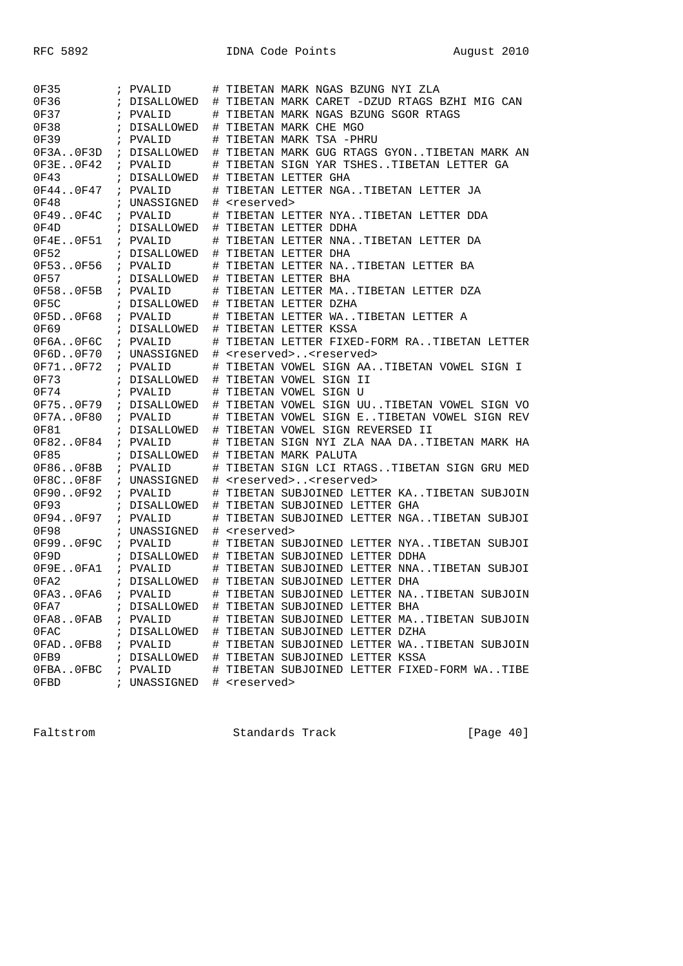| 0F35         | ; PVALID     |      | TIBETAN MARK NGAS BZUNG NYI ZLA              |
|--------------|--------------|------|----------------------------------------------|
| 0F36         | ; DISALLOWED | #    | TIBETAN MARK CARET -DZUD RTAGS BZHI MIG CAN  |
| 0F37         | ; PVALID     | #    | TIBETAN MARK NGAS BZUNG SGOR RTAGS           |
| 0F38         | ; DISALLOWED | #    | TIBETAN MARK CHE MGO                         |
| 0F39         | ; PVALID     | #    | TIBETAN MARK TSA -PHRU                       |
| 0F3A.0F3D    | ; DISALLOWED | #    | TIBETAN MARK GUG RTAGS GYONTIBETAN MARK AN   |
| 0F3E0F42     | ; PVALID     | #    | TIBETAN SIGN YAR TSHESTIBETAN LETTER GA      |
| 0F43         | ; DISALLOWED | #    | TIBETAN LETTER GHA                           |
| OF440F47     | ; PVALID     | #    | TIBETAN LETTER NGATIBETAN LETTER JA          |
| 0F48         | ; UNASSIGNED | #    | <reserved></reserved>                        |
| 0F49.0F4C    | ; PVALID     | #    | TIBETAN LETTER NYATIBETAN LETTER DDA         |
| 0F4D         | ; DISALLOWED | #    | TIBETAN LETTER DDHA                          |
| OF4E0F51     | ; PVALID     | #    | TIBETAN LETTER NNATIBETAN LETTER DA          |
| 0F52         | ; DISALLOWED | #    | TIBETAN LETTER DHA                           |
| 0F530F56     | ; PVALID     |      | TIBETAN LETTER NATIBETAN LETTER BA           |
| 0F57         |              | #    |                                              |
|              | ; DISALLOWED | #    | TIBETAN LETTER BHA                           |
| 0F580F5B     | ; PVALID     | #    | TIBETAN LETTER MATIBETAN LETTER DZA          |
| 0F5C         | ; DISALLOWED | #    | TIBETAN LETTER DZHA                          |
| 0F5D0F68     | ; PVALID     | #    | TIBETAN LETTER WATIBETAN LETTER A            |
| 0F69         | ; DISALLOWED | #    | TIBETAN LETTER KSSA                          |
| 0F6A. . 0F6C | ; PVALID     | $\#$ | TIBETAN LETTER FIXED-FORM RATIBETAN LETTER   |
| 0F6D0F70     | ; UNASSIGNED | #    | <reserved><reserved></reserved></reserved>   |
| 0F710F72     | ; PVALID     | #    | TIBETAN VOWEL SIGN AATIBETAN VOWEL SIGN I    |
| 0F73         | ; DISALLOWED | #    | TIBETAN VOWEL SIGN II                        |
| 0F74         | ; PVALID     | #    | TIBETAN VOWEL SIGN U                         |
| 0F750F79     | ; DISALLOWED | #    | TIBETAN VOWEL SIGN UUTIBETAN VOWEL SIGN VO   |
| 0F7A0F80     | ; PVALID     | #    | TIBETAN VOWEL SIGN ETIBETAN VOWEL SIGN REV   |
| 0F81         | ; DISALLOWED | #    | TIBETAN VOWEL SIGN REVERSED II               |
| 0F820F84     | ; PVALID     | #    | TIBETAN SIGN NYI ZLA NAA DATIBETAN MARK HA   |
| 0F85         | ; DISALLOWED | #    | TIBETAN MARK PALUTA                          |
| 0F860F8B     | ; PVALID     | #    | TIBETAN SIGN LCI RTAGSTIBETAN SIGN GRU MED   |
| 0F8C.0F8F    | ; UNASSIGNED | #    | <reserved><reserved></reserved></reserved>   |
| 0F900F92     | ; PVALID     | #    | TIBETAN SUBJOINED LETTER KATIBETAN SUBJOIN   |
| 0F93         | ; DISALLOWED | #    | TIBETAN SUBJOINED LETTER GHA                 |
| 0F940F97     | ; PVALID     | #    | TIBETAN SUBJOINED LETTER NGATIBETAN SUBJOI   |
| 0F98         | ; UNASSIGNED | #    | <reserved></reserved>                        |
| 0F990F9C     | ; PVALID     | #    | TIBETAN SUBJOINED LETTER NYATIBETAN SUBJOI   |
| 0F9D         | ; DISALLOWED | #    | TIBETAN SUBJOINED LETTER DDHA                |
| OF9EOFA1     | ; PVALID     | #    | TIBETAN SUBJOINED LETTER NNATIBETAN SUBJOI   |
| 0FA2         | ; DISALLOWED | #    | TIBETAN SUBJOINED LETTER DHA                 |
| 0FA3.0FA6    | ; PVALID     | #    | TIBETAN SUBJOINED LETTER NATIBETAN SUBJOIN   |
| 0FA7         |              |      | # TIBETAN SUBJOINED LETTER BHA               |
|              | ; DISALLOWED |      |                                              |
| OFA8OFAB     | ; PVALID     |      | # TIBETAN SUBJOINED LETTER MATIBETAN SUBJOIN |
| 0FAC         | ; DISALLOWED |      | # TIBETAN SUBJOINED LETTER DZHA              |
| OFADOFB8     | ; PVALID     |      | # TIBETAN SUBJOINED LETTER WATIBETAN SUBJOIN |
| 0FB9         | ; DISALLOWED |      | # TIBETAN SUBJOINED LETTER KSSA              |
| OFBAOFBC     | ; PVALID     |      | # TIBETAN SUBJOINED LETTER FIXED-FORM WATIBE |
| 0FBD         | ; UNASSIGNED |      | # <reserved></reserved>                      |

Faltstrom Standards Track [Page 40]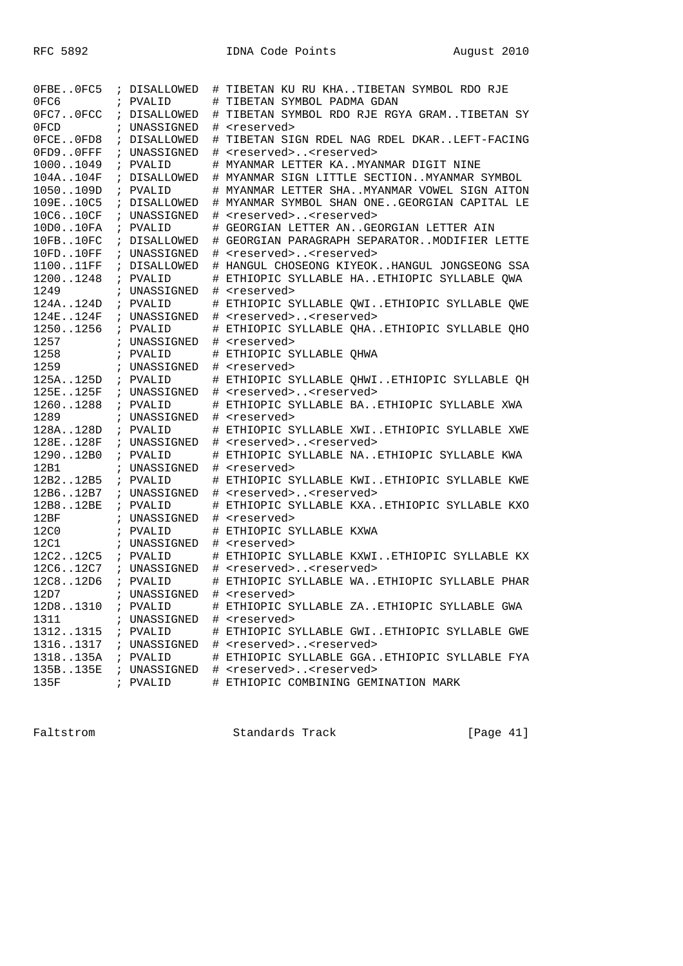| OFBEOFC5     | ; DISALLOWED |    | # TIBETAN KU RU KHATIBETAN SYMBOL RDO RJE    |
|--------------|--------------|----|----------------------------------------------|
| 0FC6         | ; PVALID     |    | # TIBETAN SYMBOL PADMA GDAN                  |
| OFC7OFCC     | ; DISALLOWED |    | # TIBETAN SYMBOL RDO RJE RGYA GRAMTIBETAN SY |
| 0FCD         | ; UNASSIGNED | ♯. | <reserved></reserved>                        |
| OFCEOFD8     | ; DISALLOWED | #  | TIBETAN SIGN RDEL NAG RDEL DKARLEFT-FACING   |
| OFD9OFFF     | ; UNASSIGNED | #  | <reserved><reserved></reserved></reserved>   |
| 10001049     | ; PVALID     |    | # MYANMAR LETTER KAMYANMAR DIGIT NINE        |
| 104A104F     | ; DISALLOWED |    | # MYANMAR SIGN LITTLE SECTIONMYANMAR SYMBOL  |
| 1050109D     | ; PVALID     |    | # MYANMAR LETTER SHAMYANMAR VOWEL SIGN AITON |
| 109E10C5     | ; DISALLOWED |    | # MYANMAR SYMBOL SHAN ONEGEORGIAN CAPITAL LE |
| 10C610CF     | ; UNASSIGNED |    | # <reserved><reserved></reserved></reserved> |
| 10D010FA     | ; PVALID     |    | # GEORGIAN LETTER ANGEORGIAN LETTER AIN      |
| 10FB. . 10FC | ; DISALLOWED |    | # GEORGIAN PARAGRAPH SEPARATORMODIFIER LETTE |
| 10FD10FF     | ; UNASSIGNED |    | # <reserved><reserved></reserved></reserved> |
| 110011FF     | ; DISALLOWED |    | # HANGUL CHOSEONG KIYEOKHANGUL JONGSEONG SSA |
| 12001248     | ; PVALID     |    | # ETHIOPIC SYLLABLE HAETHIOPIC SYLLABLE QWA  |
| 1249         | ; UNASSIGNED |    | # <reserved></reserved>                      |
| 124A124D     | ; PVALID     |    | # ETHIOPIC SYLLABLE QWIETHIOPIC SYLLABLE QWE |
| 124E124F     | ; UNASSIGNED |    | # <reserved><reserved></reserved></reserved> |
| 12501256     | ; PVALID     |    | # ETHIOPIC SYLLABLE QHAETHIOPIC SYLLABLE QHO |
| 1257         | ; UNASSIGNED |    | # <reserved></reserved>                      |
| 1258         | ; PVALID     |    | # ETHIOPIC SYLLABLE OHWA                     |
| 1259         | ; UNASSIGNED |    | # <reserved></reserved>                      |
| 125A125D     | ; PVALID     |    | # ETHIOPIC SYLLABLE QHWIETHIOPIC SYLLABLE QH |
| 125E125F     | ; UNASSIGNED |    | # <reserved><reserved></reserved></reserved> |
| 12601288     | ; PVALID     |    | # ETHIOPIC SYLLABLE BAETHIOPIC SYLLABLE XWA  |
| 1289         | ; UNASSIGNED |    | # <reserved></reserved>                      |
| 128A128D     | ; PVALID     |    | # ETHIOPIC SYLLABLE XWIETHIOPIC SYLLABLE XWE |
| 128E128F     | ; UNASSIGNED |    | # <reserved><reserved></reserved></reserved> |
| 129012B0     | ; PVALID     |    | # ETHIOPIC SYLLABLE NAETHIOPIC SYLLABLE KWA  |
| 12B1         | ; UNASSIGNED |    | # <reserved></reserved>                      |
| 12B212B5     | ; PVALID     |    | # ETHIOPIC SYLLABLE KWIETHIOPIC SYLLABLE KWE |
| 12B612B7     | ; UNASSIGNED |    | # <reserved><reserved></reserved></reserved> |
| 12B812BE     | ; PVALID     |    | # ETHIOPIC SYLLABLE KXAETHIOPIC SYLLABLE KXO |
| 12BF         | ; UNASSIGNED |    | # <reserved></reserved>                      |
| 12C0         | ; PVALID     |    | # ETHIOPIC SYLLABLE KXWA                     |
| 12C1         | ; UNASSIGNED |    | # <reserved></reserved>                      |
| 12C212C5     | ; PVALID     |    | # ETHIOPIC SYLLABLE KXWIETHIOPIC SYLLABLE KX |
| 12C612C7     | ; UNASSIGNED |    | # <reserved><reserved></reserved></reserved> |
| 12C812D6     | ; PVALID     |    | # ETHIOPIC SYLLABLE WAETHIOPIC SYLLABLE PHAR |
| 12D7         | ; UNASSIGNED | #  | <reserved></reserved>                        |
| 12D81310     | ; PVALID     |    | # ETHIOPIC SYLLABLE ZAETHIOPIC SYLLABLE GWA  |
| 1311         | ; UNASSIGNED |    | # <reserved></reserved>                      |
| 13121315     | ; PVALID     |    | # ETHIOPIC SYLLABLE GWIETHIOPIC SYLLABLE GWE |
| 13161317     | ; UNASSIGNED |    | # <reserved><reserved></reserved></reserved> |
| 1318135A     | ; PVALID     |    | # ETHIOPIC SYLLABLE GGAETHIOPIC SYLLABLE FYA |
| 135B135E     | ; UNASSIGNED |    | # <reserved><reserved></reserved></reserved> |
| 135F         | ; PVALID     |    | # ETHIOPIC COMBINING GEMINATION MARK         |

Faltstrom Standards Track [Page 41]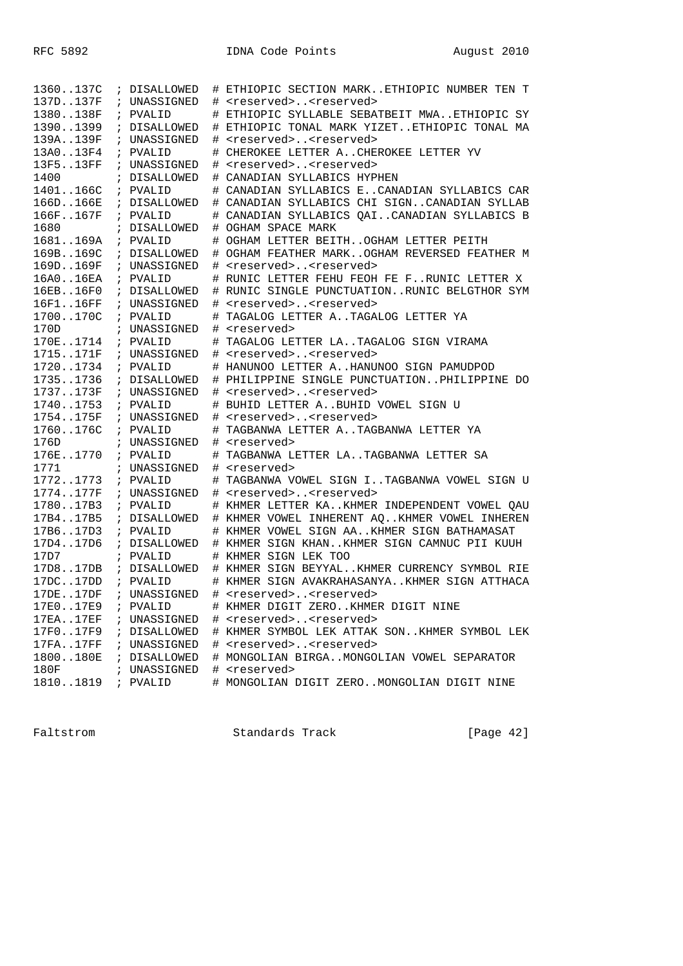| 1360137C         | ; DISALLOWED | #      | ETHIOPIC SECTION MARKETHIOPIC NUMBER TEN T                             |
|------------------|--------------|--------|------------------------------------------------------------------------|
| 137D137F         | ; UNASSIGNED | #      | <reserved><reserved></reserved></reserved>                             |
| 1380138F         | ; PVALID     | #      | ETHIOPIC SYLLABLE SEBATBEIT MWAETHIOPIC SY                             |
| 13901399         | ; DISALLOWED | #      | ETHIOPIC TONAL MARK YIZETETHIOPIC TONAL MA                             |
| 139A139F         | ; UNASSIGNED | #      | <reserved><reserved></reserved></reserved>                             |
| 13A013F4         | ; PVALID     | #      | CHEROKEE LETTER ACHEROKEE LETTER YV                                    |
| 13F513FF         | ; UNASSIGNED | #      | <reserved><reserved></reserved></reserved>                             |
| 1400             | ; DISALLOWED | #      | CANADIAN SYLLABICS HYPHEN                                              |
| 1401166C         | ; PVALID     | #      | CANADIAN SYLLABICS ECANADIAN SYLLABICS CAR                             |
| 166D166E         | ; DISALLOWED | #      | CANADIAN SYLLABICS CHI SIGNCANADIAN SYLLAB                             |
| 166F167F         | ; PVALID     | #      | CANADIAN SYLLABICS QAICANADIAN SYLLABICS B                             |
| 1680             | ; DISALLOWED |        | # OGHAM SPACE MARK                                                     |
| 1681169A         | ; PVALID     | #      | OGHAM LETTER BEITHOGHAM LETTER PEITH                                   |
| 169B169C         | ; DISALLOWED | #      | OGHAM FEATHER MARKOGHAM REVERSED FEATHER M                             |
| 169D169F         | ; UNASSIGNED | #      | <reserved><reserved></reserved></reserved>                             |
| 16A016EA         | ; PVALID     |        | RUNIC LETTER FEHU FEOH FE FRUNIC LETTER X                              |
| 16EB16F0         | ; DISALLOWED |        | RUNIC SINGLE PUNCTUATIONRUNIC BELGTHOR SYM                             |
| 16F116FF         | ; UNASSIGNED |        | <reserved><reserved></reserved></reserved>                             |
| 1700170C         | ; PVALID     | #<br># | TAGALOG LETTER A. . TAGALOG LETTER YA                                  |
| 170D             |              |        | <reserved></reserved>                                                  |
| 170E1714         | ; UNASSIGNED | #      | TAGALOG LETTER LATAGALOG SIGN VIRAMA                                   |
|                  | ; PVALID     | #      |                                                                        |
| 1715171F         | ; UNASSIGNED | #      | <reserved><reserved></reserved></reserved>                             |
| 17201734         | ; PVALID     |        | # HANUNOO LETTER AHANUNOO SIGN PAMUDPOD                                |
| 17351736         | ; DISALLOWED |        | # PHILIPPINE SINGLE PUNCTUATIONPHILIPPINE DO                           |
| 1737173F         | ; UNASSIGNED |        | # <reserved><reserved></reserved></reserved>                           |
| 17401753         | ; PVALID     | #      | BUHID LETTER A. BUHID VOWEL SIGN U                                     |
| 1754175F         | ; UNASSIGNED | #      | <reserved><reserved></reserved></reserved>                             |
| 1760176C         | ; PVALID     |        | TAGBANWA LETTER ATAGBANWA LETTER YA                                    |
| 176D             | ; UNASSIGNED | #      | <reserved></reserved>                                                  |
| 176E1770         | ; PVALID     | #      | TAGBANWA LETTER LATAGBANWA LETTER SA                                   |
| 1771             | ; UNASSIGNED | #      | <reserved></reserved>                                                  |
| 17721773         | ; PVALID     | #      | TAGBANWA VOWEL SIGN ITAGBANWA VOWEL SIGN U                             |
| 1774177F         | ; UNASSIGNED |        | # <reserved><reserved></reserved></reserved>                           |
| 178017B3         | ; PVALID     |        | # KHMER LETTER KAKHMER INDEPENDENT VOWEL QAU                           |
| 17B417B5         | ; DISALLOWED |        | # KHMER VOWEL INHERENT AQKHMER VOWEL INHEREN                           |
| 17B617D3         | ; PVALID     |        | # KHMER VOWEL SIGN AAKHMER SIGN BATHAMASAT                             |
| 17D417D6         | ; DISALLOWED |        | # KHMER SIGN KHANKHMER SIGN CAMNUC PII KUUH                            |
| 17D7             | ; PVALID     |        | # KHMER SIGN LEK TOO                                                   |
| 17D817DB         | ; DISALLOWED |        | # KHMER SIGN BEYYALKHMER CURRENCY SYMBOL RIE                           |
| 17DC17DD         | ; PVALID     | #      | KHMER SIGN AVAKRAHASANYAKHMER SIGN ATTHACA                             |
| 17DE17DF         | ; UNASSIGNED |        | <reserved><reserved></reserved></reserved>                             |
| 17E017E9         | ; PVALID     |        | # KHMER DIGIT ZEROKHMER DIGIT NINE                                     |
| 17EA17EF         | ; UNASSIGNED |        | # <reserved><reserved></reserved></reserved>                           |
| 17F017F9         | ; DISALLOWED |        | # KHMER SYMBOL LEK ATTAK SONKHMER SYMBOL LEK                           |
| 17FA. . 17FF     | ; UNASSIGNED |        | # <reserved><reserved></reserved></reserved>                           |
| 1800180E         |              |        |                                                                        |
|                  | ; DISALLOWED |        | # MONGOLIAN BIRGAMONGOLIAN VOWEL SEPARATOR                             |
| 180F<br>18101819 | ; UNASSIGNED |        | # <reserved><br/># MONGOLIAN DIGIT ZEROMONGOLIAN DIGIT NINE</reserved> |

Faltstrom Standards Track [Page 42]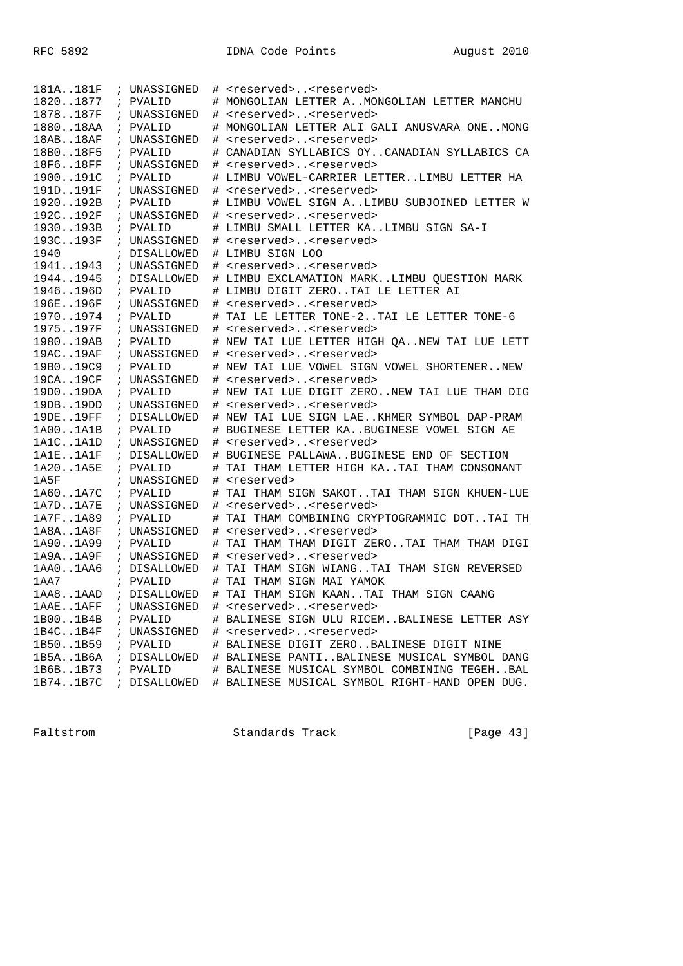| 181A181F                | i.            | UNASSIGNED               |    | # <reserved><reserved></reserved></reserved>                                                  |
|-------------------------|---------------|--------------------------|----|-----------------------------------------------------------------------------------------------|
| 18201877                |               | ; PVALID                 |    | # MONGOLIAN LETTER AMONGOLIAN LETTER MANCHU                                                   |
| 1878187F                |               | ; UNASSIGNED             | #  | <reserved><reserved></reserved></reserved>                                                    |
| 188018AA                | $\mathcal{L}$ | PVALID                   |    | MONGOLIAN LETTER ALI GALI ANUSVARA ONEMONG                                                    |
| 18AB18AF                |               | ; UNASSIGNED             | #  | <reserved><reserved></reserved></reserved>                                                    |
| 18B018F5                |               | ; PVALID                 |    | CANADIAN SYLLABICS OYCANADIAN SYLLABICS CA                                                    |
| 18F618FF                |               | ; UNASSIGNED             | ⋕. | <reserved><reserved></reserved></reserved>                                                    |
| 1900191C                |               | ; PVALID                 |    | # LIMBU VOWEL-CARRIER LETTERLIMBU LETTER HA                                                   |
| 191D191F                |               | ; UNASSIGNED             |    | # <reserved><reserved></reserved></reserved>                                                  |
| 1920192B                |               | ; PVALID                 |    | # LIMBU VOWEL SIGN ALIMBU SUBJOINED LETTER W                                                  |
| 192C192F                |               | ; UNASSIGNED             |    | # <reserved><reserved></reserved></reserved>                                                  |
| 1930193B                |               | ; PVALID                 |    | # LIMBU SMALL LETTER KALIMBU SIGN SA-I                                                        |
| 193C193F                |               | ; UNASSIGNED             |    | # <reserved><reserved></reserved></reserved>                                                  |
| 1940                    |               | ; DISALLOWED             |    | # LIMBU SIGN LOO                                                                              |
| 19411943                |               | ; UNASSIGNED             |    | # <reserved><reserved></reserved></reserved>                                                  |
| 19441945                |               | ; DISALLOWED             |    | # LIMBU EXCLAMATION MARKLIMBU QUESTION MARK                                                   |
| 1946196D                |               | ; PVALID                 |    | LIMBU DIGIT ZEROTAI LE LETTER AI                                                              |
| 196E196F                |               | ; UNASSIGNED             |    | # <reserved><reserved></reserved></reserved>                                                  |
| 19701974                |               | ; PVALID                 |    | # TAI LE LETTER TONE-2TAI LE LETTER TONE-6                                                    |
| 1975197F                |               | ; UNASSIGNED             |    | # <reserved><reserved></reserved></reserved>                                                  |
| 198019AB                |               | ; PVALID                 |    | # NEW TAI LUE LETTER HIGH QANEW TAI LUE LETT                                                  |
| 19AC19AF                |               | ; UNASSIGNED             |    | # <reserved><reserved></reserved></reserved>                                                  |
| 19B019C9                |               | ; PVALID                 |    | # NEW TAI LUE VOWEL SIGN VOWEL SHORTENERNEW                                                   |
| 19CA19CF                |               | ; UNASSIGNED             |    | # <reserved><reserved></reserved></reserved>                                                  |
| 19D019DA                |               | ; PVALID                 |    | # NEW TAI LUE DIGIT ZERONEW TAI LUE THAM DIG                                                  |
| 19DB19DD                |               | ; UNASSIGNED             |    | # <reserved><reserved></reserved></reserved>                                                  |
| 19DE19FF                |               | ; DISALLOWED             |    | # NEW TAI LUE SIGN LAEKHMER SYMBOL DAP-PRAM                                                   |
| 1A001A1B                |               | ; PVALID                 |    | BUGINESE LETTER KABUGINESE VOWEL SIGN AE                                                      |
| 1A1C1A1D                |               | ; UNASSIGNED             | #  | <reserved><reserved></reserved></reserved>                                                    |
| $1$ A $1$ E $1$ A $1$ F |               | ; DISALLOWED             |    | # BUGINESE PALLAWABUGINESE END OF SECTION                                                     |
| 1A201A5E                |               | ; PVALID                 |    | TAI THAM LETTER HIGH KATAI THAM CONSONANT                                                     |
| 1A5F                    |               | ; UNASSIGNED             |    | # <reserved></reserved>                                                                       |
| 1A601A7C                |               | ; PVALID                 | #  | TAI THAM SIGN SAKOTTAI THAM SIGN KHUEN-LUE                                                    |
| 1A7D1A7E                |               | ; UNASSIGNED             | #  | <reserved><reserved></reserved></reserved>                                                    |
| 1A7F1A89                |               | ; PVALID                 | #  | TAI THAM COMBINING CRYPTOGRAMMIC DOTTAI TH                                                    |
| 1A8A1A8F                |               | ; UNASSIGNED             |    | # <reserved><reserved></reserved></reserved>                                                  |
| 1A901A99                |               | ; PVALID                 | #  | TAI THAM THAM DIGIT ZEROTAI THAM THAM DIGI                                                    |
| 1A9A1A9F                |               | ; UNASSIGNED             |    | # <reserved><reserved></reserved></reserved>                                                  |
| 1AA01AA6                |               | ; DISALLOWED             | #  | TAI THAM SIGN WIANGTAI THAM SIGN REVERSED<br>TAI THAM SIGN MAI YAMOK                          |
| 1AA7                    |               | ; PVALID                 | #  |                                                                                               |
| 1AA81AAD                |               | ; DISALLOWED             | #  | TAI THAM SIGN KAANTAI THAM SIGN CAANG                                                         |
| 1AAE1AFF                |               | ; UNASSIGNED<br>; PVALID |    | # <reserved><reserved><br/># BALINESE SIGN ULU RICEMBALINESE LETTER ASY</reserved></reserved> |
| 1B001B4B                |               |                          |    |                                                                                               |
| 1B4C1B4F<br>1B501B59    |               | ; UNASSIGNED<br>; PVALID |    | # <reserved><reserved></reserved></reserved>                                                  |
| 1B5A1B6A                |               | ; DISALLOWED             |    | # BALINESE DIGIT ZEROBALINESE DIGIT NINE<br># BALINESE PANTIBALINESE MUSICAL SYMBOL DANG      |
| 1B6B1B73                |               |                          |    | # BALINESE MUSICAL SYMBOL COMBINING TEGEHBAL                                                  |
| 1B741B7C                |               | ; PVALID<br>; DISALLOWED |    | # BALINESE MUSICAL SYMBOL RIGHT-HAND OPEN DUG.                                                |
|                         |               |                          |    |                                                                                               |

Faltstrom Standards Track [Page 43]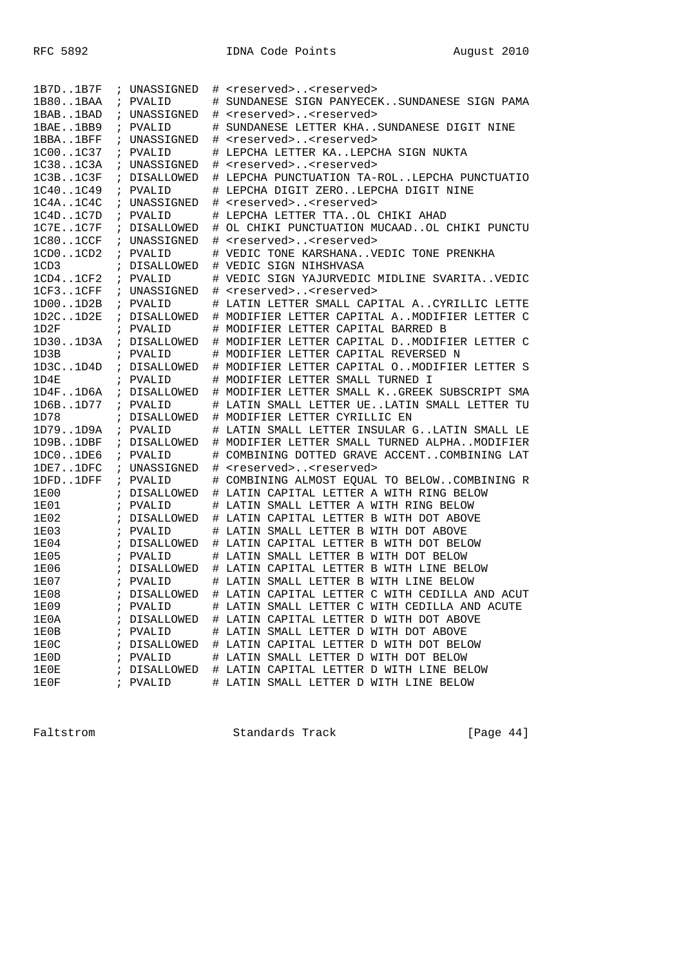| 1B801BAA<br>PVALID<br>SUNDANESE SIGN PANYECEKSUNDANESE SIGN PAMA<br>#<br>$\ddot{i}$<br>1BAB1BAD<br>UNASSIGNED<br><reserved><reserved><br/>#<br/><math>\ddot{i}</math><br/>1BAE1BB9<br/>SUNDANESE LETTER KHASUNDANESE DIGIT NINE<br/>PVALID<br/><math>\mathcal{L}</math><br/>1BBA1BFF<br/>UNASSIGNED<br/><reserved><reserved><br/>#<br/><math>\ddot{i}</math><br/>1C001C37<br/>LEPCHA LETTER KALEPCHA SIGN NUKTA<br/>; PVALID<br/>#<br/>1C381C3A<br/><reserved><reserved><br/>; UNASSIGNED<br/>#<br/>1C3B. .1C3F<br/>; DISALLOWED<br/># LEPCHA PUNCTUATION TA-ROLLEPCHA PUNCTUATIO<br/>1C401C49<br/># LEPCHA DIGIT ZEROLEPCHA DIGIT NINE<br/>; PVALID<br/>1C4A1C4C<br/># <reserved><reserved><br/>; UNASSIGNED<br/>1C4D. .1C7D<br/>; PVALID<br/># LEPCHA LETTER TTAOL CHIKI AHAD<br/>1C7E1C7F<br/># OL CHIKI PUNCTUATION MUCAADOL CHIKI PUNCTU<br/>; DISALLOWED<br/>1C801CCF<br/><reserved><reserved><br/>; UNASSIGNED<br/>#<br/>1CD01CD2<br/>VEDIC TONE KARSHANAVEDIC TONE PRENKHA<br/>PVALID<br/><math>\mathcal{L}</math><br/>#<br/>1CD3<br/>; DISALLOWED<br/># VEDIC SIGN NIHSHVASA<br/>1CD41CF2<br/>VEDIC SIGN YAJURVEDIC MIDLINE SVARITAVEDIC<br/>; PVALID<br/>1CF31CFF<br/>; UNASSIGNED<br/><reserved><reserved><br/>#<br/>1D001D2B<br/>; PVALID<br/>LATIN LETTER SMALL CAPITAL ACYRILLIC LETTE<br/>#<br/>1D2C1D2E<br/>; DISALLOWED<br/># MODIFIER LETTER CAPITAL AMODIFIER LETTER C<br/>1D2F<br/>; PVALID<br/>MODIFIER LETTER CAPITAL BARRED B<br/>#<br/>1D301D3A<br/>; DISALLOWED<br/># MODIFIER LETTER CAPITAL DMODIFIER LETTER C<br/>MODIFIER LETTER CAPITAL REVERSED N<br/>1D3B<br/>; PVALID<br/>1D3C1D4D<br/># MODIFIER LETTER CAPITAL OMODIFIER LETTER S<br/>; DISALLOWED<br/># MODIFIER LETTER SMALL TURNED I<br/>1D4E<br/>; PVALID<br/>1D4F1D6A<br/># MODIFIER LETTER SMALL KGREEK SUBSCRIPT SMA<br/>; DISALLOWED<br/>1D6B1D77<br/>LATIN SMALL LETTER UELATIN SMALL LETTER TU<br/>; PVALID<br/>#<br/>1D78<br/>MODIFIER LETTER CYRILLIC EN<br/>DISALLOWED<br/>#<br/><math>\mathcal{L}</math><br/>1D791D9A<br/>PVALID<br/>LATIN SMALL LETTER INSULAR GLATIN SMALL LE<br/><math>\mathcal{L}</math><br/>1D9B1DBF<br/>; DISALLOWED<br/>MODIFIER LETTER SMALL TURNED ALPHAMODIFIER<br/>#<br/>1DC01DE6<br/>COMBINING DOTTED GRAVE ACCENTCOMBINING LAT<br/>; PVALID<br/>#<br/>1DE71DFC<br/><reserved><reserved><br/>; UNASSIGNED<br/>#<br/>1DFD1DFF<br/>; PVALID<br/>COMBINING ALMOST EQUAL TO BELOWCOMBINING R<br/>#<br/><b>1E00</b><br/># LATIN CAPITAL LETTER A WITH RING BELOW<br/>; DISALLOWED<br/>1E01<br/>LATIN SMALL LETTER A WITH RING BELOW<br/>; PVALID<br/>#<br/><b>1E02</b><br/>; DISALLOWED<br/># LATIN CAPITAL LETTER B WITH DOT ABOVE<br/>1E03<br/>; PVALID<br/># LATIN SMALL LETTER B WITH DOT ABOVE<br/><b>1E04</b><br/>; DISALLOWED<br/># LATIN CAPITAL LETTER B WITH DOT BELOW<br/><b>1E05</b><br/>; PVALID<br/># LATIN SMALL LETTER B WITH DOT BELOW<br/><b>1E06</b><br/>; DISALLOWED<br/># LATIN CAPITAL LETTER B WITH LINE BELOW<br/>1E07<br/>; PVALID<br/># LATIN SMALL LETTER B WITH LINE BELOW<br/><b>1E08</b><br/># LATIN CAPITAL LETTER C WITH CEDILLA AND ACUT<br/><math>\ddot{i}</math><br/>DISALLOWED<br/><b>1E09</b><br/># LATIN SMALL LETTER C WITH CEDILLA AND ACUTE<br/>; PVALID<br/>1E0A<br/># LATIN CAPITAL LETTER D WITH DOT ABOVE<br/>; DISALLOWED<br/>1E0B<br/># LATIN SMALL LETTER D WITH DOT ABOVE<br/>PVALID<br/><math>\mathcal{L}</math><br/>1E0C<br/># LATIN CAPITAL LETTER D WITH DOT BELOW<br/>DISALLOWED<br/>i.<br/>1E0D<br/># LATIN SMALL LETTER D WITH DOT BELOW<br/>; PVALID<br/>1E0E<br/>; DISALLOWED<br/># LATIN CAPITAL LETTER D WITH LINE BELOW<br/># LATIN SMALL LETTER D WITH LINE BELOW</reserved></reserved></reserved></reserved></reserved></reserved></reserved></reserved></reserved></reserved></reserved></reserved></reserved></reserved> | 1B7D1B7F | $\ddot{i}$ | UNASSIGNED | # | <reserved><reserved></reserved></reserved> |
|-------------------------------------------------------------------------------------------------------------------------------------------------------------------------------------------------------------------------------------------------------------------------------------------------------------------------------------------------------------------------------------------------------------------------------------------------------------------------------------------------------------------------------------------------------------------------------------------------------------------------------------------------------------------------------------------------------------------------------------------------------------------------------------------------------------------------------------------------------------------------------------------------------------------------------------------------------------------------------------------------------------------------------------------------------------------------------------------------------------------------------------------------------------------------------------------------------------------------------------------------------------------------------------------------------------------------------------------------------------------------------------------------------------------------------------------------------------------------------------------------------------------------------------------------------------------------------------------------------------------------------------------------------------------------------------------------------------------------------------------------------------------------------------------------------------------------------------------------------------------------------------------------------------------------------------------------------------------------------------------------------------------------------------------------------------------------------------------------------------------------------------------------------------------------------------------------------------------------------------------------------------------------------------------------------------------------------------------------------------------------------------------------------------------------------------------------------------------------------------------------------------------------------------------------------------------------------------------------------------------------------------------------------------------------------------------------------------------------------------------------------------------------------------------------------------------------------------------------------------------------------------------------------------------------------------------------------------------------------------------------------------------------------------------------------------------------------------------------------------------------------------------------------------------------------------------------------------------------------------------------------------------------------------------------------------------------------------------------------------------------------------------------------------------------------------------------------------------------------------------------------------------------------------------------------------------------------------------------------------------------------------------------------------------------------------------------------------------------------------------------------------------------------------------------------------------|----------|------------|------------|---|--------------------------------------------|
|                                                                                                                                                                                                                                                                                                                                                                                                                                                                                                                                                                                                                                                                                                                                                                                                                                                                                                                                                                                                                                                                                                                                                                                                                                                                                                                                                                                                                                                                                                                                                                                                                                                                                                                                                                                                                                                                                                                                                                                                                                                                                                                                                                                                                                                                                                                                                                                                                                                                                                                                                                                                                                                                                                                                                                                                                                                                                                                                                                                                                                                                                                                                                                                                                                                                                                                                                                                                                                                                                                                                                                                                                                                                                                                                                                                                                   |          |            |            |   |                                            |
|                                                                                                                                                                                                                                                                                                                                                                                                                                                                                                                                                                                                                                                                                                                                                                                                                                                                                                                                                                                                                                                                                                                                                                                                                                                                                                                                                                                                                                                                                                                                                                                                                                                                                                                                                                                                                                                                                                                                                                                                                                                                                                                                                                                                                                                                                                                                                                                                                                                                                                                                                                                                                                                                                                                                                                                                                                                                                                                                                                                                                                                                                                                                                                                                                                                                                                                                                                                                                                                                                                                                                                                                                                                                                                                                                                                                                   |          |            |            |   |                                            |
|                                                                                                                                                                                                                                                                                                                                                                                                                                                                                                                                                                                                                                                                                                                                                                                                                                                                                                                                                                                                                                                                                                                                                                                                                                                                                                                                                                                                                                                                                                                                                                                                                                                                                                                                                                                                                                                                                                                                                                                                                                                                                                                                                                                                                                                                                                                                                                                                                                                                                                                                                                                                                                                                                                                                                                                                                                                                                                                                                                                                                                                                                                                                                                                                                                                                                                                                                                                                                                                                                                                                                                                                                                                                                                                                                                                                                   |          |            |            |   |                                            |
|                                                                                                                                                                                                                                                                                                                                                                                                                                                                                                                                                                                                                                                                                                                                                                                                                                                                                                                                                                                                                                                                                                                                                                                                                                                                                                                                                                                                                                                                                                                                                                                                                                                                                                                                                                                                                                                                                                                                                                                                                                                                                                                                                                                                                                                                                                                                                                                                                                                                                                                                                                                                                                                                                                                                                                                                                                                                                                                                                                                                                                                                                                                                                                                                                                                                                                                                                                                                                                                                                                                                                                                                                                                                                                                                                                                                                   |          |            |            |   |                                            |
|                                                                                                                                                                                                                                                                                                                                                                                                                                                                                                                                                                                                                                                                                                                                                                                                                                                                                                                                                                                                                                                                                                                                                                                                                                                                                                                                                                                                                                                                                                                                                                                                                                                                                                                                                                                                                                                                                                                                                                                                                                                                                                                                                                                                                                                                                                                                                                                                                                                                                                                                                                                                                                                                                                                                                                                                                                                                                                                                                                                                                                                                                                                                                                                                                                                                                                                                                                                                                                                                                                                                                                                                                                                                                                                                                                                                                   |          |            |            |   |                                            |
|                                                                                                                                                                                                                                                                                                                                                                                                                                                                                                                                                                                                                                                                                                                                                                                                                                                                                                                                                                                                                                                                                                                                                                                                                                                                                                                                                                                                                                                                                                                                                                                                                                                                                                                                                                                                                                                                                                                                                                                                                                                                                                                                                                                                                                                                                                                                                                                                                                                                                                                                                                                                                                                                                                                                                                                                                                                                                                                                                                                                                                                                                                                                                                                                                                                                                                                                                                                                                                                                                                                                                                                                                                                                                                                                                                                                                   |          |            |            |   |                                            |
|                                                                                                                                                                                                                                                                                                                                                                                                                                                                                                                                                                                                                                                                                                                                                                                                                                                                                                                                                                                                                                                                                                                                                                                                                                                                                                                                                                                                                                                                                                                                                                                                                                                                                                                                                                                                                                                                                                                                                                                                                                                                                                                                                                                                                                                                                                                                                                                                                                                                                                                                                                                                                                                                                                                                                                                                                                                                                                                                                                                                                                                                                                                                                                                                                                                                                                                                                                                                                                                                                                                                                                                                                                                                                                                                                                                                                   |          |            |            |   |                                            |
|                                                                                                                                                                                                                                                                                                                                                                                                                                                                                                                                                                                                                                                                                                                                                                                                                                                                                                                                                                                                                                                                                                                                                                                                                                                                                                                                                                                                                                                                                                                                                                                                                                                                                                                                                                                                                                                                                                                                                                                                                                                                                                                                                                                                                                                                                                                                                                                                                                                                                                                                                                                                                                                                                                                                                                                                                                                                                                                                                                                                                                                                                                                                                                                                                                                                                                                                                                                                                                                                                                                                                                                                                                                                                                                                                                                                                   |          |            |            |   |                                            |
|                                                                                                                                                                                                                                                                                                                                                                                                                                                                                                                                                                                                                                                                                                                                                                                                                                                                                                                                                                                                                                                                                                                                                                                                                                                                                                                                                                                                                                                                                                                                                                                                                                                                                                                                                                                                                                                                                                                                                                                                                                                                                                                                                                                                                                                                                                                                                                                                                                                                                                                                                                                                                                                                                                                                                                                                                                                                                                                                                                                                                                                                                                                                                                                                                                                                                                                                                                                                                                                                                                                                                                                                                                                                                                                                                                                                                   |          |            |            |   |                                            |
|                                                                                                                                                                                                                                                                                                                                                                                                                                                                                                                                                                                                                                                                                                                                                                                                                                                                                                                                                                                                                                                                                                                                                                                                                                                                                                                                                                                                                                                                                                                                                                                                                                                                                                                                                                                                                                                                                                                                                                                                                                                                                                                                                                                                                                                                                                                                                                                                                                                                                                                                                                                                                                                                                                                                                                                                                                                                                                                                                                                                                                                                                                                                                                                                                                                                                                                                                                                                                                                                                                                                                                                                                                                                                                                                                                                                                   |          |            |            |   |                                            |
|                                                                                                                                                                                                                                                                                                                                                                                                                                                                                                                                                                                                                                                                                                                                                                                                                                                                                                                                                                                                                                                                                                                                                                                                                                                                                                                                                                                                                                                                                                                                                                                                                                                                                                                                                                                                                                                                                                                                                                                                                                                                                                                                                                                                                                                                                                                                                                                                                                                                                                                                                                                                                                                                                                                                                                                                                                                                                                                                                                                                                                                                                                                                                                                                                                                                                                                                                                                                                                                                                                                                                                                                                                                                                                                                                                                                                   |          |            |            |   |                                            |
|                                                                                                                                                                                                                                                                                                                                                                                                                                                                                                                                                                                                                                                                                                                                                                                                                                                                                                                                                                                                                                                                                                                                                                                                                                                                                                                                                                                                                                                                                                                                                                                                                                                                                                                                                                                                                                                                                                                                                                                                                                                                                                                                                                                                                                                                                                                                                                                                                                                                                                                                                                                                                                                                                                                                                                                                                                                                                                                                                                                                                                                                                                                                                                                                                                                                                                                                                                                                                                                                                                                                                                                                                                                                                                                                                                                                                   |          |            |            |   |                                            |
|                                                                                                                                                                                                                                                                                                                                                                                                                                                                                                                                                                                                                                                                                                                                                                                                                                                                                                                                                                                                                                                                                                                                                                                                                                                                                                                                                                                                                                                                                                                                                                                                                                                                                                                                                                                                                                                                                                                                                                                                                                                                                                                                                                                                                                                                                                                                                                                                                                                                                                                                                                                                                                                                                                                                                                                                                                                                                                                                                                                                                                                                                                                                                                                                                                                                                                                                                                                                                                                                                                                                                                                                                                                                                                                                                                                                                   |          |            |            |   |                                            |
|                                                                                                                                                                                                                                                                                                                                                                                                                                                                                                                                                                                                                                                                                                                                                                                                                                                                                                                                                                                                                                                                                                                                                                                                                                                                                                                                                                                                                                                                                                                                                                                                                                                                                                                                                                                                                                                                                                                                                                                                                                                                                                                                                                                                                                                                                                                                                                                                                                                                                                                                                                                                                                                                                                                                                                                                                                                                                                                                                                                                                                                                                                                                                                                                                                                                                                                                                                                                                                                                                                                                                                                                                                                                                                                                                                                                                   |          |            |            |   |                                            |
|                                                                                                                                                                                                                                                                                                                                                                                                                                                                                                                                                                                                                                                                                                                                                                                                                                                                                                                                                                                                                                                                                                                                                                                                                                                                                                                                                                                                                                                                                                                                                                                                                                                                                                                                                                                                                                                                                                                                                                                                                                                                                                                                                                                                                                                                                                                                                                                                                                                                                                                                                                                                                                                                                                                                                                                                                                                                                                                                                                                                                                                                                                                                                                                                                                                                                                                                                                                                                                                                                                                                                                                                                                                                                                                                                                                                                   |          |            |            |   |                                            |
|                                                                                                                                                                                                                                                                                                                                                                                                                                                                                                                                                                                                                                                                                                                                                                                                                                                                                                                                                                                                                                                                                                                                                                                                                                                                                                                                                                                                                                                                                                                                                                                                                                                                                                                                                                                                                                                                                                                                                                                                                                                                                                                                                                                                                                                                                                                                                                                                                                                                                                                                                                                                                                                                                                                                                                                                                                                                                                                                                                                                                                                                                                                                                                                                                                                                                                                                                                                                                                                                                                                                                                                                                                                                                                                                                                                                                   |          |            |            |   |                                            |
|                                                                                                                                                                                                                                                                                                                                                                                                                                                                                                                                                                                                                                                                                                                                                                                                                                                                                                                                                                                                                                                                                                                                                                                                                                                                                                                                                                                                                                                                                                                                                                                                                                                                                                                                                                                                                                                                                                                                                                                                                                                                                                                                                                                                                                                                                                                                                                                                                                                                                                                                                                                                                                                                                                                                                                                                                                                                                                                                                                                                                                                                                                                                                                                                                                                                                                                                                                                                                                                                                                                                                                                                                                                                                                                                                                                                                   |          |            |            |   |                                            |
|                                                                                                                                                                                                                                                                                                                                                                                                                                                                                                                                                                                                                                                                                                                                                                                                                                                                                                                                                                                                                                                                                                                                                                                                                                                                                                                                                                                                                                                                                                                                                                                                                                                                                                                                                                                                                                                                                                                                                                                                                                                                                                                                                                                                                                                                                                                                                                                                                                                                                                                                                                                                                                                                                                                                                                                                                                                                                                                                                                                                                                                                                                                                                                                                                                                                                                                                                                                                                                                                                                                                                                                                                                                                                                                                                                                                                   |          |            |            |   |                                            |
|                                                                                                                                                                                                                                                                                                                                                                                                                                                                                                                                                                                                                                                                                                                                                                                                                                                                                                                                                                                                                                                                                                                                                                                                                                                                                                                                                                                                                                                                                                                                                                                                                                                                                                                                                                                                                                                                                                                                                                                                                                                                                                                                                                                                                                                                                                                                                                                                                                                                                                                                                                                                                                                                                                                                                                                                                                                                                                                                                                                                                                                                                                                                                                                                                                                                                                                                                                                                                                                                                                                                                                                                                                                                                                                                                                                                                   |          |            |            |   |                                            |
|                                                                                                                                                                                                                                                                                                                                                                                                                                                                                                                                                                                                                                                                                                                                                                                                                                                                                                                                                                                                                                                                                                                                                                                                                                                                                                                                                                                                                                                                                                                                                                                                                                                                                                                                                                                                                                                                                                                                                                                                                                                                                                                                                                                                                                                                                                                                                                                                                                                                                                                                                                                                                                                                                                                                                                                                                                                                                                                                                                                                                                                                                                                                                                                                                                                                                                                                                                                                                                                                                                                                                                                                                                                                                                                                                                                                                   |          |            |            |   |                                            |
|                                                                                                                                                                                                                                                                                                                                                                                                                                                                                                                                                                                                                                                                                                                                                                                                                                                                                                                                                                                                                                                                                                                                                                                                                                                                                                                                                                                                                                                                                                                                                                                                                                                                                                                                                                                                                                                                                                                                                                                                                                                                                                                                                                                                                                                                                                                                                                                                                                                                                                                                                                                                                                                                                                                                                                                                                                                                                                                                                                                                                                                                                                                                                                                                                                                                                                                                                                                                                                                                                                                                                                                                                                                                                                                                                                                                                   |          |            |            |   |                                            |
|                                                                                                                                                                                                                                                                                                                                                                                                                                                                                                                                                                                                                                                                                                                                                                                                                                                                                                                                                                                                                                                                                                                                                                                                                                                                                                                                                                                                                                                                                                                                                                                                                                                                                                                                                                                                                                                                                                                                                                                                                                                                                                                                                                                                                                                                                                                                                                                                                                                                                                                                                                                                                                                                                                                                                                                                                                                                                                                                                                                                                                                                                                                                                                                                                                                                                                                                                                                                                                                                                                                                                                                                                                                                                                                                                                                                                   |          |            |            |   |                                            |
|                                                                                                                                                                                                                                                                                                                                                                                                                                                                                                                                                                                                                                                                                                                                                                                                                                                                                                                                                                                                                                                                                                                                                                                                                                                                                                                                                                                                                                                                                                                                                                                                                                                                                                                                                                                                                                                                                                                                                                                                                                                                                                                                                                                                                                                                                                                                                                                                                                                                                                                                                                                                                                                                                                                                                                                                                                                                                                                                                                                                                                                                                                                                                                                                                                                                                                                                                                                                                                                                                                                                                                                                                                                                                                                                                                                                                   |          |            |            |   |                                            |
|                                                                                                                                                                                                                                                                                                                                                                                                                                                                                                                                                                                                                                                                                                                                                                                                                                                                                                                                                                                                                                                                                                                                                                                                                                                                                                                                                                                                                                                                                                                                                                                                                                                                                                                                                                                                                                                                                                                                                                                                                                                                                                                                                                                                                                                                                                                                                                                                                                                                                                                                                                                                                                                                                                                                                                                                                                                                                                                                                                                                                                                                                                                                                                                                                                                                                                                                                                                                                                                                                                                                                                                                                                                                                                                                                                                                                   |          |            |            |   |                                            |
|                                                                                                                                                                                                                                                                                                                                                                                                                                                                                                                                                                                                                                                                                                                                                                                                                                                                                                                                                                                                                                                                                                                                                                                                                                                                                                                                                                                                                                                                                                                                                                                                                                                                                                                                                                                                                                                                                                                                                                                                                                                                                                                                                                                                                                                                                                                                                                                                                                                                                                                                                                                                                                                                                                                                                                                                                                                                                                                                                                                                                                                                                                                                                                                                                                                                                                                                                                                                                                                                                                                                                                                                                                                                                                                                                                                                                   |          |            |            |   |                                            |
|                                                                                                                                                                                                                                                                                                                                                                                                                                                                                                                                                                                                                                                                                                                                                                                                                                                                                                                                                                                                                                                                                                                                                                                                                                                                                                                                                                                                                                                                                                                                                                                                                                                                                                                                                                                                                                                                                                                                                                                                                                                                                                                                                                                                                                                                                                                                                                                                                                                                                                                                                                                                                                                                                                                                                                                                                                                                                                                                                                                                                                                                                                                                                                                                                                                                                                                                                                                                                                                                                                                                                                                                                                                                                                                                                                                                                   |          |            |            |   |                                            |
|                                                                                                                                                                                                                                                                                                                                                                                                                                                                                                                                                                                                                                                                                                                                                                                                                                                                                                                                                                                                                                                                                                                                                                                                                                                                                                                                                                                                                                                                                                                                                                                                                                                                                                                                                                                                                                                                                                                                                                                                                                                                                                                                                                                                                                                                                                                                                                                                                                                                                                                                                                                                                                                                                                                                                                                                                                                                                                                                                                                                                                                                                                                                                                                                                                                                                                                                                                                                                                                                                                                                                                                                                                                                                                                                                                                                                   |          |            |            |   |                                            |
|                                                                                                                                                                                                                                                                                                                                                                                                                                                                                                                                                                                                                                                                                                                                                                                                                                                                                                                                                                                                                                                                                                                                                                                                                                                                                                                                                                                                                                                                                                                                                                                                                                                                                                                                                                                                                                                                                                                                                                                                                                                                                                                                                                                                                                                                                                                                                                                                                                                                                                                                                                                                                                                                                                                                                                                                                                                                                                                                                                                                                                                                                                                                                                                                                                                                                                                                                                                                                                                                                                                                                                                                                                                                                                                                                                                                                   |          |            |            |   |                                            |
|                                                                                                                                                                                                                                                                                                                                                                                                                                                                                                                                                                                                                                                                                                                                                                                                                                                                                                                                                                                                                                                                                                                                                                                                                                                                                                                                                                                                                                                                                                                                                                                                                                                                                                                                                                                                                                                                                                                                                                                                                                                                                                                                                                                                                                                                                                                                                                                                                                                                                                                                                                                                                                                                                                                                                                                                                                                                                                                                                                                                                                                                                                                                                                                                                                                                                                                                                                                                                                                                                                                                                                                                                                                                                                                                                                                                                   |          |            |            |   |                                            |
|                                                                                                                                                                                                                                                                                                                                                                                                                                                                                                                                                                                                                                                                                                                                                                                                                                                                                                                                                                                                                                                                                                                                                                                                                                                                                                                                                                                                                                                                                                                                                                                                                                                                                                                                                                                                                                                                                                                                                                                                                                                                                                                                                                                                                                                                                                                                                                                                                                                                                                                                                                                                                                                                                                                                                                                                                                                                                                                                                                                                                                                                                                                                                                                                                                                                                                                                                                                                                                                                                                                                                                                                                                                                                                                                                                                                                   |          |            |            |   |                                            |
|                                                                                                                                                                                                                                                                                                                                                                                                                                                                                                                                                                                                                                                                                                                                                                                                                                                                                                                                                                                                                                                                                                                                                                                                                                                                                                                                                                                                                                                                                                                                                                                                                                                                                                                                                                                                                                                                                                                                                                                                                                                                                                                                                                                                                                                                                                                                                                                                                                                                                                                                                                                                                                                                                                                                                                                                                                                                                                                                                                                                                                                                                                                                                                                                                                                                                                                                                                                                                                                                                                                                                                                                                                                                                                                                                                                                                   |          |            |            |   |                                            |
|                                                                                                                                                                                                                                                                                                                                                                                                                                                                                                                                                                                                                                                                                                                                                                                                                                                                                                                                                                                                                                                                                                                                                                                                                                                                                                                                                                                                                                                                                                                                                                                                                                                                                                                                                                                                                                                                                                                                                                                                                                                                                                                                                                                                                                                                                                                                                                                                                                                                                                                                                                                                                                                                                                                                                                                                                                                                                                                                                                                                                                                                                                                                                                                                                                                                                                                                                                                                                                                                                                                                                                                                                                                                                                                                                                                                                   |          |            |            |   |                                            |
|                                                                                                                                                                                                                                                                                                                                                                                                                                                                                                                                                                                                                                                                                                                                                                                                                                                                                                                                                                                                                                                                                                                                                                                                                                                                                                                                                                                                                                                                                                                                                                                                                                                                                                                                                                                                                                                                                                                                                                                                                                                                                                                                                                                                                                                                                                                                                                                                                                                                                                                                                                                                                                                                                                                                                                                                                                                                                                                                                                                                                                                                                                                                                                                                                                                                                                                                                                                                                                                                                                                                                                                                                                                                                                                                                                                                                   |          |            |            |   |                                            |
|                                                                                                                                                                                                                                                                                                                                                                                                                                                                                                                                                                                                                                                                                                                                                                                                                                                                                                                                                                                                                                                                                                                                                                                                                                                                                                                                                                                                                                                                                                                                                                                                                                                                                                                                                                                                                                                                                                                                                                                                                                                                                                                                                                                                                                                                                                                                                                                                                                                                                                                                                                                                                                                                                                                                                                                                                                                                                                                                                                                                                                                                                                                                                                                                                                                                                                                                                                                                                                                                                                                                                                                                                                                                                                                                                                                                                   |          |            |            |   |                                            |
|                                                                                                                                                                                                                                                                                                                                                                                                                                                                                                                                                                                                                                                                                                                                                                                                                                                                                                                                                                                                                                                                                                                                                                                                                                                                                                                                                                                                                                                                                                                                                                                                                                                                                                                                                                                                                                                                                                                                                                                                                                                                                                                                                                                                                                                                                                                                                                                                                                                                                                                                                                                                                                                                                                                                                                                                                                                                                                                                                                                                                                                                                                                                                                                                                                                                                                                                                                                                                                                                                                                                                                                                                                                                                                                                                                                                                   |          |            |            |   |                                            |
|                                                                                                                                                                                                                                                                                                                                                                                                                                                                                                                                                                                                                                                                                                                                                                                                                                                                                                                                                                                                                                                                                                                                                                                                                                                                                                                                                                                                                                                                                                                                                                                                                                                                                                                                                                                                                                                                                                                                                                                                                                                                                                                                                                                                                                                                                                                                                                                                                                                                                                                                                                                                                                                                                                                                                                                                                                                                                                                                                                                                                                                                                                                                                                                                                                                                                                                                                                                                                                                                                                                                                                                                                                                                                                                                                                                                                   |          |            |            |   |                                            |
|                                                                                                                                                                                                                                                                                                                                                                                                                                                                                                                                                                                                                                                                                                                                                                                                                                                                                                                                                                                                                                                                                                                                                                                                                                                                                                                                                                                                                                                                                                                                                                                                                                                                                                                                                                                                                                                                                                                                                                                                                                                                                                                                                                                                                                                                                                                                                                                                                                                                                                                                                                                                                                                                                                                                                                                                                                                                                                                                                                                                                                                                                                                                                                                                                                                                                                                                                                                                                                                                                                                                                                                                                                                                                                                                                                                                                   |          |            |            |   |                                            |
|                                                                                                                                                                                                                                                                                                                                                                                                                                                                                                                                                                                                                                                                                                                                                                                                                                                                                                                                                                                                                                                                                                                                                                                                                                                                                                                                                                                                                                                                                                                                                                                                                                                                                                                                                                                                                                                                                                                                                                                                                                                                                                                                                                                                                                                                                                                                                                                                                                                                                                                                                                                                                                                                                                                                                                                                                                                                                                                                                                                                                                                                                                                                                                                                                                                                                                                                                                                                                                                                                                                                                                                                                                                                                                                                                                                                                   |          |            |            |   |                                            |
|                                                                                                                                                                                                                                                                                                                                                                                                                                                                                                                                                                                                                                                                                                                                                                                                                                                                                                                                                                                                                                                                                                                                                                                                                                                                                                                                                                                                                                                                                                                                                                                                                                                                                                                                                                                                                                                                                                                                                                                                                                                                                                                                                                                                                                                                                                                                                                                                                                                                                                                                                                                                                                                                                                                                                                                                                                                                                                                                                                                                                                                                                                                                                                                                                                                                                                                                                                                                                                                                                                                                                                                                                                                                                                                                                                                                                   |          |            |            |   |                                            |
|                                                                                                                                                                                                                                                                                                                                                                                                                                                                                                                                                                                                                                                                                                                                                                                                                                                                                                                                                                                                                                                                                                                                                                                                                                                                                                                                                                                                                                                                                                                                                                                                                                                                                                                                                                                                                                                                                                                                                                                                                                                                                                                                                                                                                                                                                                                                                                                                                                                                                                                                                                                                                                                                                                                                                                                                                                                                                                                                                                                                                                                                                                                                                                                                                                                                                                                                                                                                                                                                                                                                                                                                                                                                                                                                                                                                                   |          |            |            |   |                                            |
|                                                                                                                                                                                                                                                                                                                                                                                                                                                                                                                                                                                                                                                                                                                                                                                                                                                                                                                                                                                                                                                                                                                                                                                                                                                                                                                                                                                                                                                                                                                                                                                                                                                                                                                                                                                                                                                                                                                                                                                                                                                                                                                                                                                                                                                                                                                                                                                                                                                                                                                                                                                                                                                                                                                                                                                                                                                                                                                                                                                                                                                                                                                                                                                                                                                                                                                                                                                                                                                                                                                                                                                                                                                                                                                                                                                                                   |          |            |            |   |                                            |
|                                                                                                                                                                                                                                                                                                                                                                                                                                                                                                                                                                                                                                                                                                                                                                                                                                                                                                                                                                                                                                                                                                                                                                                                                                                                                                                                                                                                                                                                                                                                                                                                                                                                                                                                                                                                                                                                                                                                                                                                                                                                                                                                                                                                                                                                                                                                                                                                                                                                                                                                                                                                                                                                                                                                                                                                                                                                                                                                                                                                                                                                                                                                                                                                                                                                                                                                                                                                                                                                                                                                                                                                                                                                                                                                                                                                                   |          |            |            |   |                                            |
|                                                                                                                                                                                                                                                                                                                                                                                                                                                                                                                                                                                                                                                                                                                                                                                                                                                                                                                                                                                                                                                                                                                                                                                                                                                                                                                                                                                                                                                                                                                                                                                                                                                                                                                                                                                                                                                                                                                                                                                                                                                                                                                                                                                                                                                                                                                                                                                                                                                                                                                                                                                                                                                                                                                                                                                                                                                                                                                                                                                                                                                                                                                                                                                                                                                                                                                                                                                                                                                                                                                                                                                                                                                                                                                                                                                                                   |          |            |            |   |                                            |
|                                                                                                                                                                                                                                                                                                                                                                                                                                                                                                                                                                                                                                                                                                                                                                                                                                                                                                                                                                                                                                                                                                                                                                                                                                                                                                                                                                                                                                                                                                                                                                                                                                                                                                                                                                                                                                                                                                                                                                                                                                                                                                                                                                                                                                                                                                                                                                                                                                                                                                                                                                                                                                                                                                                                                                                                                                                                                                                                                                                                                                                                                                                                                                                                                                                                                                                                                                                                                                                                                                                                                                                                                                                                                                                                                                                                                   |          |            |            |   |                                            |
|                                                                                                                                                                                                                                                                                                                                                                                                                                                                                                                                                                                                                                                                                                                                                                                                                                                                                                                                                                                                                                                                                                                                                                                                                                                                                                                                                                                                                                                                                                                                                                                                                                                                                                                                                                                                                                                                                                                                                                                                                                                                                                                                                                                                                                                                                                                                                                                                                                                                                                                                                                                                                                                                                                                                                                                                                                                                                                                                                                                                                                                                                                                                                                                                                                                                                                                                                                                                                                                                                                                                                                                                                                                                                                                                                                                                                   |          |            |            |   |                                            |
|                                                                                                                                                                                                                                                                                                                                                                                                                                                                                                                                                                                                                                                                                                                                                                                                                                                                                                                                                                                                                                                                                                                                                                                                                                                                                                                                                                                                                                                                                                                                                                                                                                                                                                                                                                                                                                                                                                                                                                                                                                                                                                                                                                                                                                                                                                                                                                                                                                                                                                                                                                                                                                                                                                                                                                                                                                                                                                                                                                                                                                                                                                                                                                                                                                                                                                                                                                                                                                                                                                                                                                                                                                                                                                                                                                                                                   |          |            |            |   |                                            |
|                                                                                                                                                                                                                                                                                                                                                                                                                                                                                                                                                                                                                                                                                                                                                                                                                                                                                                                                                                                                                                                                                                                                                                                                                                                                                                                                                                                                                                                                                                                                                                                                                                                                                                                                                                                                                                                                                                                                                                                                                                                                                                                                                                                                                                                                                                                                                                                                                                                                                                                                                                                                                                                                                                                                                                                                                                                                                                                                                                                                                                                                                                                                                                                                                                                                                                                                                                                                                                                                                                                                                                                                                                                                                                                                                                                                                   | 1E0F     |            | PVALID     |   |                                            |

Faltstrom Standards Track [Page 44]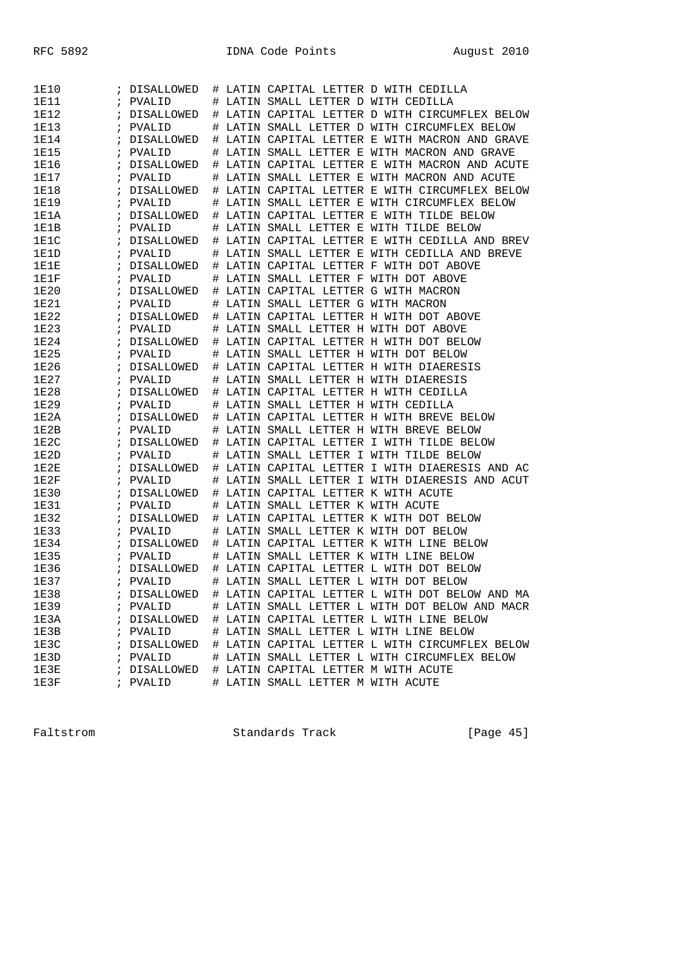| 1E10        |            | DISALLOWED        |   | # LATIN CAPITAL LETTER D WITH CEDILLA                 |
|-------------|------------|-------------------|---|-------------------------------------------------------|
| 1E11        |            | PVALID            | # | LATIN SMALL LETTER D WITH CEDILLA                     |
| 1E12        |            | DISALLOWED        | # | LATIN CAPITAL LETTER D WITH CIRCUMFLEX BELOW          |
| <b>1E13</b> | $\ddot{i}$ | PVALID            | # | LATIN SMALL LETTER D WITH CIRCUMFLEX BELOW            |
| 1E14        | $\ddot{i}$ | <b>DISALLOWED</b> | # | LATIN CAPITAL LETTER E WITH MACRON AND GRAVE          |
| 1E15        | $\ddot{i}$ | PVALID            | # | LATIN SMALL LETTER E WITH MACRON AND GRAVE            |
| 1E16        |            | DISALLOWED        | # | LATIN CAPITAL LETTER E WITH MACRON AND ACUTE          |
| 1E17        | i          | PVALID            |   | LATIN SMALL LETTER E WITH MACRON AND ACUTE            |
| 1E18        |            | DISALLOWED        | # | LATIN CAPITAL LETTER E WITH CIRCUMFLEX BELOW          |
| <b>1E19</b> | $\ddot{i}$ | PVALID            | # | LATIN SMALL LETTER E WITH CIRCUMFLEX BELOW            |
| 1E1A        |            |                   |   |                                                       |
|             | $\ddot{i}$ | DISALLOWED        | # | LATIN CAPITAL LETTER E WITH TILDE BELOW               |
| 1E1B        | $\ddot{i}$ | PVALID            | # | LATIN SMALL LETTER E WITH TILDE BELOW                 |
| 1E1C        |            | DISALLOWED        | # | LATIN CAPITAL LETTER E WITH CEDILLA AND BREV          |
| 1E1D        |            | PVALID            | # | LATIN SMALL LETTER E WITH CEDILLA AND BREVE           |
| 1E1E        | i          | DISALLOWED        | # | LATIN CAPITAL LETTER F WITH DOT ABOVE                 |
| 1E1F        | $\ddot{i}$ | PVALID            | # | LATIN SMALL LETTER F WITH DOT ABOVE                   |
| 1E20        | $\ddot{i}$ | DISALLOWED        | # | LATIN CAPITAL LETTER G WITH MACRON                    |
| 1E21        | $\ddot{i}$ | PVALID            | # | LATIN SMALL LETTER G WITH MACRON                      |
| <b>1E22</b> |            | DISALLOWED        | # | LATIN CAPITAL LETTER H WITH DOT ABOVE                 |
| <b>1E23</b> |            | PVALID            | # | LATIN SMALL LETTER H WITH DOT ABOVE                   |
| <b>1E24</b> | ÷          | DISALLOWED        | # | LATIN CAPITAL LETTER H WITH DOT BELOW                 |
| <b>1E25</b> | $\ddot{i}$ | PVALID            | # | LATIN SMALL LETTER H WITH DOT BELOW                   |
| 1E26        | $\ddot{i}$ | DISALLOWED        | # | LATIN CAPITAL LETTER H WITH DIAERESIS                 |
| 1E27        | ÷          | PVALID            | # | LATIN SMALL LETTER H WITH DIAERESIS                   |
| 1E28        |            | DISALLOWED        | # | LATIN CAPITAL LETTER H WITH CEDILLA                   |
| 1E29        |            | PVALID            | # | LATIN SMALL LETTER H WITH CEDILLA                     |
| 1E2A        | ÷          | DISALLOWED        | # | LATIN CAPITAL LETTER H WITH BREVE BELOW               |
| 1E2B        | $\ddot{i}$ | PVALID            | # | LATIN SMALL LETTER H WITH BREVE BELOW                 |
| 1E2C        | $\ddot{i}$ | DISALLOWED        | # | LATIN CAPITAL LETTER I WITH TILDE BELOW               |
| 1E2D        | $\ddot{i}$ | PVALID            | # | LATIN SMALL LETTER I WITH TILDE BELOW                 |
| 1E2E        |            | DISALLOWED        | # | LATIN CAPITAL LETTER I WITH DIAERESIS AND AC          |
| 1E2F        |            |                   |   |                                                       |
|             |            | PVALID            | # | LATIN SMALL LETTER I WITH DIAERESIS AND ACUT          |
| 1E30        | ÷          | DISALLOWED        | # | LATIN CAPITAL LETTER K WITH ACUTE                     |
| <b>1E31</b> | $\ddot{i}$ | PVALID            | # | LATIN SMALL LETTER K WITH ACUTE                       |
| 1E32        | $\ddot{i}$ | DISALLOWED        | # | LATIN CAPITAL LETTER K WITH DOT BELOW                 |
| 1E33        | $\ddot{i}$ | PVALID            | # | LATIN SMALL LETTER K WITH DOT BELOW                   |
| 1E34        |            | DISALLOWED        | # | LATIN CAPITAL LETTER K WITH LINE BELOW                |
| 1E35        |            | PVALID            | # | LATIN SMALL LETTER K WITH LINE BELOW                  |
| 1E36        | ÷          | DISALLOWED        | # | LATIN CAPITAL LETTER L WITH DOT BELOW                 |
| <b>1E37</b> | $\ddot{i}$ | PVALID            | # | LATIN SMALL LETTER L WITH DOT BELOW                   |
| <b>1E38</b> |            | ; DISALLOWED      |   | # LATIN CAPITAL LETTER L WITH DOT BELOW AND MA        |
| 1E39        |            | ; PVALID          |   | # LATIN SMALL LETTER L WITH DOT BELOW AND MACR        |
| 1E3A        |            |                   |   | ; DISALLOWED # LATIN CAPITAL LETTER L WITH LINE BELOW |
| 1E3B        |            | ; PVALID          |   | # LATIN SMALL LETTER L WITH LINE BELOW                |
| 1E3C        |            | ; DISALLOWED      |   | # LATIN CAPITAL LETTER L WITH CIRCUMFLEX BELOW        |
| 1E3D        |            | ; PVALID          |   | # LATIN SMALL LETTER L WITH CIRCUMFLEX BELOW          |
| 1E3E        |            | ; DISALLOWED      |   | # LATIN CAPITAL LETTER M WITH ACUTE                   |
| 1E3F        |            | ; PVALID          |   | # LATIN SMALL LETTER M WITH ACUTE                     |

Faltstrom Standards Track [Page 45]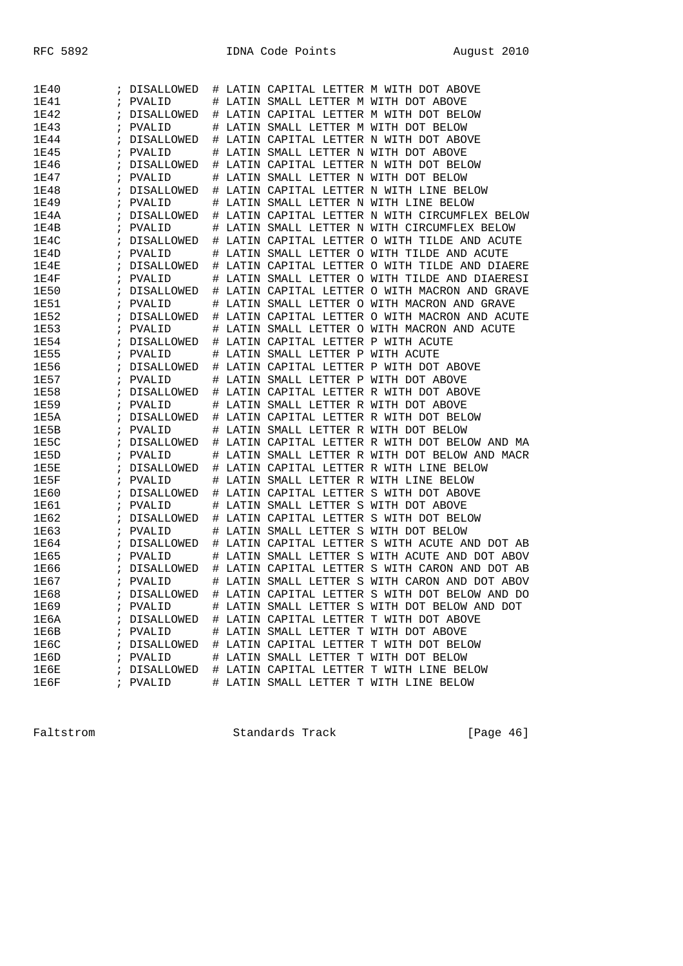| 1E40         |            | DISALLOWED        | # |       | LATIN CAPITAL LETTER M WITH DOT ABOVE                |
|--------------|------------|-------------------|---|-------|------------------------------------------------------|
| 1E41         | i          | PVALID            | # |       | LATIN SMALL LETTER M WITH DOT ABOVE                  |
| <b>1E42</b>  | ĩ          | DISALLOWED        | # |       | LATIN CAPITAL LETTER M WITH DOT BELOW                |
| 1E43         | i          | PVALID            | # |       | LATIN SMALL LETTER M WITH DOT BELOW                  |
| 1E44         | i          | <b>DISALLOWED</b> | # |       | LATIN CAPITAL LETTER N WITH DOT ABOVE                |
| 1E45         | i          | PVALID            | # |       | LATIN SMALL LETTER N WITH DOT ABOVE                  |
| 1E46         |            | DISALLOWED        | # |       | LATIN CAPITAL LETTER N WITH DOT BELOW                |
| 1E47         | i          | PVALID            | # |       | LATIN SMALL LETTER N WITH DOT BELOW                  |
| 1E48         | ï          | DISALLOWED        | # |       | LATIN CAPITAL LETTER N WITH LINE BELOW               |
| <b>1E49</b>  | i          | PVALID            | # |       | LATIN SMALL LETTER N WITH LINE BELOW                 |
| 1E4A         | i          | DISALLOWED        | # |       | LATIN CAPITAL LETTER N WITH CIRCUMFLEX BELOW         |
| 1E4B         | i          | PVALID            | # |       | LATIN SMALL LETTER N WITH CIRCUMFLEX BELOW           |
| 1E4C         |            | DISALLOWED        | # |       | LATIN CAPITAL LETTER O WITH TILDE AND ACUTE          |
| 1E4D         | ï          | PVALID            | # | LATIN | SMALL LETTER O WITH TILDE AND ACUTE                  |
| 1E4E         | ĭ          | DISALLOWED        | # |       | LATIN CAPITAL LETTER O WITH TILDE AND DIAERE         |
| 1E4F         | i          | PVALID            | # |       | LATIN SMALL LETTER O WITH TILDE AND DIAERESI         |
| <b>1E50</b>  | i          | DISALLOWED        | # |       | LATIN CAPITAL LETTER O WITH MACRON AND GRAVE         |
| 1E51         | i          | PVALID            | # |       | LATIN SMALL LETTER O WITH MACRON AND GRAVE           |
| <b>1E52</b>  |            | DISALLOWED        | # |       | LATIN CAPITAL LETTER O WITH MACRON AND ACUTE         |
| <b>1E53</b>  | i          | PVALID            | # | LATIN | SMALL LETTER O WITH MACRON AND ACUTE                 |
| <b>1E54</b>  | ï          | DISALLOWED        | # |       | LATIN CAPITAL LETTER P WITH ACUTE                    |
| <b>1E55</b>  | i          | PVALID            | # |       | LATIN SMALL LETTER P WITH ACUTE                      |
| <b>1E56</b>  | i          | <b>DISALLOWED</b> | # |       | LATIN CAPITAL LETTER P WITH DOT ABOVE                |
| <b>1E57</b>  | ï          | PVALID            | # |       | LATIN SMALL LETTER P WITH DOT ABOVE                  |
| <b>1E58</b>  | ï          | <b>DISALLOWED</b> | # |       | LATIN CAPITAL LETTER R WITH DOT ABOVE                |
| <b>1E59</b>  | ï          | PVALID            | # | LATIN | SMALL LETTER R WITH DOT ABOVE                        |
| <b>1E5A</b>  | ï          | DISALLOWED        | # |       | LATIN CAPITAL LETTER R WITH DOT BELOW                |
| 1E5B         | i          | PVALID            | # |       | LATIN SMALL LETTER R WITH DOT BELOW                  |
| 1E5C         | i          | DISALLOWED        | # |       | LATIN CAPITAL LETTER R WITH DOT BELOW AND MA         |
| 1E5D         | i          | PVALID            | # |       | LATIN SMALL LETTER R WITH DOT BELOW AND MACR         |
| 1E5E         | ï          | DISALLOWED        | # |       | LATIN CAPITAL LETTER R WITH LINE BELOW               |
| 1E5F         | ï          | PVALID            | # | LATIN | SMALL LETTER R WITH LINE BELOW                       |
| 1E60         | ï          | DISALLOWED        | # |       | LATIN CAPITAL LETTER S WITH DOT ABOVE                |
| 1E61         | i          | PVALID            | # | LATIN | SMALL LETTER S WITH DOT ABOVE                        |
| 1E62         | i          | DISALLOWED        | # | LATIN | CAPITAL LETTER S WITH DOT BELOW                      |
| 1E63         | ï          | PVALID            | # |       | LATIN SMALL LETTER S WITH DOT BELOW                  |
| 1E64         | ï          | DISALLOWED        | # |       | LATIN CAPITAL LETTER S WITH ACUTE AND DOT AB         |
| <b>1E65</b>  | ï          | PVALID            | # | LATIN | SMALL LETTER S WITH ACUTE AND DOT ABOV               |
| 1E66         | ï          | <b>DISALLOWED</b> | # |       | LATIN CAPITAL LETTER S WITH CARON AND DOT AB         |
| 1E67         | ï          | PVALID            | # |       | LATIN SMALL LETTER S WITH CARON AND DOT ABOV         |
| 1E68         | $\ddot{i}$ | DISALLOWED        |   |       | # LATIN CAPITAL LETTER S WITH DOT BELOW AND DO       |
| 1E69         |            | ; PVALID          |   |       | # LATIN SMALL LETTER S WITH DOT BELOW AND DOT        |
| 1E6A         |            |                   |   |       | ; DISALLOWED # LATIN CAPITAL LETTER T WITH DOT ABOVE |
|              |            |                   |   |       |                                                      |
| 1E6B         |            | ; PVALID          |   |       | # LATIN SMALL LETTER T WITH DOT ABOVE                |
| 1E6C<br>1E6D |            |                   |   |       | ; DISALLOWED # LATIN CAPITAL LETTER T WITH DOT BELOW |
|              |            | ; PVALID          |   |       | # LATIN SMALL LETTER T WITH DOT BELOW                |
| 1E6E         |            | ; DISALLOWED      |   |       | # LATIN CAPITAL LETTER T WITH LINE BELOW             |
| 1E6F         |            | ; PVALID          |   |       | # LATIN SMALL LETTER T WITH LINE BELOW               |

Faltstrom Standards Track [Page 46]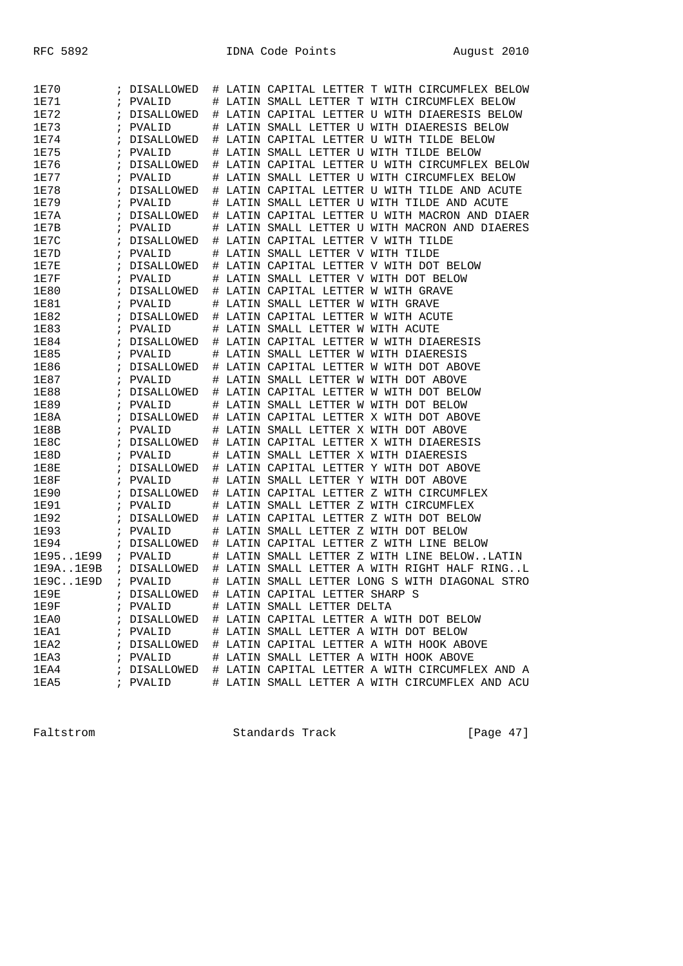| 1E70                    |            | ; DISALLOWED      | # | LATIN CAPITAL LETTER T WITH CIRCUMFLEX BELOW                |
|-------------------------|------------|-------------------|---|-------------------------------------------------------------|
| <b>1E71</b>             | $\ddot{i}$ | PVALID            | # | LATIN SMALL LETTER T WITH CIRCUMFLEX BELOW                  |
| <b>1E72</b>             | $\ddot{i}$ | DISALLOWED        | # | LATIN CAPITAL LETTER U WITH DIAERESIS BELOW                 |
| <b>1E73</b>             | $\ddot{i}$ | PVALID            | # | LATIN SMALL LETTER U WITH DIAERESIS BELOW                   |
| <b>1E74</b>             | ï          | DISALLOWED        | # | LATIN CAPITAL LETTER U WITH TILDE BELOW                     |
| 1E75                    | $\ddot{ }$ | PVALID            | ♯ | LATIN SMALL LETTER U WITH TILDE BELOW                       |
| 1E76                    | ÷          | <b>DISALLOWED</b> | # | LATIN CAPITAL LETTER U WITH CIRCUMFLEX BELOW                |
| <b>1E77</b>             | $\ddot{ }$ | PVALID            | # | LATIN SMALL LETTER U WITH CIRCUMFLEX BELOW                  |
| 1E78                    | $\ddot{i}$ | DISALLOWED        | # | LATIN CAPITAL LETTER U WITH TILDE AND ACUTE                 |
| 1E79                    | $\ddot{i}$ | PVALID            | # | LATIN SMALL LETTER U WITH TILDE AND ACUTE                   |
| 1E7A                    | i.         | DISALLOWED        | # | LATIN CAPITAL LETTER U WITH MACRON AND DIAER                |
| 1E7B                    | $\ddot{ }$ | PVALID            | ♯ | LATIN SMALL LETTER U WITH MACRON AND DIAERES                |
| 1E7C                    | $\ddot{ }$ | DISALLOWED        | # | LATIN CAPITAL LETTER V WITH TILDE                           |
| 1E7D                    | ÷          | PVALID            | # | LATIN SMALL LETTER V WITH TILDE                             |
| 1E7E                    | $\ddot{i}$ | DISALLOWED        | # | LATIN CAPITAL LETTER V WITH DOT BELOW                       |
| 1E7F                    | $\ddot{ }$ | PVALID            | # | LATIN SMALL LETTER V WITH DOT BELOW                         |
| <b>1E80</b>             | $\ddot{ }$ | DISALLOWED        | # | LATIN CAPITAL LETTER W WITH GRAVE                           |
| 1E81                    | $\ddot{i}$ | PVALID            | # | LATIN SMALL LETTER W WITH GRAVE                             |
| <b>1E82</b>             | $\ddot{ }$ | <b>DISALLOWED</b> | # | LATIN CAPITAL LETTER W WITH ACUTE                           |
| <b>1E83</b>             | $\ddot{i}$ | PVALID            | # | LATIN SMALL LETTER W WITH ACUTE                             |
| <b>1E84</b>             | $\ddot{i}$ | DISALLOWED        | # | LATIN CAPITAL LETTER W WITH DIAERESIS                       |
| <b>1E85</b>             | $\ddot{i}$ | PVALID            | # | LATIN SMALL LETTER W WITH DIAERESIS                         |
| <b>1E86</b>             | $\ddot{ }$ | DISALLOWED        | # | LATIN CAPITAL LETTER W WITH DOT ABOVE                       |
| 1E87                    | $\ddot{ }$ | PVALID            | # | LATIN SMALL LETTER W WITH DOT ABOVE                         |
| 1E88                    | $\ddot{i}$ | DISALLOWED        | # | LATIN CAPITAL LETTER W WITH DOT BELOW                       |
| <b>1E89</b>             | ÷          | PVALID            | # | LATIN SMALL LETTER W WITH DOT BELOW                         |
| 1E8A                    | $\ddot{i}$ | DISALLOWED        | # | LATIN CAPITAL LETTER X WITH DOT ABOVE                       |
| 1E8B                    | $\ddot{ }$ | PVALID            | # | LATIN SMALL LETTER X WITH DOT ABOVE                         |
| 1E8C                    | $\ddot{i}$ | DISALLOWED        | # | LATIN CAPITAL LETTER X WITH DIAERESIS                       |
| 1E8D                    | $\ddot{i}$ | PVALID            | # | LATIN SMALL LETTER X WITH DIAERESIS                         |
| 1E8E                    | $\ddot{ }$ | DISALLOWED        | # | LATIN CAPITAL LETTER Y WITH DOT ABOVE                       |
| 1E8F                    | $\ddot{i}$ | PVALID            | # | LATIN SMALL LETTER Y WITH DOT ABOVE                         |
| 1E90                    | $\ddot{i}$ | DISALLOWED        | # | LATIN CAPITAL LETTER Z WITH CIRCUMFLEX                      |
| <b>1E91</b>             | $\ddot{i}$ | PVALID            | # | LATIN SMALL LETTER Z WITH CIRCUMFLEX                        |
| <b>1E92</b>             | $\ddot{ }$ | DISALLOWED        | # | LATIN CAPITAL LETTER Z WITH DOT BELOW                       |
| 1E93                    | $\ddot{i}$ | PVALID            | # | LATIN SMALL LETTER Z WITH DOT BELOW                         |
| <b>1E94</b>             | $\ddot{ }$ | DISALLOWED        | # | LATIN CAPITAL LETTER Z WITH LINE BELOW                      |
| 1E951E99                | $\ddot{i}$ | PVALID            | # | LATIN SMALL LETTER Z WITH LINE BELOWLATIN                   |
| $l$ E $9$ A $l$ E $9$ B |            | ; DISALLOWED      | # | LATIN SMALL LETTER A WITH RIGHT HALF RINGL                  |
| 1E9C1E9D                | $\ddot{i}$ | PVALID            | # | LATIN SMALL LETTER LONG S WITH DIAGONAL STRO                |
| 1E9E                    |            | ; DISALLOWED      |   | # LATIN CAPITAL LETTER SHARP S                              |
| 1E9F                    |            | ; PVALID          |   | # LATIN SMALL LETTER DELTA                                  |
| 1EA0                    |            |                   |   | ; DISALLOWED # LATIN CAPITAL LETTER A WITH DOT BELOW        |
| 1EA1                    |            | ; PVALID          |   | # LATIN SMALL LETTER A WITH DOT BELOW                       |
| 1EA2                    |            |                   |   | ; DISALLOWED # LATIN CAPITAL LETTER A WITH HOOK ABOVE       |
| 1EA3                    |            | ; PVALID          |   | # LATIN SMALL LETTER A WITH HOOK ABOVE                      |
| 1EA4                    |            |                   |   | ; DISALLOWED # LATIN CAPITAL LETTER A WITH CIRCUMFLEX AND A |
| 1EA5                    |            | ; PVALID          |   | # LATIN SMALL LETTER A WITH CIRCUMFLEX AND ACU              |
|                         |            |                   |   |                                                             |

Faltstrom Standards Track [Page 47]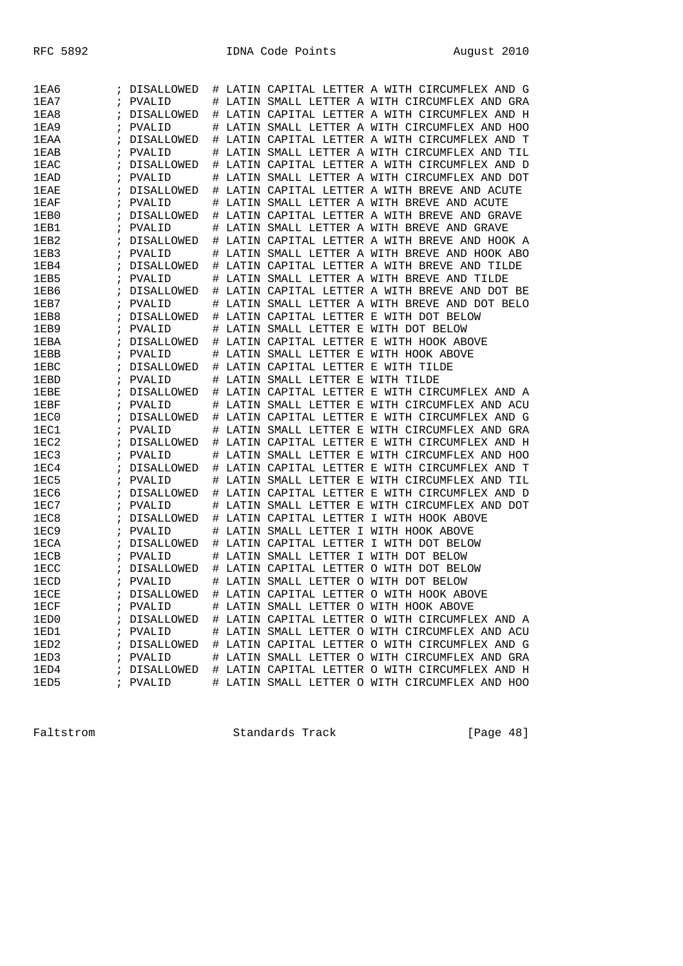| 1EA6        |            | DISALLOWED        | #      |       | LATIN CAPITAL LETTER A WITH CIRCUMFLEX AND G                |
|-------------|------------|-------------------|--------|-------|-------------------------------------------------------------|
| 1EAY        | i          | PVALID            | #      |       | LATIN SMALL LETTER A WITH CIRCUMFLEX AND GRA                |
| 1EA8        |            | DISALLOWED        | #      |       | LATIN CAPITAL LETTER A WITH CIRCUMFLEX AND H                |
| 1EA9        | i          | PVALID            | #      |       | LATIN SMALL LETTER A WITH CIRCUMFLEX AND HOO                |
| 1EAA        | ï          | DISALLOWED        | #      |       | LATIN CAPITAL LETTER A WITH CIRCUMFLEX AND T                |
| 1EAB        | i          | PVALID            | #      |       | LATIN SMALL LETTER A WITH CIRCUMFLEX AND<br>TTT.            |
| 1EAC        |            |                   |        |       | LATIN CAPITAL LETTER A WITH CIRCUMFLEX AND D                |
|             |            | DISALLOWED        | #      |       | SMALL LETTER A WITH CIRCUMFLEX AND DOT                      |
| 1EAD        | i          | PVALID            | #      | LATIN |                                                             |
| 1EAE        | ï          | DISALLOWED        | #      | LATIN | CAPITAL LETTER A WITH BREVE AND ACUTE                       |
| 1EAF        | i          | PVALID            | #      |       | LATIN SMALL LETTER A WITH BREVE AND ACUTE                   |
| 1EB0        | i          | <b>DISALLOWED</b> | #      |       | LATIN CAPITAL LETTER A WITH BREVE AND GRAVE                 |
| 1EB1        | ï          | PVALID            | #      |       | LATIN SMALL LETTER A WITH BREVE AND GRAVE                   |
| 1EB2        | i          | DISALLOWED        | ♯      |       | LATIN CAPITAL LETTER A WITH BREVE AND HOOK A                |
| 1EB3        | i          | PVALID            | #      |       | LATIN SMALL LETTER A WITH BREVE AND HOOK ABO                |
| 1EB4        | ï          | DISALLOWED        | #      |       | LATIN CAPITAL LETTER A WITH BREVE AND<br>TILDE              |
| 1EB5        | i          | PVALID            | #      |       | LATIN SMALL LETTER A WITH BREVE AND TILDE                   |
| 1EB6        | ï          | DISALLOWED        | #      |       | LATIN CAPITAL LETTER A WITH BREVE AND DOT BE                |
| 1EB7        | i          | PVALID            | #      |       | LATIN SMALL LETTER A WITH BREVE AND DOT BELO                |
| 1EB8        | i          | DISALLOWED        | #      |       | LATIN CAPITAL LETTER E WITH DOT BELOW                       |
| 1EB9        | i          | PVALID            | #      | LATIN | SMALL LETTER E WITH DOT BELOW                               |
| 1EBA        | ï          | <b>DISALLOWED</b> | #      |       | LATIN CAPITAL LETTER E WITH HOOK ABOVE                      |
| 1EBB        | i          | PVALID            | #      |       | LATIN SMALL LETTER E WITH HOOK ABOVE                        |
| 1EBC        | i          | DISALLOWED        | #      |       | LATIN CAPITAL LETTER E WITH TILDE                           |
| 1EBD        | ï          | PVALID            | #      |       | LATIN SMALL LETTER E WITH TILDE                             |
| 1EBE        | i          | DISALLOWED        | ♯      |       | LATIN CAPITAL LETTER E WITH CIRCUMFLEX AND A                |
| 1EBF        | i          | PVALID            | #      |       | LATIN SMALL LETTER E WITH CIRCUMFLEX AND ACU                |
| 1EC0        | ï          | DISALLOWED        | #      |       | LATIN CAPITAL LETTER E WITH CIRCUMFLEX AND G                |
| 1EC1        | i          | PVALID            | #      |       | LATIN SMALL LETTER E WITH CIRCUMFLEX AND GRA                |
| 1EC2        | ï          | DISALLOWED        | #      |       | LATIN CAPITAL LETTER E WITH CIRCUMFLEX AND H                |
| 1EC3        | i          | PVALID            | #      |       | LATIN SMALL LETTER E WITH CIRCUMFLEX AND HOO                |
| 1EC4        | i          | DISALLOWED        | #      |       | LATIN CAPITAL LETTER E WITH CIRCUMFLEX AND T                |
| 1EC5        | i          | PVALID            | #      | LATIN | SMALL LETTER E WITH CIRCUMFLEX AND<br>TIL                   |
| 1EC6        | ï          | DISALLOWED        | #      | LATIN | CAPITAL LETTER E WITH CIRCUMFLEX AND D                      |
| 1EC7        | i          | PVALID            | #      |       | LATIN SMALL LETTER E WITH CIRCUMFLEX AND DOT                |
| 1EC8        | i          | DISALLOWED        | #      |       | LATIN CAPITAL LETTER I WITH HOOK ABOVE                      |
| 1EC9        | ï          | PVALID            | #      |       | LATIN SMALL LETTER I WITH HOOK ABOVE                        |
| 1ECA        | ï          | DISALLOWED        | ♯      |       | LATIN CAPITAL LETTER I WITH DOT BELOW                       |
| <b>1ECB</b> |            | PVALID            |        | LATIN | SMALL LETTER I WITH DOT BELOW                               |
| 1ECC        | i          | DISALLOWED        | #<br># | LATIN | CAPITAL LETTER O WITH DOT BELOW                             |
| 1ECD        | ï          | PVALID            |        |       | LATIN SMALL LETTER O WITH DOT BELOW                         |
|             | $\ddot{ }$ |                   | #      |       |                                                             |
| <b>1ECE</b> |            | ; DISALLOWED      |        |       | # LATIN CAPITAL LETTER O WITH HOOK ABOVE                    |
| 1ECF        |            | ; PVALID          |        |       | # LATIN SMALL LETTER O WITH HOOK ABOVE                      |
| 1ED0        |            |                   |        |       | ; DISALLOWED # LATIN CAPITAL LETTER O WITH CIRCUMFLEX AND A |
| 1ED1        |            | ; PVALID          |        |       | # LATIN SMALL LETTER O WITH CIRCUMFLEX AND ACU              |
| 1ED2        |            | ; DISALLOWED      |        |       | # LATIN CAPITAL LETTER O WITH CIRCUMFLEX AND G              |
| 1ED3        |            | ; PVALID          |        |       | # LATIN SMALL LETTER O WITH CIRCUMFLEX AND GRA              |
| 1ED4        |            | ; DISALLOWED      |        |       | # LATIN CAPITAL LETTER O WITH CIRCUMFLEX AND H              |
| 1ED5        | $\ddot{i}$ | PVALID            |        |       | # LATIN SMALL LETTER O WITH CIRCUMFLEX AND HOO              |

Faltstrom Standards Track [Page 48]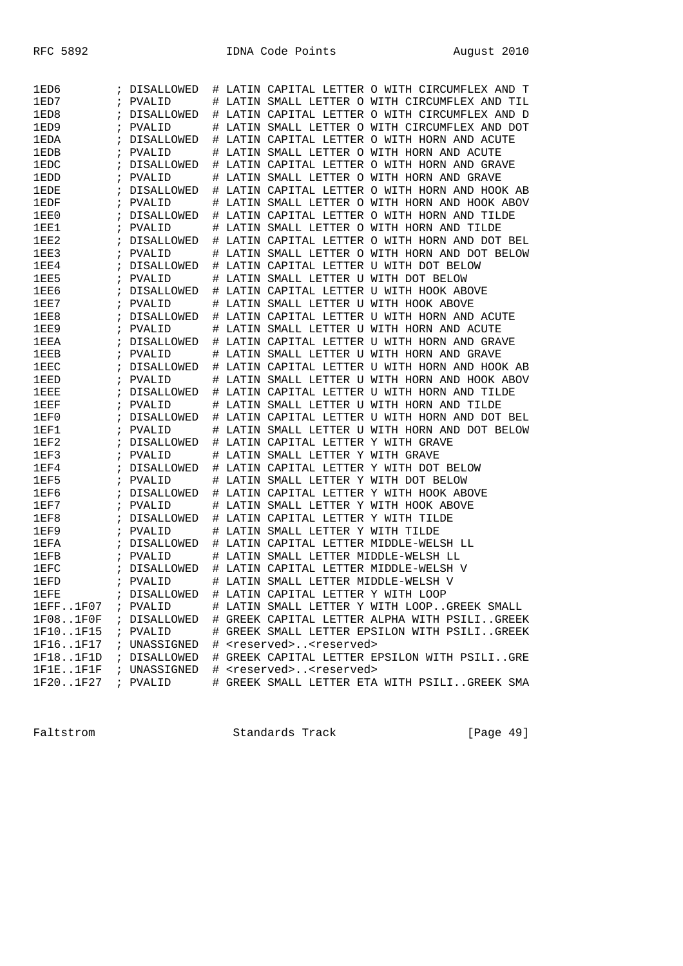| 1ED6              |            | DISALLOWED        |   | # LATIN CAPITAL LETTER O WITH CIRCUMFLEX AND T |
|-------------------|------------|-------------------|---|------------------------------------------------|
| 1ED7              |            | PVALID            | # | LATIN SMALL LETTER O WITH CIRCUMFLEX AND TIL   |
| 1ED8              |            | DISALLOWED        | # | LATIN CAPITAL LETTER O WITH CIRCUMFLEX AND D   |
| 1ED9              | $\cdot$    | PVALID            | # | LATIN SMALL LETTER O WITH CIRCUMFLEX AND DOT   |
| 1EDA              | i          | DISALLOWED        | # | LATIN CAPITAL LETTER O WITH HORN AND ACUTE     |
| 1EDB              | ï          | PVALID            | # | LATIN SMALL LETTER O WITH HORN AND ACUTE       |
| 1EDC              |            | DISALLOWED        | # | LATIN CAPITAL LETTER O WITH HORN AND GRAVE     |
| 1EDD              | i          | PVALID            | # | LATIN SMALL LETTER O WITH HORN AND GRAVE       |
| 1EDE              |            | DISALLOWED        | # | LATIN CAPITAL LETTER O WITH HORN AND HOOK AB   |
| 1EDF              | $\cdot$    | PVALID            | # | LATIN SMALL LETTER O WITH HORN AND HOOK ABOV   |
| 1EE0              | $\ddot{ }$ | DISALLOWED        | # | LATIN CAPITAL LETTER O WITH HORN AND TILDE     |
| 1EE1              | i          | PVALID            | # | LATIN SMALL LETTER O WITH HORN AND TILDE       |
| 1EE2              | i          | DISALLOWED        | # | LATIN CAPITAL LETTER O WITH HORN AND DOT BEL   |
| 1EE3              | i          | PVALID            | # | LATIN SMALL LETTER O WITH HORN AND DOT BELOW   |
| 1EE4              | i          | DISALLOWED        | # | LATIN CAPITAL LETTER U WITH DOT BELOW          |
| 1EE5              | $\cdot$    | PVALID            | # | LATIN SMALL LETTER U WITH DOT BELOW            |
| 1EE6              | ÷          | DISALLOWED        | # | LATIN CAPITAL LETTER U WITH HOOK ABOVE         |
| 1EE7              | ï          | PVALID            | # | LATIN SMALL LETTER U WITH HOOK ABOVE           |
| 1EE8              | i          | DISALLOWED        | # | LATIN CAPITAL LETTER U WITH HORN AND ACUTE     |
| 1EE9              | i          | PVALID            | # | LATIN SMALL LETTER U WITH HORN AND ACUTE       |
| 1EEA              | i          | <b>DISALLOWED</b> | # | LATIN CAPITAL LETTER U WITH HORN AND GRAVE     |
| 1EEB              | $\ddot{i}$ | PVALID            | # | LATIN SMALL LETTER U WITH HORN AND GRAVE       |
| 1EEC              | $\ddot{i}$ | <b>DISALLOWED</b> | # | LATIN CAPITAL LETTER U WITH HORN AND HOOK AB   |
| 1EED              | i          | PVALID            | # | LATIN SMALL LETTER U WITH HORN AND HOOK ABOV   |
| 1EEE              | i          | DISALLOWED        | # | LATIN CAPITAL LETTER U WITH HORN AND TILDE     |
| 1EEF              | i          | PVALID            | # | LATIN SMALL LETTER U WITH HORN AND TILDE       |
| 1EF0              | i          | DISALLOWED        | # | LATIN CAPITAL LETTER U WITH HORN AND DOT BEL   |
| 1EF1              | $\cdot$    | PVALID            | # | LATIN SMALL LETTER U WITH HORN AND DOT BELOW   |
| 1EF2              | ÷          | DISALLOWED        | # | LATIN CAPITAL LETTER Y WITH GRAVE              |
| 1EF3              | ï          | PVALID            | # | LATIN SMALL LETTER Y WITH GRAVE                |
| 1EF4              | i          | DISALLOWED        | # | LATIN CAPITAL LETTER Y WITH DOT BELOW          |
| 1EF5              | i          | PVALID            | # | LATIN SMALL LETTER Y WITH DOT BELOW            |
| 1EF6              | i          | DISALLOWED        | # | LATIN CAPITAL LETTER Y WITH HOOK ABOVE         |
| 1EF7              | $\ddot{i}$ | PVALID            | # | LATIN SMALL LETTER Y WITH HOOK ABOVE           |
| 1EF8              | $\ddot{i}$ | DISALLOWED        | # | LATIN CAPITAL LETTER Y WITH TILDE              |
| 1EF9              | i          | PVALID            | # | LATIN SMALL LETTER Y WITH TILDE                |
| 1EFA              | i          | DISALLOWED        | # | LATIN CAPITAL LETTER MIDDLE-WELSH LL           |
| 1EFB              | i          | PVALID            | # | LATIN SMALL LETTER MIDDLE-WELSH LL             |
| 1EFC              | i          | DISALLOWED        | # | LATIN CAPITAL LETTER MIDDLE-WELSH V            |
| 1EFD              | $\ddot{i}$ | PVALID            | # | LATIN SMALL LETTER MIDDLE-WELSH V              |
| 1EFE              |            | ; DISALLOWED      |   | # LATIN CAPITAL LETTER Y WITH LOOP             |
| 1EFF1F07          |            | ; PVALID          |   | # LATIN SMALL LETTER Y WITH LOOPGREEK SMALL    |
| 1F081F0F          |            | ; DISALLOWED      |   | # GREEK CAPITAL LETTER ALPHA WITH PSILIGREEK   |
| 1F101F15          |            | ; PVALID          |   | # GREEK SMALL LETTER EPSILON WITH PSILIGREEK   |
| 1F161F17          |            | ; UNASSIGNED      |   | # <reserved><reserved></reserved></reserved>   |
| 1F181F1D          |            | ; DISALLOWED      |   | # GREEK CAPITAL LETTER EPSILON WITH PSILIGRE   |
| $1$ $F1E$ 1 $F1F$ |            | ; UNASSIGNED      |   | # <reserved><reserved></reserved></reserved>   |
| 1F201F27          |            | ; PVALID          |   | # GREEK SMALL LETTER ETA WITH PSILIGREEK SMA   |

Faltstrom Standards Track [Page 49]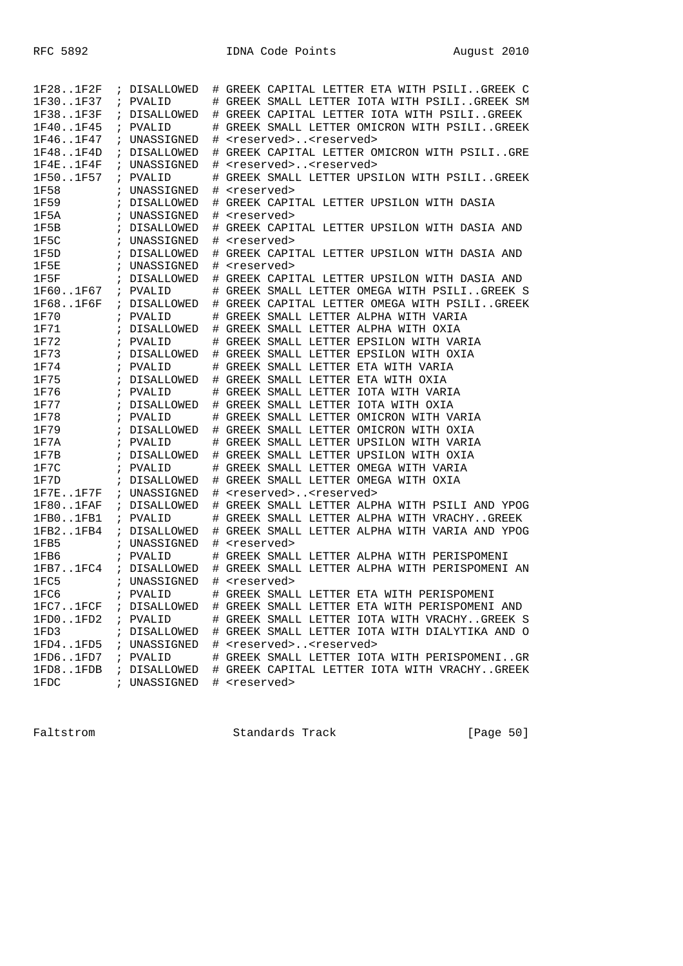| 1F281F2F      |            | ; DISALLOWED | # | GREEK CAPITAL LETTER ETA WITH PSILIGREEK C     |
|---------------|------------|--------------|---|------------------------------------------------|
| 1F301F37      |            | ; PVALID     |   | # GREEK SMALL LETTER IOTA WITH PSILIGREEK SM   |
| 1F381F3F      |            | ; DISALLOWED |   | # GREEK CAPITAL LETTER IOTA WITH PSILIGREEK    |
| 1F401F45      | $\ddot{i}$ | PVALID       | # | GREEK SMALL LETTER OMICRON WITH PSILIGREEK     |
| 1F461F47      |            | ; UNASSIGNED | # | <reserved><reserved></reserved></reserved>     |
| 1F481F4D      |            | ; DISALLOWED | # | GREEK CAPITAL LETTER OMICRON WITH PSILIGRE     |
| 1F4E. .1F4F   |            | ; UNASSIGNED | # | <reserved><reserved></reserved></reserved>     |
| 1F501F57      |            | ; PVALID     | # | GREEK SMALL LETTER UPSILON WITH PSILIGREEK     |
| 1F58          |            | ; UNASSIGNED | # | <reserved></reserved>                          |
| 1F59          |            | ; DISALLOWED | # | GREEK CAPITAL LETTER UPSILON WITH DASIA        |
| 1F5A          |            | ; UNASSIGNED | # | <reserved></reserved>                          |
| 1F5B          |            | ; DISALLOWED | # | GREEK CAPITAL LETTER UPSILON WITH DASIA AND    |
| 1F5C          |            | ; UNASSIGNED | # | <reserved></reserved>                          |
| 1F5D          |            | ; DISALLOWED | # | GREEK CAPITAL LETTER UPSILON WITH DASIA AND    |
| 1F5E          |            | ; UNASSIGNED | # | <reserved></reserved>                          |
| 1F5F          |            | ; DISALLOWED | # | GREEK CAPITAL LETTER UPSILON WITH DASIA AND    |
| 1F601F67      |            | ; PVALID     | # | GREEK SMALL LETTER OMEGA WITH PSILIGREEK S     |
| 1F681F6F      |            | ; DISALLOWED | # | GREEK CAPITAL LETTER OMEGA WITH PSILIGREEK     |
| 1F70          |            | ; PVALID     |   | # GREEK SMALL LETTER ALPHA WITH VARIA          |
| 1F71          |            | ; DISALLOWED |   | # GREEK SMALL LETTER ALPHA WITH OXIA           |
| 1F72          |            | ; PVALID     |   | # GREEK SMALL LETTER EPSILON WITH VARIA        |
| 1F73          |            | ; DISALLOWED |   | # GREEK SMALL LETTER EPSILON WITH OXIA         |
| 1F74          |            | ; PVALID     | # | GREEK SMALL LETTER ETA WITH VARIA              |
| 1F75          |            | ; DISALLOWED |   | # GREEK SMALL LETTER ETA WITH OXIA             |
| 1F76          |            | ; PVALID     |   | # GREEK SMALL LETTER IOTA WITH VARIA           |
| 1F77          |            | ; DISALLOWED |   | # GREEK SMALL LETTER IOTA WITH OXIA            |
| 1F78          |            | ; PVALID     |   | # GREEK SMALL LETTER OMICRON WITH VARIA        |
| 1F79          | $\ddot{i}$ | DISALLOWED   | # | GREEK SMALL LETTER OMICRON WITH OXIA           |
| 1F7A          |            | ; PVALID     | # | GREEK SMALL LETTER UPSILON WITH VARIA          |
| 1F7B          |            | ; DISALLOWED | # | GREEK SMALL LETTER UPSILON WITH OXIA           |
| 1F7C          |            | ; PVALID     | # | GREEK SMALL LETTER OMEGA WITH VARIA            |
| 1F7D          |            | ; DISALLOWED |   | # GREEK SMALL LETTER OMEGA WITH OXIA           |
| $1F7E$ $1F7F$ |            | ; UNASSIGNED | # | <reserved><reserved></reserved></reserved>     |
| 1F80.1FAF     |            | ; DISALLOWED | # | GREEK SMALL LETTER ALPHA WITH PSILI AND YPOG   |
| 1FB0.1FB1     |            | ; PVALID     | # | GREEK SMALL LETTER ALPHA WITH VRACHYGREEK      |
| 1FB21FB4      |            | ; DISALLOWED | # | GREEK SMALL LETTER ALPHA WITH VARIA AND YPOG   |
| 1FB5          |            | ; UNASSIGNED | # | <reserved></reserved>                          |
| 1FB6          |            | ; PVALID     | # | GREEK SMALL LETTER ALPHA WITH PERISPOMENI      |
| 1FB71FC4      |            | ; DISALLOWED |   | # GREEK SMALL LETTER ALPHA WITH PERISPOMENI AN |
| 1FC5          |            | ; UNASSIGNED |   | # <reserved></reserved>                        |
| 1FC6          |            | ; PVALID     | # | GREEK SMALL LETTER ETA WITH PERISPOMENI        |
| 1FC71FCF      |            | ; DISALLOWED |   | # GREEK SMALL LETTER ETA WITH PERISPOMENI AND  |
| 1FD01FD2      |            | ; PVALID     |   | # GREEK SMALL LETTER IOTA WITH VRACHYGREEK S   |
| 1FD3          |            | ; DISALLOWED |   | # GREEK SMALL LETTER IOTA WITH DIALYTIKA AND O |
| 1FD41FD5      |            | ; UNASSIGNED | # | <reserved><reserved></reserved></reserved>     |
| 1FD61FD7      |            | ; PVALID     |   | # GREEK SMALL LETTER IOTA WITH PERISPOMENIGR   |
| 1FD81FDB      |            | ; DISALLOWED | # | GREEK CAPITAL LETTER IOTA WITH VRACHYGREEK     |
| 1FDC          |            | ; UNASSIGNED |   | # <reserved></reserved>                        |

Faltstrom Standards Track [Page 50]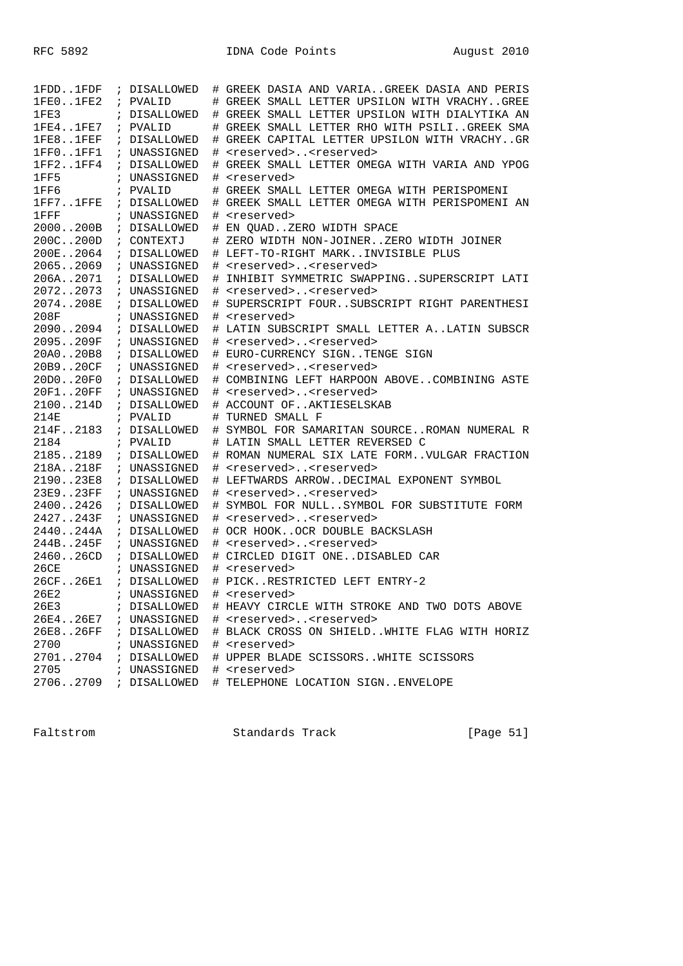| 1FDD1FDF        | ; DISALLOWED | # GREEK DASIA AND VARIAGREEK DASIA AND PERIS   |
|-----------------|--------------|------------------------------------------------|
| 1FE01FE2        | ; PVALID     | # GREEK SMALL LETTER UPSILON WITH VRACHYGREE   |
| 1FE3            | ; DISALLOWED | # GREEK SMALL LETTER UPSILON WITH DIALYTIKA AN |
| 1FE41FE7        | ; PVALID     | # GREEK SMALL LETTER RHO WITH PSILIGREEK SMA   |
| 1FE8.1FEF       | ; DISALLOWED | # GREEK CAPITAL LETTER UPSILON WITH VRACHYGR   |
| 1FF01FF1        | ; UNASSIGNED | <reserved><reserved></reserved></reserved>     |
| 1FF21FF4        | ; DISALLOWED | # GREEK SMALL LETTER OMEGA WITH VARIA AND YPOG |
| 1FF5            | ; UNASSIGNED | # <reserved></reserved>                        |
| 1FF6            | ; PVALID     | # GREEK SMALL LETTER OMEGA WITH PERISPOMENI    |
| 1FF71FFE        | ; DISALLOWED | # GREEK SMALL LETTER OMEGA WITH PERISPOMENI AN |
| $1$ ${\rm FFF}$ | ; UNASSIGNED | # <reserved></reserved>                        |
| 2000200B        | ; DISALLOWED | # EN QUADZERO WIDTH SPACE                      |
| 200C200D        | ; CONTEXTJ   | # ZERO WIDTH NON-JOINERZERO WIDTH JOINER       |
| 200E2064        | ; DISALLOWED | # LEFT-TO-RIGHT MARKINVISIBLE PLUS             |
| 20652069        | ; UNASSIGNED | # <reserved><reserved></reserved></reserved>   |
| 206A2071        | ; DISALLOWED | # INHIBIT SYMMETRIC SWAPPINGSUPERSCRIPT LATI   |
| 20722073        | ; UNASSIGNED | # <reserved><reserved></reserved></reserved>   |
| 2074208E        | ; DISALLOWED | # SUPERSCRIPT FOURSUBSCRIPT RIGHT PARENTHESI   |
| 208F            | ; UNASSIGNED | # <reserved></reserved>                        |
| 20902094        | ; DISALLOWED | # LATIN SUBSCRIPT SMALL LETTER ALATIN SUBSCR   |
| 2095209F        | ; UNASSIGNED | # <reserved><reserved></reserved></reserved>   |
| 20A020B8        | ; DISALLOWED | # EURO-CURRENCY SIGNTENGE SIGN                 |
| 20B920CF        | ; UNASSIGNED | # <reserved><reserved></reserved></reserved>   |
| 20D020F0        | ; DISALLOWED | # COMBINING LEFT HARPOON ABOVECOMBINING ASTE   |
| 20F120FF        | ; UNASSIGNED | # <reserved><reserved></reserved></reserved>   |
| 2100214D        | ; DISALLOWED | # ACCOUNT OFAKTIESELSKAB                       |
| 214E            | ; PVALID     | # TURNED SMALL F                               |
| 214F2183        | ; DISALLOWED | # SYMBOL FOR SAMARITAN SOURCEROMAN NUMERAL R   |
| 2184            | ; PVALID     | # LATIN SMALL LETTER REVERSED C                |
| 21852189        | ; DISALLOWED | # ROMAN NUMERAL SIX LATE FORMVULGAR FRACTION   |
| 218A218F        | ; UNASSIGNED | # <reserved><reserved></reserved></reserved>   |
| 219023E8        | ; DISALLOWED | # LEFTWARDS ARROWDECIMAL EXPONENT SYMBOL       |
| 23E923FF        | ; UNASSIGNED | # <reserved><reserved></reserved></reserved>   |
| 24002426        | ; DISALLOWED | # SYMBOL FOR NULLSYMBOL FOR SUBSTITUTE FORM    |
| 2427243F        | ; UNASSIGNED | # <reserved><reserved></reserved></reserved>   |
| 2440244A        | ; DISALLOWED | # OCR HOOKOCR DOUBLE BACKSLASH                 |
| 244B245F        | ; UNASSIGNED | # <reserved><reserved></reserved></reserved>   |
| 246026CD        | ; DISALLOWED | # CIRCLED DIGIT ONEDISABLED CAR                |
| 26CE            | ; UNASSIGNED | # <reserved></reserved>                        |
| 26CF26E1        | ; DISALLOWED | # PICKRESTRICTED LEFT ENTRY-2                  |
| 26E2            | ; UNASSIGNED | # <reserved></reserved>                        |
| 26E3            | ; DISALLOWED | # HEAVY CIRCLE WITH STROKE AND TWO DOTS ABOVE  |
| 26E426E7        | ; UNASSIGNED | # <reserved><reserved></reserved></reserved>   |
| 26E826FF        | ; DISALLOWED | # BLACK CROSS ON SHIELDWHITE FLAG WITH HORIZ   |
| 2700            | ; UNASSIGNED | # <reserved></reserved>                        |
| 27012704        | ; DISALLOWED | # UPPER BLADE SCISSORSWHITE SCISSORS           |
| 2705            | ; UNASSIGNED | # <reserved></reserved>                        |
| 27062709        | ; DISALLOWED | # TELEPHONE LOCATION SIGNENVELOPE              |

Faltstrom Standards Track [Page 51]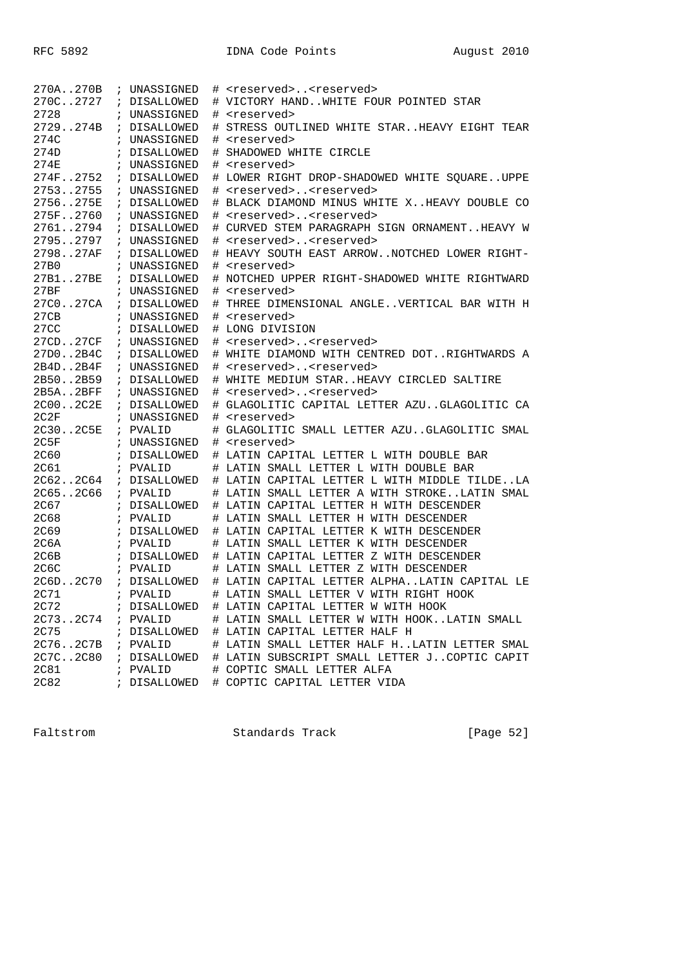| 270A270B    | ; UNASSIGNED |   | # <reserved><reserved></reserved></reserved> |
|-------------|--------------|---|----------------------------------------------|
| 270C2727    | ; DISALLOWED |   | # VICTORY HANDWHITE FOUR POINTED STAR        |
| 2728        | ; UNASSIGNED | # | <reserved></reserved>                        |
| 2729274B    | ; DISALLOWED | # | STRESS OUTLINED WHITE STARHEAVY EIGHT TEAR   |
| 274C        | ; UNASSIGNED | # | <reserved></reserved>                        |
| 274D        | ; DISALLOWED | # | SHADOWED WHITE CIRCLE                        |
| 274E        | ; UNASSIGNED |   | # <reserved></reserved>                      |
| 274F2752    | ; DISALLOWED |   | # LOWER RIGHT DROP-SHADOWED WHITE SQUAREUPPE |
| 27532755    | ; UNASSIGNED |   | # <reserved><reserved></reserved></reserved> |
| 2756275E    | ; DISALLOWED |   | # BLACK DIAMOND MINUS WHITE XHEAVY DOUBLE CO |
| 275F2760    | ; UNASSIGNED |   | # <reserved><reserved></reserved></reserved> |
| 27612794    | ; DISALLOWED |   | # CURVED STEM PARAGRAPH SIGN ORNAMENTHEAVY W |
| 27952797    | ; UNASSIGNED |   | # <reserved><reserved></reserved></reserved> |
| 279827AF    | ; DISALLOWED |   | # HEAVY SOUTH EAST ARROWNOTCHED LOWER RIGHT- |
| 27B0        | ; UNASSIGNED |   | # <reserved></reserved>                      |
| 27B127BE    | ; DISALLOWED | # | NOTCHED UPPER RIGHT-SHADOWED WHITE RIGHTWARD |
| 27BF        | ; UNASSIGNED | # | <reserved></reserved>                        |
| 27C027CA    | ; DISALLOWED | # | THREE DIMENSIONAL ANGLEVERTICAL BAR WITH H   |
| 27CB        | ; UNASSIGNED |   | # <reserved></reserved>                      |
| 27CC        | ; DISALLOWED |   | # LONG DIVISION                              |
| 27CD27CF    | ; UNASSIGNED |   | # <reserved><reserved></reserved></reserved> |
| 27D02B4C    | ; DISALLOWED |   | # WHITE DIAMOND WITH CENTRED DOTRIGHTWARDS A |
| 2B4D2B4F    | ; UNASSIGNED | # | <reserved><reserved></reserved></reserved>   |
| 2B502B59    | ; DISALLOWED |   | # WHITE MEDIUM STARHEAVY CIRCLED SALTIRE     |
| 2B5A2BFF    | ; UNASSIGNED |   | # <reserved><reserved></reserved></reserved> |
| 2C002C2E    | ; DISALLOWED |   | # GLAGOLITIC CAPITAL LETTER AZUGLAGOLITIC CA |
| 2C2F        | ; UNASSIGNED |   | # <reserved></reserved>                      |
| 2C302C5E    | ; PVALID     | # | GLAGOLITIC SMALL LETTER AZUGLAGOLITIC SMAL   |
| 2C5F        | ; UNASSIGNED | # | <reserved></reserved>                        |
| <b>2C60</b> | ; DISALLOWED |   | # LATIN CAPITAL LETTER L WITH DOUBLE BAR     |
| 2C61        | ; PVALID     |   | # LATIN SMALL LETTER L WITH DOUBLE BAR       |
| 2C622C64    | ; DISALLOWED |   | # LATIN CAPITAL LETTER L WITH MIDDLE TILDELA |
| 2C652C66    | ; PVALID     |   | # LATIN SMALL LETTER A WITH STROKELATIN SMAL |
| 2C67        | ; DISALLOWED |   | # LATIN CAPITAL LETTER H WITH DESCENDER      |
| <b>2C68</b> | ; PVALID     |   | # LATIN SMALL LETTER H WITH DESCENDER        |
| 2C69        | ; DISALLOWED |   | # LATIN CAPITAL LETTER K WITH DESCENDER      |
| 2C6A        | ; PVALID     |   | # LATIN SMALL LETTER K WITH DESCENDER        |
| 2C6B        | ; DISALLOWED |   | # LATIN CAPITAL LETTER Z WITH DESCENDER      |
| 2C6C        | ; PVALID     |   | # LATIN SMALL LETTER Z WITH DESCENDER        |
| 2C6D2C70    | ; DISALLOWED |   | # LATIN CAPITAL LETTER ALPHALATIN CAPITAL LE |
| 2C71        | ; PVALID     |   | # LATIN SMALL LETTER V WITH RIGHT HOOK       |
| 2C72        | ; DISALLOWED |   | # LATIN CAPITAL LETTER W WITH HOOK           |
| 2C732C74    | ; PVALID     |   | # LATIN SMALL LETTER W WITH HOOKLATIN SMALL  |
| 2C75        | ; DISALLOWED |   | # LATIN CAPITAL LETTER HALF H                |
| 2C762C7B    | ; PVALID     |   | # LATIN SMALL LETTER HALF HLATIN LETTER SMAL |
| 2C7C2C80    | ; DISALLOWED |   | # LATIN SUBSCRIPT SMALL LETTER JCOPTIC CAPIT |
| <b>2C81</b> | ; PVALID     |   | # COPTIC SMALL LETTER ALFA                   |
| <b>2C82</b> | ; DISALLOWED |   | # COPTIC CAPITAL LETTER VIDA                 |

Faltstrom Standards Track [Page 52]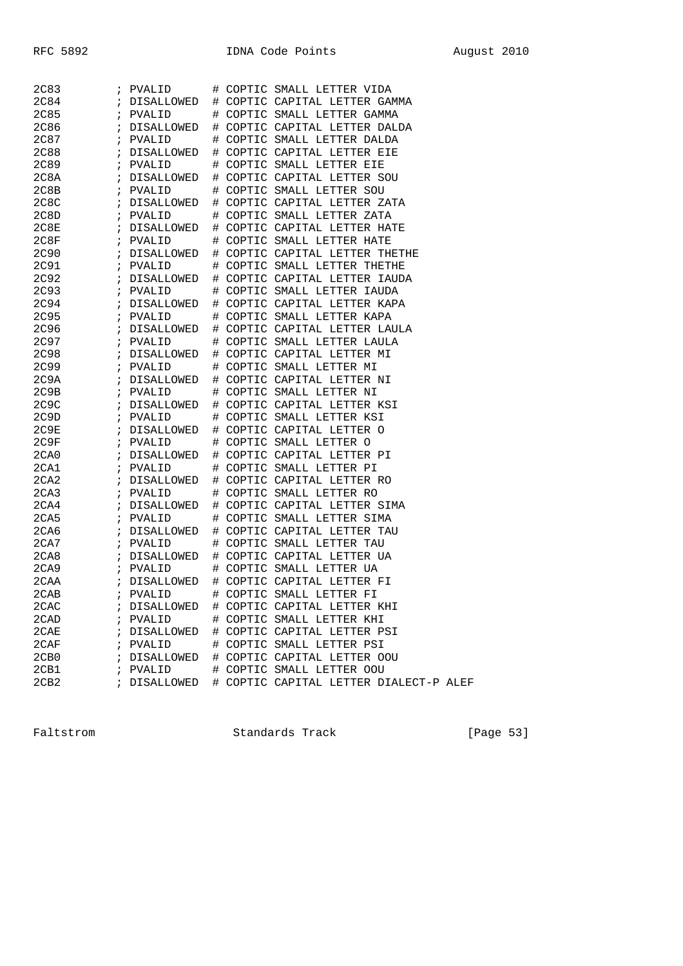| 2C83             | ; PVALID     | # COPTIC SMALL LETTER VIDA             |
|------------------|--------------|----------------------------------------|
| 2C84             | ; DISALLOWED | # COPTIC CAPITAL LETTER GAMMA          |
| 2C85             | ; PVALID     | # COPTIC SMALL LETTER GAMMA            |
| 2C86             | ; DISALLOWED | # COPTIC CAPITAL LETTER DALDA          |
| 2C87             | ; PVALID     | # COPTIC SMALL LETTER DALDA            |
| 2C88             | ; DISALLOWED | # COPTIC CAPITAL LETTER EIE            |
| 2C89             | ; PVALID     | # COPTIC SMALL LETTER EIE              |
| 2C8A             | ; DISALLOWED | # COPTIC CAPITAL LETTER SOU            |
| 2C8B             | ; PVALID     | # COPTIC SMALL LETTER SOU              |
| 2C8C             | ; DISALLOWED | # COPTIC CAPITAL LETTER ZATA           |
| 2C8D             | ; PVALID     | # COPTIC SMALL LETTER ZATA             |
| 2C8E             | ; DISALLOWED | # COPTIC CAPITAL LETTER HATE           |
| 2C8F             | ; PVALID     | # COPTIC SMALL LETTER HATE             |
| 2C90             | ; DISALLOWED | # COPTIC CAPITAL LETTER THETHE         |
| 2C91             | ; PVALID     | # COPTIC SMALL LETTER THETHE           |
| 2C92             | ; DISALLOWED | # COPTIC CAPITAL LETTER IAUDA          |
| 2C93             | ; PVALID     | # COPTIC SMALL LETTER IAUDA            |
| 2C94             | ; DISALLOWED | # COPTIC CAPITAL LETTER KAPA           |
| 2C95             | ; PVALID     | # COPTIC SMALL LETTER KAPA             |
| 2C96             | ; DISALLOWED | # COPTIC CAPITAL LETTER LAULA          |
| 2C97             | ; PVALID     | # COPTIC SMALL LETTER LAULA            |
| 2C98             | ; DISALLOWED | # COPTIC CAPITAL LETTER MI             |
| 2C99             | ; PVALID     | # COPTIC SMALL LETTER MI               |
| 2C9A             | ; DISALLOWED | # COPTIC CAPITAL LETTER NI             |
| 2C9B             | ; PVALID     | # COPTIC SMALL LETTER NI               |
| 2C9C             | ; DISALLOWED | # COPTIC CAPITAL LETTER KSI            |
| 2C9D             | ; PVALID     | # COPTIC SMALL LETTER KSI              |
| 2C9E             | ; DISALLOWED | # COPTIC CAPITAL LETTER O              |
| 2C9F             | ; PVALID     | # COPTIC SMALL LETTER O                |
| 2CA0             | ; DISALLOWED | # COPTIC CAPITAL LETTER PI             |
| 2CA1             | ; PVALID     | # COPTIC SMALL LETTER PI               |
| 2 <sub>CA2</sub> | ; DISALLOWED | # COPTIC CAPITAL LETTER RO             |
| 2CA3             | ; PVALID     | # COPTIC SMALL LETTER RO               |
| 2 <sub>CA4</sub> | ; DISALLOWED | # COPTIC CAPITAL LETTER SIMA           |
| 2CA5             | ; PVALID     | # COPTIC SMALL LETTER SIMA             |
| 2CA6             | ; DISALLOWED | # COPTIC CAPITAL LETTER TAU            |
| 2 <sub>CA7</sub> | ; PVALID     | # COPTIC SMALL LETTER TAU              |
| 2CAB             | ; DISALLOWED | # COPTIC CAPITAL LETTER UA             |
| 2CA9             | ; PVALID     | # COPTIC SMALL LETTER UA               |
| 2CAA             | ; DISALLOWED | # COPTIC CAPITAL LETTER FI             |
| 2CAB             | ; PVALID     | # COPTIC SMALL LETTER FI               |
| 2CAC             | ; DISALLOWED | # COPTIC CAPITAL LETTER KHI            |
| 2CAD             | ; PVALID     | # COPTIC SMALL LETTER KHI              |
| 2CAE             | ; DISALLOWED | # COPTIC CAPITAL LETTER PSI            |
| 2CAF             | ; PVALID     | # COPTIC SMALL LETTER PSI              |
| 2CB0             | ; DISALLOWED | # COPTIC CAPITAL LETTER OOU            |
| 2CB1             | ; PVALID     | # COPTIC SMALL LETTER OOU              |
| 2CB2             | ; DISALLOWED | # COPTIC CAPITAL LETTER DIALECT-P ALEF |
|                  |              |                                        |

Faltstrom Standards Track [Page 53]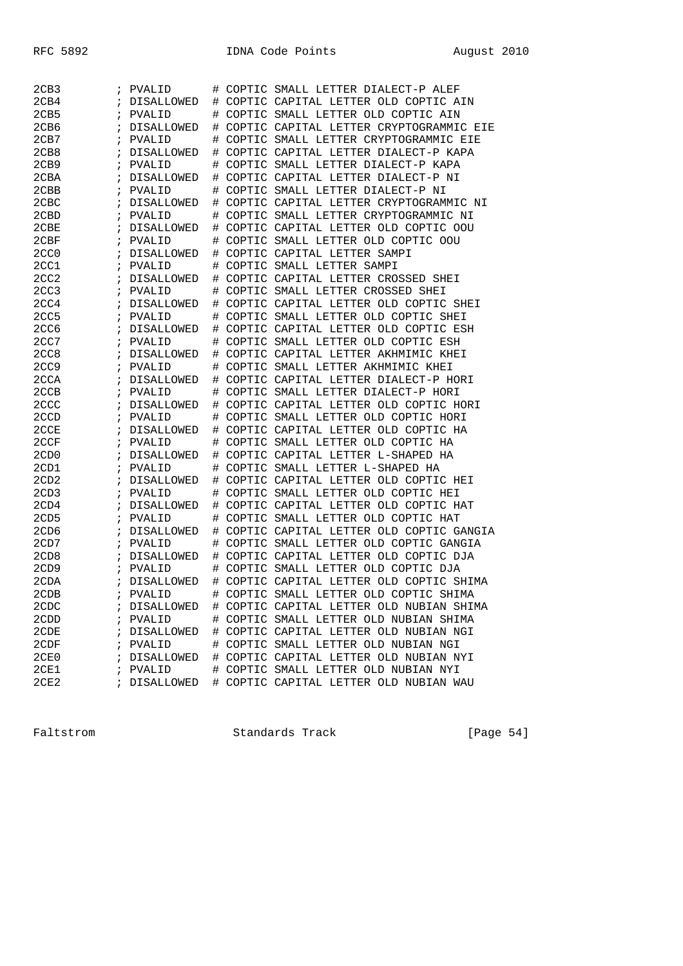| 2CB3             | PVALID<br>$\ddot{i}$            | COPTIC SMALL LETTER DIALECT-P ALEF<br>#      |
|------------------|---------------------------------|----------------------------------------------|
| 2CB4             | DISALLOWED<br>$\ddot{i}$        | COPTIC CAPITAL LETTER OLD COPTIC AIN<br>#    |
| 2CB5             | PVALID<br>i                     | COPTIC SMALL LETTER OLD COPTIC AIN<br>#      |
| 2CB6             | <b>DISALLOWED</b>               | COPTIC CAPITAL LETTER CRYPTOGRAMMIC EIE<br># |
| 2CB7             | PVALID                          | COPTIC SMALL LETTER CRYPTOGRAMMIC EIE<br>#   |
| 2CB8             | DISALLOWED                      | #<br>COPTIC CAPITAL LETTER DIALECT-P KAPA    |
| 2CB9             | $\ddot{i}$<br>PVALID            | COPTIC SMALL LETTER DIALECT-P KAPA<br>#      |
| 2CBA             | DISALLOWED<br>÷                 | COPTIC CAPITAL LETTER DIALECT-P NI<br>#      |
| 2CBB             | PVALID                          | #<br>COPTIC SMALL LETTER DIALECT-P NI        |
| 2CBC             | DISALLOWED                      | COPTIC CAPITAL LETTER CRYPTOGRAMMIC NI<br>#  |
| 2CBD             | PVALID                          | COPTIC SMALL LETTER CRYPTOGRAMMIC NI<br>#    |
| 2CBE             | DISALLOWED                      | COPTIC CAPITAL LETTER OLD COPTIC OOU<br>#    |
| 2CBF             | PVALID<br>$\ddot{i}$            | COPTIC SMALL LETTER OLD COPTIC OOU<br>#      |
| 2CC <sub>0</sub> | DISALLOWED<br>$\ddot{i}$        | COPTIC CAPITAL LETTER SAMPI<br>#             |
| 2CC1             | PVALID<br>i                     | COPTIC SMALL LETTER SAMPI<br>#               |
| 2CC <sub>2</sub> | DISALLOWED                      | COPTIC CAPITAL LETTER CROSSED SHEI<br>#      |
| 2CC3             | PVALID<br>$\ddot{ }$            | COPTIC SMALL LETTER CROSSED SHEI<br>#        |
| 2CC4             | DISALLOWED                      | COPTIC CAPITAL LETTER OLD COPTIC SHEI<br>#   |
| 2CC5             | $\ddot{i}$<br>PVALID            | COPTIC SMALL LETTER OLD COPTIC SHEI<br>#     |
| 2CC6             | DISALLOWED<br>$\ddot{i}$        | COPTIC CAPITAL LETTER OLD COPTIC ESH<br>#    |
| 2CC7             | PVALID                          | COPTIC SMALL LETTER OLD COPTIC ESH<br>#      |
| 2CC8             | DISALLOWED                      | COPTIC CAPITAL LETTER AKHMIMIC KHEI<br>#     |
| 2CC <sub>9</sub> | PVALID                          | COPTIC SMALL LETTER AKHMIMIC KHEI<br>#       |
| 2CCA             | DISALLOWED                      | COPTIC CAPITAL LETTER DIALECT-P HORI<br>#    |
| 2CCB             | PVALID<br>$\ddot{i}$            | COPTIC SMALL LETTER DIALECT-P HORI<br>#      |
| 2CCC             | DISALLOWED<br>$\ddot{i}$        | COPTIC CAPITAL LETTER OLD COPTIC HORI<br>#   |
| 2CCD             | PVALID<br>i                     | COPTIC SMALL LETTER OLD COPTIC HORI<br>#     |
| 2CCE             | DISALLOWED                      | COPTIC CAPITAL LETTER OLD COPTIC HA<br>#     |
| 2CCF             | PVALID<br>$\ddot{ }$            | COPTIC SMALL LETTER OLD COPTIC HA<br>#       |
| 2CD <sub>0</sub> | DISALLOWED                      | COPTIC CAPITAL LETTER L-SHAPED HA<br>#       |
| 2CD1             | $\ddot{i}$<br>PVALID            | COPTIC SMALL LETTER L-SHAPED HA<br>#         |
| 2CD <sub>2</sub> | DISALLOWED<br>$\ddot{i}$        | COPTIC CAPITAL LETTER OLD COPTIC HEI<br>#    |
| 2CD3             | PVALID<br>÷                     | #<br>COPTIC SMALL LETTER OLD COPTIC HEI      |
| 2CD4             | DISALLOWED                      | COPTIC CAPITAL LETTER OLD COPTIC HAT<br>#    |
| 2CD5             | PVALID                          | COPTIC SMALL LETTER OLD COPTIC HAT<br>#      |
| 2CD <sub>6</sub> | DISALLOWED                      | COPTIC CAPITAL LETTER OLD COPTIC GANGIA<br># |
| 2CD7             | PVALID<br>$\ddot{i}$            | COPTIC SMALL LETTER OLD COPTIC GANGIA<br>#   |
| 2CD <sub>8</sub> | DISALLOWED<br>$\ddot{i}$        | COPTIC CAPITAL LETTER OLD COPTIC DJA<br>#    |
| 2CD9             | PVALID<br>i                     | COPTIC SMALL LETTER OLD COPTIC DJA<br>#      |
| 2CDA             | DISALLOWED                      | COPTIC CAPITAL LETTER OLD COPTIC SHIMA<br>#  |
| 2CDB             | PVALID                          | COPTIC SMALL LETTER OLD COPTIC SHIMA<br>#    |
| 2CDC             | ; DISALLOWED                    | # COPTIC CAPITAL LETTER OLD NUBIAN SHIMA     |
| 2CDD             | PVALID<br>$\ddot{i}$            | # COPTIC SMALL LETTER OLD NUBIAN SHIMA       |
| 2CDE             | <b>DISALLOWED</b><br>$\ddot{i}$ | # COPTIC CAPITAL LETTER OLD NUBIAN NGI       |
|                  |                                 | # COPTIC SMALL LETTER OLD NUBIAN NGI         |
| 2CDF             | PVALID<br>;                     | # COPTIC CAPITAL LETTER OLD NUBIAN NYI       |
| 2CE <sub>0</sub> | DISALLOWED                      |                                              |
| 2CE1             | PVALID<br>;                     | # COPTIC SMALL LETTER OLD NUBIAN NYI         |
| 2CE2             | DISALLOWED                      | # COPTIC CAPITAL LETTER OLD NUBIAN WAU       |

Faltstrom Standards Track [Page 54]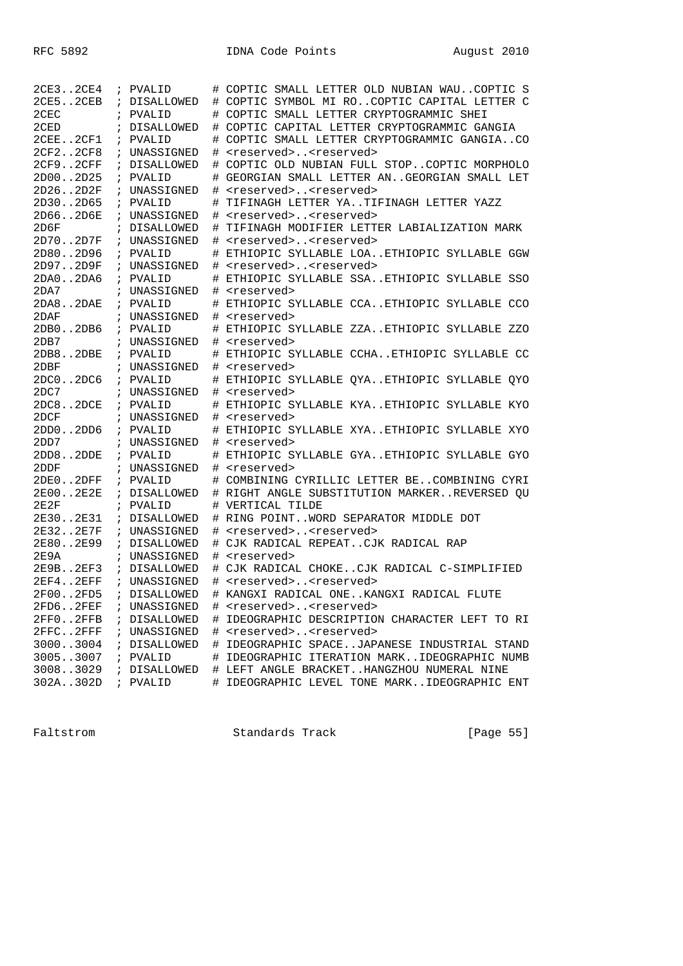| 2CE32CE4    | ; PVALID     |    | # COPTIC SMALL LETTER OLD NUBIAN WAUCOPTIC S   |
|-------------|--------------|----|------------------------------------------------|
| 2CE52CEB    | ; DISALLOWED |    | # COPTIC SYMBOL MI ROCOPTIC CAPITAL LETTER C   |
| 2CEC        | ; PVALID     |    | # COPTIC SMALL LETTER CRYPTOGRAMMIC SHEI       |
| 2CED        | ; DISALLOWED |    | # COPTIC CAPITAL LETTER CRYPTOGRAMMIC GANGIA   |
| 2CEE2CF1    | ; PVALID     |    | COPTIC SMALL LETTER CRYPTOGRAMMIC GANGIACO     |
| 2CF22CF8    | ; UNASSIGNED |    | <reserved><reserved></reserved></reserved>     |
| 2CF92CFF    | ; DISALLOWED | #  | COPTIC OLD NUBIAN FULL STOPCOPTIC MORPHOLO     |
| 2D002D25    | ; PVALID     | #  | GEORGIAN SMALL LETTER ANGEORGIAN SMALL LET     |
| 2D262D2F    | ; UNASSIGNED | #  | <reserved><reserved></reserved></reserved>     |
| 2D302D65    | ; PVALID     | #  | TIFINAGH LETTER YATIFINAGH LETTER YAZZ         |
| 2D662D6E    | ; UNASSIGNED | #  | <reserved><reserved></reserved></reserved>     |
| 2D6F        | ; DISALLOWED | #  | TIFINAGH MODIFIER LETTER LABIALIZATION MARK    |
| 2D702D7F    | ; UNASSIGNED |    | # <reserved><reserved></reserved></reserved>   |
| 2D802D96    | ; PVALID     | #  | ETHIOPIC SYLLABLE LOAETHIOPIC SYLLABLE GGW     |
| 2D972D9F    | ; UNASSIGNED | #  | <reserved><reserved></reserved></reserved>     |
| 2DA02DA6    | ; PVALID     |    | ETHIOPIC SYLLABLE SSAETHIOPIC SYLLABLE SSO     |
| 2DA7        | ; UNASSIGNED | #  | <reserved></reserved>                          |
| 2DA82DAE    | ; PVALID     |    | ETHIOPIC SYLLABLE CCAETHIOPIC SYLLABLE CCO     |
| 2DAF        | ; UNASSIGNED | #  | <reserved></reserved>                          |
| 2DB02DB6    | ; PVALID     | #  | ETHIOPIC SYLLABLE ZZAETHIOPIC SYLLABLE ZZO     |
| 2DB7        | ; UNASSIGNED | #  | <reserved></reserved>                          |
| 2DB82DBE    | ; PVALID     | #  | ETHIOPIC SYLLABLE CCHAETHIOPIC SYLLABLE CC     |
| 2DBF        | ; UNASSIGNED | ♯. | <reserved></reserved>                          |
| 2DC02DC6    | ; PVALID     |    | ETHIOPIC SYLLABLE QYAETHIOPIC SYLLABLE QYO     |
| 2DC7        | ; UNASSIGNED |    | # <reserved></reserved>                        |
| 2DC82DCE    | ; PVALID     |    | # ETHIOPIC SYLLABLE KYAETHIOPIC SYLLABLE KYO   |
| 2DCF        | ; UNASSIGNED |    | # <reserved></reserved>                        |
| 2DD02DD6    | ; PVALID     |    | ETHIOPIC SYLLABLE XYAETHIOPIC SYLLABLE XYO     |
| 2DD7        | ; UNASSIGNED | #  | <reserved></reserved>                          |
| 2DD82DDE    | ; PVALID     |    | ETHIOPIC SYLLABLE GYAETHIOPIC SYLLABLE GYO     |
| 2DDF        | ; UNASSIGNED |    | # <reserved></reserved>                        |
| 2DE02DFF    | ; PVALID     |    | COMBINING CYRILLIC LETTER BECOMBINING CYRI     |
| 2E002E2E    | ; DISALLOWED |    | # RIGHT ANGLE SUBSTITUTION MARKERREVERSED OU   |
| 2E2F        | ; PVALID     |    | # VERTICAL TILDE                               |
| 2E302E31    | ; DISALLOWED |    | # RING POINTWORD SEPARATOR MIDDLE DOT          |
| 2E322E7F    | ; UNASSIGNED | #  | <reserved><reserved></reserved></reserved>     |
| 2E802E99    | ; DISALLOWED | ⋕. | CJK RADICAL REPEATCJK RADICAL RAP              |
| 2E9A        | ; UNASSIGNED |    | # <reserved></reserved>                        |
| 2E9B2EF3    | ; DISALLOWED |    | # CJK RADICAL CHOKECJK RADICAL C-SIMPLIFIED    |
| 2EF4. .2EFF | ; UNASSIGNED |    | # <reserved><reserved></reserved></reserved>   |
| 2F002FD5    | ; DISALLOWED |    | # KANGXI RADICAL ONEKANGXI RADICAL FLUTE       |
| 2FD6. .2FEF | ; UNASSIGNED |    | # <reserved><reserved></reserved></reserved>   |
| 2FF02FFB    | ; DISALLOWED |    | # IDEOGRAPHIC DESCRIPTION CHARACTER LEFT TO RI |
| 2FFC2FFF    | ; UNASSIGNED |    | # <reserved><reserved></reserved></reserved>   |
| 30003004    | ; DISALLOWED |    | # IDEOGRAPHIC SPACEJAPANESE INDUSTRIAL STAND   |
| 30053007    | ; PVALID     |    | # IDEOGRAPHIC ITERATION MARKIDEOGRAPHIC NUMB   |
| 30083029    | ; DISALLOWED |    | # LEFT ANGLE BRACKETHANGZHOU NUMERAL NINE      |
| 302A302D    | ; PVALID     |    | # IDEOGRAPHIC LEVEL TONE MARKIDEOGRAPHIC ENT   |

Faltstrom Standards Track [Page 55]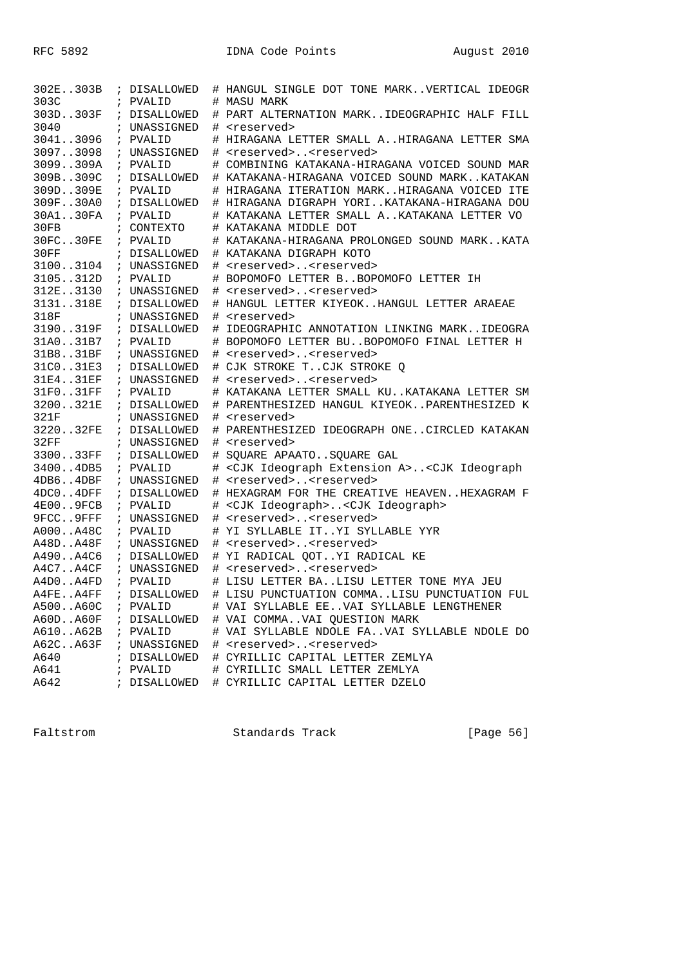| 302E303B  | ; DISALLOWED | # HANGUL SINGLE DOT TONE MARKVERTICAL IDEOGR                                |
|-----------|--------------|-----------------------------------------------------------------------------|
| 303C      | ; PVALID     | # MASU MARK                                                                 |
| 303D303F  | ; DISALLOWED | # PART ALTERNATION MARKIDEOGRAPHIC HALF FILL                                |
| 3040      | ; UNASSIGNED | # <reserved></reserved>                                                     |
| 30413096  | ; PVALID     | # HIRAGANA LETTER SMALL AHIRAGANA LETTER SMA                                |
| 30973098  | ; UNASSIGNED | # <reserved><reserved></reserved></reserved>                                |
| 3099309A  | ; PVALID     | # COMBINING KATAKANA-HIRAGANA VOICED SOUND MAR                              |
| 309B309C  | ; DISALLOWED | # KATAKANA-HIRAGANA VOICED SOUND MARKKATAKAN                                |
| 309D309E  | ; PVALID     | # HIRAGANA ITERATION MARKHIRAGANA VOICED ITE                                |
| 309F30A0  | ; DISALLOWED | # HIRAGANA DIGRAPH YORIKATAKANA-HIRAGANA DOU                                |
| 30A130FA  | ; PVALID     | # KATAKANA LETTER SMALL AKATAKANA LETTER VO                                 |
| 30FB      | ; CONTEXTO   | # KATAKANA MIDDLE DOT                                                       |
| 30FC30FE  | ; PVALID     | # KATAKANA-HIRAGANA PROLONGED SOUND MARKKATA                                |
| 30FF      | ; DISALLOWED | # KATAKANA DIGRAPH KOTO                                                     |
| 31003104  | ; UNASSIGNED | # <reserved><reserved></reserved></reserved>                                |
| 3105312D  | ; PVALID     | # BOPOMOFO LETTER BBOPOMOFO LETTER IH                                       |
| 312E3130  | ; UNASSIGNED | # <reserved><reserved></reserved></reserved>                                |
| 3131318E  | ; DISALLOWED | # HANGUL LETTER KIYEOKHANGUL LETTER ARAEAE                                  |
| 318F      | ; UNASSIGNED | # <reserved></reserved>                                                     |
| 3190319F  | ; DISALLOWED | # IDEOGRAPHIC ANNOTATION LINKING MARKIDEOGRA                                |
| 31A031B7  | ; PVALID     | # BOPOMOFO LETTER BUBOPOMOFO FINAL LETTER H                                 |
| 31B831BF  | ; UNASSIGNED | # <reserved><reserved></reserved></reserved>                                |
| 31C031E3  | ; DISALLOWED | # CJK STROKE TCJK STROKE O                                                  |
| 31E431EF  | ; UNASSIGNED | # <reserved><reserved></reserved></reserved>                                |
| 31F031FF  | ; PVALID     | # KATAKANA LETTER SMALL KUKATAKANA LETTER SM                                |
| 3200321E  | ; DISALLOWED | # PARENTHESIZED HANGUL KIYEOKPARENTHESIZED K                                |
| 321F      | ; UNASSIGNED | # <reserved></reserved>                                                     |
| 322032FE  | ; DISALLOWED | # PARENTHESIZED IDEOGRAPH ONECIRCLED KATAKAN                                |
| 32FF      | ; UNASSIGNED | # <reserved></reserved>                                                     |
| 330033FF  | ; DISALLOWED | # SQUARE APAATOSQUARE GAL                                                   |
| 34004DB5  | ; PVALID     | # <cjk a="" extension="" ideograph=""><cjk ideograph<="" td=""></cjk></cjk> |
| 4DB64DBF  | ; UNASSIGNED | # <reserved><reserved></reserved></reserved>                                |
| 4DC04DFF  | ; DISALLOWED | # HEXAGRAM FOR THE CREATIVE HEAVENHEXAGRAM F                                |
| 4E009FCB  | ; PVALID     | # <cjk ideograph=""><cjk ideograph=""></cjk></cjk>                          |
| 9FCC9FFF  | ; UNASSIGNED | # <reserved><reserved></reserved></reserved>                                |
| A000A48C  | ; PVALID     | # YI SYLLABLE ITYI SYLLABLE YYR                                             |
| A48DA48F  | ; UNASSIGNED | # <reserved><reserved></reserved></reserved>                                |
| A490A4C6  | ; DISALLOWED | # YI RADICAL QOTYI RADICAL KE                                               |
| A4C7A4CF  | ; UNASSIGNED | # <reserved><reserved></reserved></reserved>                                |
| A4D0A4FD  | ; PVALID     | # LISU LETTER BALISU LETTER TONE MYA JEU                                    |
| A4FEA4FF  | ; DISALLOWED | # LISU PUNCTUATION COMMALISU PUNCTUATION FUL                                |
| A500A60C  | ; PVALID     | # VAI SYLLABLE EEVAI SYLLABLE LENGTHENER                                    |
| A60D.A60F |              | ; DISALLOWED # VAI COMMAVAI QUESTION MARK                                   |
| A610A62B  | ; PVALID     | # VAI SYLLABLE NDOLE FAVAI SYLLABLE NDOLE DO                                |
| A62CA63F  |              | ; UNASSIGNED # <reserved><reserved></reserved></reserved>                   |
| A640      |              | ; DISALLOWED # CYRILLIC CAPITAL LETTER ZEMLYA                               |
| A641      | ; PVALID     | # CYRILLIC SMALL LETTER ZEMLYA                                              |
| A642      | ; DISALLOWED | # CYRILLIC CAPITAL LETTER DZELO                                             |

Faltstrom Standards Track [Page 56]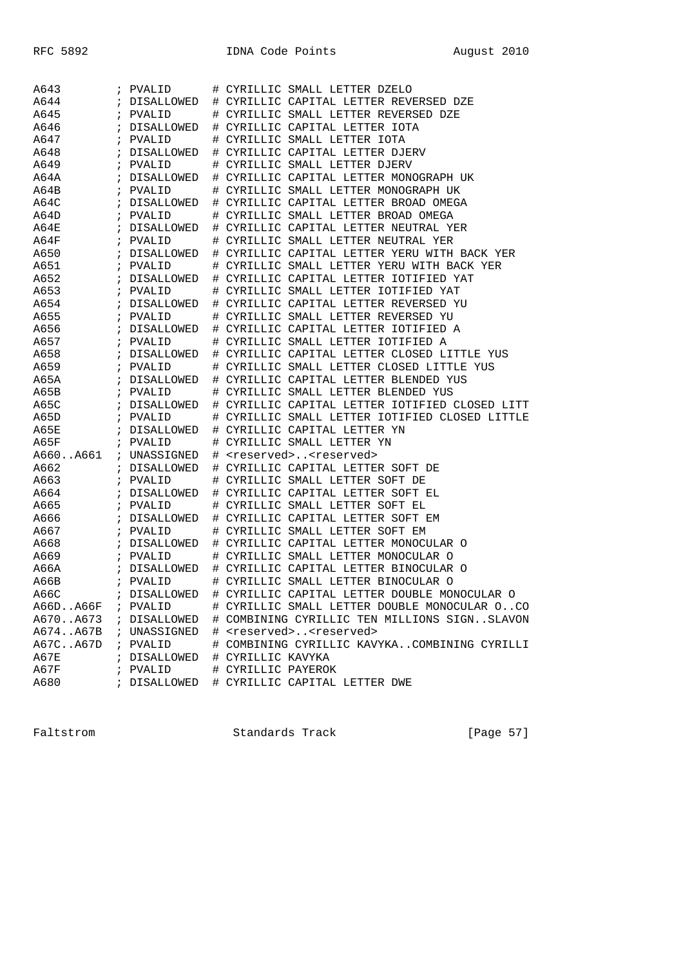| A643     |            | ; PVALID               |   | # CYRILLIC SMALL LETTER DZELO                                                    |
|----------|------------|------------------------|---|----------------------------------------------------------------------------------|
| A644     | $\ddot{i}$ | DISALLOWED             |   | # CYRILLIC CAPITAL LETTER REVERSED DZE                                           |
| A645     | $\cdot$    | PVALID                 |   | # CYRILLIC SMALL LETTER REVERSED DZE                                             |
| A646     |            | DISALLOWED             |   | # CYRILLIC CAPITAL LETTER IOTA                                                   |
| A647     | $\ddot{i}$ | PVALID                 | # | CYRILLIC SMALL LETTER IOTA                                                       |
| A648     | $\ddot{i}$ | DISALLOWED             |   | # CYRILLIC CAPITAL LETTER DJERV                                                  |
| A649     |            | ; PVALID               |   | # CYRILLIC SMALL LETTER DJERV                                                    |
| A64A     | $\ddot{i}$ | DISALLOWED             |   | # CYRILLIC CAPITAL LETTER MONOGRAPH UK                                           |
| A64B     | $\ddot{i}$ | PVALID                 |   | # CYRILLIC SMALL LETTER MONOGRAPH UK                                             |
| A64C     | $\ddot{i}$ | DISALLOWED             |   | # CYRILLIC CAPITAL LETTER BROAD OMEGA                                            |
| A64D     | $\ddot{i}$ | PVALID                 | # | CYRILLIC SMALL LETTER BROAD OMEGA                                                |
| A64E     | $\ddot{i}$ | DISALLOWED             |   | # CYRILLIC CAPITAL LETTER NEUTRAL YER                                            |
| A64F     |            | ; PVALID               |   | # CYRILLIC SMALL LETTER NEUTRAL YER                                              |
| A650     |            | ; DISALLOWED           |   | # CYRILLIC CAPITAL LETTER YERU WITH BACK YER                                     |
| A651     | $\ddot{i}$ | PVALID                 |   | # CYRILLIC SMALL LETTER YERU WITH BACK YER                                       |
| A652     | $\ddot{i}$ | DISALLOWED             |   | # CYRILLIC CAPITAL LETTER IOTIFIED YAT                                           |
| A653     | $\ddot{i}$ | PVALID                 | # | CYRILLIC SMALL LETTER IOTIFIED YAT                                               |
| A654     | $\ddot{i}$ | DISALLOWED             |   | # CYRILLIC CAPITAL LETTER REVERSED YU                                            |
| A655     |            | ; PVALID               |   | # CYRILLIC SMALL LETTER REVERSED YU                                              |
| A656     |            | ; DISALLOWED           |   | # CYRILLIC CAPITAL LETTER IOTIFIED A                                             |
| A657     | $\ddot{i}$ | PVALID                 |   | # CYRILLIC SMALL LETTER IOTIFIED A                                               |
| A658     | $\ddot{i}$ | DISALLOWED             |   | # CYRILLIC CAPITAL LETTER CLOSED LITTLE YUS                                      |
| A659     | $\ddot{i}$ | PVALID                 |   | CYRILLIC SMALL LETTER CLOSED LITTLE YUS                                          |
| A65A     | $\ddot{i}$ | DISALLOWED             | # | # CYRILLIC CAPITAL LETTER BLENDED YUS                                            |
| A65B     |            | ; PVALID               |   | # CYRILLIC SMALL LETTER BLENDED YUS                                              |
| A65C     |            |                        |   | # CYRILLIC CAPITAL LETTER IOTIFIED CLOSED LITT                                   |
| A65D     | $\ddot{i}$ | ; DISALLOWED<br>PVALID |   | # CYRILLIC SMALL LETTER IOTIFIED CLOSED LITTLE                                   |
| A65E     | $\ddot{i}$ | DISALLOWED             |   | CYRILLIC CAPITAL LETTER YN                                                       |
| A65F     |            |                        | # | CYRILLIC SMALL LETTER YN                                                         |
| A660A661 | $\ddot{i}$ | PVALID<br>; UNASSIGNED | # |                                                                                  |
| A662     |            | ; DISALLOWED           | # | <reserved><reserved><br/># CYRILLIC CAPITAL LETTER SOFT DE</reserved></reserved> |
|          |            |                        |   |                                                                                  |
| A663     |            | ; PVALID               | # | CYRILLIC SMALL LETTER SOFT DE                                                    |
| A664     | $\ddot{i}$ | DISALLOWED             | # | CYRILLIC CAPITAL LETTER SOFT EL                                                  |
| A665     | $\ddot{i}$ | PVALID                 | # | CYRILLIC SMALL LETTER SOFT EL                                                    |
| A666     | $\ddot{i}$ | DISALLOWED             | # | CYRILLIC CAPITAL LETTER SOFT EM                                                  |
| A667     | $\ddot{i}$ | PVALID                 | # | CYRILLIC SMALL LETTER SOFT EM                                                    |
| A668     | $\ddot{i}$ | DISALLOWED             |   | # CYRILLIC CAPITAL LETTER MONOCULAR O                                            |
| A669     | $\ddot{i}$ | PVALID                 |   | # CYRILLIC SMALL LETTER MONOCULAR O                                              |
| A66A     | $\ddot{i}$ | DISALLOWED             |   | # CYRILLIC CAPITAL LETTER BINOCULAR O                                            |
| A66B     | $\ddot{i}$ | PVALID                 |   | # CYRILLIC SMALL LETTER BINOCULAR O                                              |
| A66C     |            | ; DISALLOWED           | # | CYRILLIC CAPITAL LETTER DOUBLE MONOCULAR O                                       |
| A66DA66F |            | ; PVALID               |   | # CYRILLIC SMALL LETTER DOUBLE MONOCULAR OCO                                     |
| A670A673 |            | ; DISALLOWED           |   | # COMBINING CYRILLIC TEN MILLIONS SIGNSLAVON                                     |
| A674A67B |            | ; UNASSIGNED           |   | # <reserved><reserved></reserved></reserved>                                     |
| A67CA67D |            | ; PVALID               |   | # COMBINING CYRILLIC KAVYKACOMBINING CYRILLI                                     |
| A67E     |            | ; DISALLOWED           |   | # CYRILLIC KAVYKA                                                                |
| A67F     |            | ; PVALID               |   | # CYRILLIC PAYEROK                                                               |
| A680     |            | ; DISALLOWED           |   | # CYRILLIC CAPITAL LETTER DWE                                                    |

Faltstrom Standards Track [Page 57]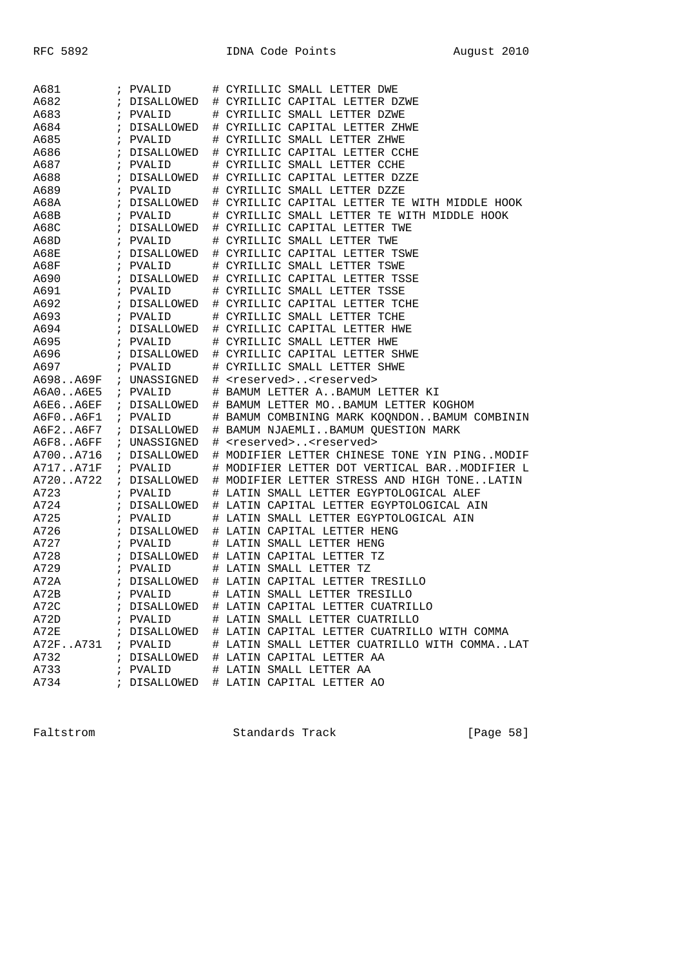| A681     | ; PVALID              | # CYRILLIC SMALL LETTER DWE                   |
|----------|-----------------------|-----------------------------------------------|
| A682     | ; DISALLOWED          | # CYRILLIC CAPITAL LETTER DZWE                |
| A683     | ; PVALID              | # CYRILLIC SMALL LETTER DZWE                  |
| A684     | ; DISALLOWED          | # CYRILLIC CAPITAL LETTER ZHWE                |
| A685     | ; PVALID              | # CYRILLIC SMALL LETTER ZHWE                  |
| A686     | ; DISALLOWED          | # CYRILLIC CAPITAL LETTER CCHE                |
| A687     | ; PVALID              | # CYRILLIC SMALL LETTER CCHE                  |
| A688     | ; DISALLOWED          | # CYRILLIC CAPITAL LETTER DZZE                |
| A689     | ; PVALID              | # CYRILLIC SMALL LETTER DZZE                  |
| A68A     | ; DISALLOWED          | # CYRILLIC CAPITAL LETTER TE WITH MIDDLE HOOK |
| A68B     | ; PVALID              | # CYRILLIC SMALL LETTER TE WITH MIDDLE HOOK   |
| A68C     | ; DISALLOWED          | # CYRILLIC CAPITAL LETTER TWE                 |
| A68D     | ; PVALID              | # CYRILLIC SMALL LETTER TWE                   |
| A68E     | ; DISALLOWED          | # CYRILLIC CAPITAL LETTER TSWE                |
| A68F     | ; PVALID              | # CYRILLIC SMALL LETTER TSWE                  |
| A690     | ; DISALLOWED          | # CYRILLIC CAPITAL LETTER TSSE                |
| A691     | ; PVALID              | # CYRILLIC SMALL LETTER TSSE                  |
| A692     | ; DISALLOWED          | # CYRILLIC CAPITAL LETTER TCHE                |
| A693     | ; PVALID              | # CYRILLIC SMALL LETTER TCHE                  |
| A694     | ; DISALLOWED          | # CYRILLIC CAPITAL LETTER HWE                 |
| A695     | ; PVALID              | # CYRILLIC SMALL LETTER HWE                   |
| A696     | ; DISALLOWED          | # CYRILLIC CAPITAL LETTER SHWE                |
| A697     | ; PVALID              | # CYRILLIC SMALL LETTER SHWE                  |
|          | A698A69F ; UNASSIGNED | # <reserved><reserved></reserved></reserved>  |
| A6A0A6E5 | ; PVALID              | # BAMUM LETTER ABAMUM LETTER KI               |
| A6E6A6EF | ; DISALLOWED          | # BAMUM LETTER MOBAMUM LETTER KOGHOM          |
| A6F0A6F1 | ; PVALID              | # BAMUM COMBINING MARK KOQNDONBAMUM COMBININ  |
| A6F2A6F7 | ; DISALLOWED          | # BAMUM NJAEMLIBAMUM QUESTION MARK            |
| A6F8A6FF | ; UNASSIGNED          | # <reserved><reserved></reserved></reserved>  |
| A700A716 | ; DISALLOWED          | # MODIFIER LETTER CHINESE TONE YIN PINGMODIF  |
| A717A71F | ; PVALID              | # MODIFIER LETTER DOT VERTICAL BARMODIFIER L  |
| A720A722 | ; DISALLOWED          | # MODIFIER LETTER STRESS AND HIGH TONELATIN   |
| A723     | ; PVALID              | # LATIN SMALL LETTER EGYPTOLOGICAL ALEF       |
| A724     | ; DISALLOWED          | # LATIN CAPITAL LETTER EGYPTOLOGICAL AIN      |
| A725     | ; PVALID              | # LATIN SMALL LETTER EGYPTOLOGICAL AIN        |
| A726     | ; DISALLOWED          | # LATIN CAPITAL LETTER HENG                   |
| A727     | ; PVALID              | # LATIN SMALL LETTER HENG                     |
| A728     | ; DISALLOWED          | # LATIN CAPITAL LETTER TZ                     |
| A729     | ; PVALID              | # LATIN SMALL LETTER TZ                       |
| A72A     | ; DISALLOWED          | # LATIN CAPITAL LETTER TRESILLO               |
| A72B     | ; PVALID              | # LATIN SMALL LETTER TRESILLO                 |
| A72C     | ; DISALLOWED          | # LATIN CAPITAL LETTER CUATRILLO              |
| A72D     | ; PVALID              | # LATIN SMALL LETTER CUATRILLO                |
| A72E     | ; DISALLOWED          | # LATIN CAPITAL LETTER CUATRILLO WITH COMMA   |
| A72FA731 | ; PVALID              | # LATIN SMALL LETTER CUATRILLO WITH COMMALAT  |
| A732     |                       |                                               |
|          | ; DISALLOWED          | # LATIN CAPITAL LETTER AA                     |
| A733     | ; PVALID              | # LATIN SMALL LETTER AA                       |

Faltstrom Standards Track [Page 58]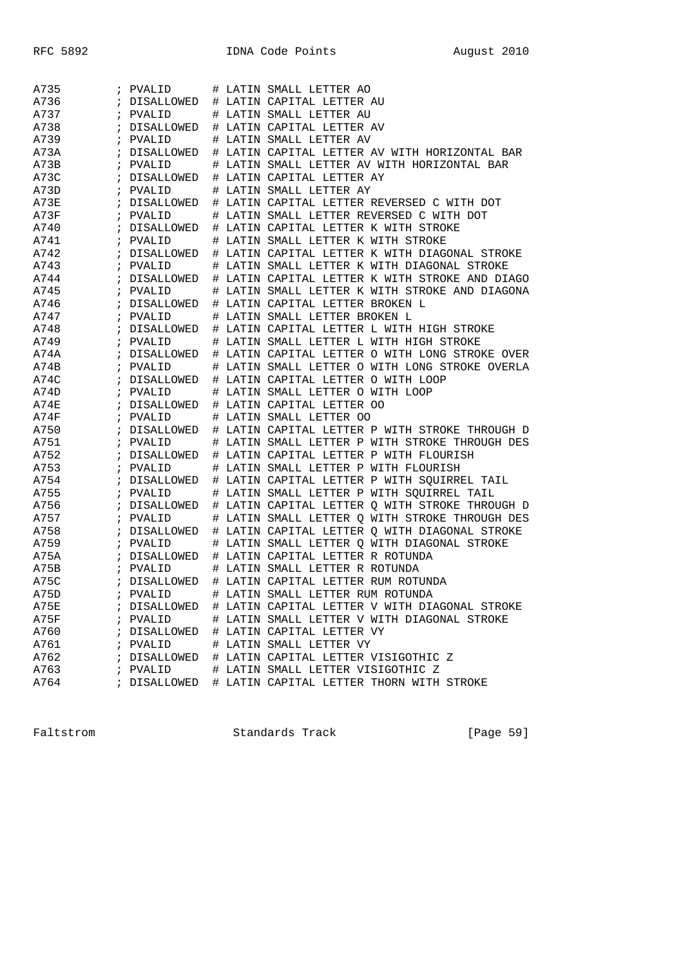| A735 |            | ; PVALID     |      | # LATIN SMALL LETTER AO                       |
|------|------------|--------------|------|-----------------------------------------------|
| A736 |            | DISALLOWED   |      | # LATIN CAPITAL LETTER AU                     |
| A737 | $\ddot{i}$ | PVALID       | #    | LATIN SMALL LETTER AU                         |
| A738 | $\ddot{i}$ | DISALLOWED   | #    | LATIN CAPITAL LETTER AV                       |
| A739 | $\cdot$    | PVALID       | #    | LATIN SMALL LETTER AV                         |
| A73A | $\ddot{i}$ | DISALLOWED   | #    | LATIN CAPITAL LETTER AV WITH HORIZONTAL BAR   |
| A73B |            | ; PVALID     | #    | LATIN SMALL LETTER AV WITH HORIZONTAL BAR     |
| A73C | $\ddot{i}$ | DISALLOWED   |      | # LATIN CAPITAL LETTER AY                     |
| A73D | $\ddot{i}$ | PVALID       | #    | LATIN SMALL LETTER AY                         |
| A73E | $\ddot{i}$ | DISALLOWED   | #    | LATIN CAPITAL LETTER REVERSED C WITH DOT      |
| A73F | $\ddot{i}$ | PVALID       | #    | LATIN SMALL LETTER REVERSED C WITH DOT        |
| A740 | $\ddot{i}$ | DISALLOWED   |      | # LATIN CAPITAL LETTER K WITH STROKE          |
| A741 |            | ; PVALID     | #    | LATIN SMALL LETTER K WITH STROKE              |
| A742 | $\ddot{i}$ | DISALLOWED   |      | # LATIN CAPITAL LETTER K WITH DIAGONAL STROKE |
| A743 | $\ddot{i}$ | PVALID       | #    | LATIN SMALL LETTER K WITH DIAGONAL STROKE     |
| A744 | $\ddot{i}$ | DISALLOWED   | #    | LATIN CAPITAL LETTER K WITH STROKE AND DIAGO  |
| A745 |            | ; PVALID     | #    | LATIN SMALL LETTER K WITH STROKE AND DIAGONA  |
| A746 | $\ddot{i}$ | DISALLOWED   | $\#$ | LATIN CAPITAL LETTER BROKEN L                 |
| A747 |            | ; PVALID     | #    | LATIN SMALL LETTER BROKEN L                   |
| A748 | $\ddot{i}$ | DISALLOWED   |      | # LATIN CAPITAL LETTER L WITH HIGH STROKE     |
| A749 | $\ddot{i}$ | PVALID       |      | # LATIN SMALL LETTER L WITH HIGH STROKE       |
| A74A | $\ddot{i}$ | DISALLOWED   | #    | LATIN CAPITAL LETTER O WITH LONG STROKE OVER  |
| A74B |            | ; PVALID     | #    | LATIN SMALL LETTER O WITH LONG STROKE OVERLA  |
| A74C | $\ddot{i}$ | DISALLOWED   |      | # LATIN CAPITAL LETTER O WITH LOOP            |
| A74D |            | ; PVALID     | #    | LATIN SMALL LETTER O WITH LOOP                |
| A74E | $\ddot{ }$ | DISALLOWED   |      | # LATIN CAPITAL LETTER OO                     |
| A74F | $\ddot{i}$ | PVALID       | #    | LATIN SMALL LETTER OO                         |
| A750 | $\ddot{i}$ | DISALLOWED   | #    | LATIN CAPITAL LETTER P WITH STROKE THROUGH D  |
| A751 |            | ; PVALID     | #    | LATIN SMALL LETTER P WITH STROKE THROUGH DES  |
| A752 | $\ddot{i}$ | DISALLOWED   | #    | LATIN CAPITAL LETTER P WITH FLOURISH          |
| A753 |            | ; PVALID     | #    | LATIN SMALL LETTER P WITH FLOURISH            |
| A754 | $\ddot{i}$ | DISALLOWED   |      | # LATIN CAPITAL LETTER P WITH SQUIRREL TAIL   |
| A755 | $\ddot{i}$ | PVALID       |      | # LATIN SMALL LETTER P WITH SQUIRREL TAIL     |
| A756 | $\ddot{i}$ | DISALLOWED   | #    | LATIN CAPITAL LETTER Q WITH STROKE THROUGH D  |
| A757 |            | ; PVALID     | #    | LATIN SMALL LETTER Q WITH STROKE THROUGH DES  |
| A758 | $\ddot{i}$ | DISALLOWED   | $\#$ | LATIN CAPITAL LETTER Q WITH DIAGONAL STROKE   |
| A759 |            | ; PVALID     | #    | LATIN SMALL LETTER Q WITH DIAGONAL STROKE     |
| A75A | $\ddot{i}$ | DISALLOWED   | $\#$ | LATIN CAPITAL LETTER R ROTUNDA                |
| A75B | $\ddot{i}$ | PVALID       | #    | LATIN SMALL LETTER R ROTUNDA                  |
| A75C | $\ddot{i}$ | DISALLOWED   | #    | LATIN CAPITAL LETTER RUM ROTUNDA              |
| A75D |            | ; PVALID     | #    | LATIN SMALL LETTER RUM ROTUNDA                |
| A75E |            | ; DISALLOWED |      | # LATIN CAPITAL LETTER V WITH DIAGONAL STROKE |
| A75F |            | ; PVALID     |      | # LATIN SMALL LETTER V WITH DIAGONAL STROKE   |
| A760 |            | ; DISALLOWED |      | # LATIN CAPITAL LETTER VY                     |
| A761 | $\ddot{i}$ | PVALID       |      | # LATIN SMALL LETTER VY                       |
| A762 |            | ; DISALLOWED |      | # LATIN CAPITAL LETTER VISIGOTHIC Z           |
| A763 |            | ; PVALID     |      | # LATIN SMALL LETTER VISIGOTHIC Z             |
| A764 |            | ; DISALLOWED |      | # LATIN CAPITAL LETTER THORN WITH STROKE      |
|      |            |              |      |                                               |

Faltstrom Standards Track [Page 59]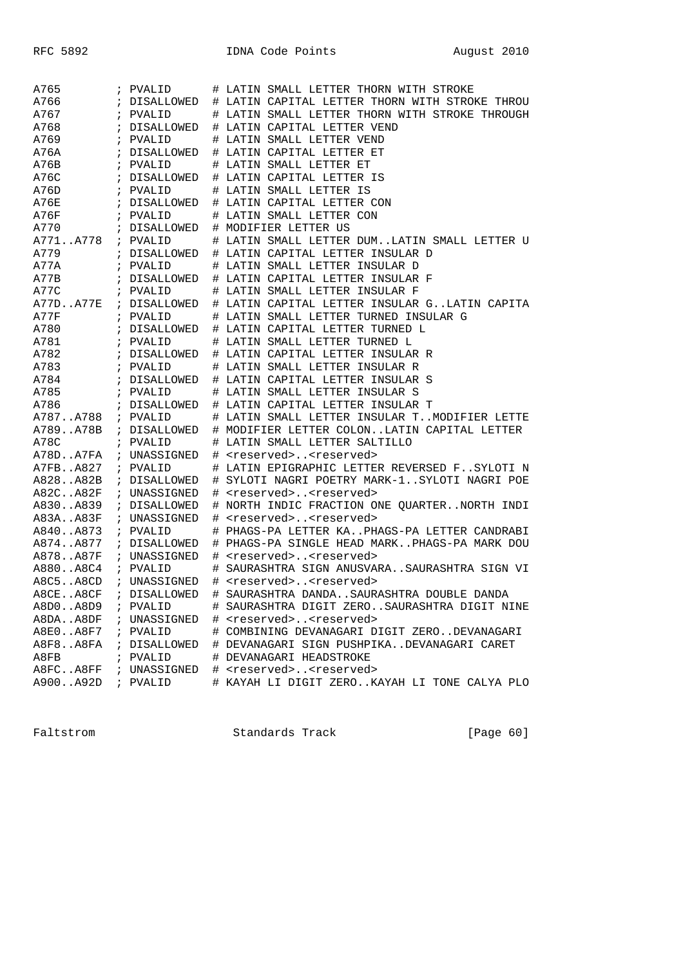| A765             | ; PVALID     |    | # LATIN SMALL LETTER THORN WITH STROKE                             |
|------------------|--------------|----|--------------------------------------------------------------------|
| A766             | ; DISALLOWED |    | # LATIN CAPITAL LETTER THORN WITH STROKE THROU                     |
| A767             | ; PVALID     |    | # LATIN SMALL LETTER THORN WITH STROKE THROUGH                     |
| A768             | ; DISALLOWED |    | # LATIN CAPITAL LETTER VEND                                        |
| A769             | ; PVALID     |    | # LATIN SMALL LETTER VEND                                          |
| A76A             | ; DISALLOWED |    | # LATIN CAPITAL LETTER ET                                          |
| A76B             | ; PVALID     |    | # LATIN SMALL LETTER ET                                            |
| A76C             | ; DISALLOWED |    | # LATIN CAPITAL LETTER IS                                          |
| A76D             | ; PVALID     |    | # LATIN SMALL LETTER IS                                            |
| A76E             | ; DISALLOWED |    | # LATIN CAPITAL LETTER CON                                         |
| A76F             | ; PVALID     |    | # LATIN SMALL LETTER CON                                           |
| A770             | ; DISALLOWED |    | # MODIFIER LETTER US                                               |
| A771A778         | ; PVALID     |    | # LATIN SMALL LETTER DUMLATIN SMALL LETTER U                       |
| A779             | ; DISALLOWED |    | # LATIN CAPITAL LETTER INSULAR D                                   |
| A77A             | ; PVALID     |    | # LATIN SMALL LETTER INSULAR D                                     |
| A77B             | ; DISALLOWED |    | # LATIN CAPITAL LETTER INSULAR F                                   |
| A77C             | ; PVALID     |    | # LATIN SMALL LETTER INSULAR F                                     |
| A77DA77E         | ; DISALLOWED |    | # LATIN CAPITAL LETTER INSULAR GLATIN CAPITA                       |
| A77F             | ; PVALID     |    | # LATIN SMALL LETTER TURNED INSULAR G                              |
| A780             | ; DISALLOWED |    | # LATIN CAPITAL LETTER TURNED L                                    |
| A781             | ; PVALID     |    | # LATIN SMALL LETTER TURNED L                                      |
| A782             |              |    |                                                                    |
|                  | ; DISALLOWED |    | # LATIN CAPITAL LETTER INSULAR R                                   |
| A783<br>A784     | ; PVALID     |    | # LATIN SMALL LETTER INSULAR R<br># LATIN CAPITAL LETTER INSULAR S |
|                  | ; DISALLOWED |    |                                                                    |
| A785             | ; PVALID     |    | # LATIN SMALL LETTER INSULAR S                                     |
| A786             | ; DISALLOWED |    | # LATIN CAPITAL LETTER INSULAR T                                   |
| A787A788         | ; PVALID     |    | # LATIN SMALL LETTER INSULAR TMODIFIER LETTE                       |
| A789A78B         | ; DISALLOWED |    | # MODIFIER LETTER COLONLATIN CAPITAL LETTER                        |
| A78C             | ; PVALID     | ⋕. | LATIN SMALL LETTER SALTILLO                                        |
| A78DA7FA         | ; UNASSIGNED |    | # <reserved><reserved></reserved></reserved>                       |
| A7FBA827         | ; PVALID     |    | # LATIN EPIGRAPHIC LETTER REVERSED FSYLOTI N                       |
| A828A82B         | ; DISALLOWED | ⋕. | SYLOTI NAGRI POETRY MARK-1SYLOTI NAGRI POE                         |
| A82CA82F         | ; UNASSIGNED | ⋕. | <reserved><reserved></reserved></reserved>                         |
| A830A839         | ; DISALLOWED |    | # NORTH INDIC FRACTION ONE QUARTERNORTH INDI                       |
| A83AA83F         | ; UNASSIGNED | ⋕. | <reserved><reserved></reserved></reserved>                         |
| A840A873         | ; PVALID     | ⋕. | PHAGS-PA LETTER KAPHAGS-PA LETTER CANDRABI                         |
| A874A877         | ; DISALLOWED |    | # PHAGS-PA SINGLE HEAD MARKPHAGS-PA MARK DOU                       |
| A878A87F         | ; UNASSIGNED | #  | <reserved><reserved></reserved></reserved>                         |
| A880A8C4         | ; PVALID     | #  | SAURASHTRA SIGN ANUSVARASAURASHTRA SIGN VI                         |
| $A8C5.$ . $A8CD$ | ; UNASSIGNED | #  | <reserved><reserved></reserved></reserved>                         |
| A8CEA8CF         | ; DISALLOWED | #  | SAURASHTRA DANDASAURASHTRA DOUBLE DANDA                            |
| A8D0A8D9         | ; PVALID     |    | # SAURASHTRA DIGIT ZEROSAURASHTRA DIGIT NINE                       |
| A8DAA8DF         | ; UNASSIGNED |    | # <reserved><reserved></reserved></reserved>                       |
| A8E0A8F7         | ; PVALID     |    | # COMBINING DEVANAGARI DIGIT ZERODEVANAGARI                        |
| A8F8A8FA         | ; DISALLOWED |    | # DEVANAGARI SIGN PUSHPIKADEVANAGARI CARET                         |
| A8FB             | ; PVALID     |    | # DEVANAGARI HEADSTROKE                                            |
| A8FCA8FF         | ; UNASSIGNED |    | # <reserved><reserved></reserved></reserved>                       |
| A900A92D         | ; PVALID     |    | # KAYAH LI DIGIT ZEROKAYAH LI TONE CALYA PLO                       |

Faltstrom Standards Track [Page 60]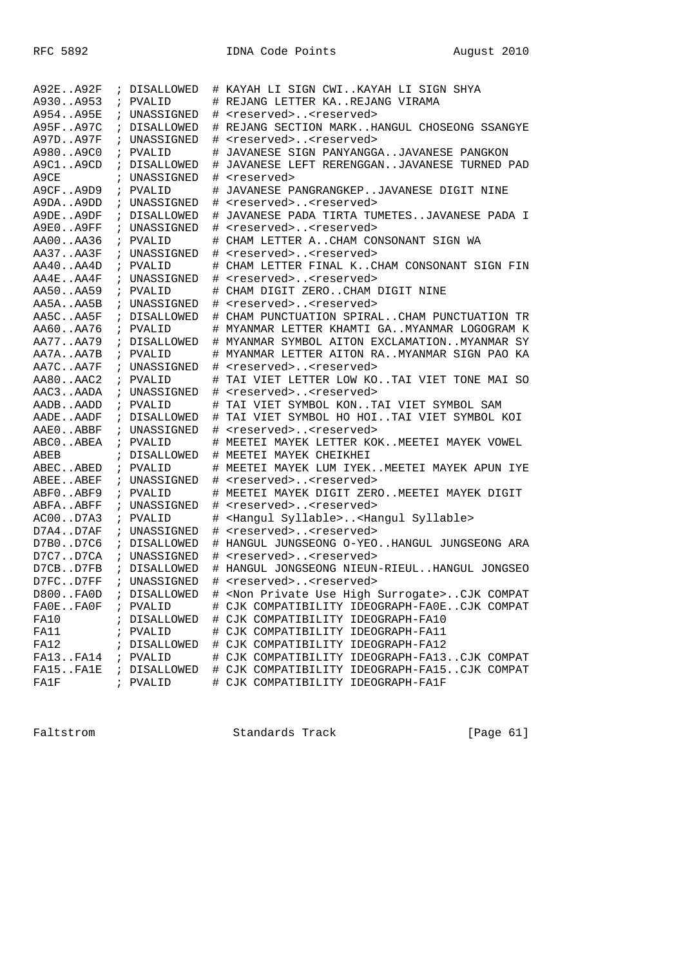| A92EA92F |               | ; DISALLOWED |    | # KAYAH LI SIGN CWIKAYAH LI SIGN SHYA                        |
|----------|---------------|--------------|----|--------------------------------------------------------------|
| A930A953 | $\mathcal{L}$ | PVALID       |    | # REJANG LETTER KAREJANG VIRAMA                              |
| A954A95E | $\mathcal{L}$ | UNASSIGNED   | #  | <reserved><reserved></reserved></reserved>                   |
| A95FA97C |               | ; DISALLOWED | #  | REJANG SECTION MARKHANGUL CHOSEONG SSANGYE                   |
| A97DA97F |               | ; UNASSIGNED | #  | <reserved><reserved></reserved></reserved>                   |
| A980A9C0 |               | ; PVALID     |    | JAVANESE SIGN PANYANGGAJAVANESE PANGKON                      |
| A9C1A9CD |               | ; DISALLOWED | #  | JAVANESE LEFT RERENGGANJAVANESE TURNED PAD                   |
| A9CE     |               | ; UNASSIGNED | #  | <reserved></reserved>                                        |
| A9CFA9D9 |               | ; PVALID     | #  | JAVANESE PANGRANGKEPJAVANESE DIGIT NINE                      |
| A9DAA9DD |               | ; UNASSIGNED | #  | <reserved><reserved></reserved></reserved>                   |
| A9DEA9DF |               | ; DISALLOWED | ⋕. | JAVANESE PADA TIRTA TUMETESJAVANESE PADA I                   |
| A9E0A9FF |               | ; UNASSIGNED | #  | <reserved><reserved></reserved></reserved>                   |
| AA00AA36 |               | ; PVALID     | #  | CHAM LETTER ACHAM CONSONANT SIGN WA                          |
| AA37AA3F |               | ; UNASSIGNED |    | # <reserved><reserved></reserved></reserved>                 |
| AA40AA4D |               | ; PVALID     | #  | CHAM LETTER FINAL KCHAM CONSONANT SIGN FIN                   |
| AA4EAA4F |               | ; UNASSIGNED | #  | <reserved><reserved></reserved></reserved>                   |
| AA50AA59 |               | ; PVALID     |    | CHAM DIGIT ZEROCHAM DIGIT NINE                               |
| AA5AAA5B |               | ; UNASSIGNED | #  | <reserved><reserved></reserved></reserved>                   |
| AA5CAA5F |               | ; DISALLOWED |    | # CHAM PUNCTUATION SPIRALCHAM PUNCTUATION TR                 |
| AA60AA76 |               | ; PVALID     |    | # MYANMAR LETTER KHAMTI GAMYANMAR LOGOGRAM K                 |
| AA77AA79 |               | ; DISALLOWED |    | # MYANMAR SYMBOL AITON EXCLAMATIONMYANMAR SY                 |
| AA7AAA7B |               | ; PVALID     |    | # MYANMAR LETTER AITON RAMYANMAR SIGN PAO KA                 |
| AA7CAA7F |               | ; UNASSIGNED | #  | <reserved><reserved></reserved></reserved>                   |
| AA80AAC2 |               | ; PVALID     |    | # TAI VIET LETTER LOW KOTAI VIET TONE MAI SO                 |
| AAC3AADA |               | ; UNASSIGNED |    | # <reserved><reserved></reserved></reserved>                 |
| AADBAADD |               | ; PVALID     | #  | TAI VIET SYMBOL KONTAI VIET SYMBOL SAM                       |
| AADEAADF |               | ; DISALLOWED | #  | TAI VIET SYMBOL HO HOITAI VIET SYMBOL KOI                    |
| AAEOABBF |               | ; UNASSIGNED | #  | <reserved><reserved></reserved></reserved>                   |
| ABCOABEA |               | ; PVALID     |    | MEETEI MAYEK LETTER KOKMEETEI MAYEK VOWEL                    |
| ABEB     |               | ; DISALLOWED |    | # MEETEI MAYEK CHEIKHEI                                      |
| ABECABED |               | ; PVALID     |    | # MEETEI MAYEK LUM IYEKMEETEI MAYEK APUN IYE                 |
| ABEEABEF |               | ; UNASSIGNED | #  | <reserved><reserved></reserved></reserved>                   |
| ABF0ABF9 |               | ; PVALID     | #  | MEETEI MAYEK DIGIT ZEROMEETEI MAYEK DIGIT                    |
| ABFAABFF |               | ; UNASSIGNED | #  | <reserved><reserved></reserved></reserved>                   |
| AC00D7A3 |               | ; PVALID     | #  | <hangul syllable=""><hangul syllable=""></hangul></hangul>   |
| D7A4D7AF |               | ; UNASSIGNED | #  | <reserved><reserved></reserved></reserved>                   |
| D7B0D7C6 |               | ; DISALLOWED | #  | HANGUL JUNGSEONG O-YEOHANGUL JUNGSEONG ARA                   |
| D7C7D7CA |               | ; UNASSIGNED | #  | <reserved><reserved></reserved></reserved>                   |
| D7CBD7FB |               | ; DISALLOWED | #  | HANGUL JONGSEONG NIEUN-RIEULHANGUL JONGSEO                   |
| D7FCD7FF |               | ; UNASSIGNED | #  | <reserved><reserved></reserved></reserved>                   |
| D800FA0D |               | ; DISALLOWED |    | <non high="" private="" surrogate="" use="">CJK COMPAT</non> |
| FAOEFAOF |               | ; PVALID     |    | # CJK COMPATIBILITY IDEOGRAPH-FA0ECJK COMPAT                 |
| FA10     |               | ; DISALLOWED |    | # CJK COMPATIBILITY IDEOGRAPH-FA10                           |
| FA11     |               | ; PVALID     |    | # CJK COMPATIBILITY IDEOGRAPH-FA11                           |
| FA12     |               | ; DISALLOWED |    | # CJK COMPATIBILITY IDEOGRAPH-FA12                           |
| FA13FA14 |               | ; PVALID     |    | # CJK COMPATIBILITY IDEOGRAPH-FA13CJK COMPAT                 |
| FA15FA1E |               | ; DISALLOWED |    | # CJK COMPATIBILITY IDEOGRAPH-FA15CJK COMPAT                 |
| FA1F     |               | ; PVALID     |    | # CJK COMPATIBILITY IDEOGRAPH-FA1F                           |
|          |               |              |    |                                                              |

Faltstrom Standards Track [Page 61]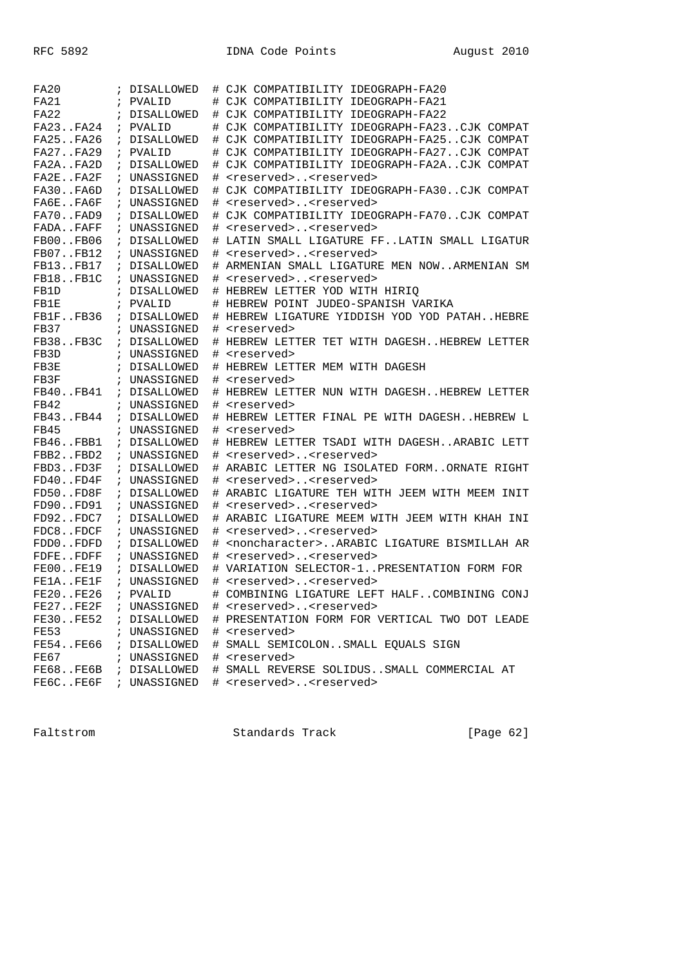| FA20             |               | ; DISALLOWED                 | #    | CJK COMPATIBILITY IDEOGRAPH-FA20                           |
|------------------|---------------|------------------------------|------|------------------------------------------------------------|
| FA21             |               | ; PVALID                     | #    | CJK COMPATIBILITY IDEOGRAPH-FA21                           |
| FA22             |               | ; DISALLOWED                 | #    | CJK COMPATIBILITY IDEOGRAPH-FA22                           |
| FA23FA24         |               | ; PVALID                     |      | CJK COMPATIBILITY IDEOGRAPH-FA23CJK COMPAT                 |
| FA25FA26         |               | ; DISALLOWED                 | #    | CJK COMPATIBILITY IDEOGRAPH-FA25CJK COMPAT                 |
| FA27FA29         |               | ; PVALID                     | #    | CJK COMPATIBILITY IDEOGRAPH-FA27CJK COMPAT                 |
| FA2AFA2D         |               | ; DISALLOWED                 | #    | CJK COMPATIBILITY IDEOGRAPH-FA2ACJK COMPAT                 |
| FA2EFA2F         |               | ; UNASSIGNED                 | #    | <reserved><reserved></reserved></reserved>                 |
| FA30FA6D         |               | ; DISALLOWED                 | #    | CJK COMPATIBILITY IDEOGRAPH-FA30CJK COMPAT                 |
| FA6EFA6F         |               | ; UNASSIGNED                 | #    | <reserved><reserved></reserved></reserved>                 |
| FA70FAD9         |               | ; DISALLOWED                 | $\#$ | CJK COMPATIBILITY IDEOGRAPH-FA70CJK COMPAT                 |
| FADAFAFF         |               | ; UNASSIGNED                 | #    | <reserved><reserved></reserved></reserved>                 |
| FB00FB06         |               | ; DISALLOWED                 | #    | LATIN SMALL LIGATURE FFLATIN SMALL LIGATUR                 |
| FB07FB12         |               | ; UNASSIGNED                 | #    | <reserved><reserved></reserved></reserved>                 |
| FB13FB17         | $\mathcal{L}$ | DISALLOWED                   | #    | ARMENIAN SMALL LIGATURE MEN NOWARMENIAN SM                 |
| FB18FB1C         |               | ; UNASSIGNED                 | #    | <reserved><reserved></reserved></reserved>                 |
| FB1D             |               | ; DISALLOWED                 | #    | HEBREW LETTER YOD WITH HIRIO                               |
| FB1E             |               | ; PVALID                     | #    | HEBREW POINT JUDEO-SPANISH VARIKA                          |
| FB1FFB36         |               | ; DISALLOWED                 |      | # HEBREW LIGATURE YIDDISH YOD YOD PATAHHEBRE               |
| FB37             |               | ; UNASSIGNED                 | #    | <reserved></reserved>                                      |
| FB38FB3C         |               | ; DISALLOWED                 | #    | HEBREW LETTER TET WITH DAGESHHEBREW LETTER                 |
| FB3D             |               | ; UNASSIGNED                 |      | <reserved></reserved>                                      |
|                  |               |                              | #    |                                                            |
| FB3E<br>FB3F     |               | ; DISALLOWED<br>; UNASSIGNED | #    | HEBREW LETTER MEM WITH DAGESH                              |
| FB40FB41         |               |                              | #    | <reserved></reserved>                                      |
| FB42             |               | ; DISALLOWED                 | #    | HEBREW LETTER NUN WITH DAGESHHEBREW LETTER                 |
|                  |               | ; UNASSIGNED                 | #    | <reserved></reserved>                                      |
| FB43FB44         | $\ddot{i}$    | DISALLOWED                   | #    | HEBREW LETTER FINAL PE WITH DAGESHHEBREW L                 |
| FB45             |               | ; UNASSIGNED                 | #    | <reserved></reserved>                                      |
| FB46FBB1         |               | ; DISALLOWED                 | #    | HEBREW LETTER TSADI WITH DAGESHARABIC LETT                 |
| FBB2FBD2         |               | ; UNASSIGNED                 | $\#$ | <reserved><reserved></reserved></reserved>                 |
| FBD3FD3F         |               | ; DISALLOWED                 | #    | ARABIC LETTER NG ISOLATED FORMORNATE RIGHT                 |
| $FD40.$ . $FD4F$ |               | ; UNASSIGNED                 | #    | <reserved><reserved></reserved></reserved>                 |
| FD50FD8F         |               | ; DISALLOWED                 | #    | ARABIC LIGATURE TEH WITH JEEM WITH MEEM INIT               |
| FD90FD91         |               | ; UNASSIGNED                 | #    | <reserved><reserved></reserved></reserved>                 |
| FD92FDC7         |               | ; DISALLOWED                 | $\#$ | ARABIC LIGATURE MEEM WITH JEEM WITH KHAH INI               |
| FDC8FDCF         |               | ; UNASSIGNED                 | $\#$ | <reserved><reserved></reserved></reserved>                 |
| FDD0FDFD         |               | ; DISALLOWED                 | #    | <noncharacter> ARABIC LIGATURE BISMILLAH AR</noncharacter> |
| FDFEFDFF         |               | ; UNASSIGNED                 | #    | <reserved><reserved></reserved></reserved>                 |
| <b>FE00FE19</b>  | $\mathcal{L}$ | DISALLOWED                   | #    | VARIATION SELECTOR-1PRESENTATION FORM FOR                  |
| FE1AFE1F         |               | ; UNASSIGNED                 | #    | <reserved><reserved></reserved></reserved>                 |
| FE20FE26         |               | ; PVALID                     | #    | COMBINING LIGATURE LEFT HALFCOMBINING CONJ                 |
| FE27FE2F         |               | ; UNASSIGNED                 |      | # <reserved><reserved></reserved></reserved>               |
| FE30FE52         |               | ; DISALLOWED                 |      | # PRESENTATION FORM FOR VERTICAL TWO DOT LEADE             |
| FE53             |               | ; UNASSIGNED                 |      | # <reserved></reserved>                                    |
| FE54FE66         |               | ; DISALLOWED                 |      | # SMALL SEMICOLONSMALL EQUALS SIGN                         |
| FE67             |               | ; UNASSIGNED                 |      | # <reserved></reserved>                                    |
| FE68FE6B         |               | ; DISALLOWED                 |      | # SMALL REVERSE SOLIDUSSMALL COMMERCIAL AT                 |
| FE6CFE6F         |               | ; UNASSIGNED                 |      | # <reserved><reserved></reserved></reserved>               |

Faltstrom Standards Track [Page 62]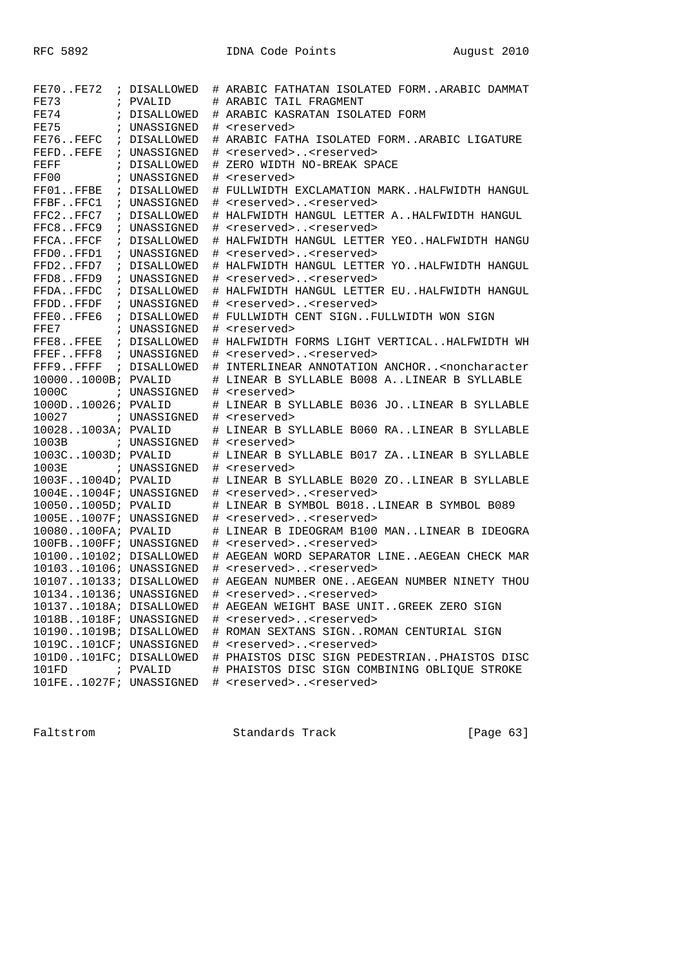| FE70FE72                                 | ; DISALLOWED | # ARABIC FATHATAN ISOLATED FORMARABIC DAMMAT                             |
|------------------------------------------|--------------|--------------------------------------------------------------------------|
| FE73                                     | ; PVALID     | # ARABIC TAIL FRAGMENT                                                   |
| FE74                                     | ; DISALLOWED | ARABIC KASRATAN ISOLATED FORM                                            |
| FE75                                     | ; UNASSIGNED | <reserved><br/>#</reserved>                                              |
| FE76FEFC                                 | ; DISALLOWED | #<br>ARABIC FATHA ISOLATED FORMARABIC LIGATURE                           |
| FEFD. . FEFE                             | ; UNASSIGNED | <reserved><reserved></reserved></reserved>                               |
| FEFF                                     | ; DISALLOWED | ZERO WIDTH NO-BREAK SPACE<br>#                                           |
| FF00                                     | ; UNASSIGNED | # <reserved></reserved>                                                  |
| FF01FFBE                                 | ; DISALLOWED | # FULLWIDTH EXCLAMATION MARKHALFWIDTH HANGUL                             |
| FFBFFFC1                                 | ; UNASSIGNED | <reserved><reserved><br/>#</reserved></reserved>                         |
| FFC2FFC7                                 | ; DISALLOWED | # HALFWIDTH HANGUL LETTER AHALFWIDTH HANGUL                              |
| FFC8FFC9                                 | ; UNASSIGNED | <reserved><reserved><br/>#</reserved></reserved>                         |
| FFCAFFCF                                 | ; DISALLOWED | # HALFWIDTH HANGUL LETTER YEOHALFWIDTH HANGU                             |
| FFD0FFD1                                 | ; UNASSIGNED | <reserved><reserved><br/>#</reserved></reserved>                         |
| FFD2FFD7                                 | ; DISALLOWED | HALFWIDTH HANGUL LETTER YOHALFWIDTH HANGUL<br>#                          |
| FFD8FFD9                                 | ; UNASSIGNED | <reserved><reserved><br/>#</reserved></reserved>                         |
| FFDAFFDC                                 | ; DISALLOWED | HALFWIDTH HANGUL LETTER EUHALFWIDTH HANGUL<br>#                          |
| FFDDFFDF                                 | ; UNASSIGNED | <reserved><reserved><br/>#</reserved></reserved>                         |
| FFEOFFE6                                 | ; DISALLOWED | # FULLWIDTH CENT SIGNFULLWIDTH WON SIGN                                  |
| FFE7                                     | ; UNASSIGNED | # <reserved></reserved>                                                  |
| FFE8FFEE                                 | ; DISALLOWED | # HALFWIDTH FORMS LIGHT VERTICALHALFWIDTH WH                             |
| FFEFFFF8                                 | ; UNASSIGNED | <reserved><reserved><br/>#</reserved></reserved>                         |
| FFF9FFFF                                 | ; DISALLOWED | # INTERLINEAR ANNOTATION ANCHOR <noncharacter< td=""></noncharacter<>    |
| 100001000B; PVALID                       |              | # LINEAR B SYLLABLE B008 ALINEAR B SYLLABLE                              |
| 1000C                                    |              |                                                                          |
| 1000D10026; PVALID                       | ; UNASSIGNED | # <reserved><br/># LINEAR B SYLLABLE B036 JOLINEAR B SYLLABLE</reserved> |
| 10027                                    | ; UNASSIGNED | # <reserved></reserved>                                                  |
| 100281003A; PVALID                       |              | # LINEAR B SYLLABLE B060 RALINEAR B SYLLABLE                             |
|                                          |              | <reserved></reserved>                                                    |
| 1003B ; UNASSIGNED<br>1003C1003D; PVALID |              | #                                                                        |
|                                          |              | LINEAR B SYLLABLE B017 ZALINEAR B SYLLABLE                               |
| 1003E                                    | ; UNASSIGNED | # <reserved></reserved>                                                  |
| 1003F1004D; PVALID                       |              | # LINEAR B SYLLABLE B020 ZOLINEAR B SYLLABLE                             |
| 1004E1004F; UNASSIGNED                   |              | # <reserved><reserved></reserved></reserved>                             |
| 100501005D; PVALID                       |              | # LINEAR B SYMBOL B018LINEAR B SYMBOL B089                               |
| 1005E1007F; UNASSIGNED                   |              | <reserved><reserved><br/>#</reserved></reserved>                         |
| 10080100FA; PVALID                       |              | # LINEAR B IDEOGRAM B100 MANLINEAR B IDEOGRA                             |
| 100FB100FF; UNASSIGNED                   |              | # <reserved><reserved></reserved></reserved>                             |
| 1010010102; DISALLOWED                   |              | # AEGEAN WORD SEPARATOR LINEAEGEAN CHECK MAR                             |
| 1010310106; UNASSIGNED                   |              | <reserved><reserved><br/>#</reserved></reserved>                         |
| 1010710133; DISALLOWED                   |              | # AEGEAN NUMBER ONEAEGEAN NUMBER NINETY THOU                             |
| 1013410136; UNASSIGNED                   |              | <reserved><reserved><br/>#</reserved></reserved>                         |
| 101371018A; DISALLOWED                   |              | # AEGEAN WEIGHT BASE UNITGREEK ZERO SIGN                                 |
| 1018B1018F; UNASSIGNED                   |              | # <reserved><reserved></reserved></reserved>                             |
| 101901019B; DISALLOWED                   |              | # ROMAN SEXTANS SIGNROMAN CENTURIAL SIGN                                 |
| 1019C101CF; UNASSIGNED                   |              | # <reserved><reserved></reserved></reserved>                             |
| 101D0101FC; DISALLOWED                   |              | # PHAISTOS DISC SIGN PEDESTRIANPHAISTOS DISC                             |
| 101FD                                    | ; PVALID     | # PHAISTOS DISC SIGN COMBINING OBLIQUE STROKE                            |
| 101FE1027F; UNASSIGNED                   |              | # <reserved><reserved></reserved></reserved>                             |

Faltstrom Standards Track [Page 63]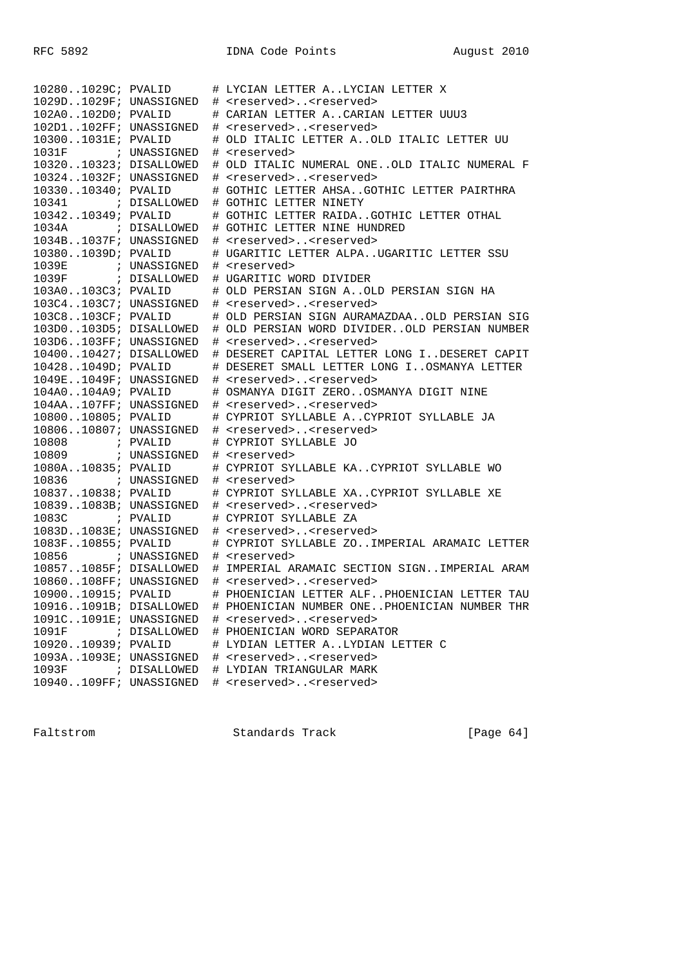| 102801029C; PVALID     |              | # LYCIAN LETTER ALYCIAN LETTER X             |
|------------------------|--------------|----------------------------------------------|
| 1029D1029F; UNASSIGNED |              | # <reserved><reserved></reserved></reserved> |
| 102A0102D0; PVALID     |              | # CARIAN LETTER ACARIAN LETTER UUU3          |
| 102D1102FF; UNASSIGNED |              | # <reserved><reserved></reserved></reserved> |
| 103001031E; PVALID     |              | # OLD ITALIC LETTER AOLD ITALIC LETTER UU    |
| 1031F                  | ; UNASSIGNED | # <reserved></reserved>                      |
| 1032010323; DISALLOWED |              | # OLD ITALIC NUMERAL ONEOLD ITALIC NUMERAL F |
| 103241032F; UNASSIGNED |              | # <reserved><reserved></reserved></reserved> |
| 1033010340; PVALID     |              | # GOTHIC LETTER AHSAGOTHIC LETTER PAIRTHRA   |
| 10341                  | ; DISALLOWED | # GOTHIC LETTER NINETY                       |
| 1034210349; PVALID     |              | # GOTHIC LETTER RAIDAGOTHIC LETTER OTHAL     |
| 1034A ; DISALLOWED     |              | # GOTHIC LETTER NINE HUNDRED                 |
| 1034B1037F; UNASSIGNED |              | # <reserved><reserved></reserved></reserved> |
| 103801039D; PVALID     |              | # UGARITIC LETTER ALPAUGARITIC LETTER SSU    |
| 1039E                  | ; UNASSIGNED | # <reserved></reserved>                      |
| 1039F ; DISALLOWED     |              | # UGARITIC WORD DIVIDER                      |
| 103A0103C3; PVALID     |              | # OLD PERSIAN SIGN AOLD PERSIAN SIGN HA      |
| 103C4103C7; UNASSIGNED |              | # <reserved><reserved></reserved></reserved> |
| 103C8103CF; PVALID     |              | # OLD PERSIAN SIGN AURAMAZDAAOLD PERSIAN SIG |
| 103D0103D5; DISALLOWED |              | # OLD PERSIAN WORD DIVIDEROLD PERSIAN NUMBER |
| 103D6103FF; UNASSIGNED |              | # <reserved><reserved></reserved></reserved> |
| 1040010427; DISALLOWED |              | # DESERET CAPITAL LETTER LONG IDESERET CAPIT |
| 104281049D; PVALID     |              | # DESERET SMALL LETTER LONG IOSMANYA LETTER  |
| 1049E1049F; UNASSIGNED |              | # <reserved><reserved></reserved></reserved> |
| 104A0104A9; PVALID     |              | # OSMANYA DIGIT ZEROOSMANYA DIGIT NINE       |
| 104AA107FF; UNASSIGNED |              | # <reserved><reserved></reserved></reserved> |
| 1080010805; PVALID     |              | # CYPRIOT SYLLABLE ACYPRIOT SYLLABLE JA      |
| 1080610807; UNASSIGNED |              | # <reserved><reserved></reserved></reserved> |
|                        | ; PVALID     | # CYPRIOT SYLLABLE JO                        |
| 10808<br>10809         | ; UNASSIGNED | # <reserved></reserved>                      |
| 1080A10835; PVALID     |              | # CYPRIOT SYLLABLE KACYPRIOT SYLLABLE WO     |
| 10836                  | ; UNASSIGNED | # <reserved></reserved>                      |
| 1083710838; PVALID     |              | # CYPRIOT SYLLABLE XACYPRIOT SYLLABLE XE     |
| 108391083B; UNASSIGNED |              | # <reserved><reserved></reserved></reserved> |
| 1083C                  | ; PVALID     | # CYPRIOT SYLLABLE ZA                        |
| 1083D1083E; UNASSIGNED |              | # <reserved><reserved></reserved></reserved> |
| 1083F10855; PVALID     |              | # CYPRIOT SYLLABLE ZOIMPERIAL ARAMAIC LETTER |
| 10856                  | ; UNASSIGNED | # <reserved></reserved>                      |
| 108571085F; DISALLOWED |              | # IMPERIAL ARAMAIC SECTION SIGNIMPERIAL ARAM |
| 10860108FF; UNASSIGNED |              | # <reserved><reserved></reserved></reserved> |
| 1090010915; PVALID     |              | # PHOENICIAN LETTER ALFPHOENICIAN LETTER TAU |
| 109161091B; DISALLOWED |              | # PHOENICIAN NUMBER ONEPHOENICIAN NUMBER THR |
| 1091C1091E; UNASSIGNED |              | # <reserved><reserved></reserved></reserved> |
| 1091F                  | ; DISALLOWED | # PHOENICIAN WORD SEPARATOR                  |
| 1092010939; PVALID     |              | # LYDIAN LETTER ALYDIAN LETTER C             |
| 1093A1093E; UNASSIGNED |              | # <reserved><reserved></reserved></reserved> |
| 1093F                  |              | # LYDIAN TRIANGULAR MARK                     |
| 10940109FF; UNASSIGNED | ; DISALLOWED |                                              |
|                        |              | # <reserved><reserved></reserved></reserved> |

Faltstrom Standards Track [Page 64]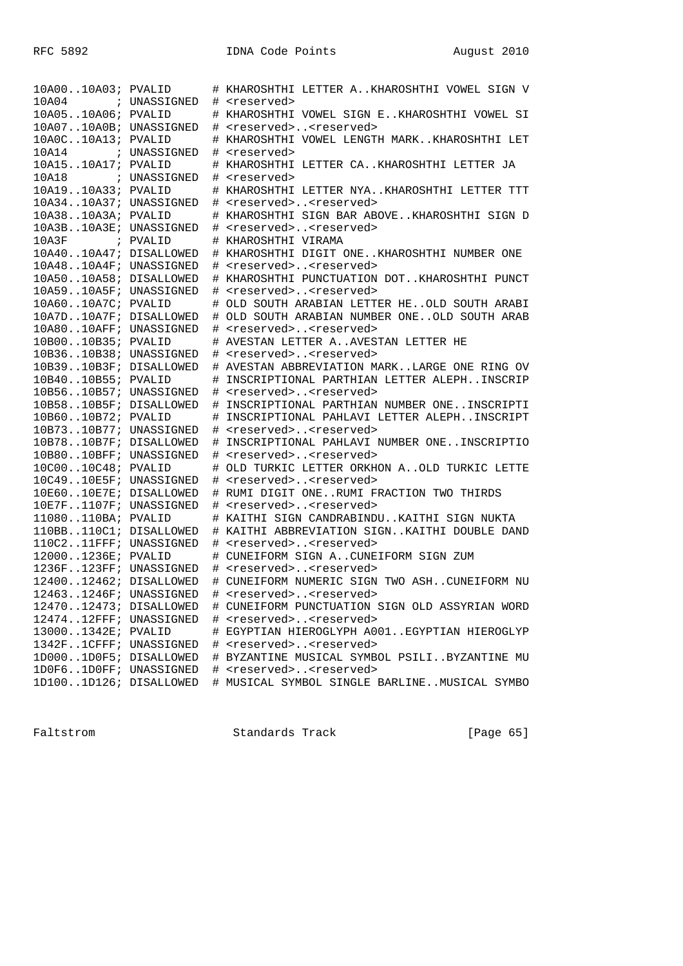| 10A0010A03; PVALID     |              |   | # KHAROSHTHI LETTER AKHAROSHTHI VOWEL SIGN V   |
|------------------------|--------------|---|------------------------------------------------|
| 10A04                  | ; UNASSIGNED |   | # <reserved></reserved>                        |
| 10A0510A06; PVALID     |              |   | # KHAROSHTHI VOWEL SIGN EKHAROSHTHI VOWEL SI   |
| 10A0710A0B; UNASSIGNED |              | # | <reserved><reserved></reserved></reserved>     |
| 10A0C10A13; PVALID     |              | # | KHAROSHTHI VOWEL LENGTH MARKKHAROSHTHI LET     |
| 10A14                  | ; UNASSIGNED | # | <reserved></reserved>                          |
| 10A1510A17; PVALID     |              |   | KHAROSHTHI LETTER CAKHAROSHTHI LETTER JA       |
| 10A18 : UNASSIGNED     |              | # | <reserved></reserved>                          |
| 10A1910A33; PVALID     |              |   | # KHAROSHTHI LETTER NYAKHAROSHTHI LETTER TTT   |
| 10A3410A37; UNASSIGNED |              | # | <reserved><reserved></reserved></reserved>     |
| 10A3810A3A; PVALID     |              |   | # KHAROSHTHI SIGN BAR ABOVEKHAROSHTHI SIGN D   |
| 10A3B10A3E; UNASSIGNED |              | # | <reserved><reserved></reserved></reserved>     |
| 10A3F ; PVALID         |              |   | # KHAROSHTHI VIRAMA                            |
| 10A4010A47; DISALLOWED |              |   | # KHAROSHTHI DIGIT ONEKHAROSHTHI NUMBER ONE    |
| 10A4810A4F; UNASSIGNED |              |   | # <reserved><reserved></reserved></reserved>   |
| 10A5010A58; DISALLOWED |              | # | KHAROSHTHI PUNCTUATION DOTKHAROSHTHI PUNCT     |
| 10A5910A5F; UNASSIGNED |              | # | <reserved><reserved></reserved></reserved>     |
| 10A6010A7C; PVALID     |              | # | OLD SOUTH ARABIAN LETTER HEOLD SOUTH ARABI     |
| 10A7D10A7F; DISALLOWED |              | # | OLD SOUTH ARABIAN NUMBER ONEOLD SOUTH ARAB     |
| 10A8010AFF; UNASSIGNED |              | # | <reserved><reserved></reserved></reserved>     |
| 10B0010B35; PVALID     |              | # | AVESTAN LETTER AAVESTAN LETTER HE              |
| 10B3610B38; UNASSIGNED |              | # | <reserved><reserved></reserved></reserved>     |
| 10B3910B3F; DISALLOWED |              | # | AVESTAN ABBREVIATION MARKLARGE ONE RING OV     |
| 10B4010B55; PVALID     |              | # | INSCRIPTIONAL PARTHIAN LETTER ALEPHINSCRIP     |
| 10B5610B57; UNASSIGNED |              | # | <reserved><reserved></reserved></reserved>     |
| 10B5810B5F; DISALLOWED |              | # | INSCRIPTIONAL PARTHIAN NUMBER ONEINSCRIPTI     |
| 10B6010B72; PVALID     |              | # | INSCRIPTIONAL PAHLAVI LETTER ALEPHINSCRIPT     |
| 10B7310B77; UNASSIGNED |              | # | <reserved><reserved></reserved></reserved>     |
| 10B7810B7F; DISALLOWED |              | # | INSCRIPTIONAL PAHLAVI NUMBER ONEINSCRIPTIO     |
| 10B8010BFF; UNASSIGNED |              | # | <reserved><reserved></reserved></reserved>     |
| 10C0010C48; PVALID     |              |   | OLD TURKIC LETTER ORKHON A. . OLD TURKIC LETTE |
| 10C4910E5F; UNASSIGNED |              | # | <reserved><reserved></reserved></reserved>     |
| 10E6010E7E; DISALLOWED |              | # | RUMI DIGIT ONERUMI FRACTION TWO THIRDS         |
| 10E7F1107F; UNASSIGNED |              | # | <reserved><reserved></reserved></reserved>     |
| 11080110BA; PVALID     |              | # | KAITHI SIGN CANDRABINDUKAITHI SIGN NUKTA       |
| 110BB110C1; DISALLOWED |              |   | # KAITHI ABBREVIATION SIGNKAITHI DOUBLE DAND   |
| 110C211FFF; UNASSIGNED |              | # | <reserved><reserved></reserved></reserved>     |
| 120001236E; PVALID     |              | # | CUNEIFORM SIGN ACUNEIFORM SIGN ZUM             |
| 1236F123FF; UNASSIGNED |              |   | # <reserved><reserved></reserved></reserved>   |
| 1240012462; DISALLOWED |              |   | # CUNEIFORM NUMERIC SIGN TWO ASHCUNEIFORM NU   |
| 124631246F; UNASSIGNED |              |   | <reserved><reserved></reserved></reserved>     |
| 1247012473; DISALLOWED |              |   | # CUNEIFORM PUNCTUATION SIGN OLD ASSYRIAN WORD |
| 1247412FFF; UNASSIGNED |              |   | # <reserved><reserved></reserved></reserved>   |
| 130001342E; PVALID     |              |   | # EGYPTIAN HIEROGLYPH A001EGYPTIAN HIEROGLYP   |
| 1342F1CFFF; UNASSIGNED |              |   | # <reserved><reserved></reserved></reserved>   |
| 1D0001D0F5; DISALLOWED |              |   | # BYZANTINE MUSICAL SYMBOL PSILIBYZANTINE MU   |
| 1D0F61D0FF; UNASSIGNED |              |   | # <reserved><reserved></reserved></reserved>   |
| 1D1001D126; DISALLOWED |              |   | # MUSICAL SYMBOL SINGLE BARLINEMUSICAL SYMBO   |

Faltstrom Standards Track [Page 65]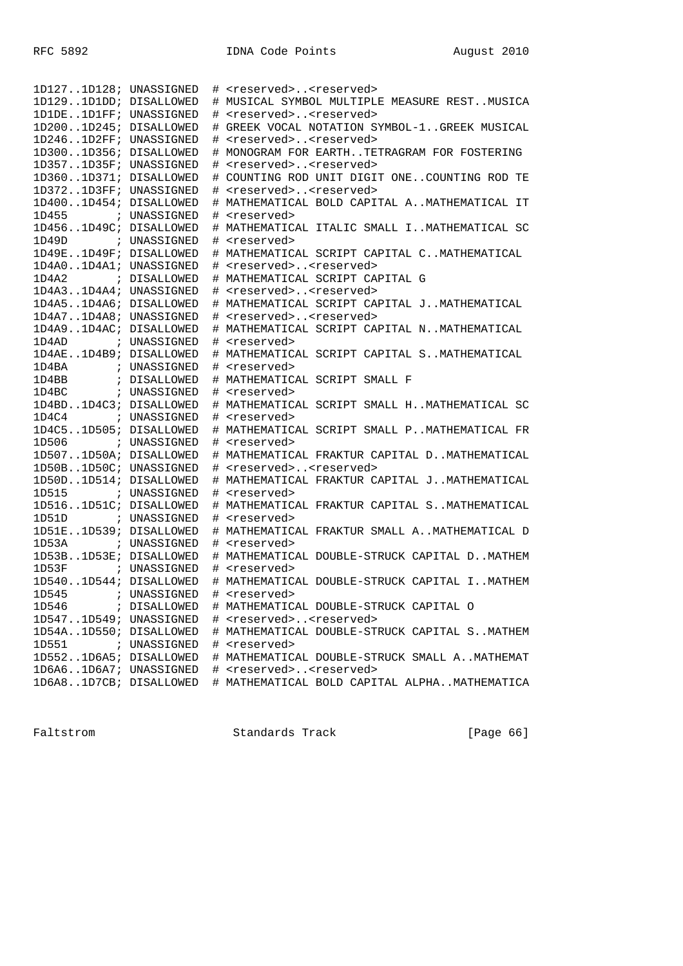| 1D1271D128; UNASSIGNED |              | # | <reserved><reserved></reserved></reserved>       |
|------------------------|--------------|---|--------------------------------------------------|
| 1D1291D1DD; DISALLOWED |              |   | # MUSICAL SYMBOL MULTIPLE MEASURE RESTMUSICA     |
| 1D1DE1D1FF; UNASSIGNED |              |   | # <reserved><reserved></reserved></reserved>     |
| 1D2001D245; DISALLOWED |              |   | GREEK VOCAL NOTATION SYMBOL-1GREEK MUSICAL       |
| 1D2461D2FF; UNASSIGNED |              |   | # <reserved><reserved></reserved></reserved>     |
| 1D3001D356; DISALLOWED |              |   | # MONOGRAM FOR EARTHTETRAGRAM FOR FOSTERING      |
| 1D3571D35F; UNASSIGNED |              |   | # <reserved><reserved></reserved></reserved>     |
| 1D3601D371; DISALLOWED |              | # | COUNTING ROD UNIT DIGIT ONECOUNTING ROD TE       |
| 1D3721D3FF; UNASSIGNED |              |   | # <reserved><reserved></reserved></reserved>     |
| 1D4001D454; DISALLOWED |              |   | # MATHEMATICAL BOLD CAPITAL AMATHEMATICAL IT     |
| 1D455 ; UNASSIGNED     |              |   | # <reserved></reserved>                          |
| 1D4561D49C; DISALLOWED |              |   | # MATHEMATICAL ITALIC SMALL IMATHEMATICAL SC     |
| 1D49D ; UNASSIGNED     |              |   | # <reserved></reserved>                          |
| 1D49E1D49F; DISALLOWED |              |   | # MATHEMATICAL SCRIPT CAPITAL CMATHEMATICAL      |
| 1D4A01D4A1; UNASSIGNED |              |   | # <reserved><reserved></reserved></reserved>     |
| 1D4A2 ; DISALLOWED     |              |   | # MATHEMATICAL SCRIPT CAPITAL G                  |
| 1D4A31D4A4; UNASSIGNED |              |   | # <reserved><reserved></reserved></reserved>     |
| 1D4A51D4A6; DISALLOWED |              |   | # MATHEMATICAL SCRIPT CAPITAL JMATHEMATICAL      |
| 1D4A71D4A8; UNASSIGNED |              |   | # <reserved><reserved></reserved></reserved>     |
| 1D4A91D4AC; DISALLOWED |              |   | # MATHEMATICAL SCRIPT CAPITAL NMATHEMATICAL      |
| 1D4AD                  | ; UNASSIGNED |   | # <reserved></reserved>                          |
| 1D4AE1D4B9; DISALLOWED |              |   | # MATHEMATICAL SCRIPT CAPITAL SMATHEMATICAL      |
|                        |              |   | # <reserved></reserved>                          |
|                        |              |   | # MATHEMATICAL SCRIPT SMALL F                    |
| 1D4BC                  | ; UNASSIGNED |   | # <reserved></reserved>                          |
| 1D4BD1D4C3; DISALLOWED |              |   | # MATHEMATICAL SCRIPT SMALL HMATHEMATICAL SC     |
| 1D4C4 ; UNASSIGNED     |              |   | # <reserved></reserved>                          |
| 1D4C51D505; DISALLOWED |              |   | # MATHEMATICAL SCRIPT SMALL PMATHEMATICAL FR     |
| 1D506 ; UNASSIGNED     |              |   | # <reserved></reserved>                          |
| 1D5071D50A; DISALLOWED |              |   | # MATHEMATICAL FRAKTUR CAPITAL D. . MATHEMATICAL |
| 1D50B1D50C; UNASSIGNED |              |   | # <reserved><reserved></reserved></reserved>     |
| 1D50D1D514; DISALLOWED |              |   | # MATHEMATICAL FRAKTUR CAPITAL JMATHEMATICAL     |
| 1D515                  | ; UNASSIGNED |   | # <reserved></reserved>                          |
| 1D5161D51C; DISALLOWED |              |   | # MATHEMATICAL FRAKTUR CAPITAL SMATHEMATICAL     |
| 1D51D                  | ; UNASSIGNED |   | # <reserved></reserved>                          |
| 1D51E1D539; DISALLOWED |              |   | # MATHEMATICAL FRAKTUR SMALL AMATHEMATICAL D     |
| 1D53A                  | ; UNASSIGNED |   | # <reserved></reserved>                          |
| 1D53B1D53E; DISALLOWED |              |   | # MATHEMATICAL DOUBLE-STRUCK CAPITAL D. MATHEM   |
| 1D53F                  | ; UNASSIGNED |   | # <reserved></reserved>                          |
| 1D5401D544; DISALLOWED |              |   | # MATHEMATICAL DOUBLE-STRUCK CAPITAL IMATHEM     |
| 1D545                  | ; UNASSIGNED | # | <reserved></reserved>                            |
| 1D546                  | ; DISALLOWED |   | # MATHEMATICAL DOUBLE-STRUCK CAPITAL O           |
| 1D5471D549; UNASSIGNED |              |   | # <reserved><reserved></reserved></reserved>     |
| 1D54A1D550; DISALLOWED |              |   | # MATHEMATICAL DOUBLE-STRUCK CAPITAL SMATHEM     |
| 1D551                  | ; UNASSIGNED |   | # <reserved></reserved>                          |
| 1D5521D6A5; DISALLOWED |              |   | # MATHEMATICAL DOUBLE-STRUCK SMALL AMATHEMAT     |
| 1D6A61D6A7; UNASSIGNED |              |   | # <reserved><reserved></reserved></reserved>     |
| 1D6A81D7CB; DISALLOWED |              |   | # MATHEMATICAL BOLD CAPITAL ALPHAMATHEMATICA     |

Faltstrom Standards Track [Page 66]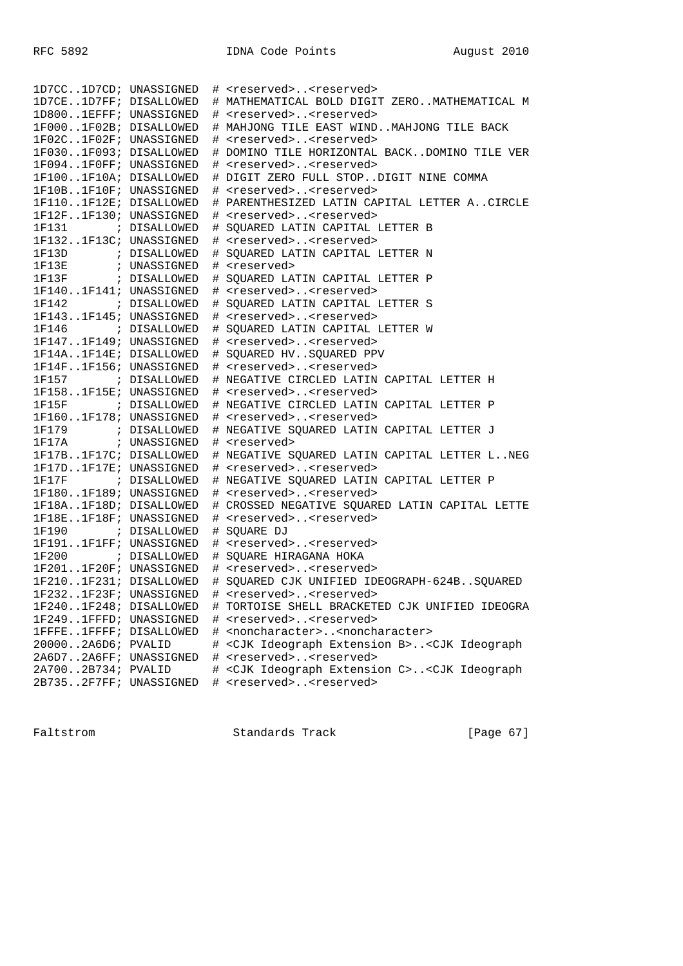| 1D7CC1D7CD; UNASSIGNED |  | # <reserved><reserved></reserved></reserved>                                |
|------------------------|--|-----------------------------------------------------------------------------|
| 1D7CE1D7FF; DISALLOWED |  | # MATHEMATICAL BOLD DIGIT ZEROMATHEMATICAL M                                |
| 1D8001EFFF; UNASSIGNED |  | # <reserved><reserved></reserved></reserved>                                |
| 1F0001F02B; DISALLOWED |  | # MAHJONG TILE EAST WINDMAHJONG TILE BACK                                   |
| 1F02C1F02F; UNASSIGNED |  | # <reserved><reserved></reserved></reserved>                                |
| 1F0301F093; DISALLOWED |  | # DOMINO TILE HORIZONTAL BACKDOMINO TILE VER                                |
| 1F0941F0FF; UNASSIGNED |  | # <reserved><reserved></reserved></reserved>                                |
| 1F1001F10A; DISALLOWED |  | # DIGIT ZERO FULL STOPDIGIT NINE COMMA                                      |
| 1F10B1F10F; UNASSIGNED |  | # <reserved><reserved></reserved></reserved>                                |
| 1F1101F12E; DISALLOWED |  | # PARENTHESIZED LATIN CAPITAL LETTER ACIRCLE                                |
| 1F12F1F130; UNASSIGNED |  | # <reserved><reserved></reserved></reserved>                                |
|                        |  | # SQUARED LATIN CAPITAL LETTER B                                            |
| 1F1321F13C; UNASSIGNED |  | # <reserved><reserved></reserved></reserved>                                |
| 1F13D ; DISALLOWED     |  | # SQUARED LATIN CAPITAL LETTER N                                            |
| 1F13E : UNASSIGNED     |  | # <reserved></reserved>                                                     |
| 1F13F ; DISALLOWED     |  | # SQUARED LATIN CAPITAL LETTER P                                            |
| 1F1401F141; UNASSIGNED |  | # <reserved><reserved></reserved></reserved>                                |
| 1F142 ; DISALLOWED     |  | # SQUARED LATIN CAPITAL LETTER S                                            |
| 1F1431F145; UNASSIGNED |  | # <reserved><reserved></reserved></reserved>                                |
| 1F146 ; DISALLOWED     |  | # SOUARED LATIN CAPITAL LETTER W                                            |
| 1F1471F149; UNASSIGNED |  | # <reserved><reserved></reserved></reserved>                                |
| 1F14A1F14E; DISALLOWED |  | # SQUARED HVSQUARED PPV                                                     |
| 1F14F1F156; UNASSIGNED |  | # <reserved><reserved></reserved></reserved>                                |
| 1F157 ; DISALLOWED     |  | # NEGATIVE CIRCLED LATIN CAPITAL LETTER H                                   |
| 1F1581F15E; UNASSIGNED |  | # <reserved><reserved></reserved></reserved>                                |
| 1F15F ; DISALLOWED     |  | # NEGATIVE CIRCLED LATIN CAPITAL LETTER P                                   |
| 1F1601F178; UNASSIGNED |  | # <reserved><reserved></reserved></reserved>                                |
| 1F179 ; DISALLOWED     |  | # NEGATIVE SQUARED LATIN CAPITAL LETTER J                                   |
| 1F17A ; UNASSIGNED     |  | # <reserved></reserved>                                                     |
| 1F17B1F17C; DISALLOWED |  | # NEGATIVE SQUARED LATIN CAPITAL LETTER LNEG                                |
| 1F17D1F17E; UNASSIGNED |  | # <reserved><reserved></reserved></reserved>                                |
| 1F17F : DISALLOWED     |  | # NEGATIVE SOUARED LATIN CAPITAL LETTER P                                   |
| 1F1801F189; UNASSIGNED |  | # <reserved><reserved></reserved></reserved>                                |
| 1F18A1F18D; DISALLOWED |  | # CROSSED NEGATIVE SQUARED LATIN CAPITAL LETTE                              |
| 1F18E1F18F; UNASSIGNED |  | # <reserved><reserved></reserved></reserved>                                |
| 1F190 ; DISALLOWED     |  | # SQUARE DJ                                                                 |
| 1F1911F1FF; UNASSIGNED |  | # <reserved><reserved></reserved></reserved>                                |
| 1F200 ; DISALLOWED     |  | # SQUARE HIRAGANA HOKA                                                      |
| 1F2011F20F; UNASSIGNED |  | # <reserved><reserved></reserved></reserved>                                |
| 1F2101F231; DISALLOWED |  | # SQUARED CJK UNIFIED IDEOGRAPH-624BSQUARED                                 |
| 1F2321F23F; UNASSIGNED |  | # <reserved><reserved></reserved></reserved>                                |
| 1F2401F248; DISALLOWED |  | # TORTOISE SHELL BRACKETED CJK UNIFIED IDEOGRA                              |
| 1F2491FFFD; UNASSIGNED |  | # <reserved><reserved></reserved></reserved>                                |
| 1FFFE1FFFF; DISALLOWED |  | # <noncharacter><noncharacter></noncharacter></noncharacter>                |
| 200002A6D6; PVALID     |  | # <cjk b="" extension="" ideograph=""><cjk ideograph<="" td=""></cjk></cjk> |
| 2A6D72A6FF; UNASSIGNED |  | # <reserved><reserved></reserved></reserved>                                |
| 2A7002B734; PVALID     |  | # <cjk c="" extension="" ideograph=""><cjk ideograph<="" td=""></cjk></cjk> |
| 2B7352F7FF; UNASSIGNED |  | # <reserved><reserved></reserved></reserved>                                |

Faltstrom Standards Track [Page 67]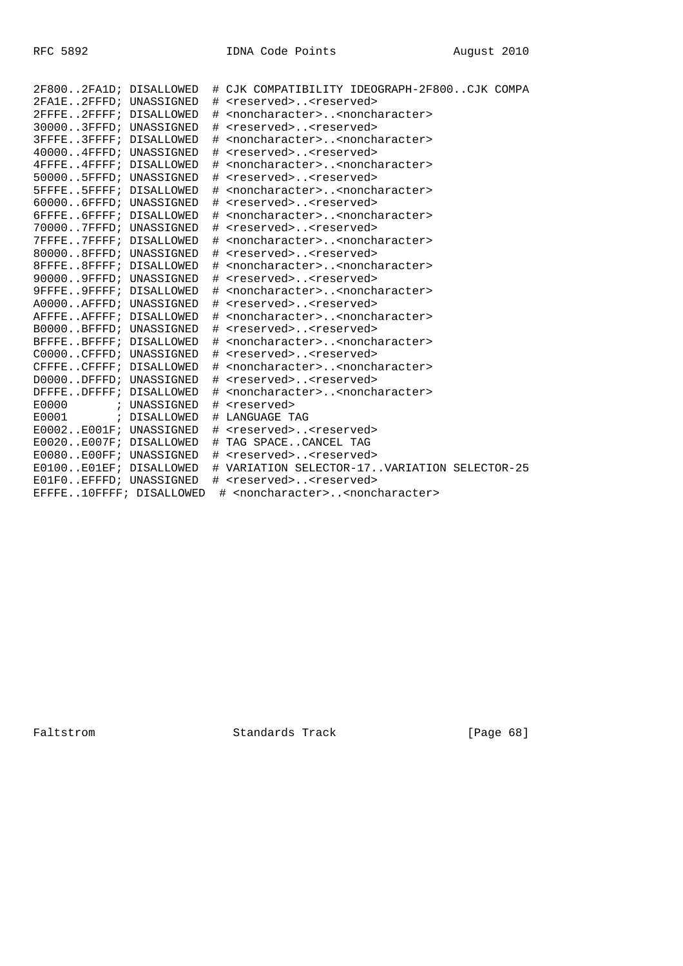| 2F8002FA1D; DISALLOWED  |      | # CJK COMPATIBILITY IDEOGRAPH-2F800CJK COMPA                 |
|-------------------------|------|--------------------------------------------------------------|
| 2FA1E2FFFD; UNASSIGNED  |      | # <reserved><reserved></reserved></reserved>                 |
| 2FFFE2FFFF; DISALLOWED  | $\#$ | <noncharacter><noncharacter></noncharacter></noncharacter>   |
| 300003FFFD; UNASSIGNED  |      | # <reserved><reserved></reserved></reserved>                 |
| 3FFFE3FFFF; DISALLOWED  | #    | <noncharacter><noncharacter></noncharacter></noncharacter>   |
| 400004FFFD; UNASSIGNED  | #    | <reserved><reserved></reserved></reserved>                   |
| 4FFFE4FFFF; DISALLOWED  | #    | <noncharacter><noncharacter></noncharacter></noncharacter>   |
| 500005FFFD; UNASSIGNED  | #    | <reserved><reserved></reserved></reserved>                   |
| 5FFFE5FFFF; DISALLOWED  | #    | <noncharacter><noncharacter></noncharacter></noncharacter>   |
| 600006FFFD; UNASSIGNED  | #    | <reserved><reserved></reserved></reserved>                   |
| 6FFFE6FFFF; DISALLOWED  | #    | <noncharacter><noncharacter></noncharacter></noncharacter>   |
| 700007FFFD; UNASSIGNED  | #    | <reserved><reserved></reserved></reserved>                   |
| 7FFFE7FFFF; DISALLOWED  | #    | <noncharacter><noncharacter></noncharacter></noncharacter>   |
| 800008FFFD; UNASSIGNED  | #    | <reserved><reserved></reserved></reserved>                   |
| 8FFFE8FFFF; DISALLOWED  | #    | <noncharacter><noncharacter></noncharacter></noncharacter>   |
| 900009FFFD; UNASSIGNED  | #    | <reserved><reserved></reserved></reserved>                   |
| 9FFFE9FFFF; DISALLOWED  | #    | <noncharacter><noncharacter></noncharacter></noncharacter>   |
| A0000AFFFD; UNASSIGNED  | #    | <reserved><reserved></reserved></reserved>                   |
| AFFFEAFFFF; DISALLOWED  | #    | <noncharacter><noncharacter></noncharacter></noncharacter>   |
| B0000BFFFD; UNASSIGNED  | #    | <reserved><reserved></reserved></reserved>                   |
| BFFFEBFFFF; DISALLOWED  | #    | <noncharacter><noncharacter></noncharacter></noncharacter>   |
| C0000CFFFD; UNASSIGNED  |      | # <reserved><reserved></reserved></reserved>                 |
| CFFFECFFFF; DISALLOWED  | #    | <noncharacter><noncharacter></noncharacter></noncharacter>   |
| D0000DFFFD; UNASSIGNED  | #    | <reserved><reserved></reserved></reserved>                   |
| DFFFEDFFFF; DISALLOWED  | #    | <noncharacter><noncharacter></noncharacter></noncharacter>   |
| E0000 ; UNASSIGNED      | #    | <reserved></reserved>                                        |
| E0001 ; DISALLOWED      | #    | LANGUAGE TAG                                                 |
| E0002E001F; UNASSIGNED  | #    | <reserved><reserved></reserved></reserved>                   |
| E0020E007F; DISALLOWED  |      | # TAG SPACECANCEL TAG                                        |
| E0080E00FF; UNASSIGNED  |      | # <reserved><reserved></reserved></reserved>                 |
| E0100E01EF; DISALLOWED  |      | # VARIATION SELECTOR-17VARIATION SELECTOR-25                 |
| E01F0EFFFD; UNASSIGNED  |      | # <reserved><reserved></reserved></reserved>                 |
| EFFFE10FFFF; DISALLOWED |      | # <noncharacter><noncharacter></noncharacter></noncharacter> |

Faltstrom Standards Track [Page 68]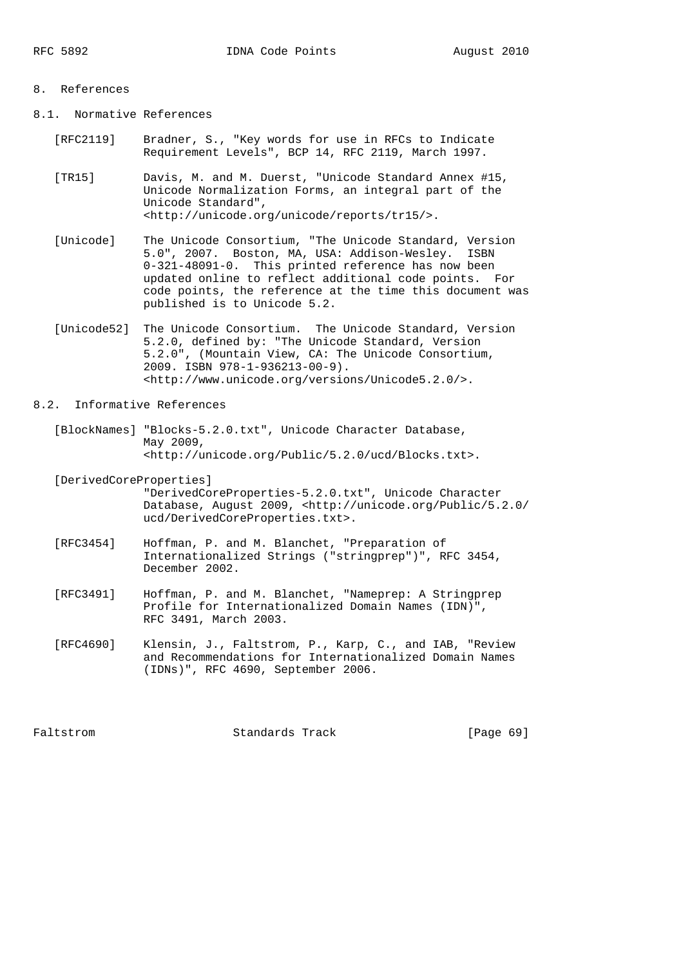# 8. References

- 8.1. Normative References
	- [RFC2119] Bradner, S., "Key words for use in RFCs to Indicate Requirement Levels", BCP 14, RFC 2119, March 1997.
	- [TR15] Davis, M. and M. Duerst, "Unicode Standard Annex #15, Unicode Normalization Forms, an integral part of the Unicode Standard", <http://unicode.org/unicode/reports/tr15/>.
	- [Unicode] The Unicode Consortium, "The Unicode Standard, Version 5.0", 2007. Boston, MA, USA: Addison-Wesley. ISBN 0-321-48091-0. This printed reference has now been updated online to reflect additional code points. For code points, the reference at the time this document was published is to Unicode 5.2.
	- [Unicode52] The Unicode Consortium. The Unicode Standard, Version 5.2.0, defined by: "The Unicode Standard, Version 5.2.0", (Mountain View, CA: The Unicode Consortium, 2009. ISBN 978-1-936213-00-9). <http://www.unicode.org/versions/Unicode5.2.0/>.

## 8.2. Informative References

 [BlockNames] "Blocks-5.2.0.txt", Unicode Character Database, May 2009, <http://unicode.org/Public/5.2.0/ucd/Blocks.txt>.

[DerivedCoreProperties]

 "DerivedCoreProperties-5.2.0.txt", Unicode Character Database, August 2009, <http://unicode.org/Public/5.2.0/ ucd/DerivedCoreProperties.txt>.

- [RFC3454] Hoffman, P. and M. Blanchet, "Preparation of Internationalized Strings ("stringprep")", RFC 3454, December 2002.
- [RFC3491] Hoffman, P. and M. Blanchet, "Nameprep: A Stringprep Profile for Internationalized Domain Names (IDN)", RFC 3491, March 2003.
- [RFC4690] Klensin, J., Faltstrom, P., Karp, C., and IAB, "Review and Recommendations for Internationalized Domain Names (IDNs)", RFC 4690, September 2006.

Faltstrom Standards Track [Page 69]